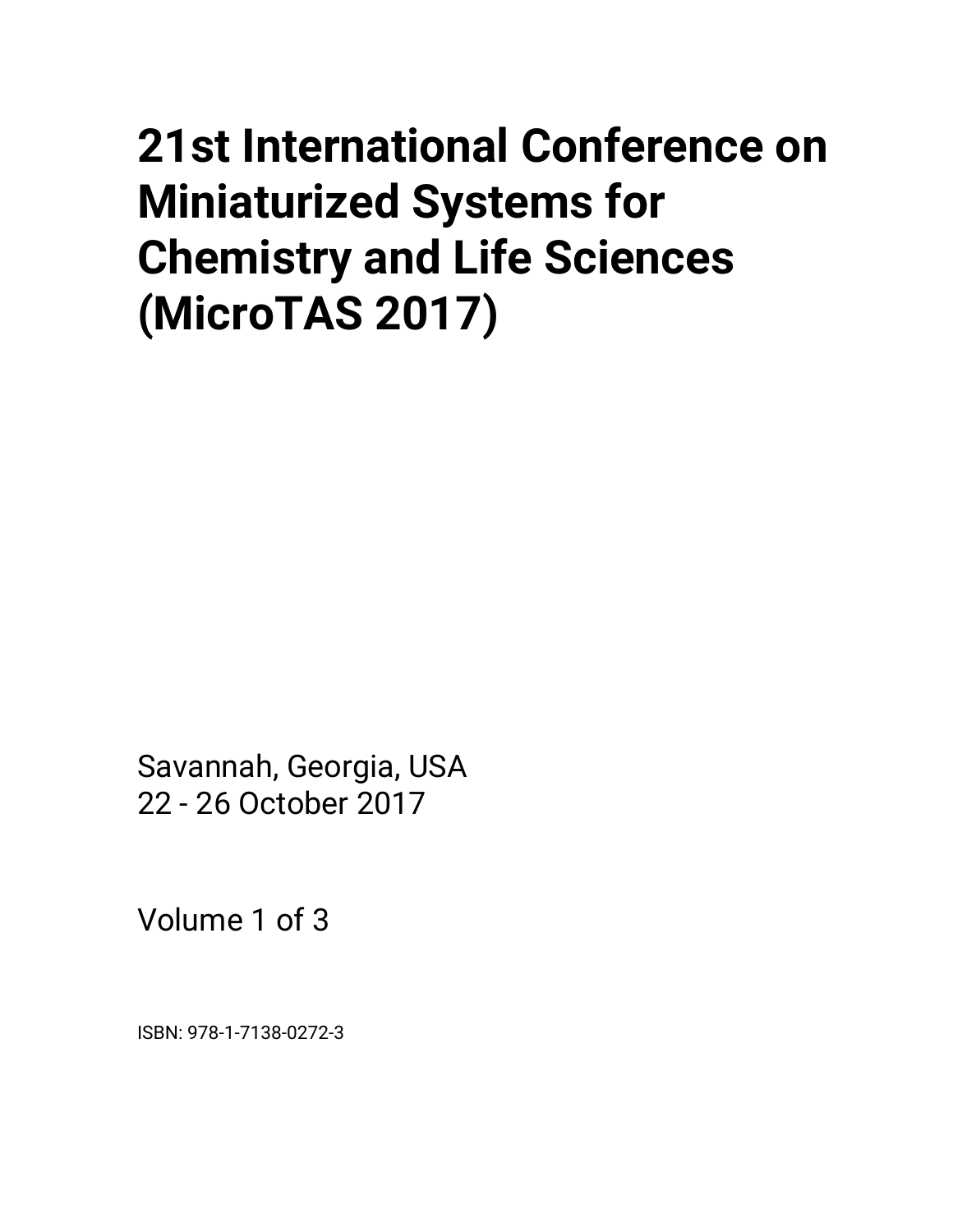# <span id="page-0-0"></span>**21st International Conference on Miniaturized Systems for Chemistry and Life Sciences (MicroTAS 2017)**

Savannah, Georgia, USA 22 - 26 October 2017

Volume 1 of 3

ISBN: 978-1-7138-0272-3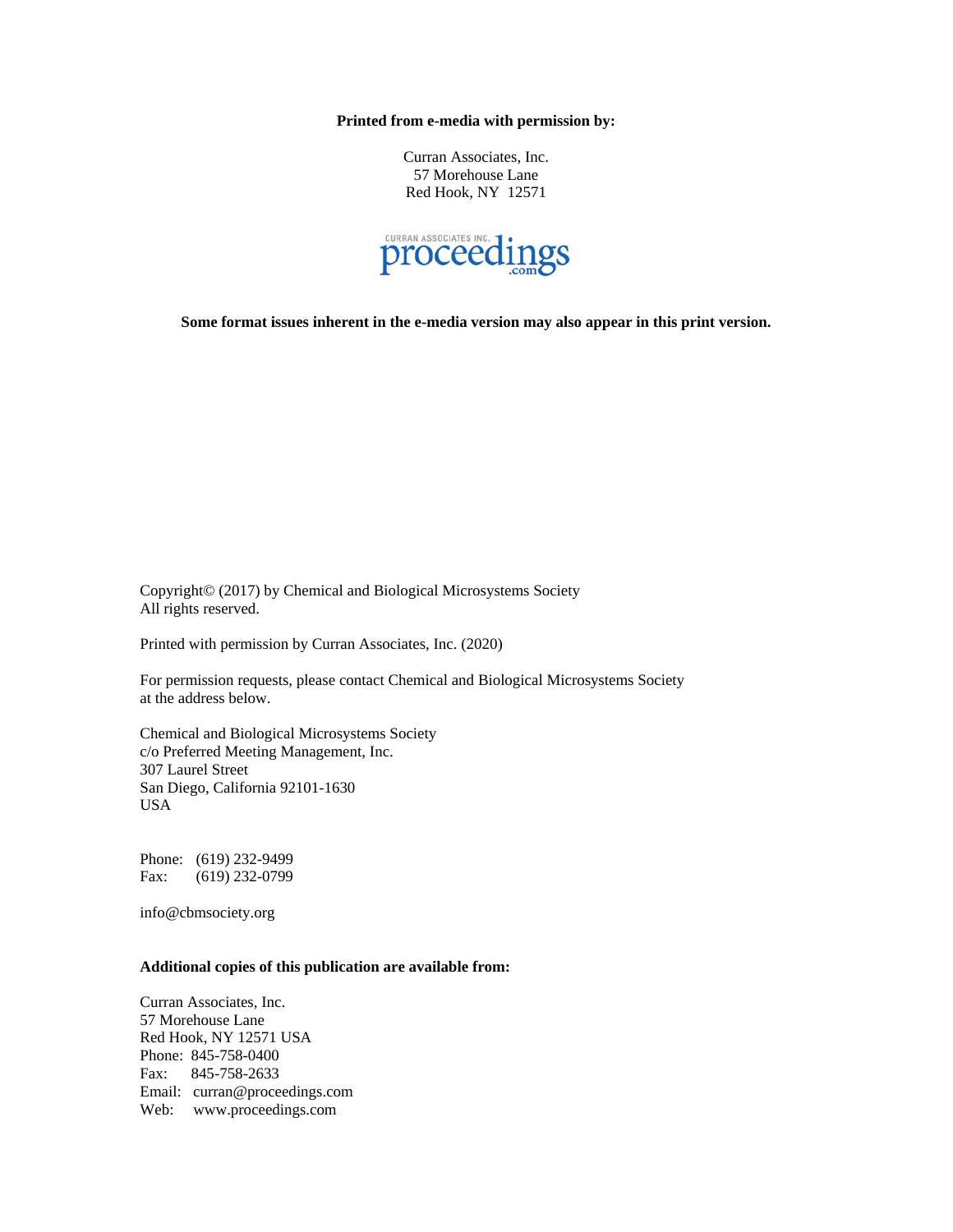**Printed from e-media with permission by:** 

Curran Associates, Inc. 57 Morehouse Lane Red Hook, NY 12571



**Some format issues inherent in the e-media version may also appear in this print version.** 

Copyright© (2017) by Chemical and Biological Microsystems Society All rights reserved.

Printed with permission by Curran Associates, Inc. (2020)

For permission requests, please contact Chemical and Biological Microsystems Society at the address below.

Chemical and Biological Microsystems Society c/o Preferred Meeting Management, Inc. 307 Laurel Street San Diego, California 92101-1630 USA

Phone: (619) 232-9499 Fax: (619) 232-0799

info@cbmsociety.org

#### **Additional copies of this publication are available from:**

Curran Associates, Inc. 57 Morehouse Lane Red Hook, NY 12571 USA Phone: 845-758-0400 Fax: 845-758-2633 Email: curran@proceedings.com Web: www.proceedings.com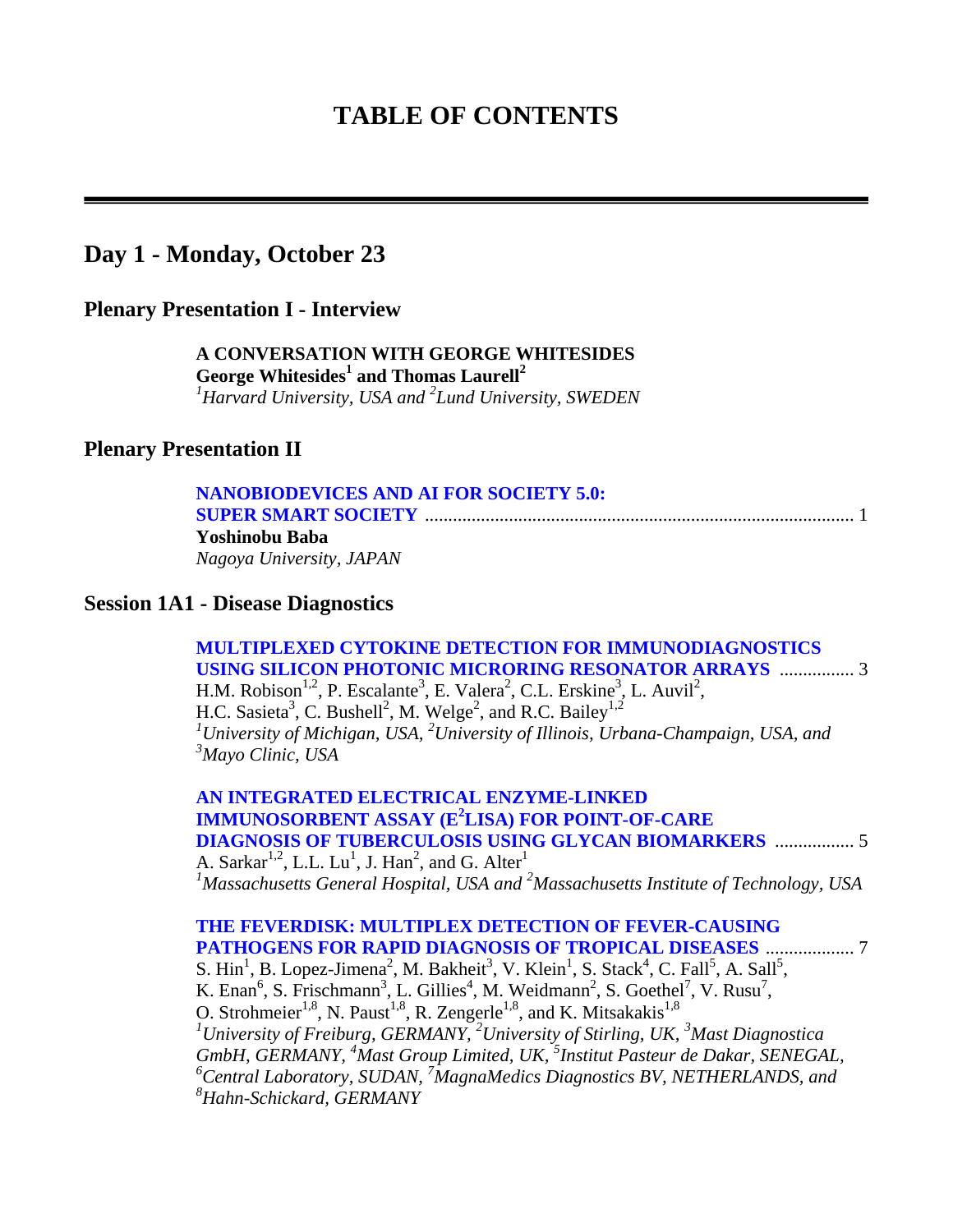### **TABLE OF CONTENTS**

### **Day 1 - Monday, October 23**

### **Plenary Presentation I - Interview**

 **A CONVERSATION WITH GEORGE WHITESIDES George Whitesides<sup>1</sup> and Thomas Laurell<sup>2</sup>** *1 Harvard University, USA and <sup>2</sup> Lund University, SWEDEN*

### **Plenary Presentation II**

#### **[NANOBIODEVICES AND AI FOR SOCIETY 5.0:](#page-0-0)  SUPER SMART SOCIETY** ............................................................................................ 1 **Yoshinobu Baba**  *Nagoya University, JAPAN*

#### **Session 1A1 - Disease Diagnostics**

 **[MULTIPLEXED CYTOKINE DETECTION FOR IMMUNODIAGNOSTICS](#page-0-0)  USING SILICON PHOTONIC MICRORING RESONATOR ARRAYS** ................ 3 H.M. Robison<sup>1,2</sup>, P. Escalante<sup>3</sup>, E. Valera<sup>2</sup>, C.L. Erskine<sup>3</sup>, L. Auvil<sup>2</sup>, H.C. Sasieta<sup>3</sup>, C. Bushell<sup>2</sup>, M. Welge<sup>2</sup>, and R.C. Bailey<sup>1,2</sup> <sup>1</sup> University of Michigan, USA, <sup>2</sup> University of Illinois, Urbana-Champaign, USA, and *3 Mayo Clinic, USA* 

 **AN INTEGRATED ELECTRICAL ENZYME-LINKED IMMUNOSORBENT ASSAY (E2 LISA) FOR POINT-OF-CARE [DIAGNOSIS OF TUBERCULOSIS USING GLYCAN BIOMARKERS](#page-0-0)** ................. 5 A. Sarkar<sup>1,2</sup>, L.L. Lu<sup>1</sup>, J. Han<sup>2</sup>, and G. Alter<sup>1</sup> <sup>1</sup> Massachusetts General Hospital, USA and <sup>2</sup> Massachusetts Institute of Technology, USA

#### **[THE FEVERDISK: MULTIPLEX DETECTION OF FEVER-CAUSING](#page-0-0)  PATHOGENS FOR RAPID DIAGNOSIS OF TROPICAL DISEASES** ................... 7

S. Hin<sup>1</sup>, B. Lopez-Jimena<sup>2</sup>, M. Bakheit<sup>3</sup>, V. Klein<sup>1</sup>, S. Stack<sup>4</sup>, C. Fall<sup>5</sup>, A. Sall<sup>5</sup>, K. Enan<sup>6</sup>, S. Frischmann<sup>3</sup>, L. Gillies<sup>4</sup>, M. Weidmann<sup>2</sup>, S. Goethel<sup>7</sup>, V. Rusu<sup>7</sup>, O. Strohmeier<sup>1,8</sup>, N. Paust<sup>1,8</sup>, R. Zengerle<sup>1,8</sup>, and K. Mitsakakis<sup>1,8</sup> *1 University of Freiburg, GERMANY, 2 University of Stirling, UK, <sup>3</sup> Mast Diagnostica GmbH, GERMANY, <sup>4</sup> Mast Group Limited, UK, <sup>5</sup> Institut Pasteur de Dakar, SENEGAL, 6 Central Laboratory, SUDAN, 7 MagnaMedics Diagnostics BV, NETHERLANDS, and 8 Hahn-Schickard, GERMANY*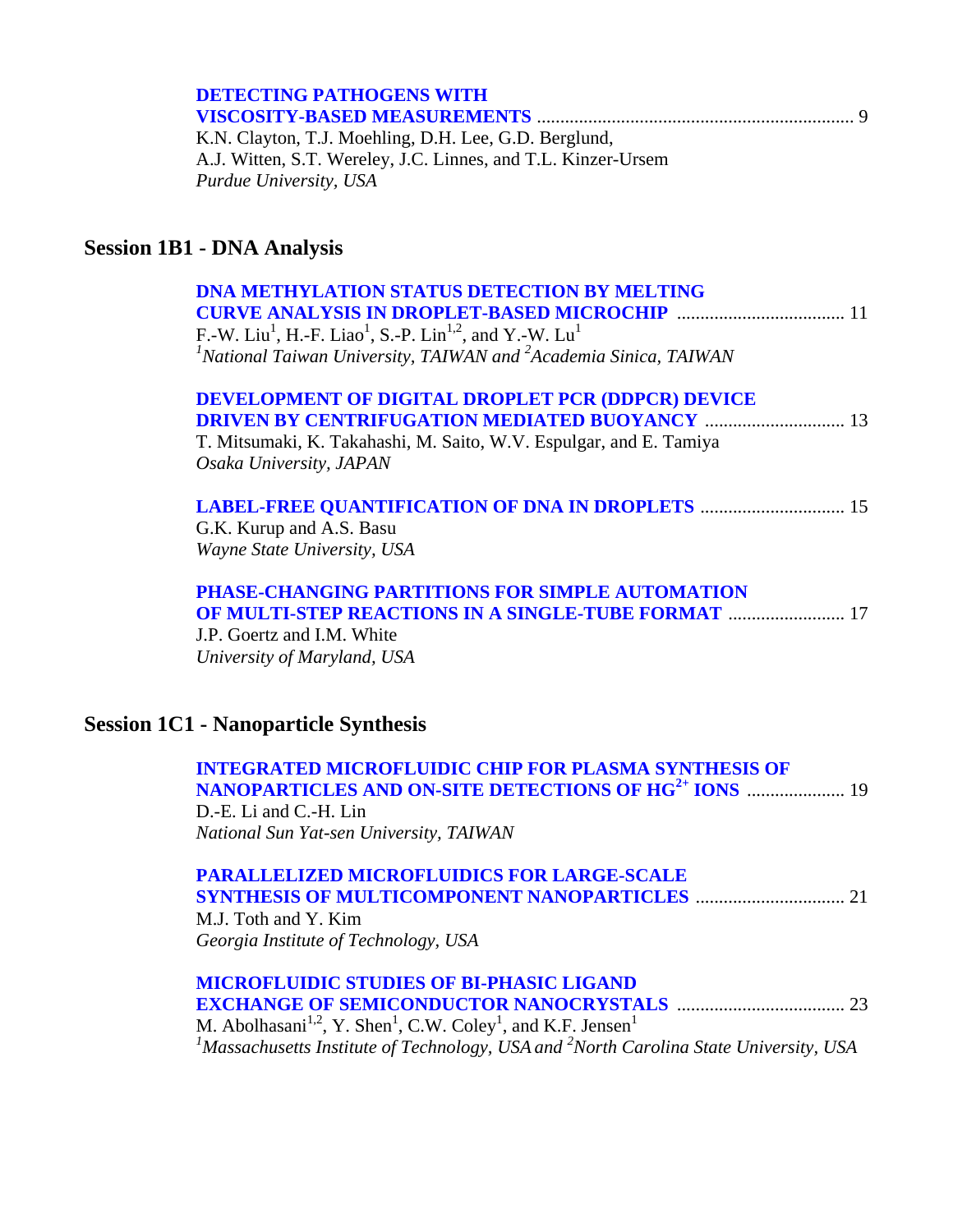| <b>DETECTING PATHOGENS WITH</b>               |  |
|-----------------------------------------------|--|
|                                               |  |
| K N Clayton T I Moebling D H Lee G D Rerglund |  |

K.N. Clayton, T.J. Moehling, D.H. Lee, G.D. Berglund, A.J. Witten, S.T. Wereley, J.C. Linnes, and T.L. Kinzer-Ursem *Purdue University, USA* 

### **Session 1B1 - DNA Analysis**

| <b>DNA METHYLATION STATUS DETECTION BY MELTING</b><br>F.-W. Liu <sup>1</sup> , H.-F. Liao <sup>1</sup> , S.-P. Lin <sup>1,2</sup> , and Y.-W. Lu <sup>1</sup><br><sup>1</sup> National Taiwan University, TAIWAN and <sup>2</sup> Academia Sinica, TAIWAN |
|-----------------------------------------------------------------------------------------------------------------------------------------------------------------------------------------------------------------------------------------------------------|
| DEVELOPMENT OF DIGITAL DROPLET PCR (DDPCR) DEVICE<br>T. Mitsumaki, K. Takahashi, M. Saito, W.V. Espulgar, and E. Tamiya<br>Osaka University, JAPAN                                                                                                        |
| <b>LABEL-FREE QUANTIFICATION OF DNA IN DROPLETS  15</b><br>G.K. Kurup and A.S. Basu<br>Wayne State University, USA                                                                                                                                        |
| <b>PHASE-CHANGING PARTITIONS FOR SIMPLE AUTOMATION</b><br><b>OF MULTI-STEP REACTIONS IN A SINGLE-TUBE FORMAT  17</b><br>J.P. Goertz and I.M. White<br>University of Maryland, USA                                                                         |

### **Session 1C1 - Nanoparticle Synthesis**

| <b>INTEGRATED MICROFLUIDIC CHIP FOR PLASMA SYNTHESIS OF</b> |
|-------------------------------------------------------------|
|                                                             |
| D.-E. Li and C.-H. Lin                                      |
| National Sun Yat-sen University, TAIWAN                     |

| <b>PARALLELIZED MICROFLUIDICS FOR LARGE-SCALE</b> |  |
|---------------------------------------------------|--|
|                                                   |  |
| M.J. Toth and Y. Kim                              |  |

*Georgia Institute of Technology, USA* 

| <b>MICROFLUIDIC STUDIES OF BI-PHASIC LIGAND</b>                                                               |  |
|---------------------------------------------------------------------------------------------------------------|--|
|                                                                                                               |  |
| M. Abolhasani <sup>1,2</sup> , Y. Shen <sup>1</sup> , C.W. Coley <sup>1</sup> , and K.F. Jensen <sup>1</sup>  |  |
| <sup>1</sup> Massachusetts Institute of Technology, USA and <sup>2</sup> North Carolina State University, USA |  |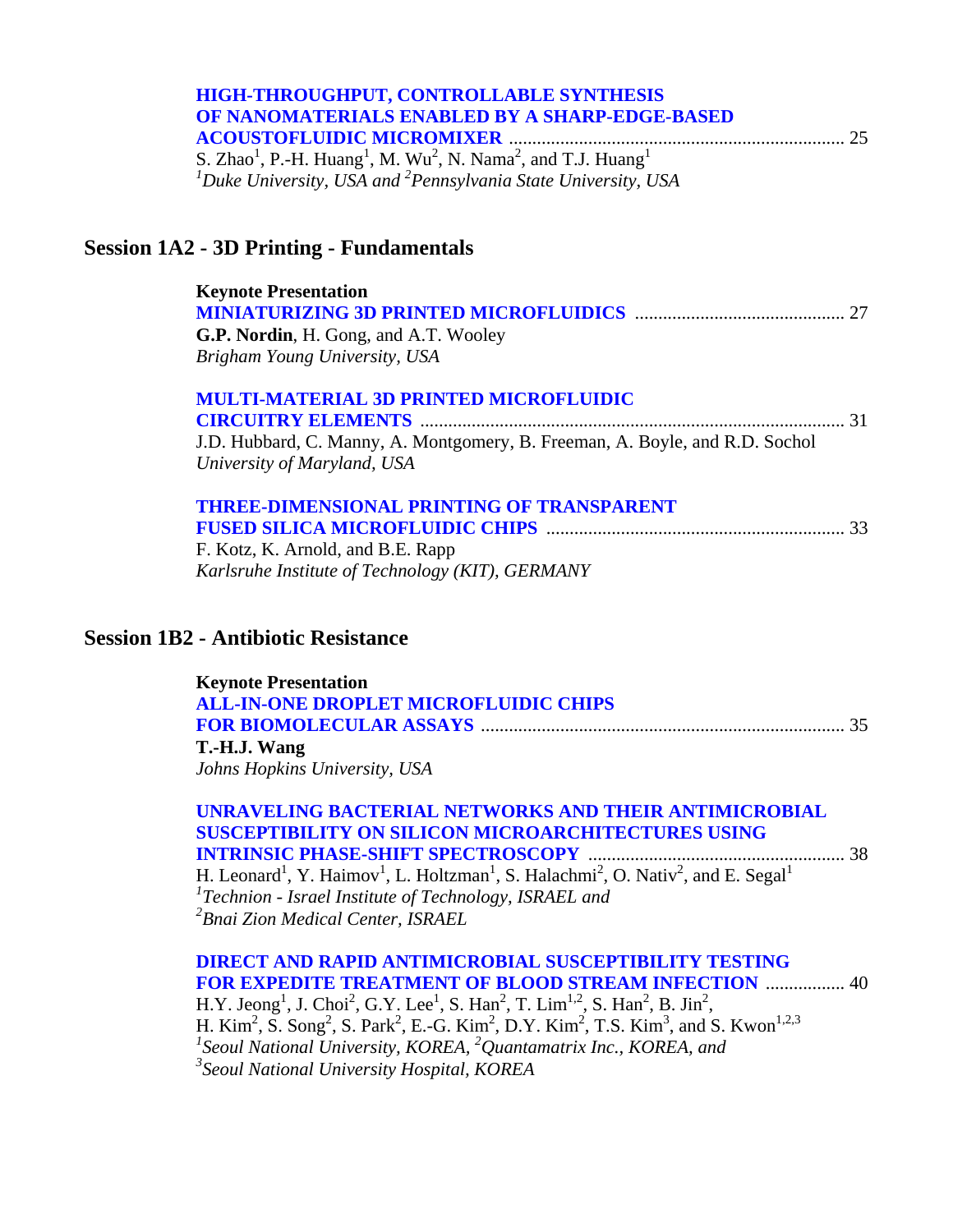| <b>HIGH-THROUGHPUT, CONTROLLABLE SYNTHESIS</b>                                                                            |  |
|---------------------------------------------------------------------------------------------------------------------------|--|
| OF NANOMATERIALS ENABLED BY A SHARP-EDGE-BASED                                                                            |  |
|                                                                                                                           |  |
| S. Zhao <sup>1</sup> , P.-H. Huang <sup>1</sup> , M. Wu <sup>2</sup> , N. Nama <sup>2</sup> , and T.J. Huang <sup>1</sup> |  |
| $1$ Duke University, USA and $2$ Pennsylvania State University, USA                                                       |  |

# **Session 1A2 - 3D Printing - Fundamentals**

| <b>Keynote Presentation</b>                                                  |
|------------------------------------------------------------------------------|
| G.P. Nordin, H. Gong, and A.T. Wooley                                        |
| Brigham Young University, USA                                                |
| <b>MULTI-MATERIAL 3D PRINTED MICROFLUIDIC</b>                                |
|                                                                              |
| J.D. Hubbard, C. Manny, A. Montgomery, B. Freeman, A. Boyle, and R.D. Sochol |
| University of Maryland, USA                                                  |
| <b>THREE-DIMENSIONAL PRINTING OF TRANSPARENT</b>                             |
|                                                                              |
| F. Kotz, K. Arnold, and B.E. Rapp                                            |
| Karlsruhe Institute of Technology (KIT), GERMANY                             |
|                                                                              |

### **Session 1B2 - Antibiotic Resistance**

| <b>Keynote Presentation</b>                  |      |
|----------------------------------------------|------|
| <b>ALL-IN-ONE DROPLET MICROFLUIDIC CHIPS</b> |      |
|                                              | - 35 |
| T.-H.J. Wang                                 |      |
| Johns Hopkins University, USA                |      |

| UNRAVELING BACTERIAL NETWORKS AND THEIR ANTIMICROBIAL                                                                                                      |  |
|------------------------------------------------------------------------------------------------------------------------------------------------------------|--|
| <b>SUSCEPTIBILITY ON SILICON MICROARCHITECTURES USING</b>                                                                                                  |  |
|                                                                                                                                                            |  |
| H. Leonard <sup>1</sup> , Y. Haimov <sup>1</sup> , L. Holtzman <sup>1</sup> , S. Halachmi <sup>2</sup> , O. Nativ <sup>2</sup> , and E. Segal <sup>1</sup> |  |
| ${}^{1}$ Technion - Israel Institute of Technology, ISRAEL and                                                                                             |  |
| <sup>2</sup> Bnai Zion Medical Center, ISRAEL                                                                                                              |  |

| <b>DIRECT AND RAPID ANTIMICROBIAL SUSCEPTIBILITY TESTING</b>                                                                                                              |
|---------------------------------------------------------------------------------------------------------------------------------------------------------------------------|
| <b>FOR EXPEDITE TREATMENT OF BLOOD STREAM INFECTION  40</b>                                                                                                               |
| H.Y. Jeong <sup>1</sup> , J. Choi <sup>2</sup> , G.Y. Lee <sup>1</sup> , S. Han <sup>2</sup> , T. Lim <sup>1,2</sup> , S. Han <sup>2</sup> , B. Jin <sup>2</sup> ,        |
| H. Kim <sup>2</sup> , S. Song <sup>2</sup> , S. Park <sup>2</sup> , E.-G. Kim <sup>2</sup> , D.Y. Kim <sup>2</sup> , T.S. Kim <sup>3</sup> , and S. Kwon <sup>1,2,3</sup> |
| <sup>1</sup> Seoul National University, KOREA, <sup>2</sup> Quantamatrix Inc., KOREA, and                                                                                 |
| <sup>3</sup> Seoul National University Hospital, KOREA                                                                                                                    |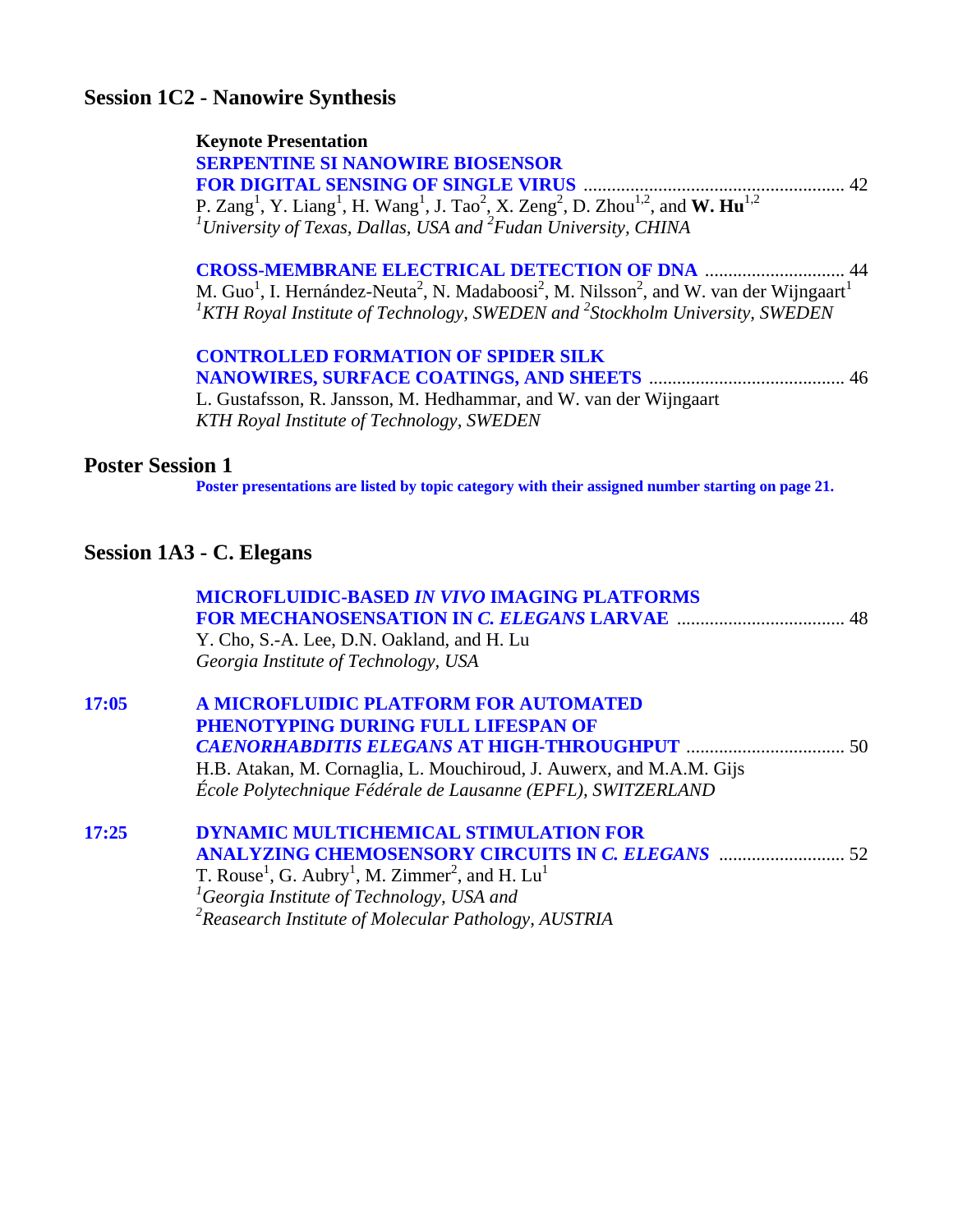### **Session 1C2 - Nanowire Synthesis**

#### **Keynote Presentation**

 **[SERPENTINE SI NANOWIRE BIOSENSOR](#page-0-0)  FOR DIGITAL SENSING OF SINGLE VIRUS** ........................................................ 42 P. Zang<sup>1</sup>, Y. Liang<sup>1</sup>, H. Wang<sup>1</sup>, J. Tao<sup>2</sup>, X. Zeng<sup>2</sup>, D. Zhou<sup>1,2</sup>, and **W. Hu**<sup>1,2</sup> *1 University of Texas, Dallas, USA and <sup>2</sup> Fudan University, CHINA* 

 **[CROSS-MEMBRANE ELECTRICAL DETECTION OF DNA](#page-0-0)** .............................. 44 M. Guo<sup>1</sup>, I. Hernández-Neuta<sup>2</sup>, N. Madaboosi<sup>2</sup>, M. Nilsson<sup>2</sup>, and W. van der Wijngaart<sup>1</sup> <sup>1</sup> KTH Royal Institute of Technology, SWEDEN and <sup>2</sup> Stockholm University, SWEDEN

### **[CONTROLLED FORMATION OF SPIDER SILK](#page-0-0)  NANOWIRES, SURFACE COATINGS, AND SHEETS** .......................................... 46 L. Gustafsson, R. Jansson, M. Hedhammar, and W. van der Wijngaart

*KTH Royal Institute of Technology, SWEDEN* 

#### **Poster Session 1**

**[Poster presentations are listed by topic category with their assigned number starting on page 21.](#page-22-0)** 

### **Session 1A3 - C. Elegans**

|       | <b>MICROFLUIDIC-BASED IN VIVO IMAGING PLATFORMS</b>                                             |  |
|-------|-------------------------------------------------------------------------------------------------|--|
|       | Y. Cho, S.-A. Lee, D.N. Oakland, and H. Lu                                                      |  |
|       | Georgia Institute of Technology, USA                                                            |  |
| 17:05 | A MICROFLUIDIC PLATFORM FOR AUTOMATED                                                           |  |
|       | PHENOTYPING DURING FULL LIFESPAN OF                                                             |  |
|       | <b>CAENORHABDITIS ELEGANS AT HIGH-THROUGHPUT manufacture (2016)</b>                             |  |
|       | H.B. Atakan, M. Cornaglia, L. Mouchiroud, J. Auwerx, and M.A.M. Gijs                            |  |
|       | École Polytechnique Fédérale de Lausanne (EPFL), SWITZERLAND                                    |  |
| 17:25 | <b>DYNAMIC MULTICHEMICAL STIMULATION FOR</b>                                                    |  |
|       |                                                                                                 |  |
|       | T. Rouse <sup>1</sup> , G. Aubry <sup>1</sup> , M. Zimmer <sup>2</sup> , and H. Lu <sup>1</sup> |  |
|       | ${}^{1}$ Georgia Institute of Technology, USA and                                               |  |
|       | $\alpha$ <sup>2</sup> Reasearch Institute of Molecular Pathology, AUSTRIA                       |  |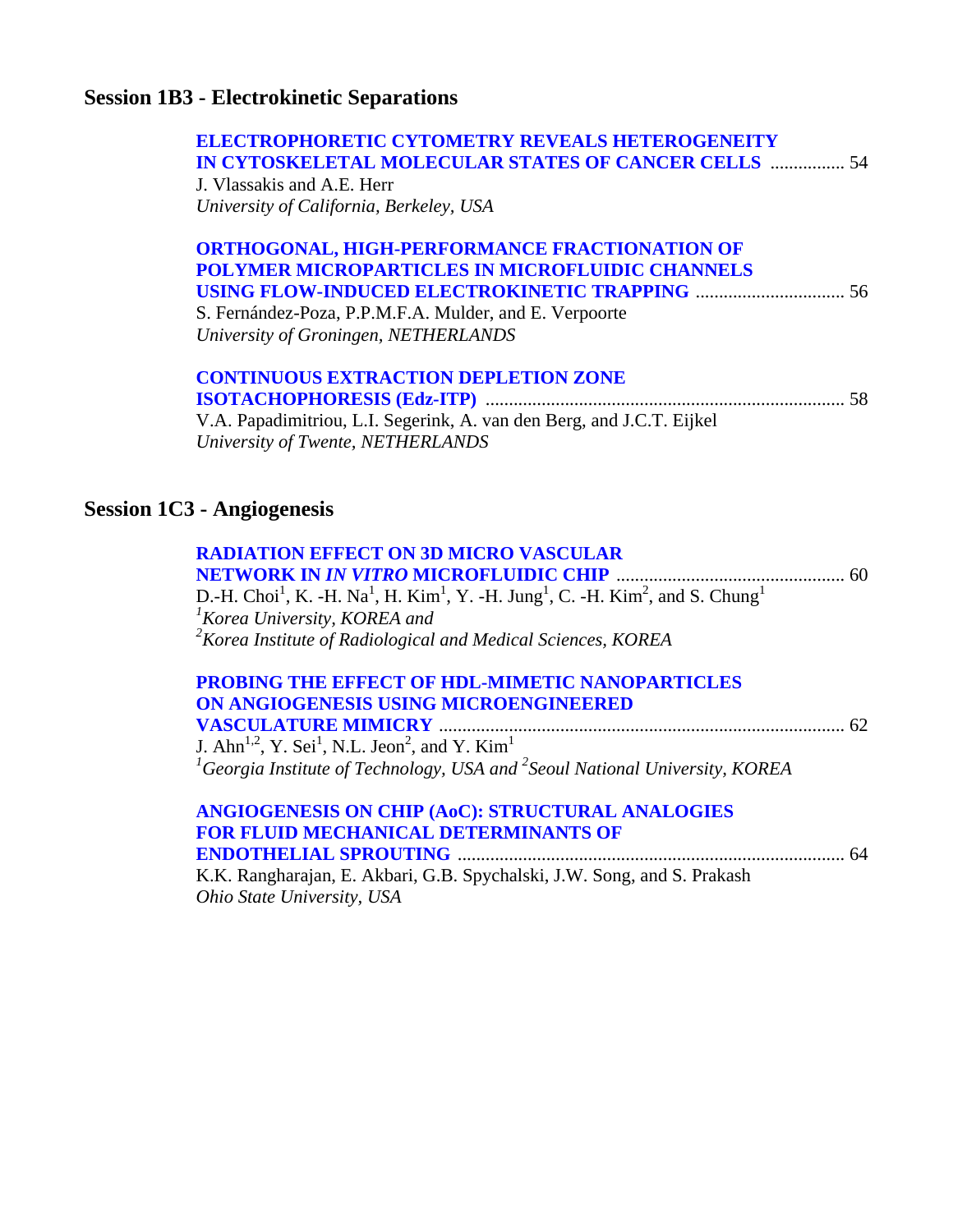# **Session 1B3 - Electrokinetic Separations**

| <b>ELECTROPHORETIC CYTOMETRY REVEALS HETEROGENEITY</b><br>IN CYTOSKELETAL MOLECULAR STATES OF CANCER CELLS  54<br>J. Vlassakis and A.E. Herr<br>University of California, Berkeley, USA                                                                                                                                     |  |
|-----------------------------------------------------------------------------------------------------------------------------------------------------------------------------------------------------------------------------------------------------------------------------------------------------------------------------|--|
| ORTHOGONAL, HIGH-PERFORMANCE FRACTIONATION OF<br>POLYMER MICROPARTICLES IN MICROFLUIDIC CHANNELS<br>S. Fernández-Poza, P.P.M.F.A. Mulder, and E. Verpoorte<br>University of Groningen, NETHERLANDS                                                                                                                          |  |
| <b>CONTINUOUS EXTRACTION DEPLETION ZONE</b><br>V.A. Papadimitriou, L.I. Segerink, A. van den Berg, and J.C.T. Eijkel<br>University of Twente, NETHERLANDS                                                                                                                                                                   |  |
| <b>Session 1C3 - Angiogenesis</b>                                                                                                                                                                                                                                                                                           |  |
| <b>RADIATION EFFECT ON 3D MICRO VASCULAR</b><br>D.-H. Choi <sup>1</sup> , K. -H. Na <sup>1</sup> , H. Kim <sup>1</sup> , Y. -H. Jung <sup>1</sup> , C. -H. Kim <sup>2</sup> , and S. Chung <sup>1</sup><br><sup>1</sup> Korea University, KOREA and<br>${}^{2}$ Korea Institute of Radiological and Medical Sciences, KOREA |  |
| PROBING THE EFFECT OF HDL-MIMETIC NANOPARTICLES<br>ON ANGIOGENESIS USING MICROENGINEERED<br>J. Ahn <sup>1,2</sup> , Y. Sei <sup>1</sup> , N.L. Jeon <sup>2</sup> , and Y. Kim <sup>1</sup><br><sup>1</sup> Georgia Institute of Technology, USA and <sup>2</sup> Seoul National University, KOREA                           |  |
| ANGIOGENESIS ON CHIP (AoC): STRUCTURAL ANALOGIES<br><b>FOR FLUID MECHANICAL DETERMINANTS OF</b><br>K.K. Rangharajan, E. Akbari, G.B. Spychalski, J.W. Song, and S. Prakash<br>Ohio State University, USA                                                                                                                    |  |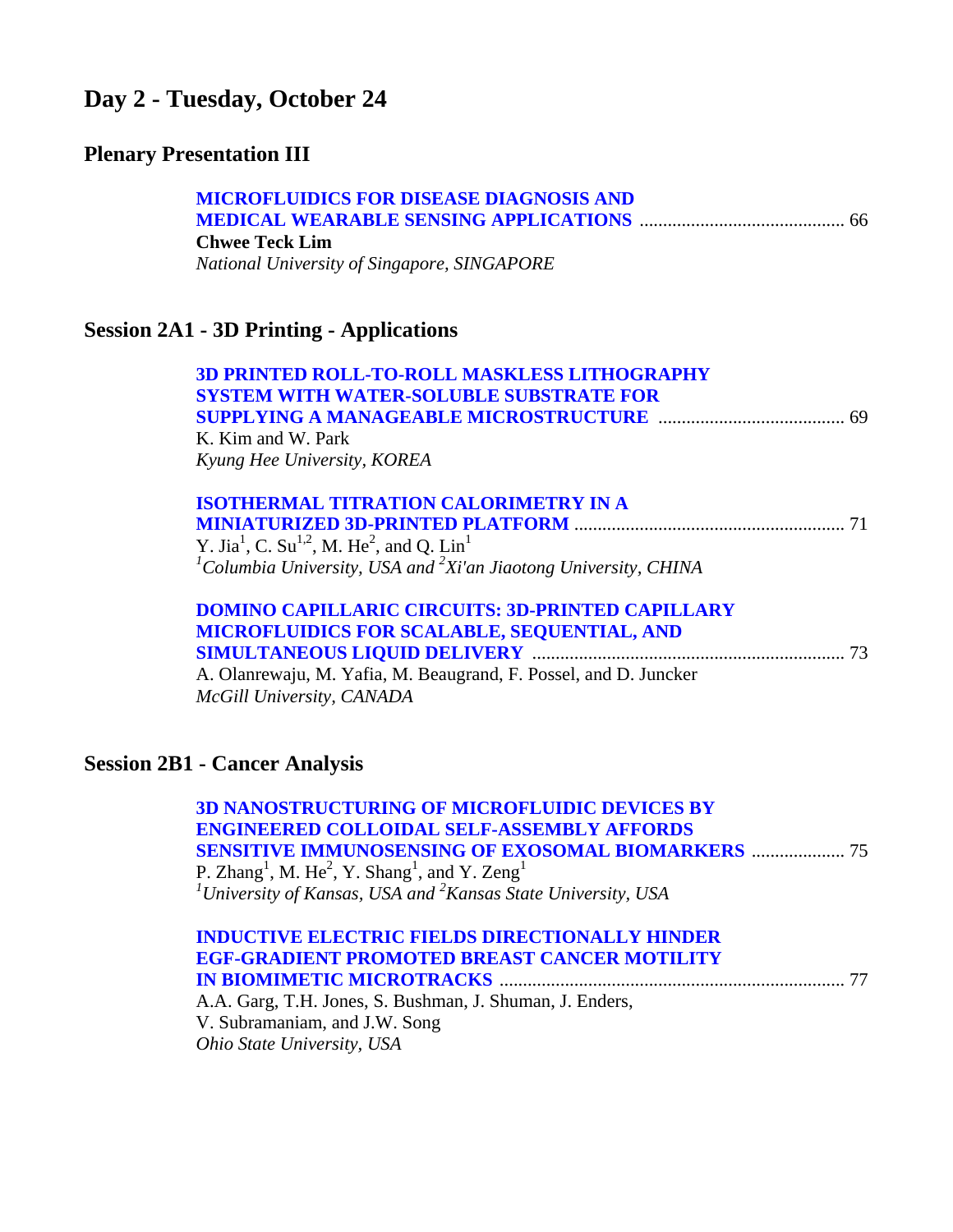# **Day 2 - Tuesday, October 24**

# **Plenary Presentation III**

| <b>MICROFLUIDICS FOR DISEASE DIAGNOSIS AND</b>                                                             |
|------------------------------------------------------------------------------------------------------------|
|                                                                                                            |
| <b>Chwee Teck Lim</b>                                                                                      |
| National University of Singapore, SINGAPORE                                                                |
| <b>Session 2A1 - 3D Printing - Applications</b>                                                            |
| <b>3D PRINTED ROLL-TO-ROLL MASKLESS LITHOGRAPHY</b>                                                        |
| <b>SYSTEM WITH WATER-SOLUBLE SUBSTRATE FOR</b>                                                             |
|                                                                                                            |
| K. Kim and W. Park                                                                                         |
| Kyung Hee University, KOREA                                                                                |
| <b>ISOTHERMAL TITRATION CALORIMETRY IN A</b>                                                               |
|                                                                                                            |
| Y. Jia <sup>1</sup> , C. Su <sup>1,2</sup> , M. He <sup>2</sup> , and Q. Lin <sup>1</sup>                  |
| ${}^{1}$ Columbia University, USA and ${}^{2}$ Xi'an Jiaotong University, CHINA                            |
| <b>DOMINO CAPILLARIC CIRCUITS: 3D-PRINTED CAPILLARY</b>                                                    |
| MICROFLUIDICS FOR SCALABLE, SEQUENTIAL, AND                                                                |
|                                                                                                            |
| A. Olanrewaju, M. Yafia, M. Beaugrand, F. Possel, and D. Juncker                                           |
| McGill University, CANADA                                                                                  |
| <b>Session 2B1 - Cancer Analysis</b>                                                                       |
| <b>3D NANOSTRUCTURING OF MICROFLUIDIC DEVICES BY</b><br><b>UDDDED CALLAID II. CELE I COBLIDEV I BRADDC</b> |

| <b>3D NANOSTRUCTURING OF MICROFLUIDIC DEVICES BY</b>                                          |
|-----------------------------------------------------------------------------------------------|
| <b>ENGINEERED COLLOIDAL SELF-ASSEMBLY AFFORDS</b>                                             |
| <b>SENSITIVE IMMUNOSENSING OF EXOSOMAL BIOMARKERS  75</b>                                     |
| P. Zhang <sup>1</sup> , M. He <sup>2</sup> , Y. Shang <sup>1</sup> , and Y. Zeng <sup>1</sup> |
| <sup>1</sup> University of Kansas, USA and ${}^{2}$ Kansas State University, USA              |
|                                                                                               |
| <b>INDUCTIVE ELECTRIC FIELDS DIRECTIONALLY HINDER</b>                                         |
| <b>EGF-GRADIENT PROMOTED BREAST CANCER MOTILITY</b>                                           |
|                                                                                               |
| A.A. Garg, T.H. Jones, S. Bushman, J. Shuman, J. Enders,                                      |
| V. Subramaniam, and J.W. Song                                                                 |
|                                                                                               |

*Ohio State University, USA*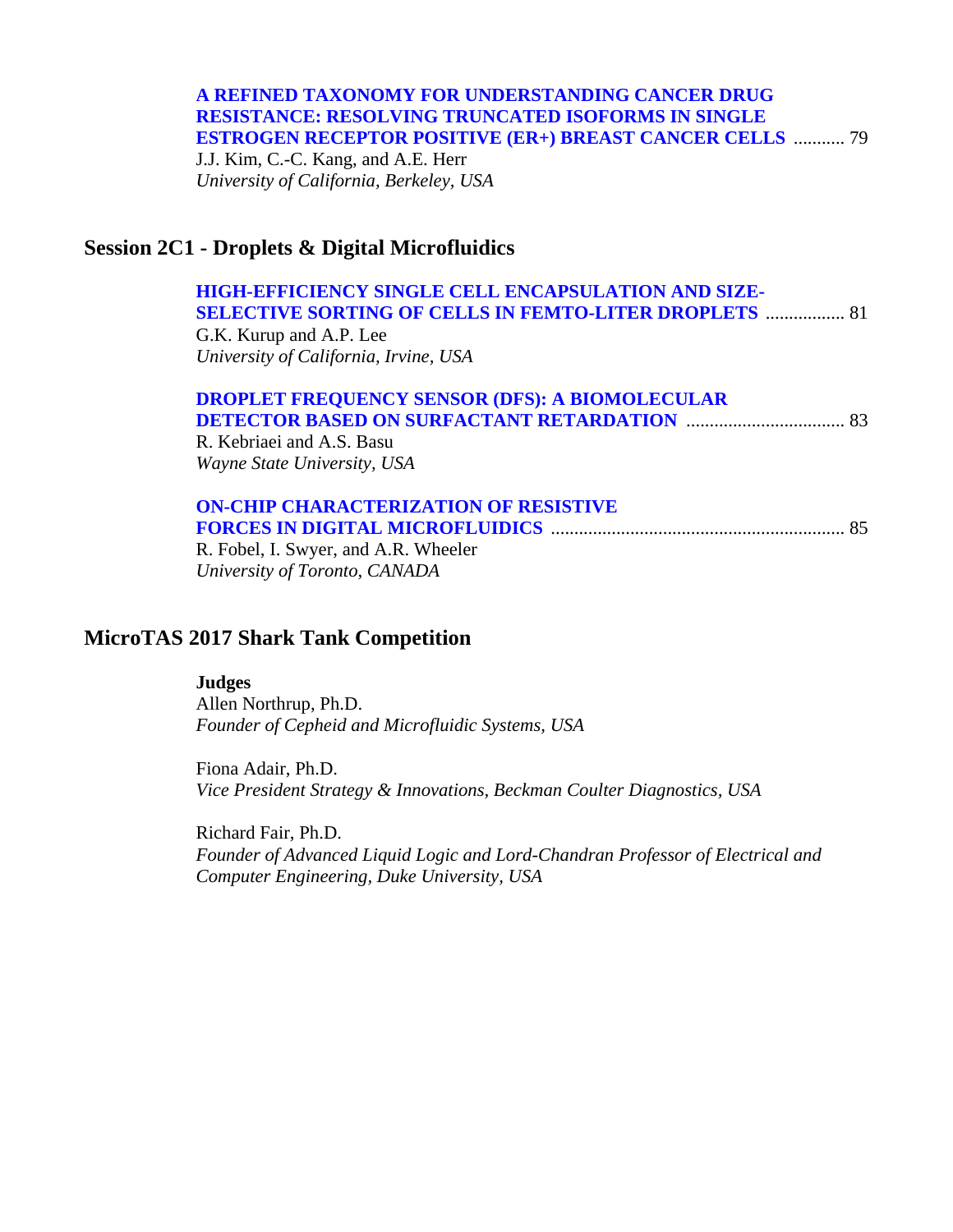### **A REFINED TAXONOMY FOR UNDERSTANDING CANCER DRUG RESISTANCE: RESOLVING TRUNCATED ISOFORMS IN SINGLE [ESTROGEN RECEPTOR POSITIVE \(ER+\) BREAST CANCER CELLS](#page-0-0)** ........... 79

J.J. Kim, C.-C. Kang, and A.E. Herr *University of California, Berkeley, USA* 

### **Session 2C1 - Droplets & Digital Microfluidics**

### **[HIGH-EFFICIENCY SINGLE CELL ENCAPSULATION AND SIZE-](#page-0-0)SELECTIVE SORTING OF CELLS IN FEMTO-LITER DROPLETS** ................. 81

G.K. Kurup and A.P. Lee *University of California, Irvine, USA* 

#### **[DROPLET FREQUENCY SENSOR \(DFS\): A BIOMOLECULAR](#page-0-0)  DETECTOR BASED ON SURFACTANT RETARDATION** .................................. 83 R. Kebriaei and A.S. Basu

*Wayne State University, USA* 

#### **[ON-CHIP CHARACTERIZATION OF RESISTIVE](#page-0-0)  FORCES IN DIGITAL MICROFLUIDICS** ............................................................... 85

R. Fobel, I. Swyer, and A.R. Wheeler *University of Toronto, CANADA* 

### **MicroTAS 2017 Shark Tank Competition**

#### **Judges**

Allen Northrup, Ph.D. *Founder of Cepheid and Microfluidic Systems, USA* 

Fiona Adair, Ph.D. *Vice President Strategy & Innovations, Beckman Coulter Diagnostics, USA* 

Richard Fair, Ph.D. *Founder of Advanced Liquid Logic and Lord-Chandran Professor of Electrical and Computer Engineering, Duke University, USA*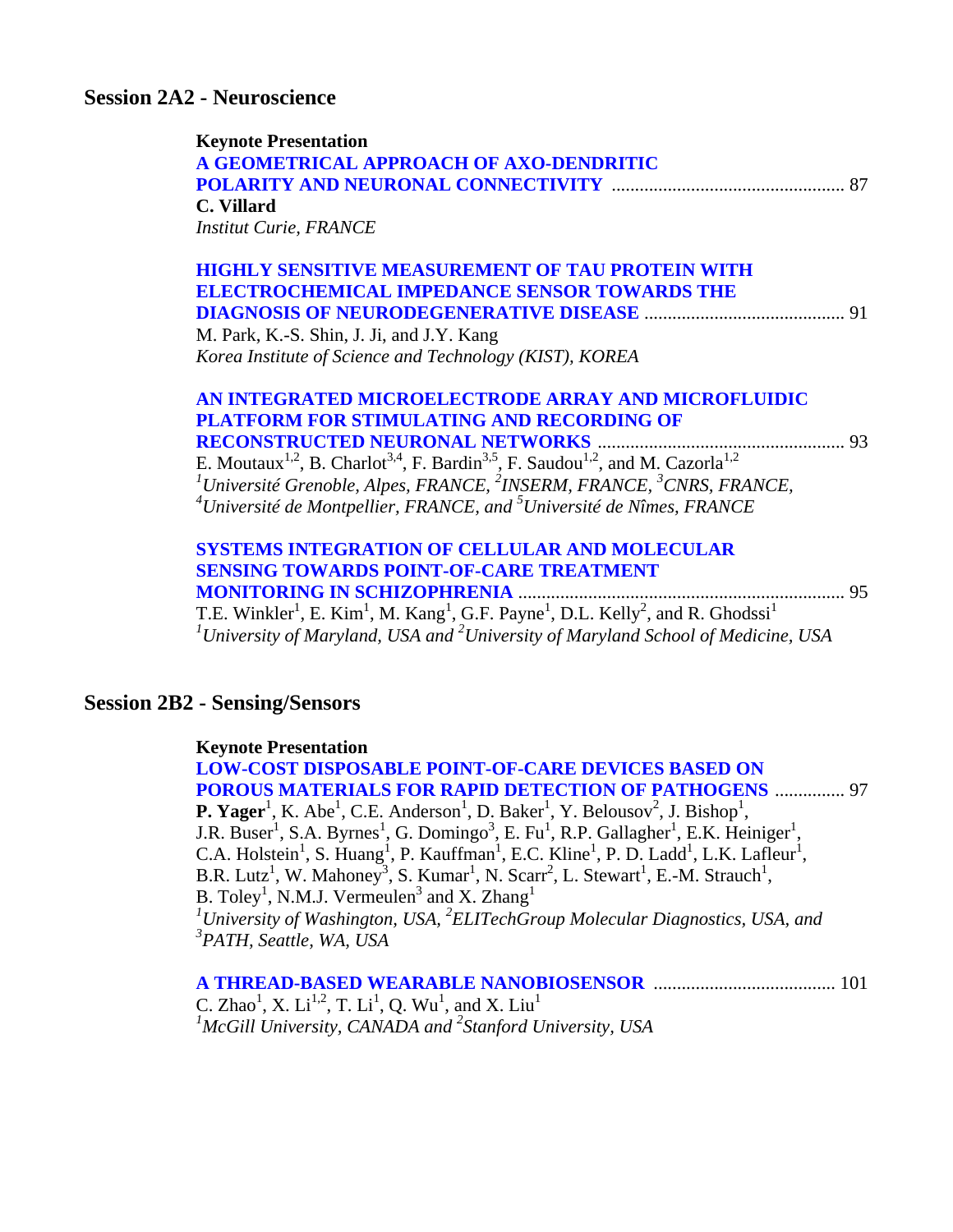### **Session 2A2 - Neuroscience**

| <b>Keynote Presentation</b><br>A GEOMETRICAL APPROACH OF AXO-DENDRITIC<br>C. Villard<br><b>Institut Curie, FRANCE</b>                                                                                                                                                                                                                                                                                                                                                                             | 87 |
|---------------------------------------------------------------------------------------------------------------------------------------------------------------------------------------------------------------------------------------------------------------------------------------------------------------------------------------------------------------------------------------------------------------------------------------------------------------------------------------------------|----|
| <b>HIGHLY SENSITIVE MEASUREMENT OF TAU PROTEIN WITH</b><br><b>ELECTROCHEMICAL IMPEDANCE SENSOR TOWARDS THE</b><br>M. Park, K.-S. Shin, J. Ji, and J.Y. Kang<br>Korea Institute of Science and Technology (KIST), KOREA                                                                                                                                                                                                                                                                            |    |
| AN INTEGRATED MICROELECTRODE ARRAY AND MICROFLUIDIC<br><b>PLATFORM FOR STIMULATING AND RECORDING OF</b><br><b>RECONSTRUCTED NEURONAL NETWORKS </b><br>E. Moutaux <sup>1,2</sup> , B. Charlot <sup>3,4</sup> , F. Bardin <sup>3,5</sup> , F. Saudou <sup>1,2</sup> , and M. Cazorla <sup>1,2</sup><br><sup>1</sup> Université Grenoble, Alpes, FRANCE, <sup>2</sup> INSERM, FRANCE, <sup>3</sup> CNRS, FRANCE,<br>$^{4}$ Université de Montpellier, FRANCE, and $^{5}$ Université de Nîmes, FRANCE |    |
| <b>SYSTEMS INTEGRATION OF CELLULAR AND MOLECULAR</b><br><b>SENSING TOWARDS POINT-OF-CARE TREATMENT</b><br><b>MONITORING IN SCHIZOPHRENIA.</b><br>T.E. Winkler <sup>1</sup> , E. Kim <sup>1</sup> , M. Kang <sup>1</sup> , G.F. Payne <sup>1</sup> , D.L. Kelly <sup>2</sup> , and R. Ghodssi <sup>1</sup><br><sup>1</sup> University of Maryland, USA and <sup>2</sup> University of Maryland School of Medicine, USA                                                                             | 95 |

### **Session 2B2 - Sensing/Sensors**

#### **Keynote Presentation**

**LOW-COST DISPOSABLE POINT-OF-CARE DEVICES BASED ON [POROUS MATERIALS FOR RAPID DETECTION OF PATHOGENS](#page-0-0)** ............... 97 **P. Yager**<sup>1</sup>, K. Abe<sup>1</sup>, C.E. Anderson<sup>1</sup>, D. Baker<sup>1</sup>, Y. Belousov<sup>2</sup>, J. Bishop<sup>1</sup>, J.R. Buser<sup>1</sup>, S.A. Byrnes<sup>1</sup>, G. Domingo<sup>3</sup>, E. Fu<sup>1</sup>, R.P. Gallagher<sup>1</sup>, E.K. Heiniger<sup>1</sup>, C.A. Holstein<sup>1</sup>, S. Huang<sup>1</sup>, P. Kauffman<sup>1</sup>, E.C. Kline<sup>1</sup>, P. D. Ladd<sup>1</sup>, L.K. Lafleur<sup>1</sup>, B.R. Lutz<sup>1</sup>, W. Mahoney<sup>3</sup>, S. Kumar<sup>1</sup>, N. Scarr<sup>2</sup>, L. Stewart<sup>1</sup>, E.-M. Strauch<sup>1</sup>, B. Toley<sup>1</sup>, N.M.J. Vermeulen<sup>3</sup> and X. Zhang<sup>1</sup> <sup>1</sup> University of Washington, USA, <sup>2</sup> ELITechGroup Molecular Diagnostics, USA, and *3 PATH, Seattle, WA, USA* 

C. Zhao<sup>1</sup>, X. Li<sup>1,2</sup>, T. Li<sup>1</sup>, Q. Wu<sup>1</sup>, and X. Liu<sup>1</sup> <sup>1</sup>McGill University, CANADA and <sup>2</sup>Stanford University, USA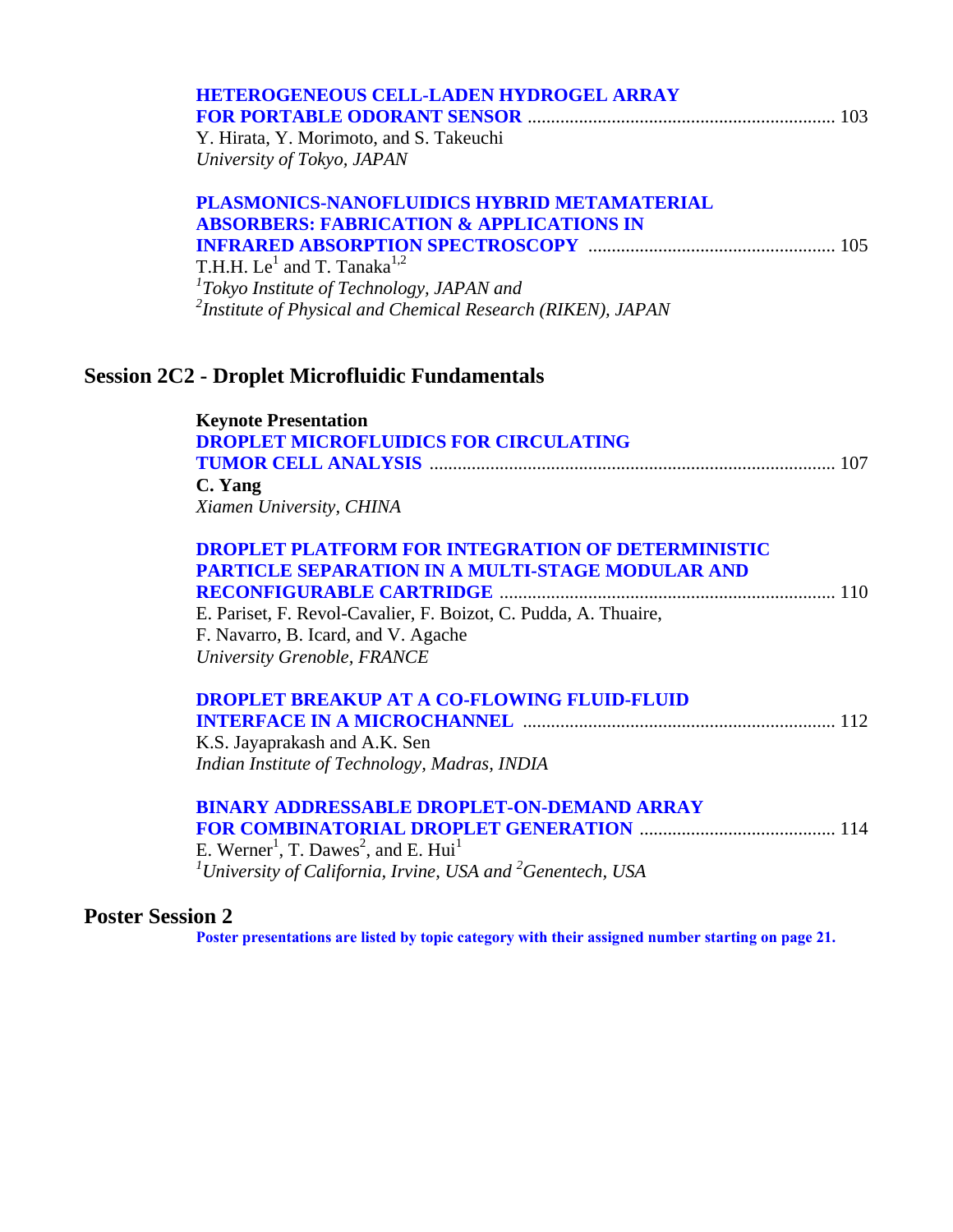| <b>HETEROGENEOUS CELL-LADEN HYDROGEL ARRAY</b>                                     |  |
|------------------------------------------------------------------------------------|--|
|                                                                                    |  |
| Y. Hirata, Y. Morimoto, and S. Takeuchi                                            |  |
| University of Tokyo, JAPAN                                                         |  |
| PLASMONICS-NANOFLUIDICS HYBRID METAMATERIAL                                        |  |
| <b>ABSORBERS: FABRICATION &amp; APPLICATIONS IN</b>                                |  |
|                                                                                    |  |
| T.H.H. Le <sup>1</sup> and T. Tanaka <sup>1,2</sup>                                |  |
| $1$ Tokyo Institute of Technology, JAPAN and                                       |  |
| <sup>2</sup> Institute of Physical and Chemical Research (RIKEN), JAPAN            |  |
|                                                                                    |  |
| <b>Session 2C2 - Droplet Microfluidic Fundamentals</b>                             |  |
| <b>Keynote Presentation</b>                                                        |  |
| <b>DROPLET MICROFLUIDICS FOR CIRCULATING</b>                                       |  |
|                                                                                    |  |
| C. Yang                                                                            |  |
| Xiamen University, CHINA                                                           |  |
| <b>DROPLET PLATFORM FOR INTEGRATION OF DETERMINISTIC</b>                           |  |
| <b>PARTICLE SEPARATION IN A MULTI-STAGE MODULAR AND</b>                            |  |
|                                                                                    |  |
| E. Pariset, F. Revol-Cavalier, F. Boizot, C. Pudda, A. Thuaire,                    |  |
| F. Navarro, B. Icard, and V. Agache                                                |  |
| University Grenoble, FRANCE                                                        |  |
| <b>DROPLET BREAKUP AT A CO-FLOWING FLUID-FLUID</b>                                 |  |
| <b>INTERFACE IN A MICROCHANNEL manufacture and state in the STATE III</b> 112      |  |
| K.S. Jayaprakash and A.K. Sen                                                      |  |
| Indian Institute of Technology, Madras, INDIA                                      |  |
| <b>BINARY ADDRESSABLE DROPLET-ON-DEMAND ARRAY</b>                                  |  |
|                                                                                    |  |
| E. Werner <sup>1</sup> , T. Dawes <sup>2</sup> , and E. Hui <sup>1</sup>           |  |
| <sup>1</sup> University of California, Irvine, USA and <sup>2</sup> Genentech, USA |  |
|                                                                                    |  |

### **Poster Session 2**

**Poster presentations are listed by topic category with [their assigned number starting](#page-22-0) on page 21.**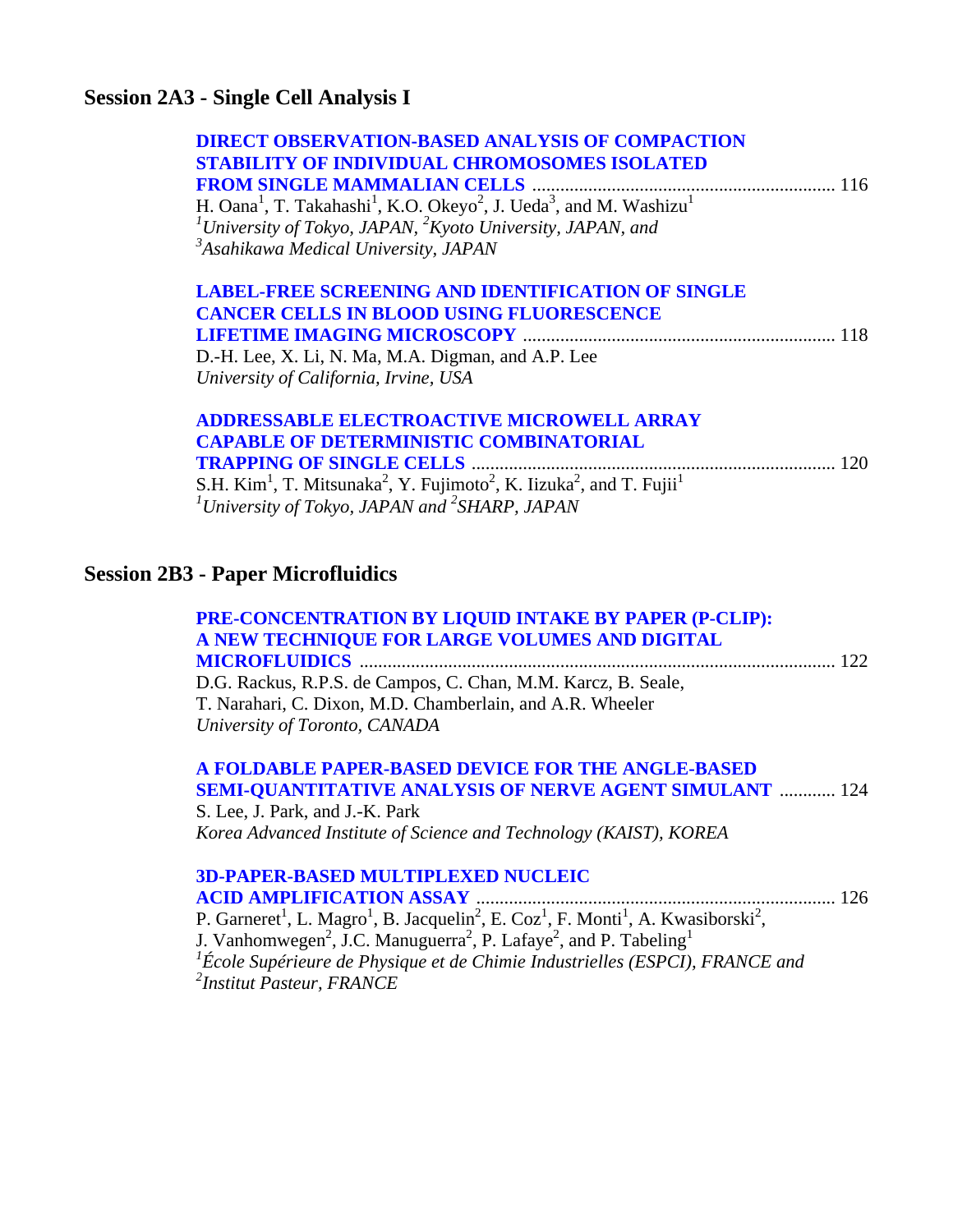### **Session 2A3 - Single Cell Analysis I**

| <b>DIRECT OBSERVATION-BASED ANALYSIS OF COMPACTION</b><br><b>STABILITY OF INDIVIDUAL CHROMOSOMES ISOLATED</b><br>H. Oana <sup>1</sup> , T. Takahashi <sup>1</sup> , K.O. Okeyo <sup>2</sup> , J. Ueda <sup>3</sup> , and M. Washizu <sup>1</sup><br><sup>1</sup> University of Tokyo, JAPAN, $^{2}$ Kyoto University, JAPAN, and<br><sup>3</sup> Asahikawa Medical University, JAPAN |
|--------------------------------------------------------------------------------------------------------------------------------------------------------------------------------------------------------------------------------------------------------------------------------------------------------------------------------------------------------------------------------------|
| <b>LABEL-FREE SCREENING AND IDENTIFICATION OF SINGLE</b><br><b>CANCER CELLS IN BLOOD USING FLUORESCENCE</b><br>D.-H. Lee, X. Li, N. Ma, M.A. Digman, and A.P. Lee<br>University of California, Irvine, USA                                                                                                                                                                           |
| <b>ADDRESSABLE ELECTROACTIVE MICROWELL ARRAY</b><br><b>CAPABLE OF DETERMINISTIC COMBINATORIAL</b><br>S.H. Kim <sup>1</sup> , T. Mitsunaka <sup>2</sup> , Y. Fujimoto <sup>2</sup> , K. Iizuka <sup>2</sup> , and T. Fujii <sup>1</sup><br><sup>1</sup> University of Tokyo, JAPAN and <sup>2</sup> SHARP, JAPAN                                                                      |
| <b>Session 2B3 - Paper Microfluidics</b>                                                                                                                                                                                                                                                                                                                                             |
| PRE-CONCENTRATION BY LIQUID INTAKE BY PAPER (P-CLIP):<br>A NEW TECHNIQUE FOR LARGE VOLUMES AND DIGITAL<br>D.G. Rackus, R.P.S. de Campos, C. Chan, M.M. Karcz, B. Seale,<br>T. Narahari, C. Dixon, M.D. Chamberlain, and A.R. Wheeler<br>University of Toronto, CANADA                                                                                                                |
| A FOLDABLE PAPER-BASED DEVICE FOR THE ANGLE-BASED<br><b>SEMI-QUANTITATIVE ANALYSIS OF NERVE AGENT SIMULANT  124</b><br>S. Lee, J. Park, and J.-K. Park<br>Korea Advanced Institute of Science and Technology (KAIST), KOREA                                                                                                                                                          |

### **[3D-PAPER-BASED MULTIPLEXED NUCLEIC](#page-0-0)  ACID AMPLIFICATION ASSAY** ............................................................................. 126

P. Garneret<sup>1</sup>, L. Magro<sup>1</sup>, B. Jacquelin<sup>2</sup>, E. Coz<sup>1</sup>, F. Monti<sup>1</sup>, A. Kwasiborski<sup>2</sup>, J. Vanhomwegen<sup>2</sup>, J.C. Manuguerra<sup>2</sup>, P. Lafaye<sup>2</sup>, and P. Tabeling<sup>1</sup> <sup>1</sup> École Supérieure de Physique et de Chimie Industrielles (ESPCI), FRANCE and *2 Institut Pasteur, FRANCE*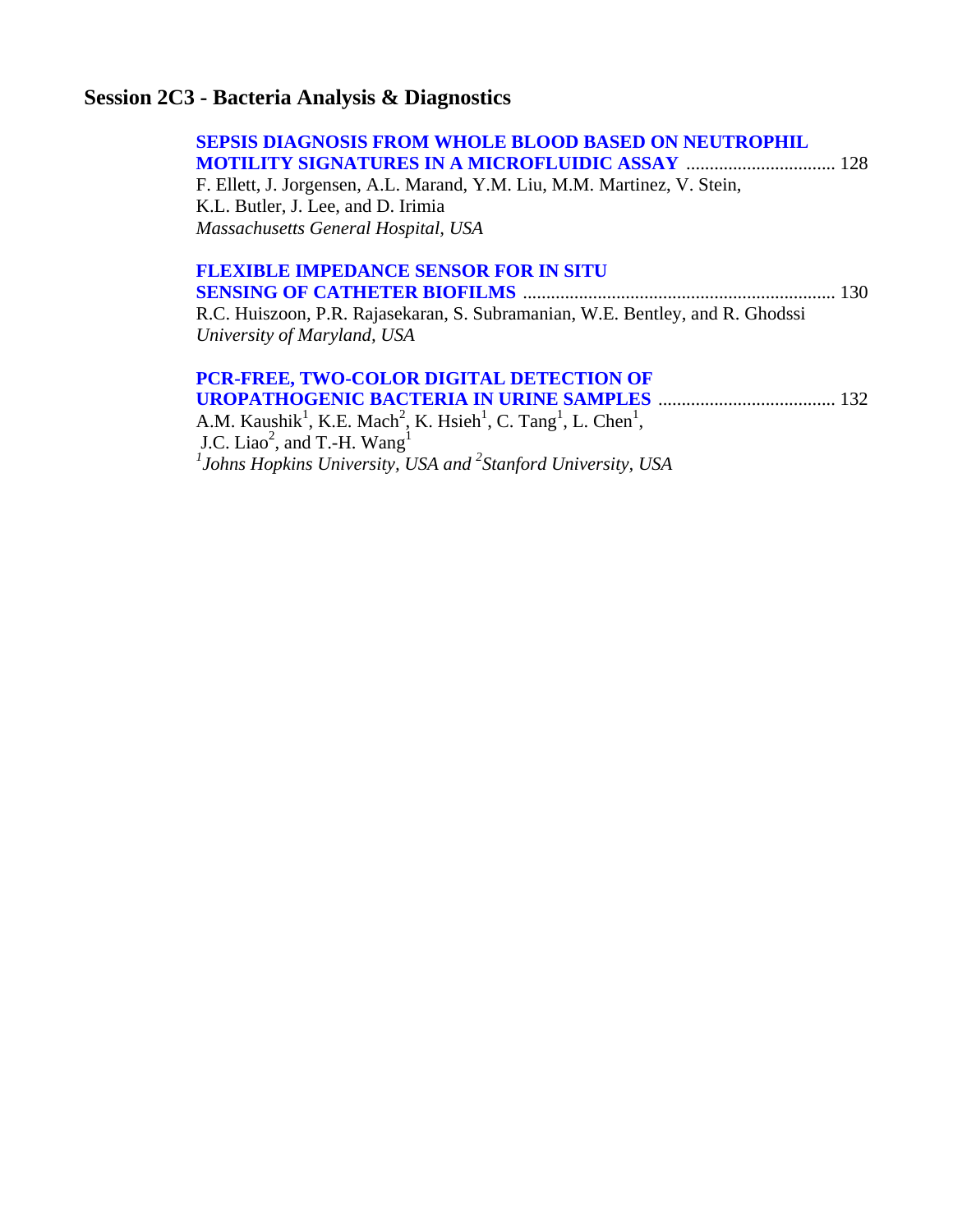# **Session 2C3 - Bacteria Analysis & Diagnostics**

| <b>SEPSIS DIAGNOSIS FROM WHOLE BLOOD BASED ON NEUTROPHIL</b>                  |  |
|-------------------------------------------------------------------------------|--|
| F. Ellett, J. Jorgensen, A.L. Marand, Y.M. Liu, M.M. Martinez, V. Stein,      |  |
| K.L. Butler, J. Lee, and D. Irimia                                            |  |
| Massachusetts General Hospital, USA                                           |  |
| <b>FLEXIBLE IMPEDANCE SENSOR FOR IN SITU</b>                                  |  |
|                                                                               |  |
| R.C. Huiszoon, P.R. Rajasekaran, S. Subramanian, W.E. Bentley, and R. Ghodssi |  |
| University of Maryland, USA                                                   |  |
| PCR-FREE, TWO-COLOR DIGITAL DETECTION OF                                      |  |

| A.M. Kaushik <sup>1</sup> , K.E. Mach <sup>2</sup> , K. Hsieh <sup>1</sup> , C. Tang <sup>1</sup> , L. Chen <sup>1</sup> , |  |
|----------------------------------------------------------------------------------------------------------------------------|--|
| J.C. Liao <sup>2</sup> , and T.-H. Wang <sup>1</sup>                                                                       |  |
| $\mu$ Johns Hopkins University, USA and $\mu$ <sup>2</sup> Stanford University, USA                                        |  |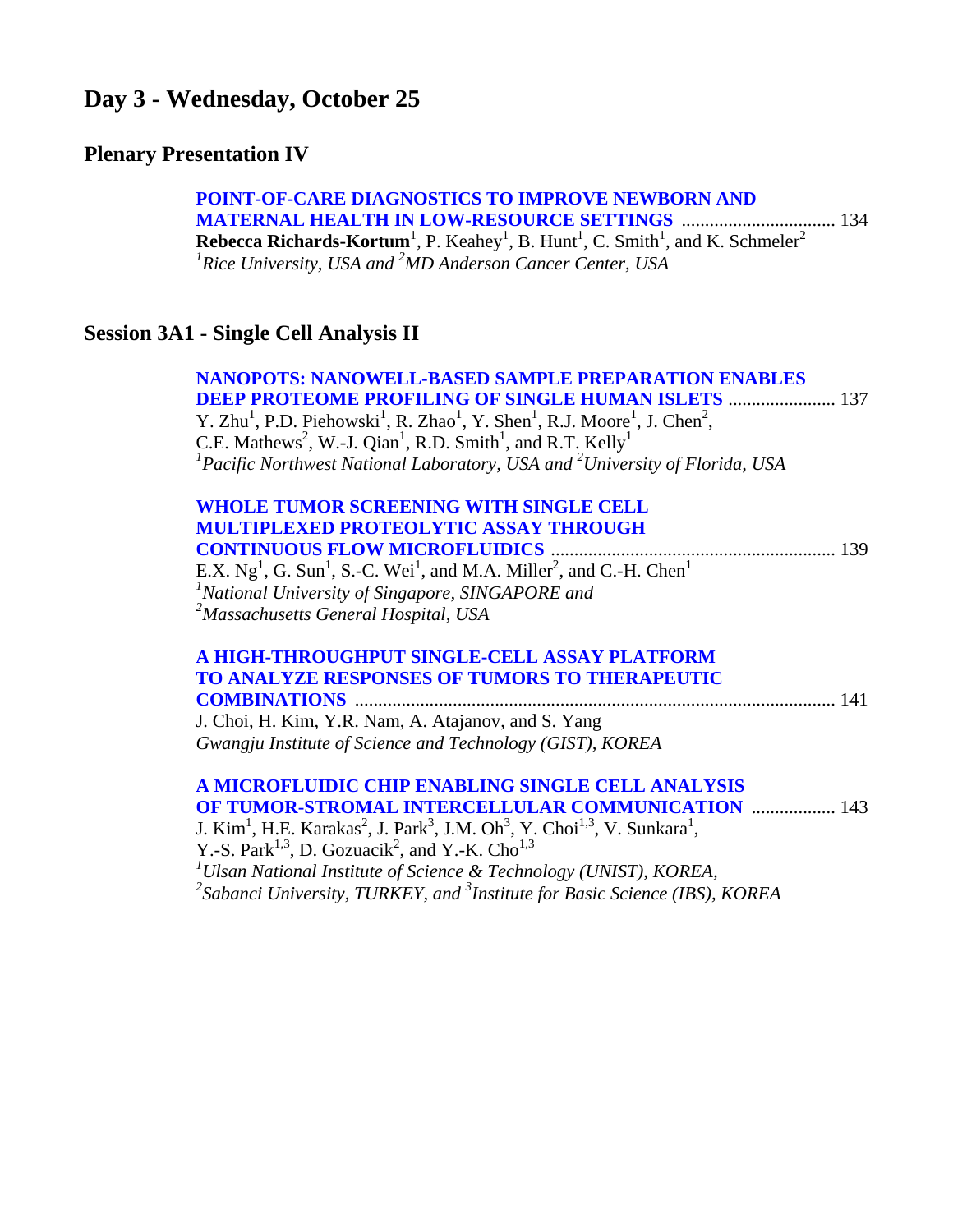### **Day 3 - Wednesday, October 25**

### **Plenary Presentation IV**

 **[POINT-OF-CARE DIAGNOSTICS TO IMPROVE NEWBORN AND](#page-0-0)  MATERNAL HEALTH IN LOW-RESOURCE SETTINGS** ................................. 134 **Rebecca Richards-Kortum<sup>1</sup>**, P. Keahey<sup>1</sup>, B. Hunt<sup>1</sup>, C. Smith<sup>1</sup>, and K. Schmeler<sup>2</sup> *1 Rice University, USA and 2 MD Anderson Cancer Center, USA*

### **Session 3A1 - Single Cell Analysis II**

 **[NANOPOTS: NANOWELL-BASED SAMPLE PREPARATION ENABLES](#page-0-0)  DEEP PROTEOME PROFILING OF SINGLE HUMAN ISLETS** ....................... 137 Y. Zhu<sup>1</sup>, P.D. Piehowski<sup>1</sup>, R. Zhao<sup>1</sup>, Y. Shen<sup>1</sup>, R.J. Moore<sup>1</sup>, J. Chen<sup>2</sup>, C.E. Mathews<sup>2</sup>, W.-J. Qian<sup>1</sup>, R.D. Smith<sup>1</sup>, and R.T. Kelly<sup>1</sup> <sup>1</sup> Pacific Northwest National Laboratory, USA and <sup>2</sup> University of Florida, USA

| <b>WHOLE TUMOR SCREENING WITH SINGLE CELL</b>                                                                          |  |
|------------------------------------------------------------------------------------------------------------------------|--|
| <b>MULTIPLEXED PROTEOLYTIC ASSAY THROUGH</b>                                                                           |  |
|                                                                                                                        |  |
| E.X. $Ng1$ , G. Sun <sup>1</sup> , S.-C. Wei <sup>1</sup> , and M.A. Miller <sup>2</sup> , and C.-H. Chen <sup>1</sup> |  |
| <sup>1</sup> National University of Singapore, SINGAPORE and                                                           |  |
| <sup>2</sup> Massachusetts General Hospital, USA                                                                       |  |

### **[A HIGH-THROUGHPUT SINGLE-CELL ASSAY PLATFORM](#page-0-0)  TO ANALYZE RESPONSES OF TUMORS TO THERAPEUTIC COMBINATIONS** ....................................................................................................... 141

J. Choi, H. Kim, Y.R. Nam, A. Atajanov, and S. Yang *Gwangju Institute of Science and Technology (GIST), KOREA* 

#### **[A MICROFLUIDIC CHIP ENABLING SINGLE CELL ANALYSIS](#page-0-0)  OF TUMOR-STROMAL INTERCELLULAR COMMUNICATION** .................. 143

J. Kim<sup>1</sup>, H.E. Karakas<sup>2</sup>, J. Park<sup>3</sup>, J.M. Oh<sup>3</sup>, Y. Choi<sup>1,3</sup>, V. Sunkara<sup>1</sup>, Y.-S. Park<sup>1,3</sup>, D. Gozuacik<sup>2</sup>, and Y.-K. Cho<sup>1,3</sup> *1 Ulsan National Institute of Science & Technology (UNIST), KOREA,*  <sup>2</sup> Sabanci University, TURKEY, and <sup>3</sup>Institute for Basic Science (IBS), KOREA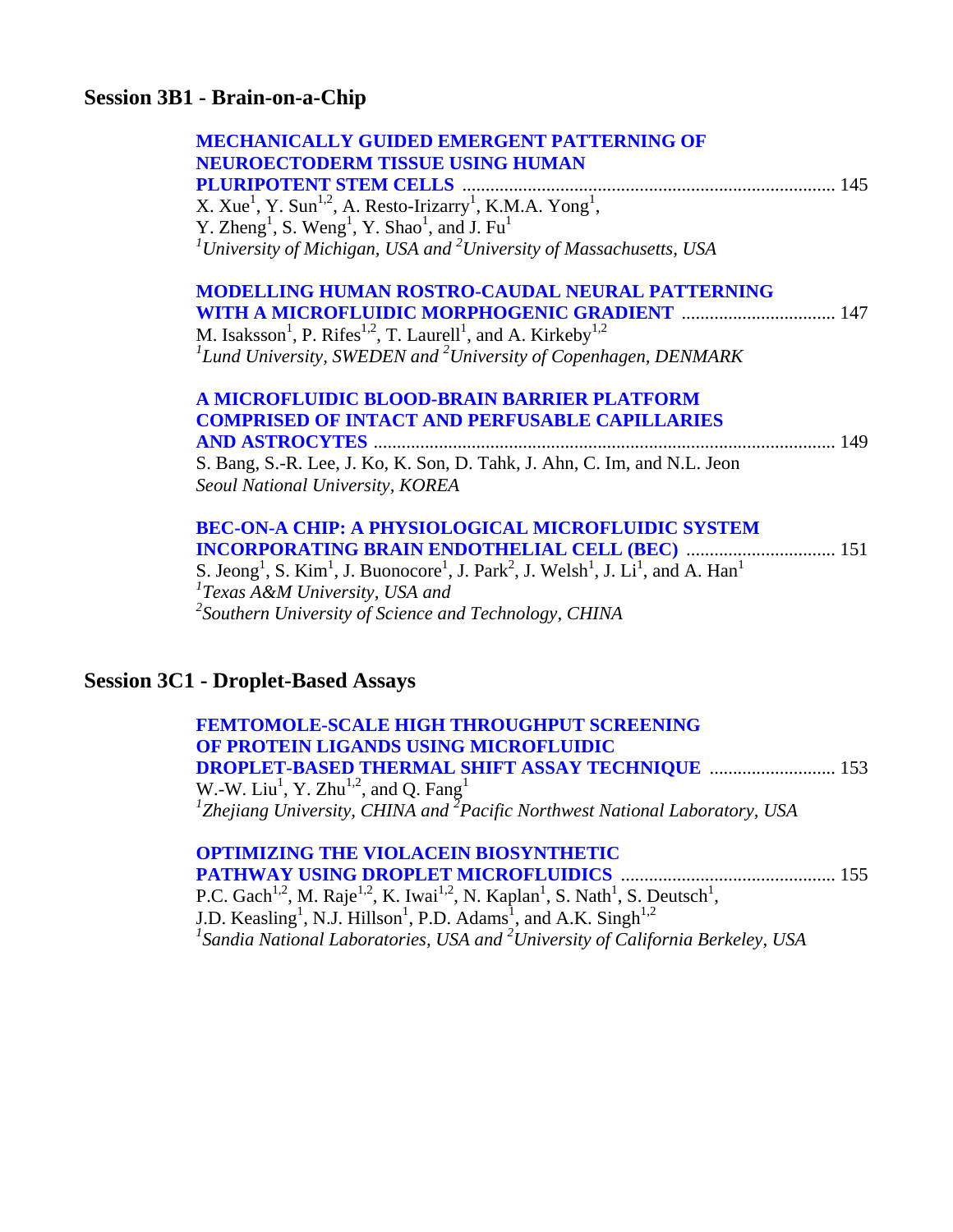### **Session 3B1 - Brain-on-a-Chip**

**Session** 

| <b>MECHANICALLY GUIDED EMERGENT PATTERNING OF</b><br><b>NEUROECTODERM TISSUE USING HUMAN</b>                                                                          |
|-----------------------------------------------------------------------------------------------------------------------------------------------------------------------|
|                                                                                                                                                                       |
| X. Xue <sup>1</sup> , Y. Sun <sup>1,2</sup> , A. Resto-Irizarry <sup>1</sup> , K.M.A. Yong <sup>1</sup> ,                                                             |
| Y. Zheng <sup>1</sup> , S. Weng <sup>1</sup> , Y. Shao <sup>1</sup> , and J. Fu <sup>1</sup>                                                                          |
| <sup>1</sup> University of Michigan, USA and <sup>2</sup> University of Massachusetts, USA                                                                            |
| <b>MODELLING HUMAN ROSTRO-CAUDAL NEURAL PATTERNING</b>                                                                                                                |
| <b>WITH A MICROFLUIDIC MORPHOGENIC GRADIENT  147</b>                                                                                                                  |
| M. Isaksson <sup>1</sup> , P. Rifes <sup>1,2</sup> , T. Laurell <sup>1</sup> , and A. Kirkeby <sup>1,2</sup>                                                          |
| ${}^{1}$ Lund University, SWEDEN and ${}^{2}$ University of Copenhagen, DENMARK                                                                                       |
| A MICROFLUIDIC BLOOD-BRAIN BARRIER PLATFORM                                                                                                                           |
| <b>COMPRISED OF INTACT AND PERFUSABLE CAPILLARIES</b>                                                                                                                 |
|                                                                                                                                                                       |
| S. Bang, S.-R. Lee, J. Ko, K. Son, D. Tahk, J. Ahn, C. Im, and N.L. Jeon                                                                                              |
| Seoul National University, KOREA                                                                                                                                      |
| <b>BEC-ON-A CHIP: A PHYSIOLOGICAL MICROFLUIDIC SYSTEM</b>                                                                                                             |
| <b>INCORPORATING BRAIN ENDOTHELIAL CELL (BEC)  151</b>                                                                                                                |
| S. Jeong <sup>1</sup> , S. Kim <sup>1</sup> , J. Buonocore <sup>1</sup> , J. Park <sup>2</sup> , J. Welsh <sup>1</sup> , J. Li <sup>1</sup> , and A. Han <sup>1</sup> |
| ${}^{1}$ Texas A&M University, USA and                                                                                                                                |
| $\lambda^2$ Southern University of Science and Technology, CHINA                                                                                                      |
|                                                                                                                                                                       |
| <b>Session 3C1 - Droplet-Based Assays</b>                                                                                                                             |
|                                                                                                                                                                       |

| <b>FEMTOMOLE-SCALE HIGH THROUGHPUT SCREENING</b>                                                    |  |
|-----------------------------------------------------------------------------------------------------|--|
| OF PROTEIN LIGANDS USING MICROFLUIDIC                                                               |  |
| <b>DROPLET-BASED THERMAL SHIFT ASSAY TECHNIQUE  153</b>                                             |  |
| W.-W. Liu <sup>1</sup> , Y. Zhu <sup>1,2</sup> , and Q. Fang <sup>1</sup>                           |  |
| <sup>1</sup> Zhejiang University, CHINA and <sup>2</sup> Pacific Northwest National Laboratory, USA |  |
|                                                                                                     |  |

 **[OPTIMIZING THE VIOLACEIN BIOSYNTHETIC](#page-0-0)  PATHWAY USING DROPLET MICROFLUIDICS** .............................................. 155 P.C. Gach<sup>1,2</sup>, M. Raje<sup>1,2</sup>, K. Iwai<sup>1,2</sup>, N. Kaplan<sup>1</sup>, S. Nath<sup>1</sup>, S. Deutsch<sup>1</sup>, J.D. Keasling<sup>1</sup>, N.J. Hillson<sup>1</sup>, P.D. Adams<sup>1</sup>, and A.K. Singh<sup>1,2</sup><br><sup>1</sup> Sandia National Laboratories, USA and <sup>2</sup> University of California Berkeley, USA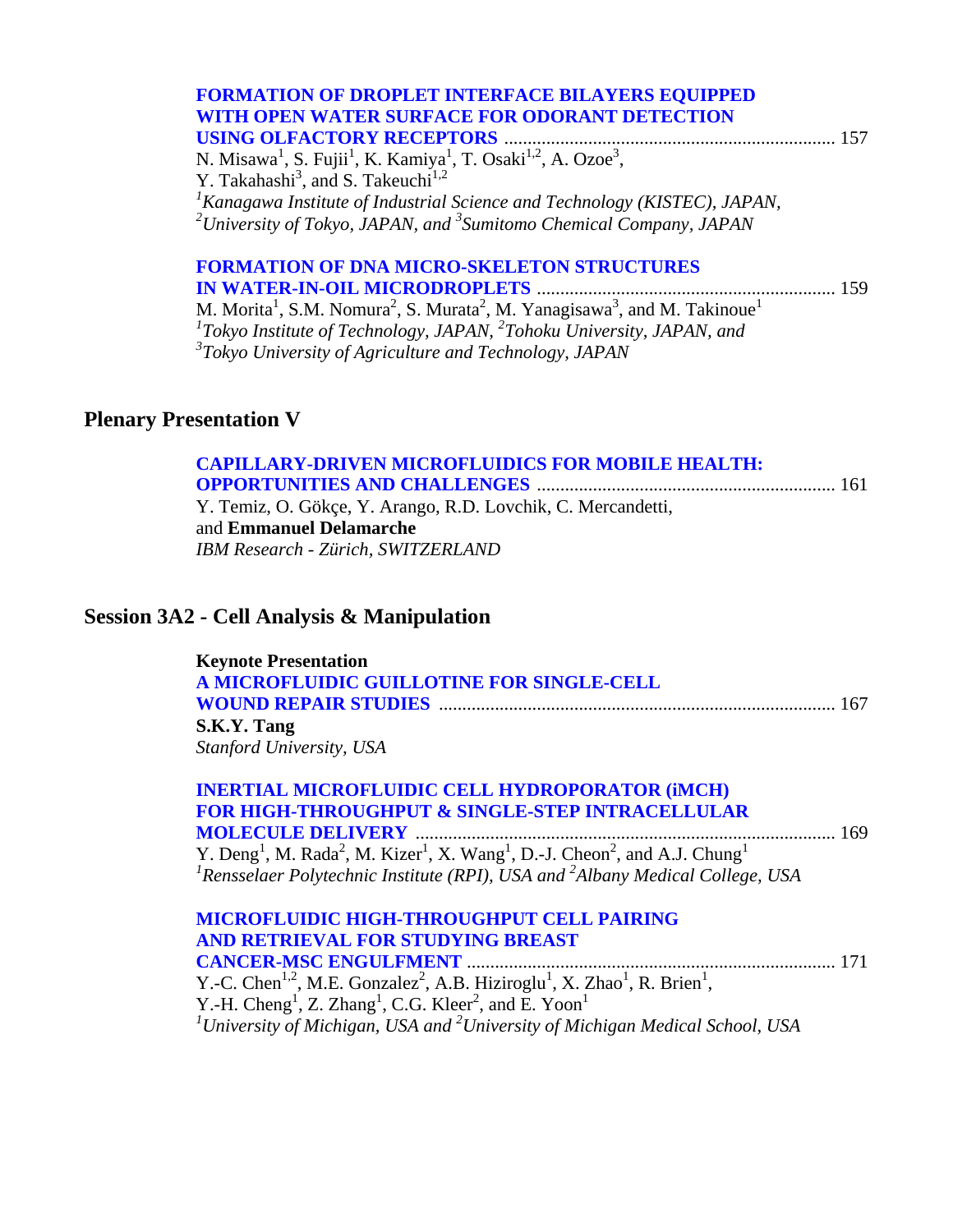| <b>FORMATION OF DROPLET INTERFACE BILAYERS EQUIPPED</b>                                                                                |  |
|----------------------------------------------------------------------------------------------------------------------------------------|--|
| WITH OPEN WATER SURFACE FOR ODORANT DETECTION                                                                                          |  |
| <b>USING OLFACTORY RECEPTORS</b>                                                                                                       |  |
| N. Misawa <sup>1</sup> , S. Fujii <sup>1</sup> , K. Kamiya <sup>1</sup> , T. Osaki <sup>1,2</sup> , A. Ozoe <sup>3</sup> ,             |  |
| Y. Takahashi <sup>3</sup> , and S. Takeuchi <sup>1,2</sup>                                                                             |  |
| ${}^{1}$ Kanagawa Institute of Industrial Science and Technology (KISTEC), JAPAN,                                                      |  |
| <sup>2</sup> University of Tokyo, JAPAN, and <sup>3</sup> Sumitomo Chemical Company, JAPAN                                             |  |
| <b>FORMATION OF DNA MICRO-SKELETON STRUCTURES</b>                                                                                      |  |
|                                                                                                                                        |  |
| M. Morita <sup>1</sup> , S.M. Nomura <sup>2</sup> , S. Murata <sup>2</sup> , M. Yanagisawa <sup>3</sup> , and M. Takinoue <sup>1</sup> |  |
| $1$ Tokyo Institute of Technology, JAPAN, $2$ Tohoku University, JAPAN, and                                                            |  |
| $3$ Tokyo University of Agriculture and Technology, JAPAN                                                                              |  |

### **Plenary Presentation V**

| <b>CAPILLARY-DRIVEN MICROFLUIDICS FOR MOBILE HEALTH:</b>     |  |
|--------------------------------------------------------------|--|
|                                                              |  |
| Y. Temiz, O. Gökçe, Y. Arango, R.D. Lovchik, C. Mercandetti, |  |
| and <b>Emmanuel Delamarche</b>                               |  |
| <b>IBM Research - Zürich, SWITZERLAND</b>                    |  |

### **Session 3A2 - Cell Analysis & Manipulation**

| <b>Keynote Presentation</b>               |     |
|-------------------------------------------|-----|
| A MICROFLUIDIC GUILLOTINE FOR SINGLE-CELL |     |
|                                           | 167 |
| S.K.Y. Tang                               |     |
| Stanford University, USA                  |     |

| <b>INERTIAL MICROFLUIDIC CELL HYDROPORATOR (IMCH)</b>                                                                                                                                                                                                          |
|----------------------------------------------------------------------------------------------------------------------------------------------------------------------------------------------------------------------------------------------------------------|
| <b>FOR HIGH-THROUGHPUT &amp; SINGLE-STEP INTRACELLULAR</b>                                                                                                                                                                                                     |
| 169                                                                                                                                                                                                                                                            |
| Y. Deng <sup>1</sup> , M. Rada <sup>2</sup> , M. Kizer <sup>1</sup> , X. Wang <sup>1</sup> , D.-J. Cheon <sup>2</sup> , and A.J. Chung <sup>1</sup><br>$\frac{1}{2}$ Rensselaer Polytechnic Institute (RPI), USA and $\frac{2}{3}$ Albany Medical College, USA |
|                                                                                                                                                                                                                                                                |

| MICROFLUIDIC HIGH-THROUGHPUT CELL PAIRING                                                                                             |                                                                                                      |
|---------------------------------------------------------------------------------------------------------------------------------------|------------------------------------------------------------------------------------------------------|
| AND RETRIEVAL FOR STUDYING BREAST                                                                                                     |                                                                                                      |
|                                                                                                                                       |                                                                                                      |
| Y.-C. Chen <sup>1,2</sup> , M.E. Gonzalez <sup>2</sup> , A.B. Hiziroglu <sup>1</sup> , X. Zhao <sup>1</sup> , R. Brien <sup>1</sup> , |                                                                                                      |
| Y.-H. Cheng <sup>1</sup> , Z. Zhang <sup>1</sup> , C.G. Kleer <sup>2</sup> , and E. Yoon <sup>1</sup>                                 |                                                                                                      |
|                                                                                                                                       | <sup>1</sup> University of Michigan, USA and <sup>2</sup> University of Michigan Medical School, USA |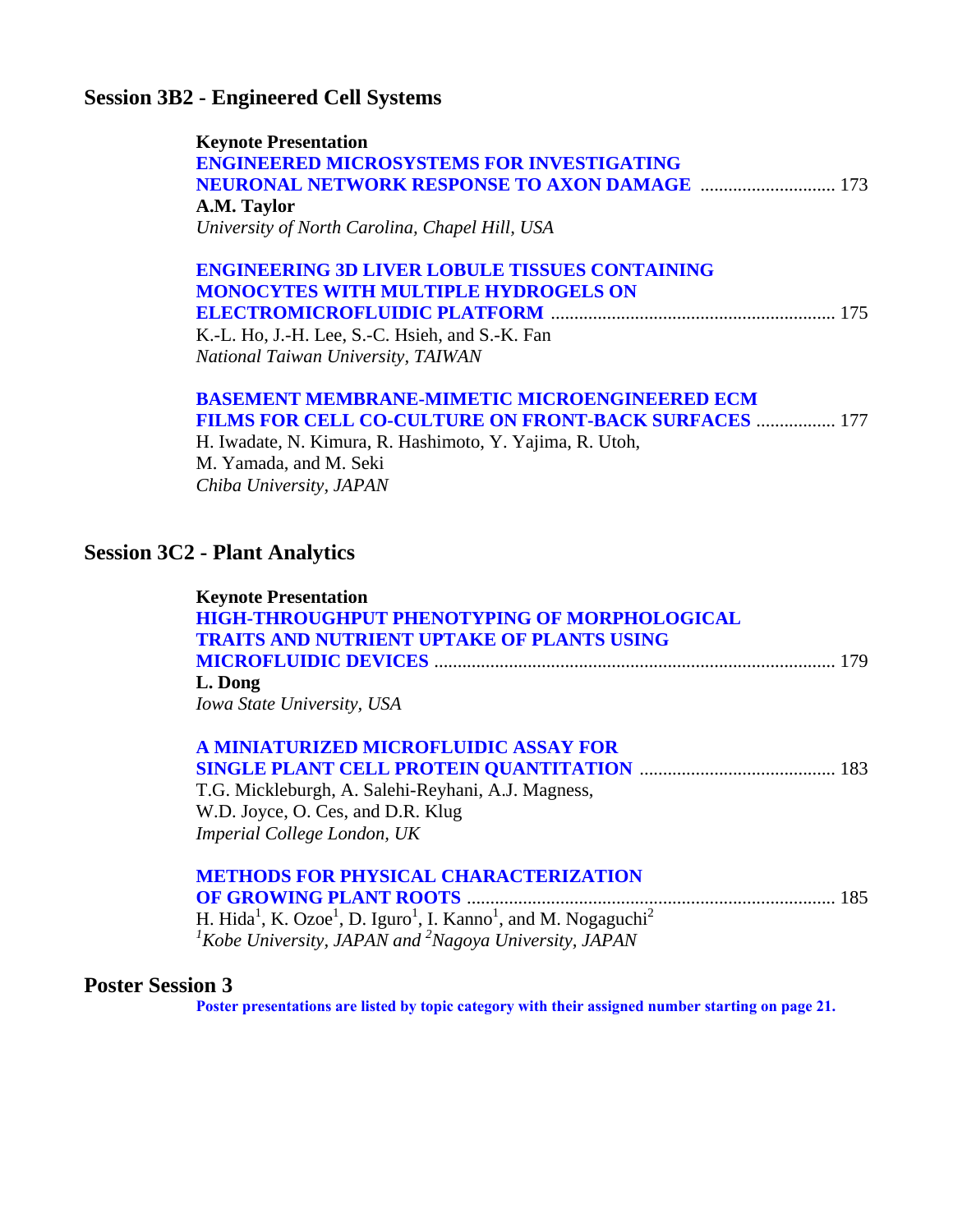### **Session 3B2 - Engineered Cell Systems**

| <b>Keynote Presentation</b>                      |  |
|--------------------------------------------------|--|
| <b>ENGINEERED MICROSYSTEMS FOR INVESTIGATING</b> |  |
|                                                  |  |
| A.M. Taylor                                      |  |
| University of North Carolina, Chapel Hill, USA   |  |

### **[ENGINEERING 3D LIVER LOBULE TISSUES CONTAINING](#page-0-0)  MONOCYTES WITH MULTIPLE HYDROGELS ON ELECTROMICROFLUIDIC PLATFORM** ............................................................. 175

K.-L. Ho, J.-H. Lee, S.-C. Hsieh, and S.-K. Fan *National Taiwan University, TAIWAN* 

#### **[BASEMENT MEMBRANE-MIMETIC MICROENGINEERED ECM](#page-0-0)  FILMS FOR CELL CO-CULTURE ON FRONT-BACK SURFACES** ................. 177

H. Iwadate, N. Kimura, R. Hashimoto, Y. Yajima, R. Utoh, M. Yamada, and M. Seki *Chiba University, JAPAN* 

### **Session 3C2 - Plant Analytics**

| <b>Keynote Presentation</b>                                                                                                 |  |
|-----------------------------------------------------------------------------------------------------------------------------|--|
| <b>HIGH-THROUGHPUT PHENOTYPING OF MORPHOLOGICAL</b>                                                                         |  |
| <b>TRAITS AND NUTRIENT UPTAKE OF PLANTS USING</b>                                                                           |  |
|                                                                                                                             |  |
| L. Dong                                                                                                                     |  |
| Iowa State University, USA                                                                                                  |  |
| A MINIATURIZED MICROFLUIDIC ASSAY FOR                                                                                       |  |
|                                                                                                                             |  |
| T.G. Mickleburgh, A. Salehi-Reyhani, A.J. Magness,                                                                          |  |
| W.D. Joyce, O. Ces, and D.R. Klug                                                                                           |  |
| Imperial College London, UK                                                                                                 |  |
| <b>METHODS FOR PHYSICAL CHARACTERIZATION</b>                                                                                |  |
|                                                                                                                             |  |
| H. Hida <sup>1</sup> , K. Ozoe <sup>1</sup> , D. Iguro <sup>1</sup> , I. Kanno <sup>1</sup> , and M. Nogaguchi <sup>2</sup> |  |
| <sup>1</sup> Kobe University, JAPAN and <sup>2</sup> Nagoya University, JAPAN                                               |  |

#### **Poster Session 3**

**Poster presentations are listed by topic category with [their assigned number starting](#page-22-0) on page 21.**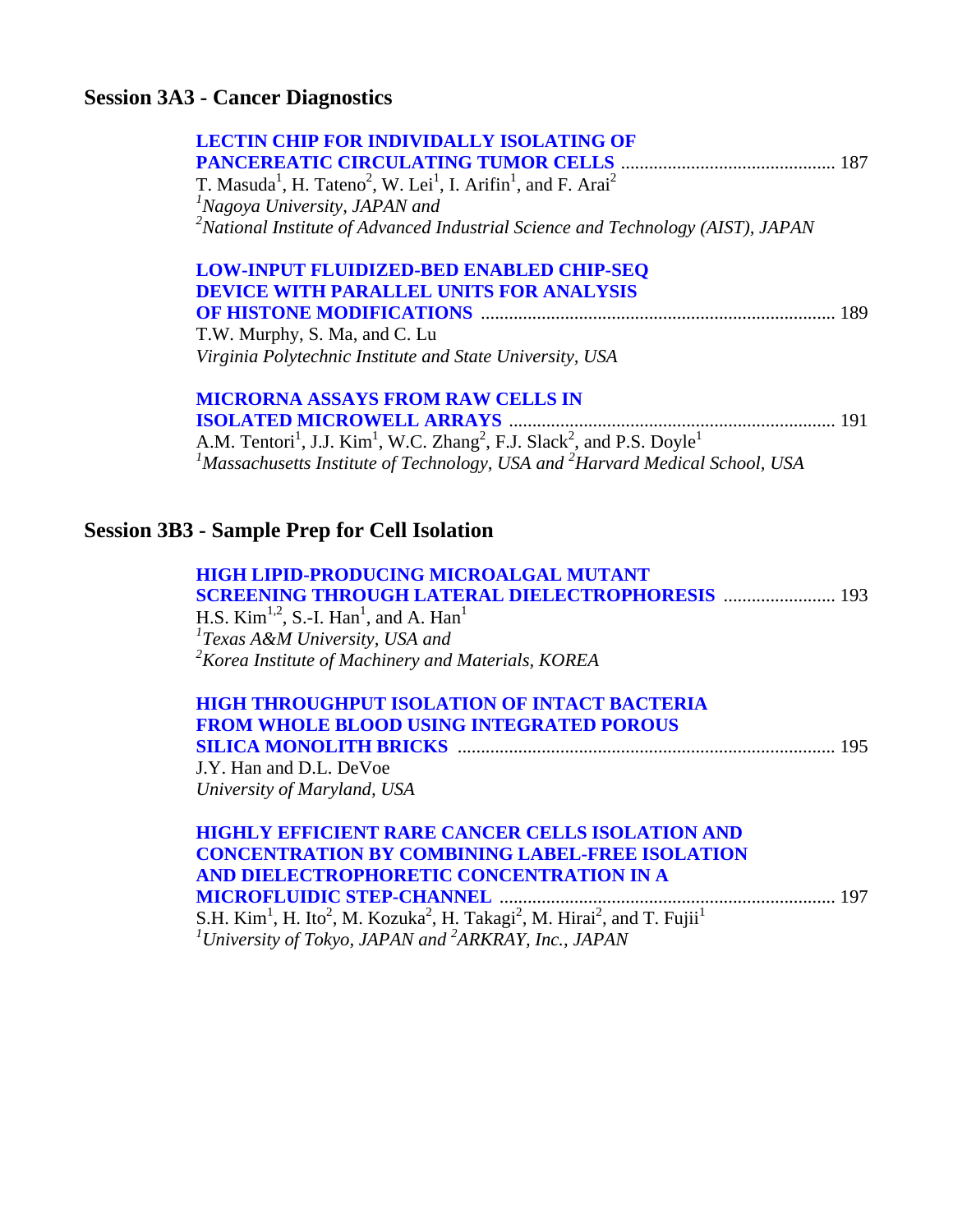### **Session 3A3 - Cancer Diagnostics**

| <b>LECTIN CHIP FOR INDIVIDALLY ISOLATING OF</b>                                                                                     |     |
|-------------------------------------------------------------------------------------------------------------------------------------|-----|
| T. Masuda <sup>1</sup> , H. Tateno <sup>2</sup> , W. Lei <sup>1</sup> , I. Arifin <sup>1</sup> , and F. Arai <sup>2</sup>           |     |
| <sup>1</sup> Nagoya University, JAPAN and                                                                                           |     |
| <sup>2</sup> National Institute of Advanced Industrial Science and Technology (AIST), JAPAN                                         |     |
| <b>LOW-INPUT FLUIDIZED-BED ENABLED CHIP-SEQ</b>                                                                                     |     |
| <b>DEVICE WITH PARALLEL UNITS FOR ANALYSIS</b>                                                                                      |     |
|                                                                                                                                     | 189 |
| T.W. Murphy, S. Ma, and C. Lu                                                                                                       |     |
| Virginia Polytechnic Institute and State University, USA                                                                            |     |
| <b>MICRORNA ASSAYS FROM RAW CELLS IN</b>                                                                                            |     |
|                                                                                                                                     |     |
| A.M. Tentori <sup>1</sup> , J.J. Kim <sup>1</sup> , W.C. Zhang <sup>2</sup> , F.J. Slack <sup>2</sup> , and P.S. Doyle <sup>1</sup> |     |
| <sup>1</sup> Massachusetts Institute of Technology, USA and <sup>2</sup> Harvard Medical School, USA                                |     |
|                                                                                                                                     |     |
| <b>Session 3B3 - Sample Prep for Cell Isolation</b>                                                                                 |     |

| <b>HIGH LIPID-PRODUCING MICROALGAL MUTANT</b>                              |  |
|----------------------------------------------------------------------------|--|
| <b>SCREENING THROUGH LATERAL DIELECTROPHORESIS  193</b>                    |  |
| H.S. Kim <sup>1,2</sup> , S.-I. Han <sup>1</sup> , and A. Han <sup>1</sup> |  |
| $T$ Exas A&M University, USA and                                           |  |
| $2$ Korea Institute of Machinery and Materials, KOREA                      |  |

| <b>HIGH THROUGHPUT ISOLATION OF INTACT BACTERIA</b> |  |
|-----------------------------------------------------|--|
| <b>FROM WHOLE BLOOD USING INTEGRATED POROUS</b>     |  |
|                                                     |  |

J.Y. Han and D.L. DeVoe *University of Maryland, USA* 

### **[HIGHLY EFFICIENT RARE CANCER CELLS ISOLATION AND](#page-0-0)  CONCENTRATION BY COMBINING LABEL-FREE ISOLATION AND DIELECTROPHORETIC CONCENTRATION IN A MICROFLUIDIC STEP-CHANNEL** ........................................................................ 197

S.H. Kim<sup>1</sup>, H. Ito<sup>2</sup>, M. Kozuka<sup>2</sup>, H. Takagi<sup>2</sup>, M. Hirai<sup>2</sup>, and T. Fujii<sup>1</sup><br><sup>*1*</sup> University of Tokyo, JAPAN and <sup>2</sup>ARKRAY, Inc., JAPAN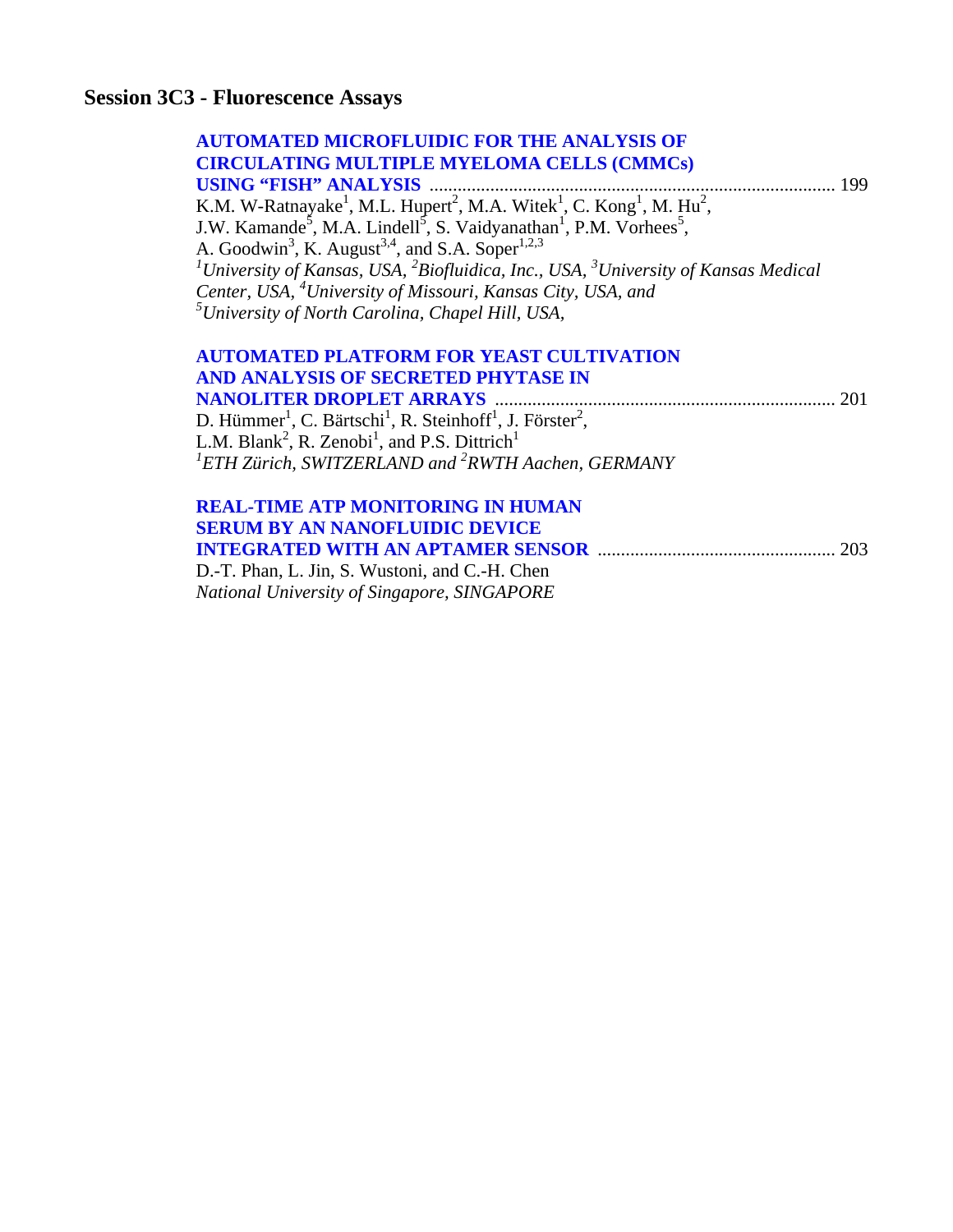# **Session 3C3 - Fluorescence Assays**

| <b>AUTOMATED MICROFLUIDIC FOR THE ANALYSIS OF</b>                                                                                |     |
|----------------------------------------------------------------------------------------------------------------------------------|-----|
| <b>CIRCULATING MULTIPLE MYELOMA CELLS (CMMCs)</b>                                                                                |     |
| <b>USING "FISH" ANALYSIS</b><br>199                                                                                              |     |
| K.M. W-Ratnayake <sup>1</sup> , M.L. Hupert <sup>2</sup> , M.A. Witek <sup>1</sup> , C. Kong <sup>1</sup> , M. Hu <sup>2</sup> , |     |
| J.W. Kamande <sup>5</sup> , M.A. Lindell <sup>5</sup> , S. Vaidyanathan <sup>1</sup> , P.M. Vorhees <sup>5</sup> ,               |     |
| A. Goodwin <sup>3</sup> , K. August <sup>3,4</sup> , and S.A. Soper <sup>1,2,3</sup>                                             |     |
| <sup>1</sup> University of Kansas, USA, ${}^{2}$ Biofluidica, Inc., USA, ${}^{3}$ University of Kansas Medical                   |     |
| Center, USA, <sup>4</sup> University of Missouri, Kansas City, USA, and                                                          |     |
| $5$ University of North Carolina, Chapel Hill, USA,                                                                              |     |
| <b>AUTOMATED PLATFORM FOR YEAST CULTIVATION</b>                                                                                  |     |
| AND ANALYSIS OF SECRETED PHYTASE IN                                                                                              |     |
|                                                                                                                                  | 201 |
| D. Hümmer <sup>1</sup> , C. Bärtschi <sup>1</sup> , R. Steinhoff <sup>1</sup> , J. Förster <sup>2</sup> ,                        |     |
| L.M. Blank <sup>2</sup> , R. Zenobi <sup>1</sup> , and P.S. Dittrich <sup>1</sup>                                                |     |
| ${}^{1}ETH$ Zürich, SWITZERLAND and ${}^{2}RWTH$ Aachen, GERMANY                                                                 |     |
|                                                                                                                                  |     |
| <b>REAL-TIME ATP MONITORING IN HUMAN</b>                                                                                         |     |
| <b>SERUM BY AN NANOFLUIDIC DEVICE</b>                                                                                            |     |
| <b>INTEGRATED WITH AN APTAMER SENSOR manufacturer</b>                                                                            | 203 |

D.-T. Phan, L. Jin, S. Wustoni, and C.-H. Chen *National University of Singapore, SINGAPORE*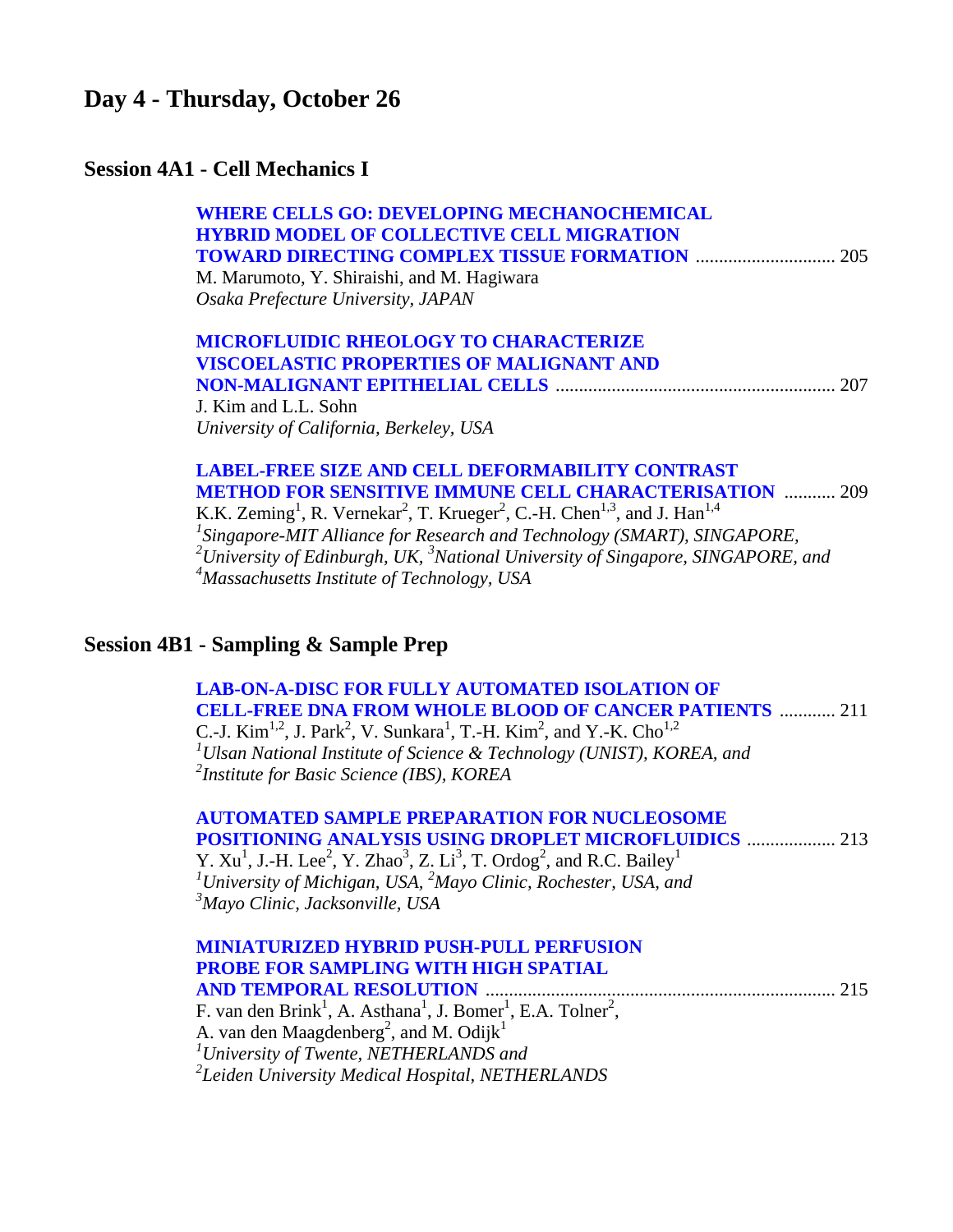### **Day 4 - Thursday, October 26**

### **Session 4A1 - Cell Mechanics I**

| <b>WHERE CELLS GO: DEVELOPING MECHANOCHEMICAL</b> |     |
|---------------------------------------------------|-----|
| <b>HYBRID MODEL OF COLLECTIVE CELL MIGRATION</b>  |     |
|                                                   |     |
| M. Marumoto, Y. Shiraishi, and M. Hagiwara        |     |
| Osaka Prefecture University, JAPAN                |     |
| <b>MICROFLUIDIC RHEOLOGY TO CHARACTERIZE</b>      |     |
| <b>VISCOELASTIC PROPERTIES OF MALIGNANT AND</b>   |     |
|                                                   | 207 |
| J. Kim and L.L. Sohn                              |     |
| University of California, Berkeley, USA           |     |
|                                                   |     |

#### **[LABEL-FREE SIZE AND CELL DEFORMABILITY CONTRAST](#page-0-0)  METHOD FOR SENSITIVE IMMUNE CELL CHARACTERISATION** ........... 209 K.K. Zeming<sup>1</sup>, R. Vernekar<sup>2</sup>, T. Krueger<sup>2</sup>, C.-H. Chen<sup>1,3</sup>, and J. Han<sup>1,4</sup> <sup>1</sup> Singapore-MIT Alliance for Research and Technology (SMART), SINGAPORE, *2 University of Edinburgh, UK, <sup>3</sup> National University of Singapore, SINGAPORE, and 4 Massachusetts Institute of Technology, USA*

# **Session 4B1 - Sampling & Sample Prep**

 **[LAB-ON-A-DISC FOR FULLY AUTOMATED ISOLATION OF](#page-0-0)  CELL-FREE DNA FROM WHOLE BLOOD OF CANCER PATIENTS** ............ 211 C.-J. Kim<sup>1,2</sup>, J. Park<sup>2</sup>, V. Sunkara<sup>1</sup>, T.-H. Kim<sup>2</sup>, and Y.-K. Cho<sup>1,2</sup> *1 Ulsan National Institute of Science & Technology (UNIST), KOREA, and 2 Institute for Basic Science (IBS), KOREA* 

|                                             | <b>AUTOMATED SAMPLE PREPARATION FOR NUCLEOSOME</b><br><b>POSITIONING ANALYSIS USING DROPLET MICROFLUIDICS  213</b>                    |  |
|---------------------------------------------|---------------------------------------------------------------------------------------------------------------------------------------|--|
|                                             | Y. $Xu^1$ , J.-H. Lee <sup>2</sup> , Y. Zhao <sup>3</sup> , Z. Li <sup>3</sup> , T. Ordog <sup>2</sup> , and R.C. Bailey <sup>1</sup> |  |
|                                             | <sup>1</sup> University of Michigan, USA, ${}^{2}$ Mayo Clinic, Rochester, USA, and                                                   |  |
| <sup>3</sup> Mayo Clinic, Jacksonville, USA |                                                                                                                                       |  |
|                                             | <b>MINIATURIZED HYBRID PUSH-PULL PERFUSION</b>                                                                                        |  |

| <b>PROBE FOR SAMPLING WITH HIGH SPATIAL</b>                                                                  |  |
|--------------------------------------------------------------------------------------------------------------|--|
|                                                                                                              |  |
| F. van den Brink <sup>1</sup> , A. Asthana <sup>1</sup> , J. Bomer <sup>1</sup> , E.A. Tolner <sup>2</sup> , |  |
| A. van den Maagdenberg <sup>2</sup> , and M. Odijk <sup>1</sup>                                              |  |
| $\mu$ <sup>1</sup> University of Twente, NETHERLANDS and                                                     |  |
| <sup>2</sup> Leiden University Medical Hospital, NETHERLANDS                                                 |  |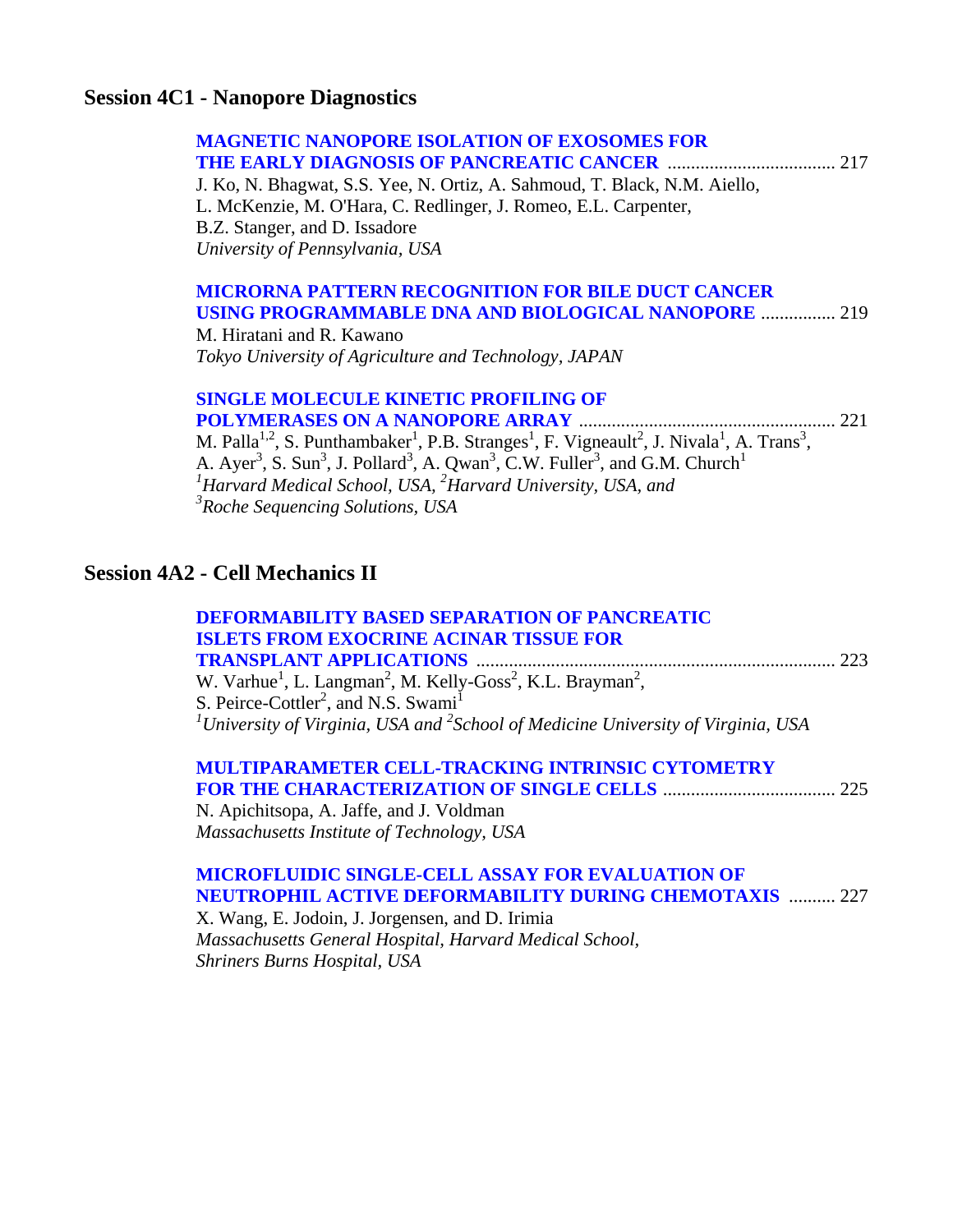### **Session 4C1 - Nanopore Diagnostics**

| <b>MAGNETIC NANOPORE ISOLATION OF EXOSOMES FOR</b><br>J. Ko, N. Bhagwat, S.S. Yee, N. Ortiz, A. Sahmoud, T. Black, N.M. Aiello,<br>L. McKenzie, M. O'Hara, C. Redlinger, J. Romeo, E.L. Carpenter,<br>B.Z. Stanger, and D. Issadore<br>University of Pennsylvania, USA                                                                                                                                                                                                                                    |
|-----------------------------------------------------------------------------------------------------------------------------------------------------------------------------------------------------------------------------------------------------------------------------------------------------------------------------------------------------------------------------------------------------------------------------------------------------------------------------------------------------------|
| <b>MICRORNA PATTERN RECOGNITION FOR BILE DUCT CANCER</b><br><b>USING PROGRAMMABLE DNA AND BIOLOGICAL NANOPORE  219</b><br>M. Hiratani and R. Kawano<br>Tokyo University of Agriculture and Technology, JAPAN                                                                                                                                                                                                                                                                                              |
| <b>SINGLE MOLECULE KINETIC PROFILING OF</b><br>M. Palla <sup>1,2</sup> , S. Punthambaker <sup>1</sup> , P.B. Stranges <sup>1</sup> , F. Vigneault <sup>2</sup> , J. Nivala <sup>1</sup> , A. Trans <sup>3</sup> ,<br>A. Ayer <sup>3</sup> , S. Sun <sup>3</sup> , J. Pollard <sup>3</sup> , A. Qwan <sup>3</sup> , C.W. Fuller <sup>3</sup> , and G.M. Church <sup>1</sup><br>${}^{1}$ Harvard Medical School, USA, ${}^{2}$ Harvard University, USA, and<br><sup>3</sup> Roche Sequencing Solutions, USA |
| <b>Session 4A2 - Cell Mechanics II</b>                                                                                                                                                                                                                                                                                                                                                                                                                                                                    |
| <b>DEFORMABILITY BASED SEPARATION OF PANCREATIC</b><br><b>ISLETS FROM EXOCRINE ACINAR TISSUE FOR</b><br>W. Varhue <sup>1</sup> , L. Langman <sup>2</sup> , M. Kelly-Goss <sup>2</sup> , K.L. Brayman <sup>2</sup> ,<br>S. Peirce-Cottler <sup>2</sup> , and N.S. Swami <sup>1</sup><br><sup>1</sup> University of Virginia, USA and <sup>2</sup> School of Medicine University of Virginia, USA                                                                                                           |
| <b>MULTIPARAMETER CELL-TRACKING INTRINSIC CYTOMETRY</b><br>N. Apichitsopa, A. Jaffe, and J. Voldman<br>Massachusetts Institute of Technology, USA                                                                                                                                                                                                                                                                                                                                                         |

#### **MICROFLUIDIC SINGLE-CELL ASSAY FOR EVALUATION OF [NEUTROPHIL ACTIVE DEFORMABILITY DURING CHEMOTAXIS](#page-0-0)** .......... 227 X. Wang, E. Jodoin, J. Jorgensen, and D. Irimia

*Massachusetts General Hospital, Harvard Medical School, Shriners Burns Hospital, USA*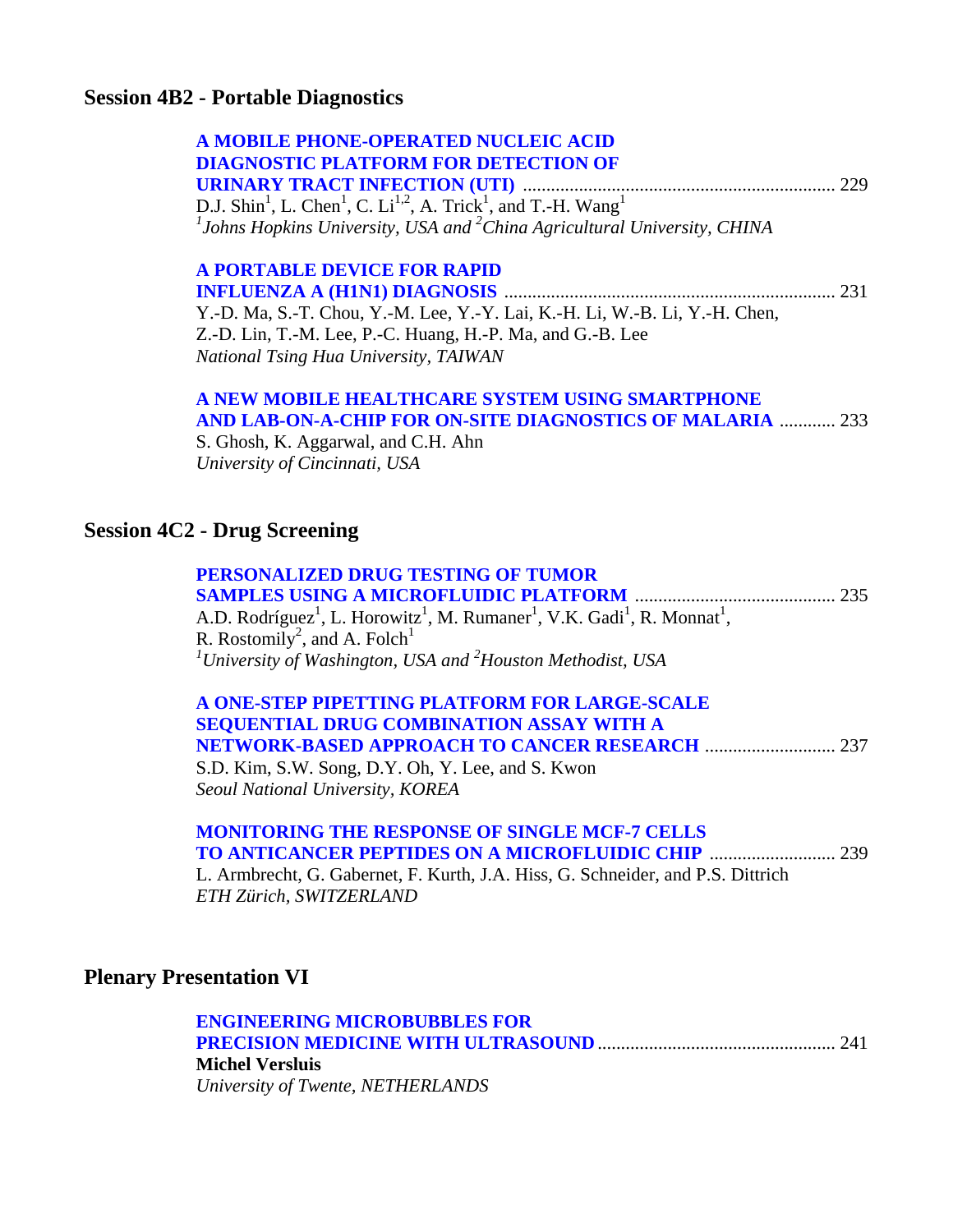### **Session 4B2 - Portable Diagnostics**

| A MOBILE PHONE-OPERATED NUCLEIC ACID                                                                                       |  |
|----------------------------------------------------------------------------------------------------------------------------|--|
| <b>DIAGNOSTIC PLATFORM FOR DETECTION OF</b>                                                                                |  |
|                                                                                                                            |  |
| D.J. Shin <sup>1</sup> , L. Chen <sup>1</sup> , C. Li <sup>1,2</sup> , A. Trick <sup>1</sup> , and T.-H. Wang <sup>1</sup> |  |
| $1$ Johns Hopkins University, USA and $2$ China Agricultural University, CHINA                                             |  |

#### **[A PORTABLE DEVICE FOR RAPID](#page-0-0)**

**INFLUENZA A (H1N1) DIAGNOSIS** ....................................................................... 231 Y.-D. Ma, S.-T. Chou, Y.-M. Lee, Y.-Y. Lai, K.-H. Li, W.-B. Li, Y.-H. Chen, Z.-D. Lin, T.-M. Lee, P.-C. Huang, H.-P. Ma, and G.-B. Lee *National Tsing Hua University, TAIWAN* 

#### **[A NEW MOBILE HEALTHCARE SYSTEM USING SMARTPHONE](#page-0-0)  AND LAB-ON-A-CHIP FOR ON-SITE DIAGNOSTICS OF MALARIA** ............ 233

S. Ghosh, K. Aggarwal, and C.H. Ahn *University of Cincinnati, USA* 

### **Session 4C2 - Drug Screening**

| PERSONALIZED DRUG TESTING OF TUMOR                                                                                                   |  |
|--------------------------------------------------------------------------------------------------------------------------------------|--|
|                                                                                                                                      |  |
| A.D. Rodríguez <sup>1</sup> , L. Horowitz <sup>1</sup> , M. Rumaner <sup>1</sup> , V.K. Gadi <sup>1</sup> , R. Monnat <sup>1</sup> , |  |
| R. Rostomily <sup>2</sup> , and A. Folch <sup>1</sup>                                                                                |  |
| <sup>1</sup> University of Washington, USA and $^{2}$ Houston Methodist, USA                                                         |  |

#### **[A ONE-STEP PIPETTING PLATFORM FOR LARGE-SCALE](#page-0-0)  SEQUENTIAL DRUG COMBINATION ASSAY WITH A NETWORK-BASED APPROACH TO CANCER RESEARCH** ............................ 237 S.D. Kim, S.W. Song, D.Y. Oh, Y. Lee, and S. Kwon

*Seoul National University, KOREA* 

|  |  |  |  | <b>MONITORING THE RESPONSE OF SINGLE MCF-7 CELLS</b> |  |  |
|--|--|--|--|------------------------------------------------------|--|--|
|  |  |  |  |                                                      |  |  |
|  |  |  |  | III LOOI . FIII III OOI 'I INONW'I                   |  |  |

L. Armbrecht, G. Gabernet, F. Kurth, J.A. Hiss, G. Schneider, and P.S. Dittrich *ETH Zürich, SWITZERLAND* 

### **Plenary Presentation VI**

| <b>ENGINEERING MICROBUBBLES FOR</b> |  |
|-------------------------------------|--|
|                                     |  |
| <b>Michel Versluis</b>              |  |
| University of Twente, NETHERLANDS   |  |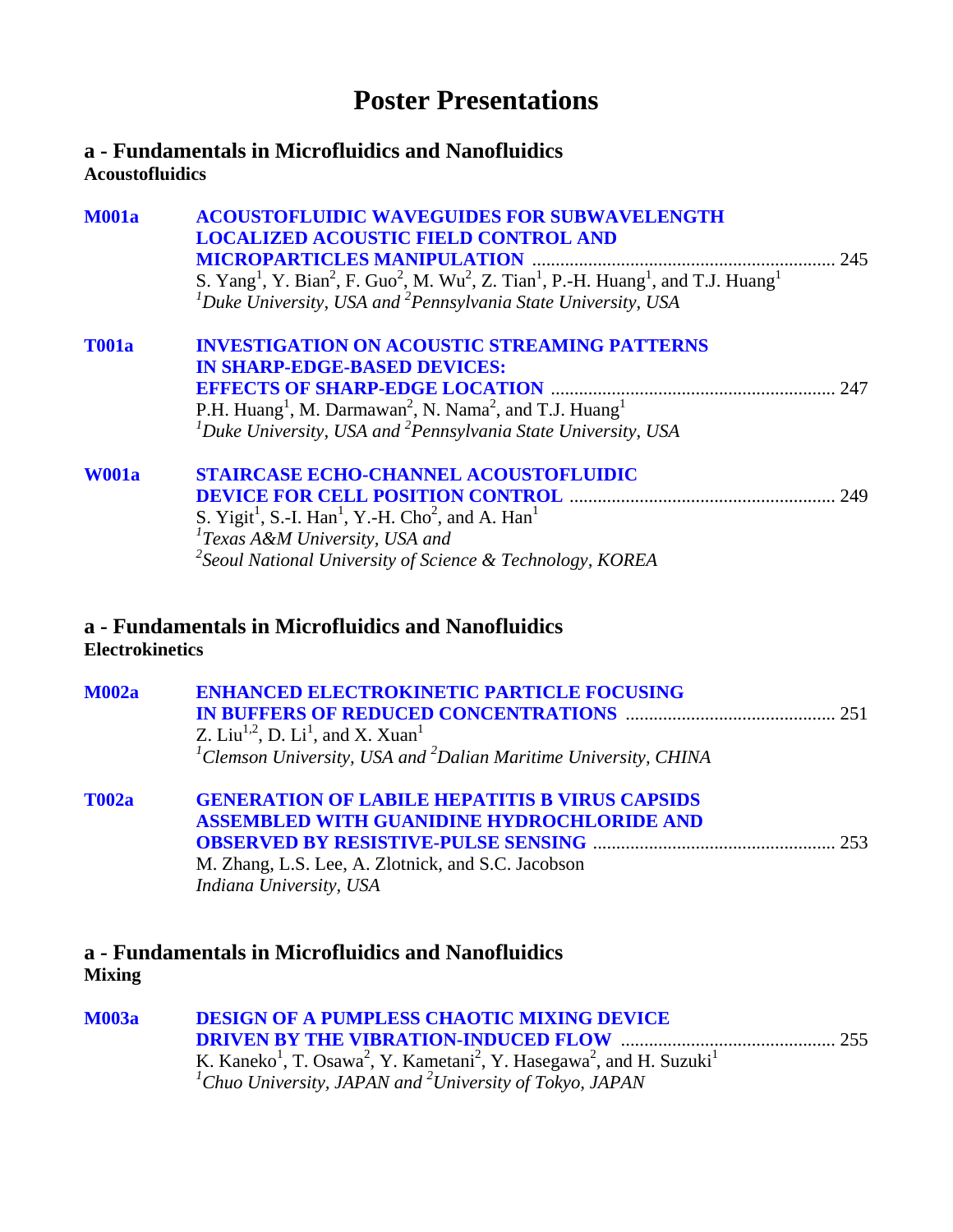# **Poster Presentations**

### <span id="page-22-0"></span>**a - Fundamentals in Microfluidics and Nanofluidics Acoustofluidics**

| <b>M001a</b>           | <b>ACOUSTOFLUIDIC WAVEGUIDES FOR SUBWAVELENGTH</b><br><b>LOCALIZED ACOUSTIC FIELD CONTROL AND</b>                                                                      |     |
|------------------------|------------------------------------------------------------------------------------------------------------------------------------------------------------------------|-----|
|                        | S. Yang <sup>1</sup> , Y. Bian <sup>2</sup> , F. Guo <sup>2</sup> , M. Wu <sup>2</sup> , Z. Tian <sup>1</sup> , P.-H. Huang <sup>1</sup> , and T.J. Huang <sup>1</sup> |     |
|                        | ${}^{1}$ Duke University, USA and ${}^{2}$ Pennsylvania State University, USA                                                                                          |     |
| <b>T001a</b>           | <b>INVESTIGATION ON ACOUSTIC STREAMING PATTERNS</b>                                                                                                                    |     |
|                        | <b>IN SHARP-EDGE-BASED DEVICES:</b>                                                                                                                                    |     |
|                        |                                                                                                                                                                        | 247 |
|                        | P.H. Huang <sup>1</sup> , M. Darmawan <sup>2</sup> , N. Nama <sup>2</sup> , and T.J. Huang <sup>1</sup>                                                                |     |
|                        | ${}^{1}$ Duke University, USA and ${}^{2}$ Pennsylvania State University, USA                                                                                          |     |
| <b>W001a</b>           | <b>STAIRCASE ECHO-CHANNEL ACOUSTOFLUIDIC</b>                                                                                                                           |     |
|                        |                                                                                                                                                                        |     |
|                        | S. Yigit <sup>1</sup> , S.-I. Han <sup>1</sup> , Y.-H. Cho <sup>2</sup> , and A. Han <sup>1</sup>                                                                      |     |
|                        | $T$ Exas A&M University, USA and                                                                                                                                       |     |
|                        | <sup>2</sup> Seoul National University of Science & Technology, KOREA                                                                                                  |     |
| <b>Electrokinetics</b> | a - Fundamentals in Microfluidics and Nanofluidics                                                                                                                     |     |
| <b>M002a</b>           | <b>ENHANCED ELECTROKINETIC PARTICLE FOCUSING</b>                                                                                                                       |     |
|                        |                                                                                                                                                                        |     |
|                        | Z. Liu <sup>1,2</sup> , D. Li <sup>1</sup> , and X. Xuan <sup>1</sup>                                                                                                  |     |
|                        | ${}^{1}$ Clemson University, USA and ${}^{2}$ Dalian Maritime University, CHINA                                                                                        |     |
| тооз                   | CENED ATION OF LARILE HEDATITIC RAVIDUS CAPSIDS                                                                                                                        |     |

| <b>T002a</b> | <b>GENERATION OF LABILE HEPATITIS B VIRUS CAPSIDS</b> |  |
|--------------|-------------------------------------------------------|--|
|              | <b>ASSEMBLED WITH GUANIDINE HYDROCHLORIDE AND</b>     |  |
|              |                                                       |  |
|              | M. Zhang, L.S. Lee, A. Zlotnick, and S.C. Jacobson    |  |
|              | Indiana University, USA                               |  |

### **a - Fundamentals in Microfluidics and Nanofluidics Mixing**

| <b>M003a</b> | <b>DESIGN OF A PUMPLESS CHAOTIC MIXING DEVICE</b>                                                                                                                                                                    |  |
|--------------|----------------------------------------------------------------------------------------------------------------------------------------------------------------------------------------------------------------------|--|
|              |                                                                                                                                                                                                                      |  |
|              | K. Kaneko <sup>1</sup> , T. Osawa <sup>2</sup> , Y. Kametani <sup>2</sup> , Y. Hasegawa <sup>2</sup> , and H. Suzuki <sup>1</sup><br><sup>1</sup> Chuo University, JAPAN and <sup>2</sup> University of Tokyo, JAPAN |  |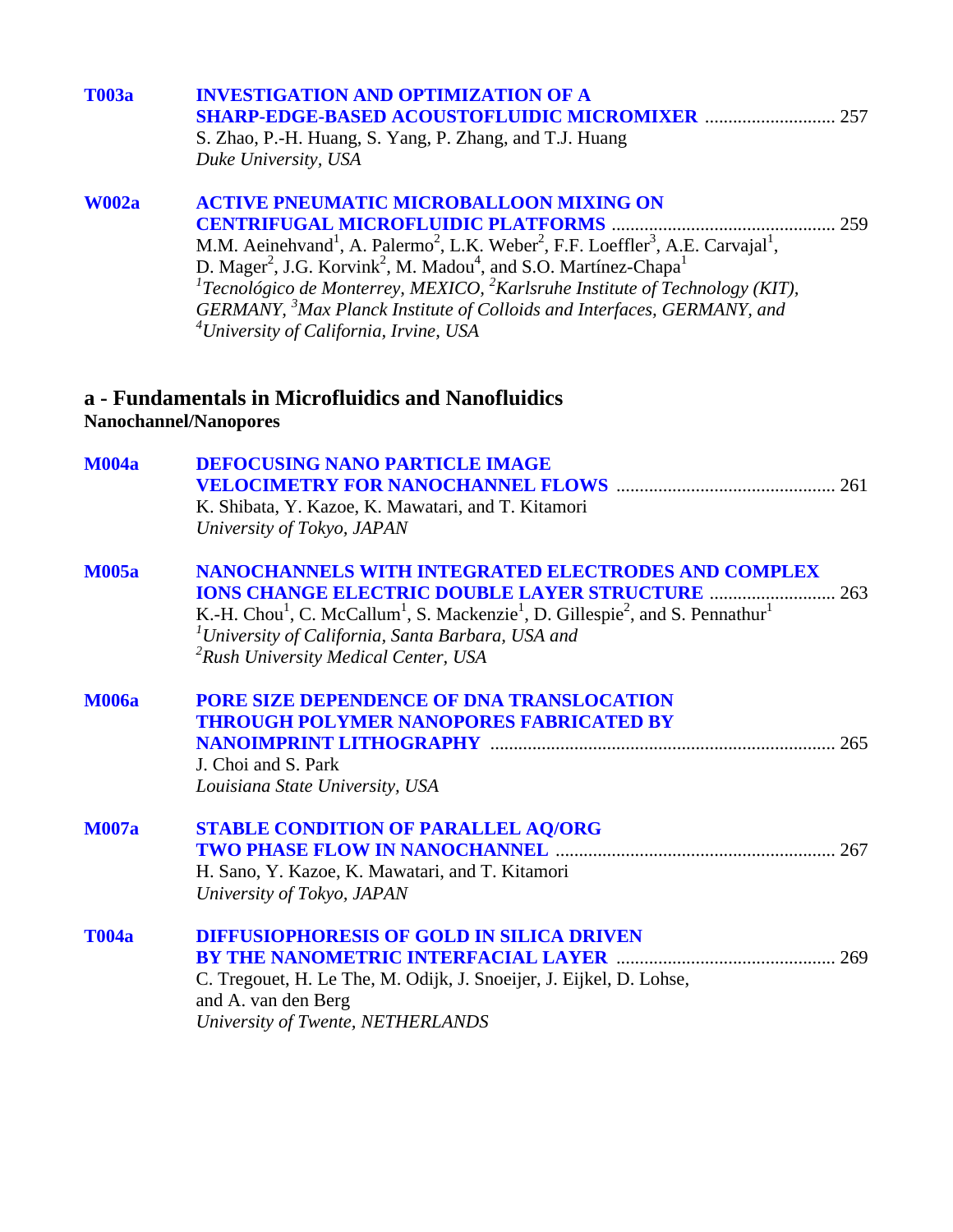| <b>T003a</b> | <b>INVESTIGATION AND OPTIMIZATION OF A</b><br><b>SHARP-EDGE-BASED ACOUSTOFLUIDIC MICROMIXER  257</b><br>S. Zhao, P.-H. Huang, S. Yang, P. Zhang, and T.J. Huang<br>Duke University, USA                                                                                                                                                                                                                                                                                                                                                                                 |
|--------------|-------------------------------------------------------------------------------------------------------------------------------------------------------------------------------------------------------------------------------------------------------------------------------------------------------------------------------------------------------------------------------------------------------------------------------------------------------------------------------------------------------------------------------------------------------------------------|
| <b>W002a</b> | <b>ACTIVE PNEUMATIC MICROBALLOON MIXING ON</b><br>M.M. Aeinehvand <sup>1</sup> , A. Palermo <sup>2</sup> , L.K. Weber <sup>2</sup> , F.F. Loeffler <sup>3</sup> , A.E. Carvajal <sup>1</sup> ,<br>D. Mager <sup>2</sup> , J.G. Korvink <sup>2</sup> , M. Madou <sup>4</sup> , and S.O. Martínez-Chapa <sup>1</sup><br><sup>1</sup> Tecnológico de Monterrey, MEXICO, <sup>2</sup> Karlsruhe Institute of Technology (KIT),<br>GERMANY, <sup>3</sup> Max Planck Institute of Colloids and Interfaces, GERMANY, and<br><sup>4</sup> University of California, Irvine, USA |
|              | a - Fundamentals in Microfluidics and Nanofluidics<br>Nanochannel/Nanopores                                                                                                                                                                                                                                                                                                                                                                                                                                                                                             |
| <b>M004a</b> | <b>DEFOCUSING NANO PARTICLE IMAGE</b><br>261<br>K. Shibata, Y. Kazoe, K. Mawatari, and T. Kitamori<br>University of Tokyo, JAPAN                                                                                                                                                                                                                                                                                                                                                                                                                                        |
| <b>M005a</b> | <b>NANOCHANNELS WITH INTEGRATED ELECTRODES AND COMPLEX</b><br><b>IONS CHANGE ELECTRIC DOUBLE LAYER STRUCTURE </b><br>263<br>K.-H. Chou <sup>1</sup> , C. McCallum <sup>1</sup> , S. Mackenzie <sup>1</sup> , D. Gillespie <sup>2</sup> , and S. Pennathur <sup>1</sup><br><sup>1</sup> University of California, Santa Barbara, USA and<br><sup>2</sup> Rush University Medical Center, USA                                                                                                                                                                             |
| <b>M006a</b> | <b>PORE SIZE DEPENDENCE OF DNA TRANSLOCATION</b><br><b>THROUGH POLYMER NANOPORES FABRICATED BY</b><br>265<br>J. Choi and S. Park<br>Louisiana State University, USA                                                                                                                                                                                                                                                                                                                                                                                                     |
| <b>M007a</b> | <b>STABLE CONDITION OF PARALLEL AQ/ORG</b><br>H. Sano, Y. Kazoe, K. Mawatari, and T. Kitamori<br>University of Tokyo, JAPAN                                                                                                                                                                                                                                                                                                                                                                                                                                             |
| <b>T004a</b> | <b>DIFFUSIOPHORESIS OF GOLD IN SILICA DRIVEN</b><br>C. Tregouet, H. Le The, M. Odijk, J. Snoeijer, J. Eijkel, D. Lohse,<br>and A. van den Berg<br>University of Twente, NETHERLANDS                                                                                                                                                                                                                                                                                                                                                                                     |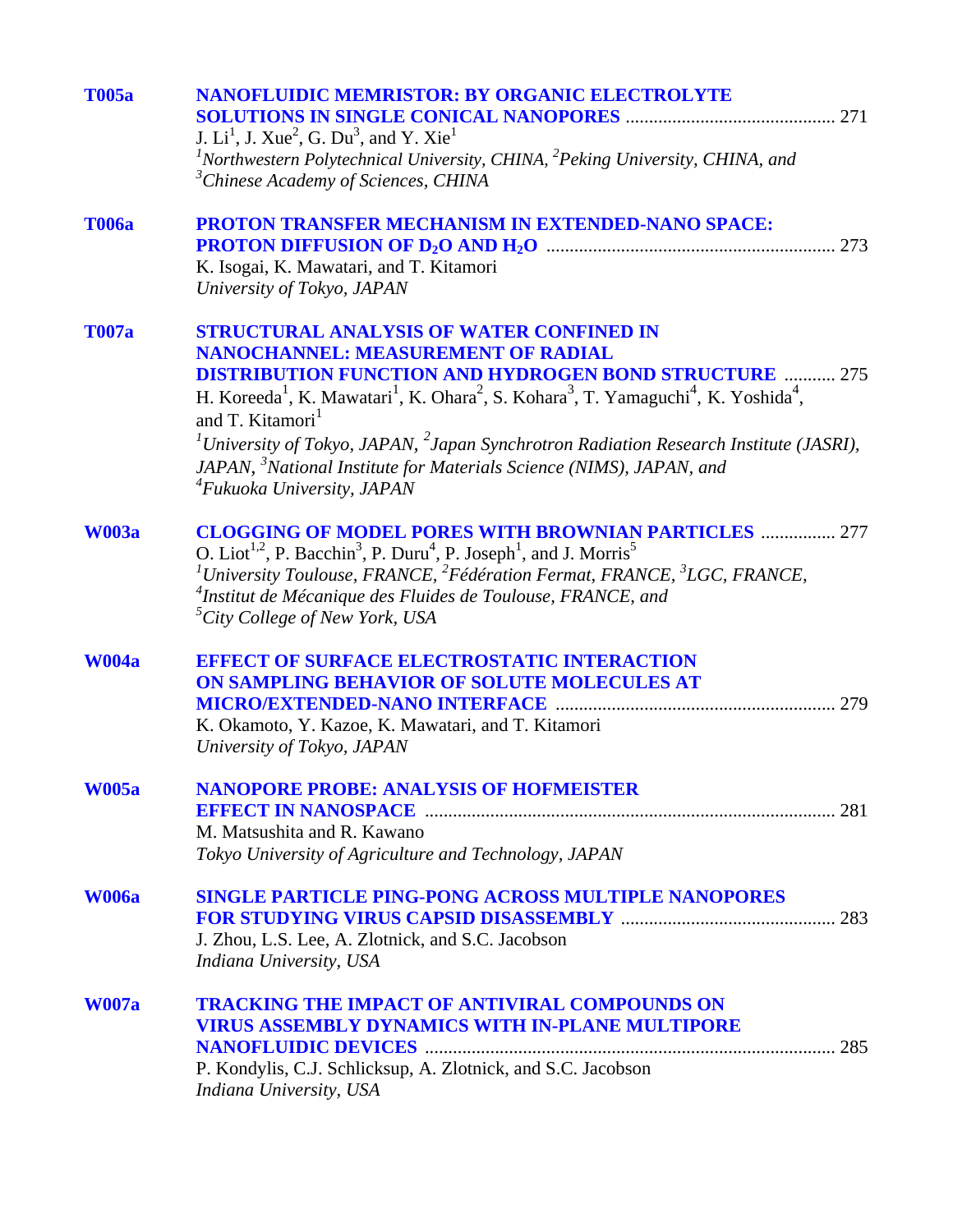| <b>T005a</b> | <b>NANOFLUIDIC MEMRISTOR: BY ORGANIC ELECTROLYTE</b><br>J. $Li1$ , J. Xue <sup>2</sup> , G. Du <sup>3</sup> , and Y. Xie <sup>1</sup>                                                                                                                                                                                                                                                                                                |
|--------------|--------------------------------------------------------------------------------------------------------------------------------------------------------------------------------------------------------------------------------------------------------------------------------------------------------------------------------------------------------------------------------------------------------------------------------------|
|              | $1$ Northwestern Polytechnical University, CHINA, $2$ Peking University, CHINA, and<br><sup>3</sup> Chinese Academy of Sciences, CHINA                                                                                                                                                                                                                                                                                               |
| <b>T006a</b> | PROTON TRANSFER MECHANISM IN EXTENDED-NANO SPACE:                                                                                                                                                                                                                                                                                                                                                                                    |
|              | K. Isogai, K. Mawatari, and T. Kitamori<br>University of Tokyo, JAPAN                                                                                                                                                                                                                                                                                                                                                                |
| <b>T007a</b> | <b>STRUCTURAL ANALYSIS OF WATER CONFINED IN</b><br><b>NANOCHANNEL: MEASUREMENT OF RADIAL</b>                                                                                                                                                                                                                                                                                                                                         |
|              | <b>DISTRIBUTION FUNCTION AND HYDROGEN BOND STRUCTURE  275</b><br>H. Koreeda <sup>1</sup> , K. Mawatari <sup>1</sup> , K. Ohara <sup>2</sup> , S. Kohara <sup>3</sup> , T. Yamaguchi <sup>4</sup> , K. Yoshida <sup>4</sup> ,<br>and T. Kitamori <sup>1</sup>                                                                                                                                                                         |
|              | <sup>1</sup> University of Tokyo, JAPAN, $^{2}$ Japan Synchrotron Radiation Research Institute (JASRI),<br>JAPAN, <sup>3</sup> National Institute for Materials Science (NIMS), JAPAN, and<br><sup>4</sup> Fukuoka University, JAPAN                                                                                                                                                                                                 |
| <b>W003a</b> | <b>CLOGGING OF MODEL PORES WITH BROWNIAN PARTICLES  277</b><br>O. Liot <sup>1,2</sup> , P. Bacchin <sup>3</sup> , P. Duru <sup>4</sup> , P. Joseph <sup>1</sup> , and J. Morris <sup>5</sup><br><sup>1</sup> University Toulouse, FRANCE, <sup>2</sup> Fédération Fermat, FRANCE, <sup>3</sup> LGC, FRANCE,<br><sup>4</sup> Institut de Mécanique des Fluides de Toulouse, FRANCE, and<br><sup>5</sup> City College of New York, USA |
| <b>W004a</b> | <b>EFFECT OF SURFACE ELECTROSTATIC INTERACTION</b>                                                                                                                                                                                                                                                                                                                                                                                   |
|              | ON SAMPLING BEHAVIOR OF SOLUTE MOLECULES AT                                                                                                                                                                                                                                                                                                                                                                                          |
|              | K. Okamoto, Y. Kazoe, K. Mawatari, and T. Kitamori                                                                                                                                                                                                                                                                                                                                                                                   |
|              | University of Tokyo, JAPAN                                                                                                                                                                                                                                                                                                                                                                                                           |
| <b>W005a</b> | <b>NANOPORE PROBE: ANALYSIS OF HOFMEISTER</b>                                                                                                                                                                                                                                                                                                                                                                                        |
|              | M. Matsushita and R. Kawano                                                                                                                                                                                                                                                                                                                                                                                                          |
|              | Tokyo University of Agriculture and Technology, JAPAN                                                                                                                                                                                                                                                                                                                                                                                |
| <b>W006a</b> | <b>SINGLE PARTICLE PING-PONG ACROSS MULTIPLE NANOPORES</b>                                                                                                                                                                                                                                                                                                                                                                           |
|              | J. Zhou, L.S. Lee, A. Zlotnick, and S.C. Jacobson                                                                                                                                                                                                                                                                                                                                                                                    |
|              | Indiana University, USA                                                                                                                                                                                                                                                                                                                                                                                                              |
| <b>W007a</b> | <b>TRACKING THE IMPACT OF ANTIVIRAL COMPOUNDS ON</b>                                                                                                                                                                                                                                                                                                                                                                                 |
|              | <b>VIRUS ASSEMBLY DYNAMICS WITH IN-PLANE MULTIPORE</b>                                                                                                                                                                                                                                                                                                                                                                               |
|              | P. Kondylis, C.J. Schlicksup, A. Zlotnick, and S.C. Jacobson                                                                                                                                                                                                                                                                                                                                                                         |
|              | Indiana University, USA                                                                                                                                                                                                                                                                                                                                                                                                              |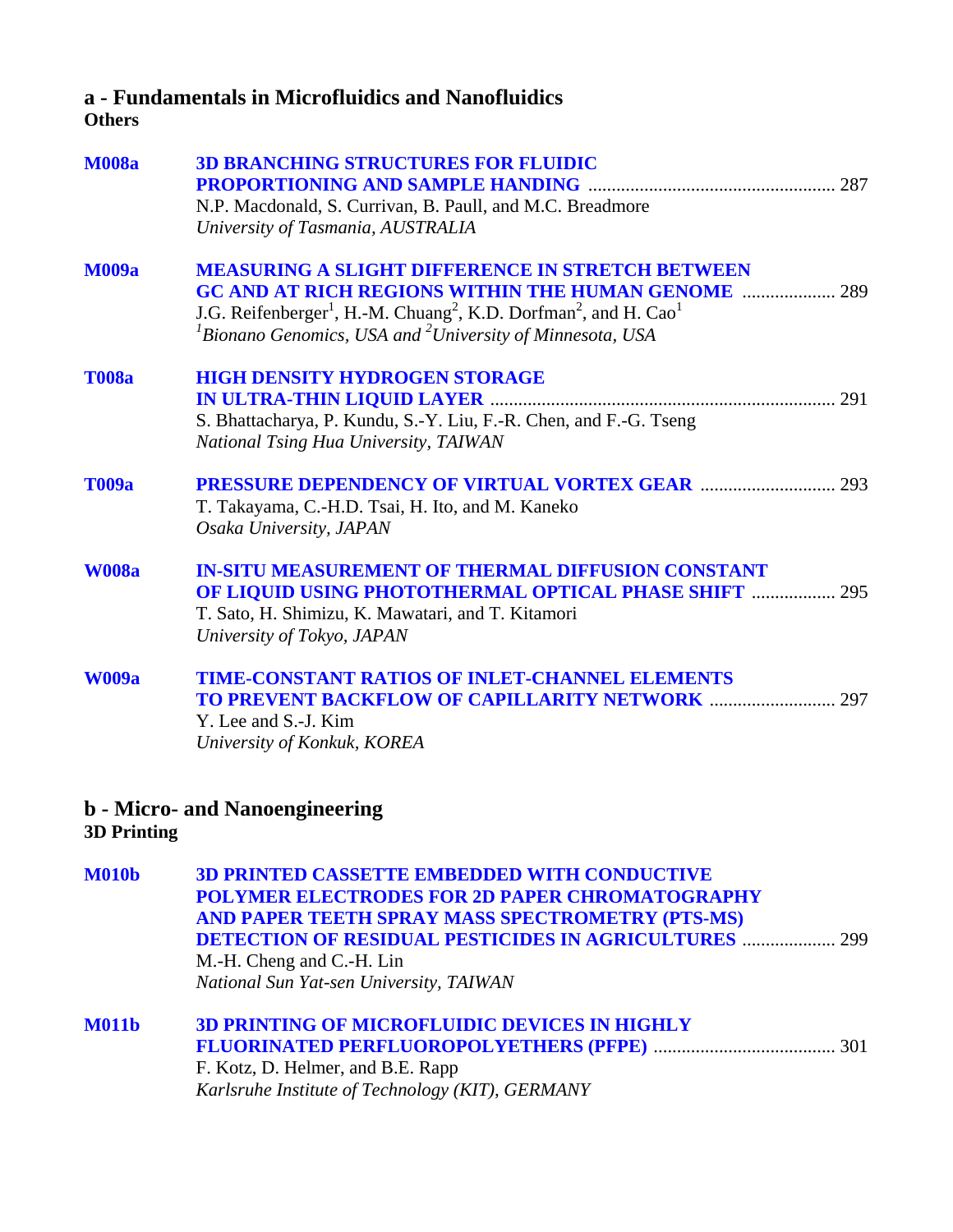# **a - Fundamentals in Microfluidics and Nanofluidics**

### **Others**

| <b>M008a</b> | <b>3D BRANCHING STRUCTURES FOR FLUIDIC</b><br>N.P. Macdonald, S. Currivan, B. Paull, and M.C. Breadmore<br>University of Tasmania, AUSTRALIA                                                                                                                                                                          |
|--------------|-----------------------------------------------------------------------------------------------------------------------------------------------------------------------------------------------------------------------------------------------------------------------------------------------------------------------|
| <b>M009a</b> | <b>MEASURING A SLIGHT DIFFERENCE IN STRETCH BETWEEN</b><br><b>GC AND AT RICH REGIONS WITHIN THE HUMAN GENOME  289</b><br>J.G. Reifenberger <sup>1</sup> , H.-M. Chuang <sup>2</sup> , K.D. Dorfman <sup>2</sup> , and H. Cao <sup>1</sup><br>${}^{1}$ Bionano Genomics, USA and ${}^{2}$ University of Minnesota, USA |
| <b>T008a</b> | <b>HIGH DENSITY HYDROGEN STORAGE</b><br>S. Bhattacharya, P. Kundu, S.-Y. Liu, F.-R. Chen, and F.-G. Tseng<br>National Tsing Hua University, TAIWAN                                                                                                                                                                    |
| <b>T009a</b> | T. Takayama, C.-H.D. Tsai, H. Ito, and M. Kaneko<br>Osaka University, JAPAN                                                                                                                                                                                                                                           |
| <b>W008a</b> | <b>IN-SITU MEASUREMENT OF THERMAL DIFFUSION CONSTANT</b><br><b>OF LIQUID USING PHOTOTHERMAL OPTICAL PHASE SHIFT  295</b><br>T. Sato, H. Shimizu, K. Mawatari, and T. Kitamori<br>University of Tokyo, JAPAN                                                                                                           |
| <b>W009a</b> | <b>TIME-CONSTANT RATIOS OF INLET-CHANNEL ELEMENTS</b><br><b>TO PREVENT BACKFLOW OF CAPILLARITY NETWORK  297</b><br>Y. Lee and S.-J. Kim<br>University of Konkuk, KOREA                                                                                                                                                |
|              | <b>b</b> - Micro- and Nanoengineering                                                                                                                                                                                                                                                                                 |

**3D Printing**

**[M010b 3D PRINTED CASSETTE EMBEDDED WITH CONDUCTIVE](#page-0-0)  POLYMER ELECTRODES FOR 2D PAPER CHROMATOGRAPHY AND PAPER TEETH SPRAY MASS SPECTROMETRY (PTS-MS) DETECTION OF RESIDUAL PESTICIDES IN AGRICULTURES** .................... 299 M.-H. Cheng and C.-H. Lin *National Sun Yat-sen University, TAIWAN* 

| <b>M011b</b> | <b>3D PRINTING OF MICROFLUIDIC DEVICES IN HIGHLY</b> |  |
|--------------|------------------------------------------------------|--|
|              |                                                      |  |
|              | F. Kotz, D. Helmer, and B.E. Rapp                    |  |
|              | Karlsruhe Institute of Technology (KIT), GERMANY     |  |
|              |                                                      |  |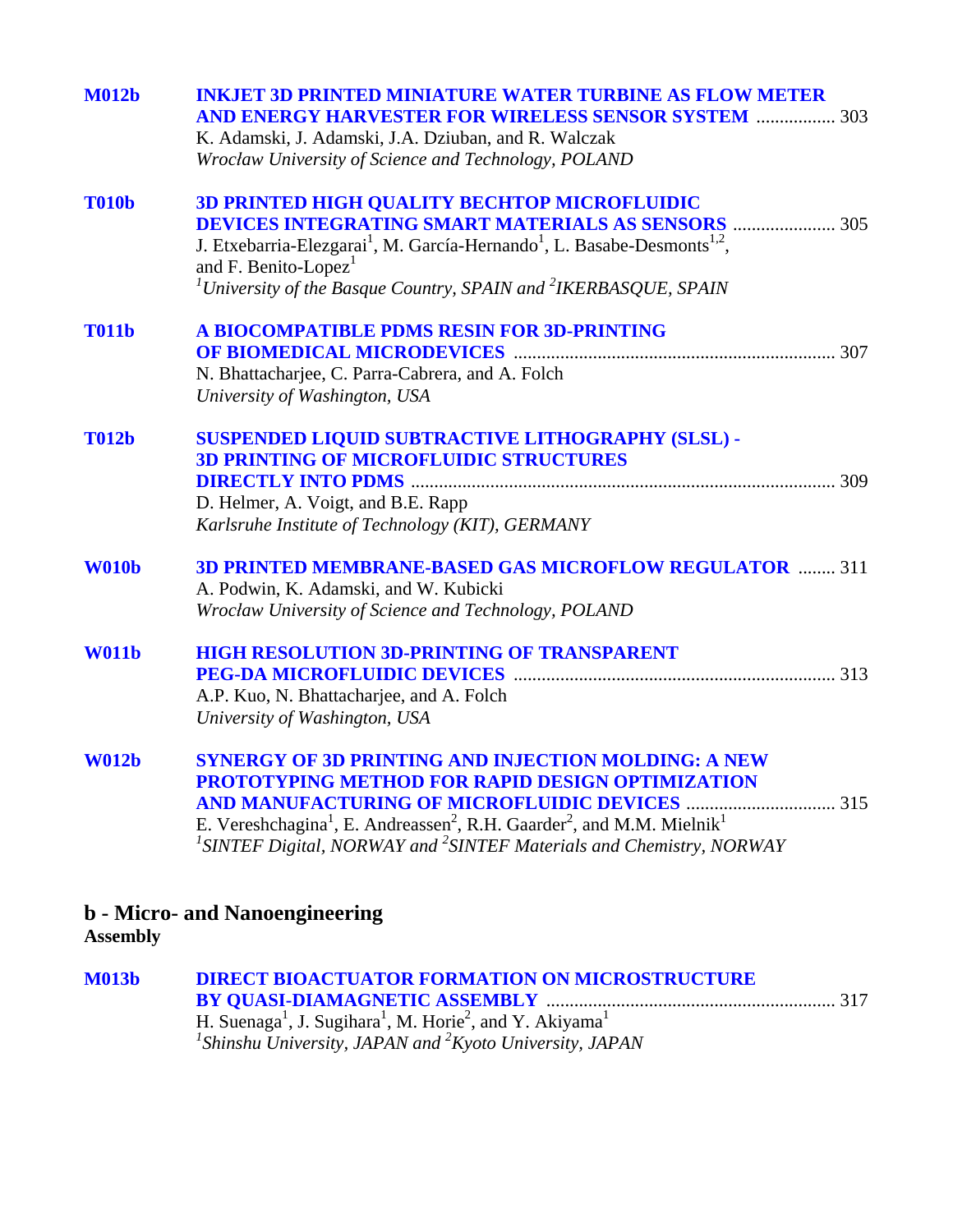| <b>M012b</b> | <b>INKJET 3D PRINTED MINIATURE WATER TURBINE AS FLOW METER</b><br><b>AND ENERGY HARVESTER FOR WIRELESS SENSOR SYSTEM  303</b><br>K. Adamski, J. Adamski, J.A. Dziuban, and R. Walczak<br>Wrocław University of Science and Technology, POLAND                                                                                                                    |
|--------------|------------------------------------------------------------------------------------------------------------------------------------------------------------------------------------------------------------------------------------------------------------------------------------------------------------------------------------------------------------------|
| <b>T010b</b> | <b>3D PRINTED HIGH QUALITY BECHTOP MICROFLUIDIC</b><br><b>DEVICES INTEGRATING SMART MATERIALS AS SENSORS  305</b><br>J. Etxebarria-Elezgarai <sup>1</sup> , M. García-Hernando <sup>1</sup> , L. Basabe-Desmonts <sup>1,2</sup> ,<br>and F. Benito-Lopez <sup>1</sup><br><sup>1</sup> University of the Basque Country, SPAIN and <sup>2</sup> IKERBASQUE, SPAIN |
| <b>T011b</b> | A BIOCOMPATIBLE PDMS RESIN FOR 3D-PRINTING<br>N. Bhattacharjee, C. Parra-Cabrera, and A. Folch<br>University of Washington, USA                                                                                                                                                                                                                                  |
| <b>T012b</b> | SUSPENDED LIQUID SUBTRACTIVE LITHOGRAPHY (SLSL) -<br><b>3D PRINTING OF MICROFLUIDIC STRUCTURES</b><br>D. Helmer, A. Voigt, and B.E. Rapp<br>Karlsruhe Institute of Technology (KIT), GERMANY                                                                                                                                                                     |
| <b>W010b</b> | <b>3D PRINTED MEMBRANE-BASED GAS MICROFLOW REGULATOR  311</b><br>A. Podwin, K. Adamski, and W. Kubicki<br>Wrocław University of Science and Technology, POLAND                                                                                                                                                                                                   |
| <b>W011b</b> | <b>HIGH RESOLUTION 3D-PRINTING OF TRANSPARENT</b><br>A.P. Kuo, N. Bhattacharjee, and A. Folch<br>University of Washington, USA                                                                                                                                                                                                                                   |
| <b>W012b</b> | <b>SYNERGY OF 3D PRINTING AND INJECTION MOLDING: A NEW</b><br>PROTOTYPING METHOD FOR RAPID DESIGN OPTIMIZATION<br>E. Vereshchagina <sup>1</sup> , E. Andreassen <sup>2</sup> , R.H. Gaarder <sup>2</sup> , and M.M. Mielnik <sup>1</sup><br><sup>1</sup> SINTEF Digital, NORWAY and <sup>2</sup> SINTEF Materials and Chemistry, NORWAY                          |

# **b - Micro- and Nanoengineering**

**Assembly**

| <b>M013b</b> | <b>DIRECT BIOACTUATOR FORMATION ON MICROSTRUCTURE</b>                                                    |  |
|--------------|----------------------------------------------------------------------------------------------------------|--|
|              |                                                                                                          |  |
|              | H. Suenaga <sup>1</sup> , J. Sugihara <sup>1</sup> , M. Horie <sup>2</sup> , and Y. Akiyama <sup>1</sup> |  |
|              | <sup>1</sup> Shinshu University, JAPAN and ${}^{2}K$ yoto University, JAPAN                              |  |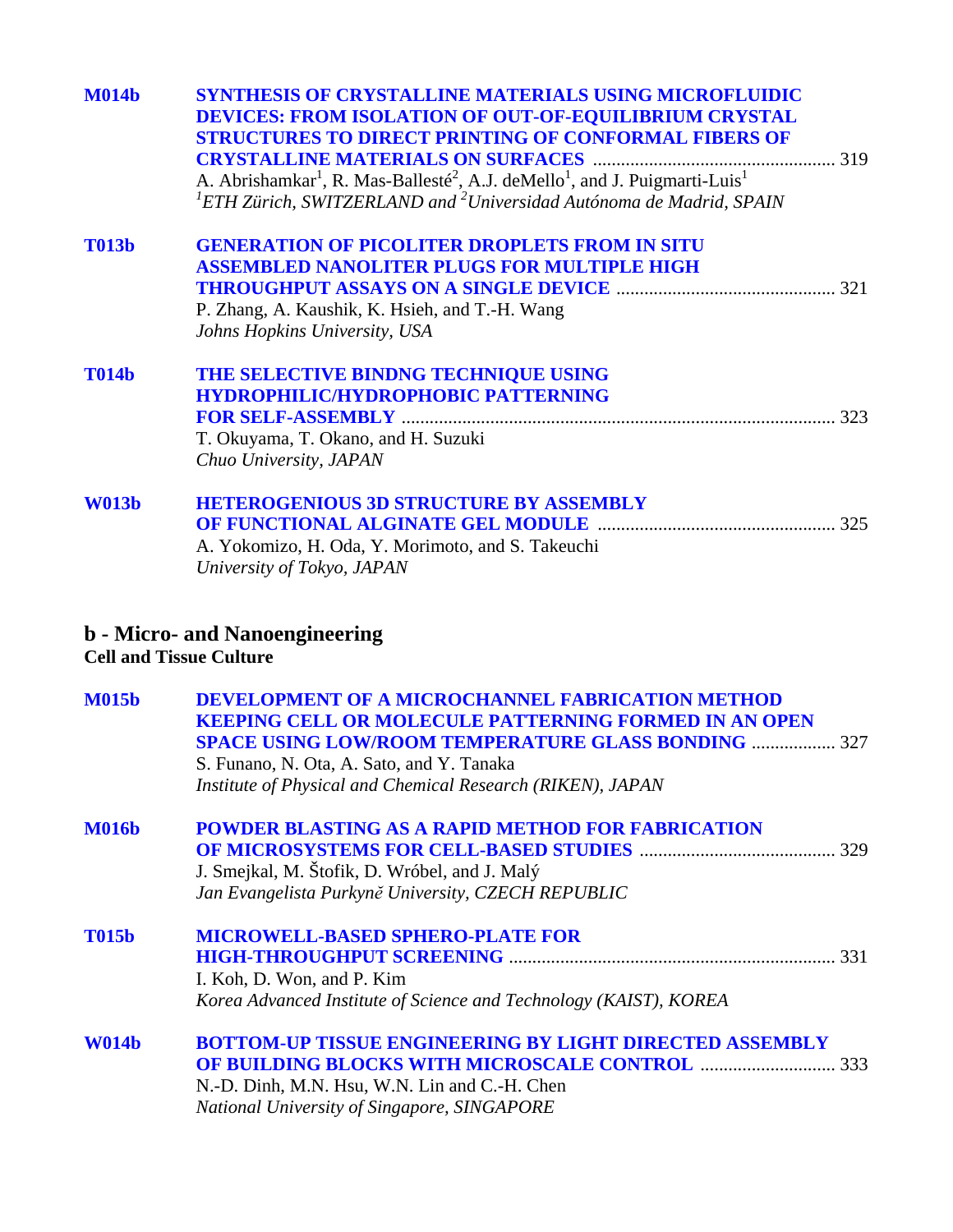| <b>M014b</b> | SYNTHESIS OF CRYSTALLINE MATERIALS USING MICROFLUIDIC<br><b>DEVICES: FROM ISOLATION OF OUT-OF-EQUILIBRIUM CRYSTAL</b><br><b>STRUCTURES TO DIRECT PRINTING OF CONFORMAL FIBERS OF</b><br>A. Abrishamkar <sup>1</sup> , R. Mas-Ballesté <sup>2</sup> , A.J. deMello <sup>1</sup> , and J. Puigmarti-Luis <sup>1</sup><br>${}^{1}$ ETH Zürich, SWITZERLAND and ${}^{2}$ Universidad Autónoma de Madrid, SPAIN |  |
|--------------|------------------------------------------------------------------------------------------------------------------------------------------------------------------------------------------------------------------------------------------------------------------------------------------------------------------------------------------------------------------------------------------------------------|--|
| <b>T013b</b> | <b>GENERATION OF PICOLITER DROPLETS FROM IN SITU</b><br><b>ASSEMBLED NANOLITER PLUGS FOR MULTIPLE HIGH</b><br>P. Zhang, A. Kaushik, K. Hsieh, and T.-H. Wang<br>Johns Hopkins University, USA                                                                                                                                                                                                              |  |
| <b>T014b</b> | THE SELECTIVE BINDNG TECHNIQUE USING<br><b>HYDROPHILIC/HYDROPHOBIC PATTERNING</b><br>T. Okuyama, T. Okano, and H. Suzuki<br>Chuo University, JAPAN                                                                                                                                                                                                                                                         |  |
| <b>W013b</b> | <b>HETEROGENIOUS 3D STRUCTURE BY ASSEMBLY</b><br>A. Yokomizo, H. Oda, Y. Morimoto, and S. Takeuchi<br>University of Tokyo, JAPAN                                                                                                                                                                                                                                                                           |  |
|              | <b>b</b> - Micro- and Nanoengineering<br><b>Cell and Tissue Culture</b>                                                                                                                                                                                                                                                                                                                                    |  |
| <b>M015b</b> | <b>DEVELOPMENT OF A MICROCHANNEL FABRICATION METHOD</b><br><b>KEEPING CELL OR MOLECULE PATTERNING FORMED IN AN OPEN</b><br><b>SPACE USING LOW/ROOM TEMPERATURE GLASS BONDING  327</b><br>S. Funano, N. Ota, A. Sato, and Y. Tanaka<br>Institute of Physical and Chemical Research (RIKEN), JAPAN                                                                                                           |  |
| <b>M016b</b> | <b>POWDER BLASTING AS A RAPID METHOD FOR FABRICATION</b><br>J. Smejkal, M. Štofik, D. Wróbel, and J. Malý<br>Jan Evangelista Purkyně University, CZECH REPUBLIC                                                                                                                                                                                                                                            |  |
| <b>T015b</b> | <b>MICROWELL-BASED SPHERO-PLATE FOR</b><br>I. Koh, D. Won, and P. Kim<br>Korea Advanced Institute of Science and Technology (KAIST), KOREA                                                                                                                                                                                                                                                                 |  |
| <b>W014b</b> | <b>BOTTOM-UP TISSUE ENGINEERING BY LIGHT DIRECTED ASSEMBLY</b><br>N.-D. Dinh, M.N. Hsu, W.N. Lin and C.-H. Chen<br>National University of Singapore, SINGAPORE                                                                                                                                                                                                                                             |  |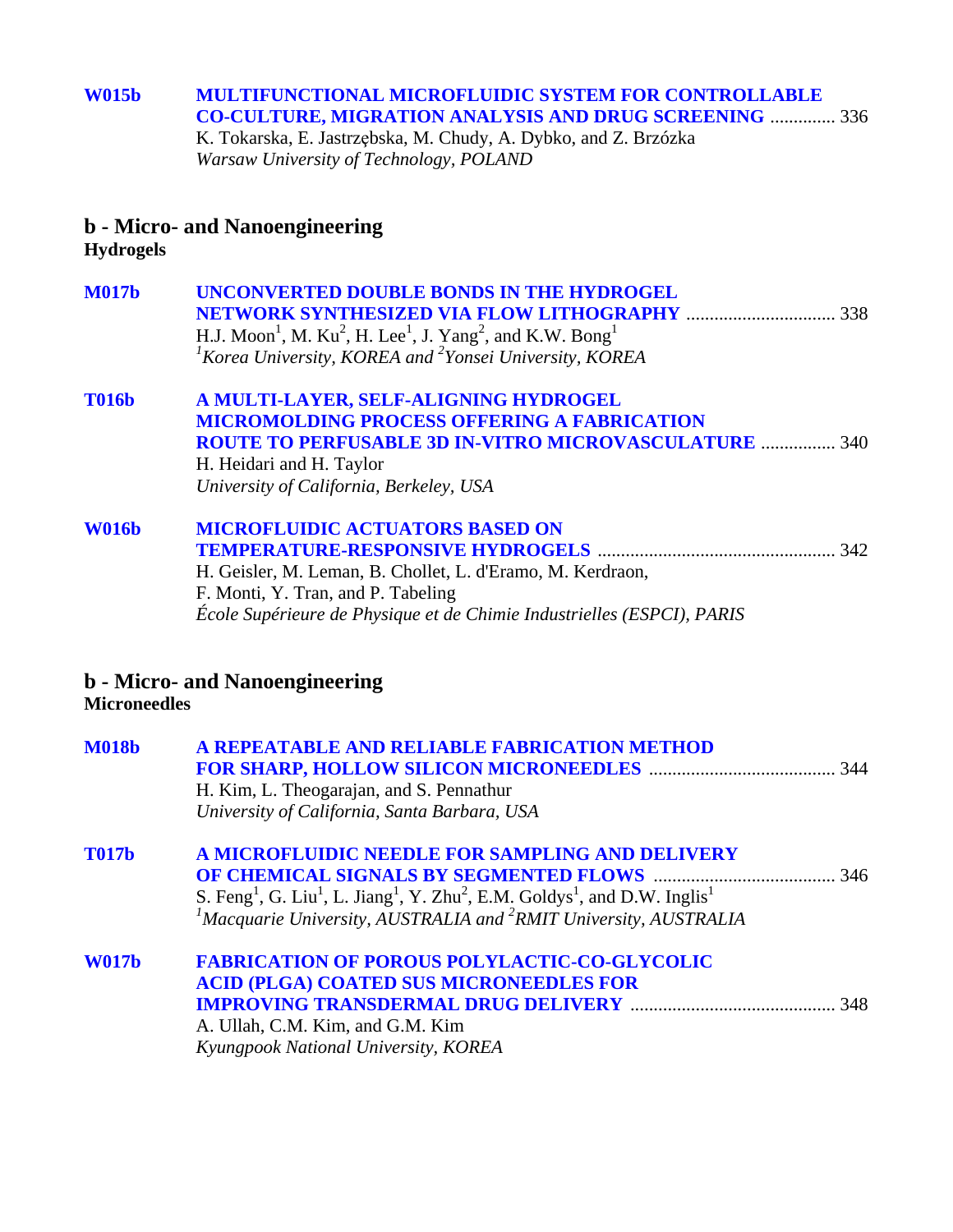### **[W015b MULTIFUNCTIONAL MICROFLUIDIC SYSTEM FOR CONTROLLABLE](#page-0-0)  CO-CULTURE, MIGRATION ANALYSIS AND DRUG SCREENING** .............. 336

K. Tokarska, E. Jastrzębska, M. Chudy, A. Dybko, and Z. Brzózka *Warsaw University of Technology, POLAND* 

### **b - Micro- and Nanoengineering**

**Hydrogels**

| <b>M017b</b> | UNCONVERTED DOUBLE BONDS IN THE HYDROGEL                                                                              |
|--------------|-----------------------------------------------------------------------------------------------------------------------|
|              | .338                                                                                                                  |
|              | H.J. Moon <sup>1</sup> , M. Ku <sup>2</sup> , H. Lee <sup>1</sup> , J. Yang <sup>2</sup> , and K.W. Bong <sup>1</sup> |
|              | ${}^{1}$ Korea University, KOREA and ${}^{2}$ Yonsei University, KOREA                                                |
| <b>T016b</b> | A MULTI-LAYER, SELF-ALIGNING HYDROGEL                                                                                 |
|              | <b>MICROMOLDING PROCESS OFFERING A FABRICATION</b>                                                                    |
|              | <b>ROUTE TO PERFUSABLE 3D IN-VITRO MICROVASCULATURE  340</b>                                                          |
|              | H. Heidari and H. Taylor                                                                                              |
|              | University of California, Berkeley, USA                                                                               |

**[W016b MICROFLUIDIC ACTUATORS BASED ON](#page-0-0)  TEMPERATURE-RESPONSIVE HYDROGELS** ................................................... 342 H. Geisler, M. Leman, B. Chollet, L. d'Eramo, M. Kerdraon, F. Monti, Y. Tran, and P. Tabeling *École Supérieure de Physique et de Chimie Industrielles (ESPCI), PARIS* 

### **b - Micro- and Nanoengineering Microneedles**

| <b>M018b</b> | A REPEATABLE AND RELIABLE FABRICATION METHOD<br>H. Kim, L. Theogarajan, and S. Pennathur<br>University of California, Santa Barbara, USA                                                                                                                                                          |  |
|--------------|---------------------------------------------------------------------------------------------------------------------------------------------------------------------------------------------------------------------------------------------------------------------------------------------------|--|
| <b>T017b</b> | A MICROFLUIDIC NEEDLE FOR SAMPLING AND DELIVERY<br>S. Feng <sup>1</sup> , G. Liu <sup>1</sup> , L. Jiang <sup>1</sup> , Y. Zhu <sup>2</sup> , E.M. Goldys <sup>1</sup> , and D.W. Inglis <sup>1</sup><br><sup>1</sup> Macquarie University, AUSTRALIA and <sup>2</sup> RMIT University, AUSTRALIA |  |
| <b>W017b</b> | <b>FABRICATION OF POROUS POLYLACTIC-CO-GLYCOLIC</b><br><b>ACID (PLGA) COATED SUS MICRONEEDLES FOR</b><br>A. Ullah, C.M. Kim, and G.M. Kim<br>Kyungpook National University, KOREA                                                                                                                 |  |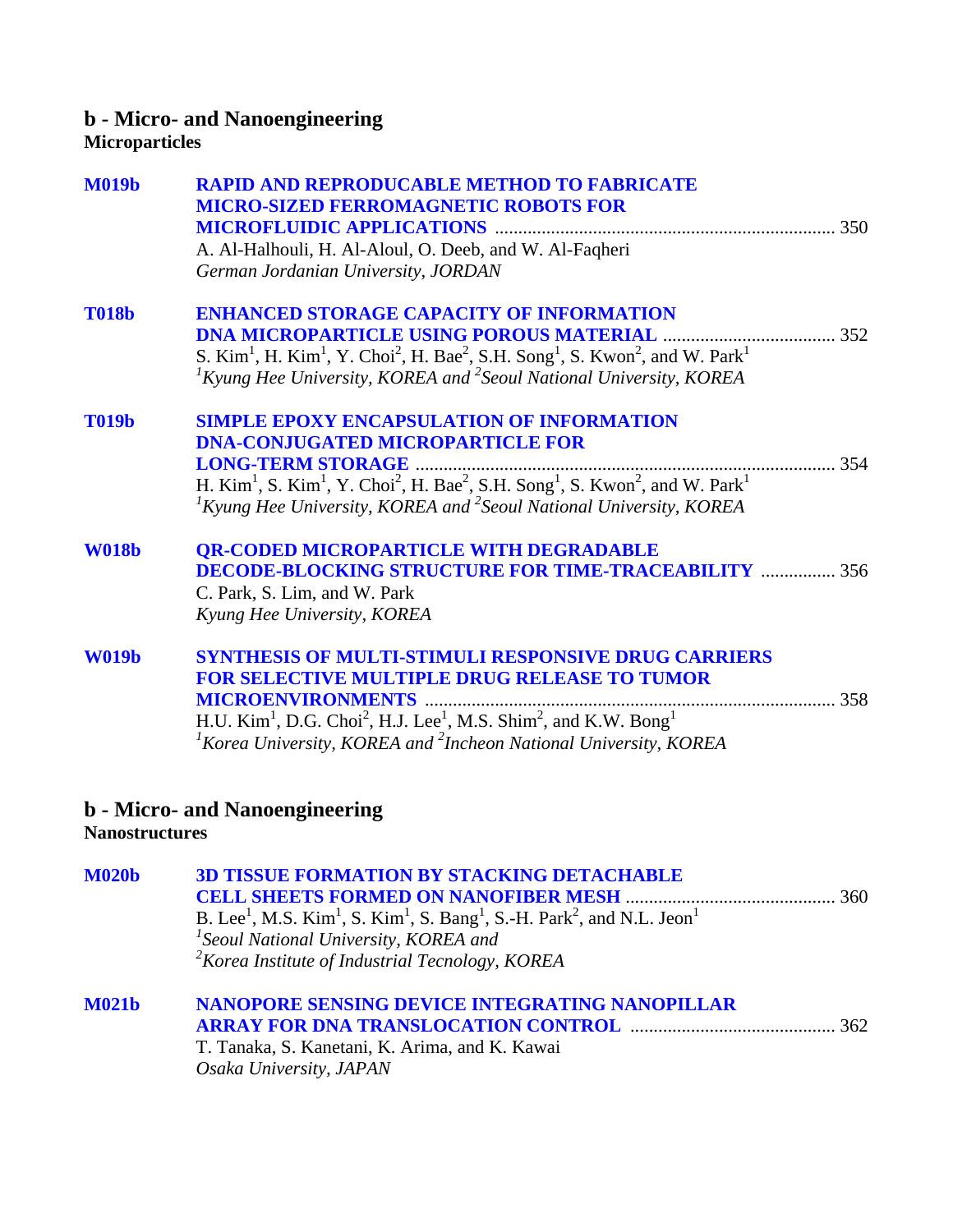### **b - Micro- and Nanoengineering Microparticles**

| <b>M019b</b>          | <b>RAPID AND REPRODUCABLE METHOD TO FABRICATE</b>                                                                                                                                                                                                           |     |
|-----------------------|-------------------------------------------------------------------------------------------------------------------------------------------------------------------------------------------------------------------------------------------------------------|-----|
|                       | <b>MICRO-SIZED FERROMAGNETIC ROBOTS FOR</b>                                                                                                                                                                                                                 |     |
|                       | A. Al-Halhouli, H. Al-Aloul, O. Deeb, and W. Al-Faqheri                                                                                                                                                                                                     |     |
|                       | German Jordanian University, JORDAN                                                                                                                                                                                                                         |     |
| <b>T018b</b>          | <b>ENHANCED STORAGE CAPACITY OF INFORMATION</b>                                                                                                                                                                                                             |     |
|                       | <b>DNA MICROPARTICLE USING POROUS MATERIAL</b>                                                                                                                                                                                                              |     |
|                       | S. Kim <sup>1</sup> , H. Kim <sup>1</sup> , Y. Choi <sup>2</sup> , H. Bae <sup>2</sup> , S.H. Song <sup>1</sup> , S. Kwon <sup>2</sup> , and W. Park <sup>1</sup><br>${}^{1}$ Kyung Hee University, KOREA and <sup>2</sup> Seoul National University, KOREA |     |
| <b>T019b</b>          | <b>SIMPLE EPOXY ENCAPSULATION OF INFORMATION</b>                                                                                                                                                                                                            |     |
|                       | <b>DNA-CONJUGATED MICROPARTICLE FOR</b>                                                                                                                                                                                                                     |     |
|                       |                                                                                                                                                                                                                                                             | 354 |
|                       | H. Kim <sup>1</sup> , S. Kim <sup>1</sup> , Y. Choi <sup>2</sup> , H. Bae <sup>2</sup> , S.H. Song <sup>1</sup> , S. Kwon <sup>2</sup> , and W. Park <sup>1</sup><br>${}^{1}$ Kyung Hee University, KOREA and ${}^{2}$ Seoul National University, KOREA     |     |
| <b>W018b</b>          | <b>OR-CODED MICROPARTICLE WITH DEGRADABLE</b>                                                                                                                                                                                                               |     |
|                       | <b>DECODE-BLOCKING STRUCTURE FOR TIME-TRACEABILITY  356</b>                                                                                                                                                                                                 |     |
|                       | C. Park, S. Lim, and W. Park                                                                                                                                                                                                                                |     |
|                       | Kyung Hee University, KOREA                                                                                                                                                                                                                                 |     |
| <b>W019b</b>          | <b>SYNTHESIS OF MULTI-STIMULI RESPONSIVE DRUG CARRIERS</b>                                                                                                                                                                                                  |     |
|                       | <b>FOR SELECTIVE MULTIPLE DRUG RELEASE TO TUMOR</b>                                                                                                                                                                                                         |     |
|                       |                                                                                                                                                                                                                                                             |     |
|                       | H.U. Kim <sup>1</sup> , D.G. Choi <sup>2</sup> , H.J. Lee <sup>1</sup> , M.S. Shim <sup>2</sup> , and K.W. Bong <sup>1</sup>                                                                                                                                |     |
|                       | ${}^{1}$ Korea University, KOREA and ${}^{2}$ Incheon National University, KOREA                                                                                                                                                                            |     |
| <b>Nanostructures</b> | <b>b</b> - Micro- and Nanoengineering                                                                                                                                                                                                                       |     |
|                       |                                                                                                                                                                                                                                                             |     |
| <b>M020b</b>          | <b>3D TISSUE FORMATION BY STACKING DETACHABLE</b>                                                                                                                                                                                                           |     |
|                       | <b>CELL SHEETS FORMED ON NANOFIBER MESH </b>                                                                                                                                                                                                                |     |
|                       | B. Lee <sup>1</sup> , M.S. Kim <sup>1</sup> , S. Kim <sup>1</sup> , S. Bang <sup>1</sup> , S.-H. Park <sup>2</sup> , and N.L. Jeon <sup>1</sup>                                                                                                             |     |
|                       | <sup>1</sup> Seoul National University, KOREA and                                                                                                                                                                                                           |     |
|                       | $2$ Korea Institute of Industrial Tecnology, KOREA                                                                                                                                                                                                          |     |
| <b>M021b</b>          | NANOPORE SENSING DEVICE INTEGRATING NANOPILLAR                                                                                                                                                                                                              |     |
|                       | <b>ARRAY FOR DNA TRANSLOCATION CONTROL manufacturer and 362</b>                                                                                                                                                                                             |     |
|                       | T Tanaka S Kanatani K Arima and K Kawai                                                                                                                                                                                                                     |     |

T. Tanaka, S. Kanetani, K. Arima, and K. Kawai *Osaka University, JAPAN*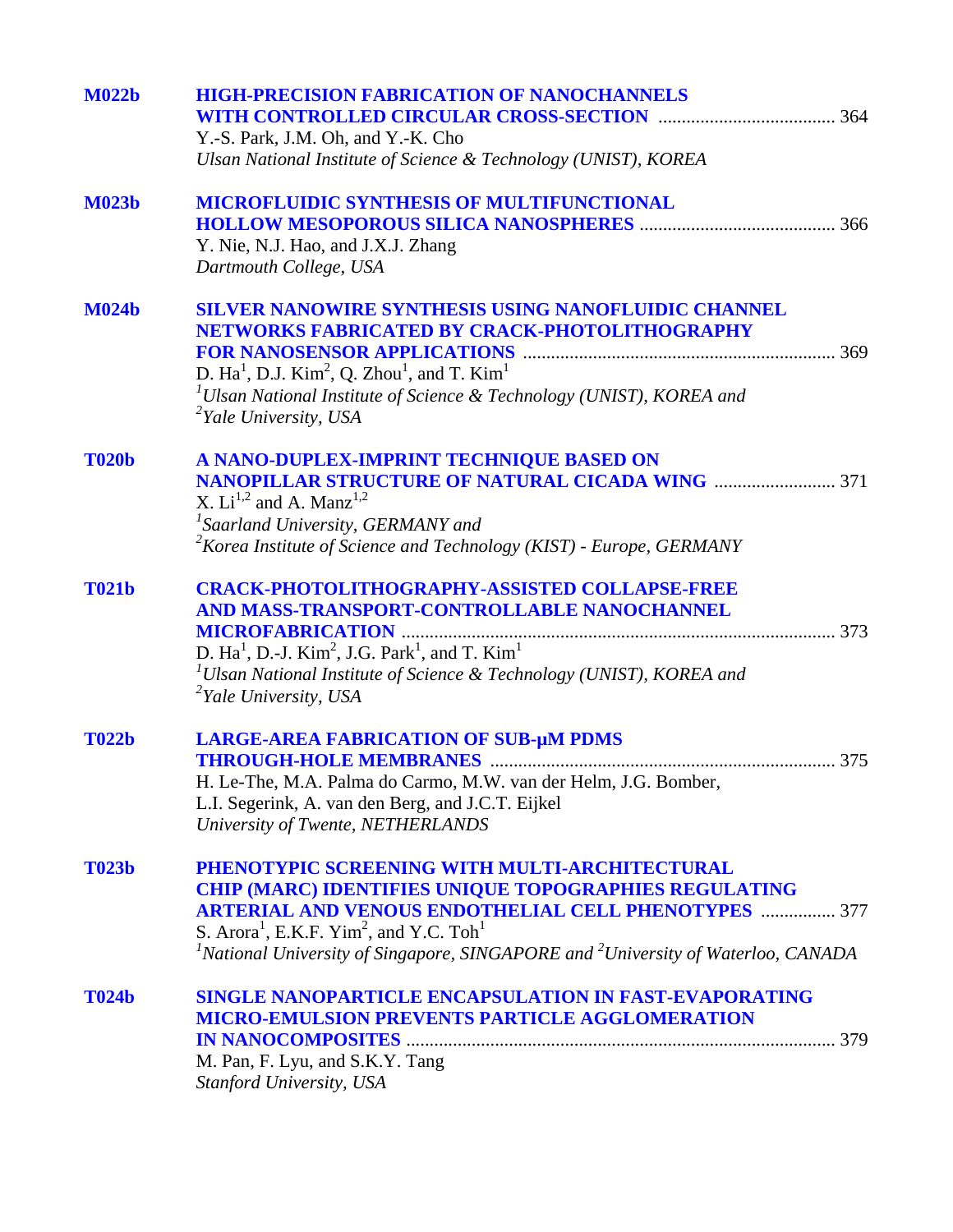| <b>M022b</b> | <b>HIGH-PRECISION FABRICATION OF NANOCHANNELS</b>                                                                     |  |
|--------------|-----------------------------------------------------------------------------------------------------------------------|--|
|              | Y.-S. Park, J.M. Oh, and Y.-K. Cho<br>Ulsan National Institute of Science & Technology (UNIST), KOREA                 |  |
|              |                                                                                                                       |  |
| <b>M023b</b> | <b>MICROFLUIDIC SYNTHESIS OF MULTIFUNCTIONAL</b>                                                                      |  |
|              |                                                                                                                       |  |
|              | Y. Nie, N.J. Hao, and J.X.J. Zhang<br>Dartmouth College, USA                                                          |  |
| <b>M024b</b> | <b>SILVER NANOWIRE SYNTHESIS USING NANOFLUIDIC CHANNEL</b>                                                            |  |
|              | NETWORKS FABRICATED BY CRACK-PHOTOLITHOGRAPHY                                                                         |  |
|              |                                                                                                                       |  |
|              | D. $Ha^1$ , D.J. $Kim^2$ , Q. Zhou <sup>1</sup> , and T. $Kim^1$                                                      |  |
|              | ${}^{1}$ Ulsan National Institute of Science & Technology (UNIST), KOREA and<br><sup>2</sup> Yale University, USA     |  |
| <b>T020b</b> | A NANO-DUPLEX-IMPRINT TECHNIQUE BASED ON                                                                              |  |
|              | <b>NANOPILLAR STRUCTURE OF NATURAL CICADA WING  371</b>                                                               |  |
|              | X. $Li^{1,2}$ and A. Manz <sup>1,2</sup>                                                                              |  |
|              | <sup>1</sup> Saarland University, GERMANY and                                                                         |  |
|              | <sup>2</sup> Korea Institute of Science and Technology (KIST) - Europe, GERMANY                                       |  |
| <b>T021b</b> | <b>CRACK-PHOTOLITHOGRAPHY-ASSISTED COLLAPSE-FREE</b>                                                                  |  |
|              | AND MASS-TRANSPORT-CONTROLLABLE NANOCHANNEL                                                                           |  |
|              |                                                                                                                       |  |
|              | D. Ha <sup>1</sup> , D.-J. Kim <sup>2</sup> , J.G. Park <sup>1</sup> , and T. Kim <sup>1</sup>                        |  |
|              | <sup>1</sup> Ulsan National Institute of Science & Technology (UNIST), KOREA and<br><sup>2</sup> Yale University, USA |  |
| <b>T022b</b> | <b>LARGE-AREA FABRICATION OF SUB-µM PDMS</b>                                                                          |  |
|              |                                                                                                                       |  |
|              | H. Le-The, M.A. Palma do Carmo, M.W. van der Helm, J.G. Bomber,                                                       |  |
|              | L.I. Segerink, A. van den Berg, and J.C.T. Eijkel                                                                     |  |
|              | University of Twente, NETHERLANDS                                                                                     |  |
| <b>T023b</b> | PHENOTYPIC SCREENING WITH MULTI-ARCHITECTURAL                                                                         |  |
|              | <b>CHIP (MARC) IDENTIFIES UNIQUE TOPOGRAPHIES REGULATING</b>                                                          |  |
|              | <b>ARTERIAL AND VENOUS ENDOTHELIAL CELL PHENOTYPES  377</b>                                                           |  |
|              | S. Arora <sup>1</sup> , E.K.F. Yim <sup>2</sup> , and Y.C. Toh <sup>1</sup>                                           |  |
|              | <sup>1</sup> National University of Singapore, SINGAPORE and <sup>2</sup> University of Waterloo, CANADA              |  |
| <b>T024b</b> | <b>SINGLE NANOPARTICLE ENCAPSULATION IN FAST-EVAPORATING</b>                                                          |  |
|              | <b>MICRO-EMULSION PREVENTS PARTICLE AGGLOMERATION</b>                                                                 |  |
|              |                                                                                                                       |  |
|              | M. Pan, F. Lyu, and S.K.Y. Tang                                                                                       |  |
|              | Stanford University, USA                                                                                              |  |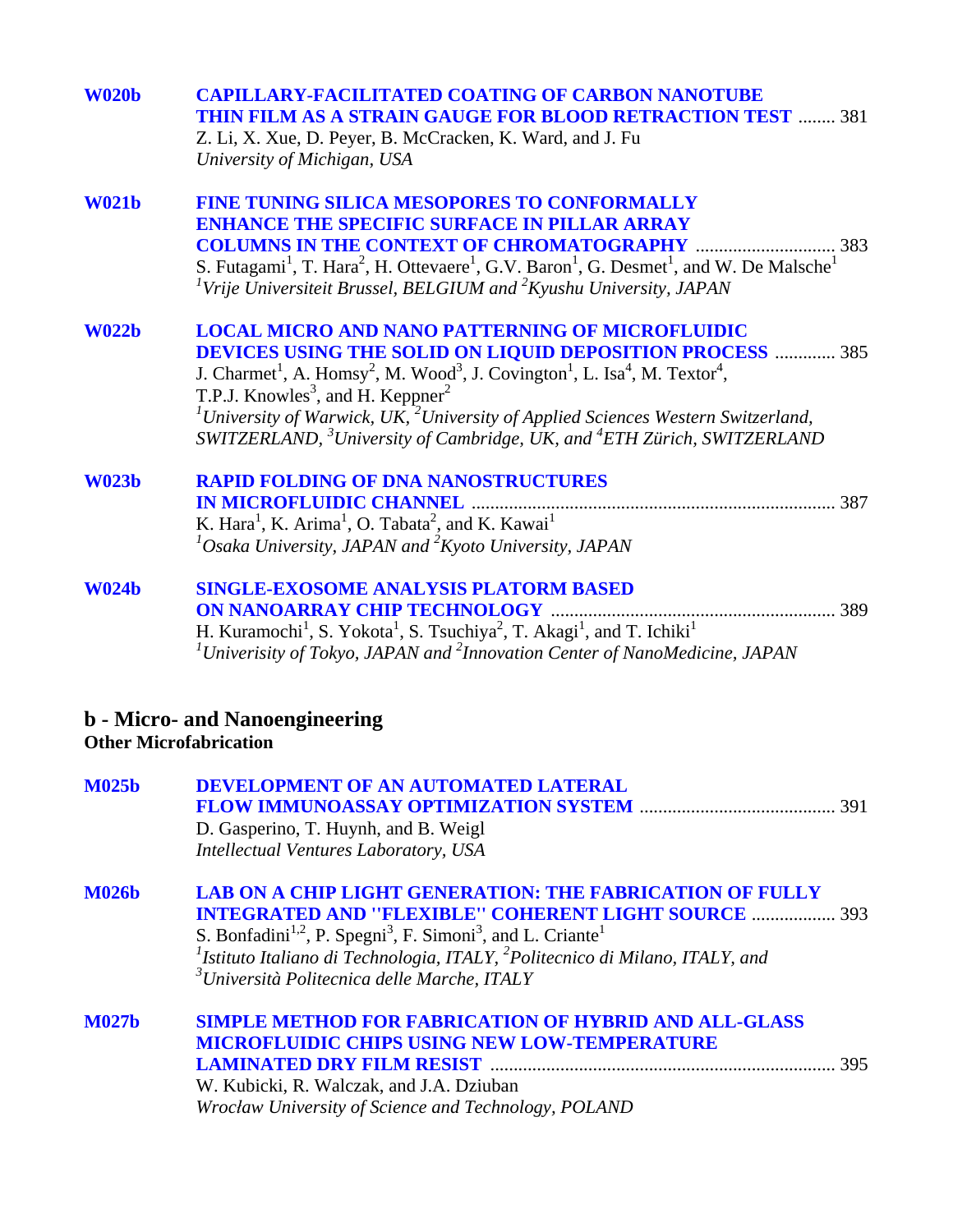| <b>W020b</b> | <b>CAPILLARY-FACILITATED COATING OF CARBON NANOTUBE</b><br><b>THIN FILM AS A STRAIN GAUGE FOR BLOOD RETRACTION TEST  381</b><br>Z. Li, X. Xue, D. Peyer, B. McCracken, K. Ward, and J. Fu<br>University of Michigan, USA                                                                                                                                                                                                                                                                                                                                |
|--------------|---------------------------------------------------------------------------------------------------------------------------------------------------------------------------------------------------------------------------------------------------------------------------------------------------------------------------------------------------------------------------------------------------------------------------------------------------------------------------------------------------------------------------------------------------------|
| <b>W021b</b> | <b>FINE TUNING SILICA MESOPORES TO CONFORMALLY</b><br><b>ENHANCE THE SPECIFIC SURFACE IN PILLAR ARRAY</b><br>S. Futagami <sup>1</sup> , T. Hara <sup>2</sup> , H. Ottevaere <sup>1</sup> , G.V. Baron <sup>1</sup> , G. Desmet <sup>1</sup> , and W. De Malsche <sup>1</sup><br><sup>1</sup> Vrije Universiteit Brussel, BELGIUM and ${}^{2}K$ yushu University, JAPAN                                                                                                                                                                                  |
| <b>W022b</b> | <b>LOCAL MICRO AND NANO PATTERNING OF MICROFLUIDIC</b><br><b>DEVICES USING THE SOLID ON LIQUID DEPOSITION PROCESS  385</b><br>J. Charmet <sup>1</sup> , A. Homsy <sup>2</sup> , M. Wood <sup>3</sup> , J. Covington <sup>1</sup> , L. Isa <sup>4</sup> , M. Textor <sup>4</sup> ,<br>T.P.J. Knowles <sup>3</sup> , and H. Keppner <sup>2</sup><br><sup>1</sup> University of Warwick, UK, $^{2}$ University of Applied Sciences Western Switzerland,<br>SWITZERLAND, <sup>3</sup> University of Cambridge, UK, and <sup>4</sup> ETH Zürich, SWITZERLAND |
| <b>W023b</b> | <b>RAPID FOLDING OF DNA NANOSTRUCTURES</b><br>K. Hara <sup>1</sup> , K. Arima <sup>1</sup> , O. Tabata <sup>2</sup> , and K. Kawai <sup>1</sup><br>${}^{1}$ Osaka University, JAPAN and ${}^{2}$ Kyoto University, JAPAN                                                                                                                                                                                                                                                                                                                                |
| <b>W024b</b> | <b>SINGLE-EXOSOME ANALYSIS PLATORM BASED</b><br><b>ON NANOARRAY CHIP TECHNOLOGY </b><br>H. Kuramochi <sup>1</sup> , S. Yokota <sup>1</sup> , S. Tsuchiya <sup>2</sup> , T. Akagi <sup>1</sup> , and T. Ichiki <sup>1</sup><br><sup>1</sup> Univerisity of Tokyo, JAPAN and <sup>2</sup> Innovation Center of NanoMedicine, JAPAN                                                                                                                                                                                                                        |
|              | <b>b</b> - Micro- and Nanoengineering<br><b>Other Microfabrication</b>                                                                                                                                                                                                                                                                                                                                                                                                                                                                                  |
| <b>M025b</b> | <b>DEVELOPMENT OF AN AUTOMATED LATERAL</b><br>D. Gasperino, T. Huynh, and B. Weigl<br>Intellectual Ventures Laboratory, USA                                                                                                                                                                                                                                                                                                                                                                                                                             |
| <b>M026b</b> | <b>LAB ON A CHIP LIGHT GENERATION: THE FABRICATION OF FULLY</b><br><b>INTEGRATED AND "FLEXIBLE" COHERENT LIGHT SOURCE  393</b><br>S. Bonfadini <sup>1,2</sup> , P. Spegni <sup>3</sup> , F. Simoni <sup>3</sup> , and L. Criante <sup>1</sup><br><sup>1</sup> Istituto Italiano di Technologia, ITALY, <sup>2</sup> Politecnico di Milano, ITALY, and<br><sup>3</sup> Università Politecnica delle Marche, ITALY                                                                                                                                        |
| <b>M027b</b> | <b>SIMPLE METHOD FOR FABRICATION OF HYBRID AND ALL-GLASS</b><br>MICROFLUIDIC CHIPS USING NEW LOW-TEMPERATURE<br>W. Kubicki, R. Walczak, and J.A. Dziuban                                                                                                                                                                                                                                                                                                                                                                                                |

*Wrocław University of Science and Technology, POLAND*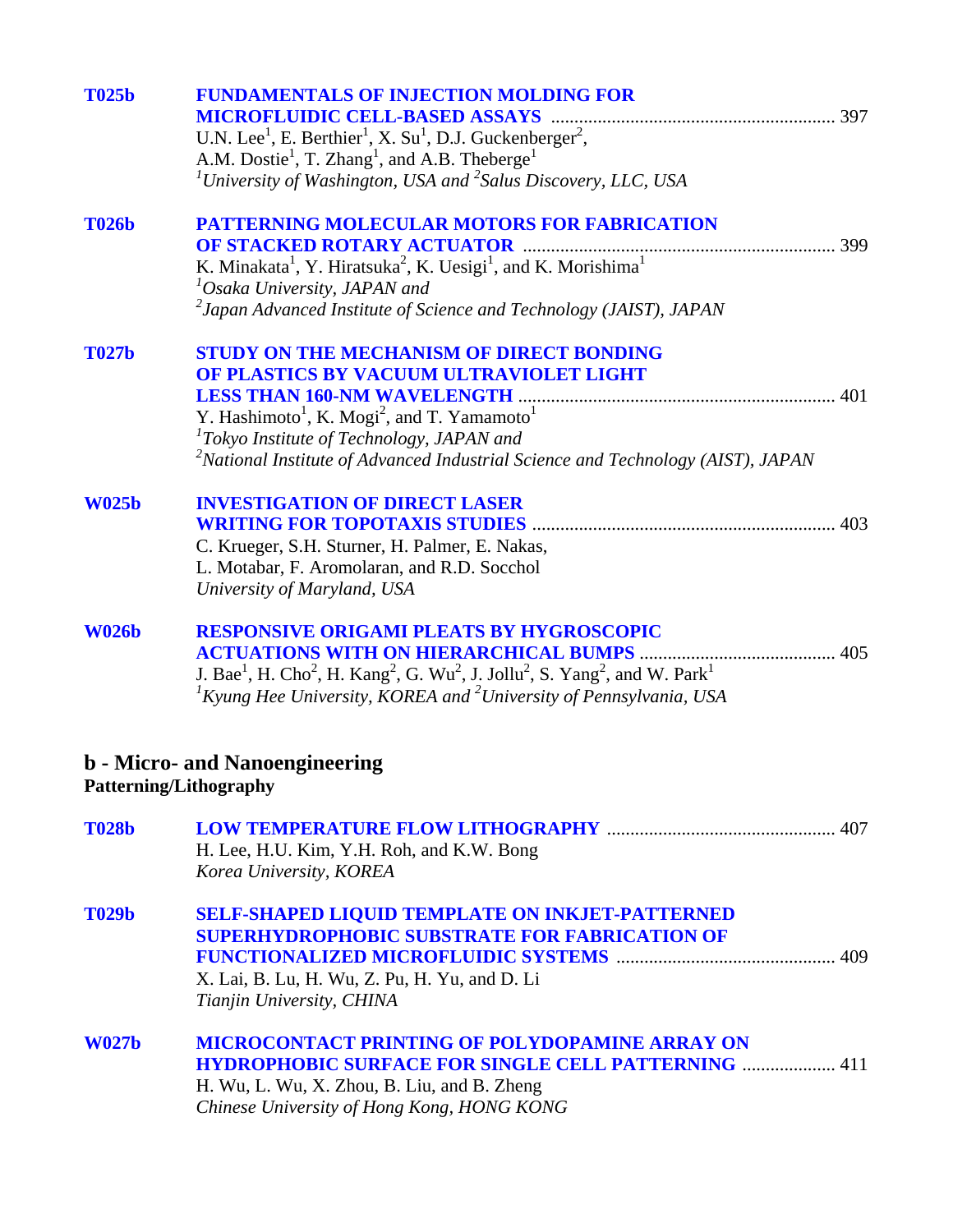| <b>T025b</b> | <b>FUNDAMENTALS OF INJECTION MOLDING FOR</b><br>U.N. Lee <sup>1</sup> , E. Berthier <sup>1</sup> , X. Su <sup>1</sup> , D.J. Guckenberger <sup>2</sup> ,<br>A.M. Dostie <sup>1</sup> , T. Zhang <sup>1</sup> , and A.B. Theberge <sup>1</sup><br><sup>1</sup> University of Washington, USA and <sup>2</sup> Salus Discovery, LLC, USA |     |
|--------------|----------------------------------------------------------------------------------------------------------------------------------------------------------------------------------------------------------------------------------------------------------------------------------------------------------------------------------------|-----|
| <b>T026b</b> | <b>PATTERNING MOLECULAR MOTORS FOR FABRICATION</b><br>K. Minakata <sup>1</sup> , Y. Hiratsuka <sup>2</sup> , K. Uesigi <sup>1</sup> , and K. Morishima <sup>1</sup><br>${}^{1}$ Osaka University, JAPAN and<br>$^{2}$ Japan Advanced Institute of Science and Technology (JAIST), JAPAN                                                |     |
| <b>T027b</b> | <b>STUDY ON THE MECHANISM OF DIRECT BONDING</b><br>OF PLASTICS BY VACUUM ULTRAVIOLET LIGHT<br>Y. Hashimoto <sup>1</sup> , K. Mogi <sup>2</sup> , and T. Yamamoto <sup>1</sup><br>${}^{1}$ Tokyo Institute of Technology, JAPAN and<br><sup>2</sup> National Institute of Advanced Industrial Science and Technology (AIST), JAPAN      |     |
| <b>W025b</b> | <b>INVESTIGATION OF DIRECT LASER</b><br>C. Krueger, S.H. Sturner, H. Palmer, E. Nakas,<br>L. Motabar, F. Aromolaran, and R.D. Socchol<br>University of Maryland, USA                                                                                                                                                                   | 403 |
| <b>W026b</b> | <b>RESPONSIVE ORIGAMI PLEATS BY HYGROSCOPIC</b><br>J. Bae <sup>1</sup> , H. Cho <sup>2</sup> , H. Kang <sup>2</sup> , G. Wu <sup>2</sup> , J. Jollu <sup>2</sup> , S. Yang <sup>2</sup> , and W. Park <sup>1</sup><br>${}^{1}$ Kyung Hee University, KOREA and ${}^{2}$ University of Pennsylvania, USA                                |     |
|              | <b>b</b> - Micro- and Nanoengineering<br>Patterning/Lithography                                                                                                                                                                                                                                                                        |     |
| <b>T028b</b> | H. Lee, H.U. Kim, Y.H. Roh, and K.W. Bong<br>Korea University, KOREA                                                                                                                                                                                                                                                                   |     |
| <b>T029b</b> | SELF-SHAPED LIQUID TEMPLATE ON INKJET-PATTERNED<br><b>SUPERHYDROPHOBIC SUBSTRATE FOR FABRICATION OF</b><br>X. Lai, B. Lu, H. Wu, Z. Pu, H. Yu, and D. Li<br>Tianjin University, CHINA                                                                                                                                                  |     |
| <b>W027b</b> | <b>MICROCONTACT PRINTING OF POLYDOPAMINE ARRAY ON</b><br><b>HYDROPHOBIC SURFACE FOR SINGLE CELL PATTERNING  411</b><br>H. Wu, L. Wu, X. Zhou, B. Liu, and B. Zheng<br>Chinese University of Hong Kong, HONG KONG                                                                                                                       |     |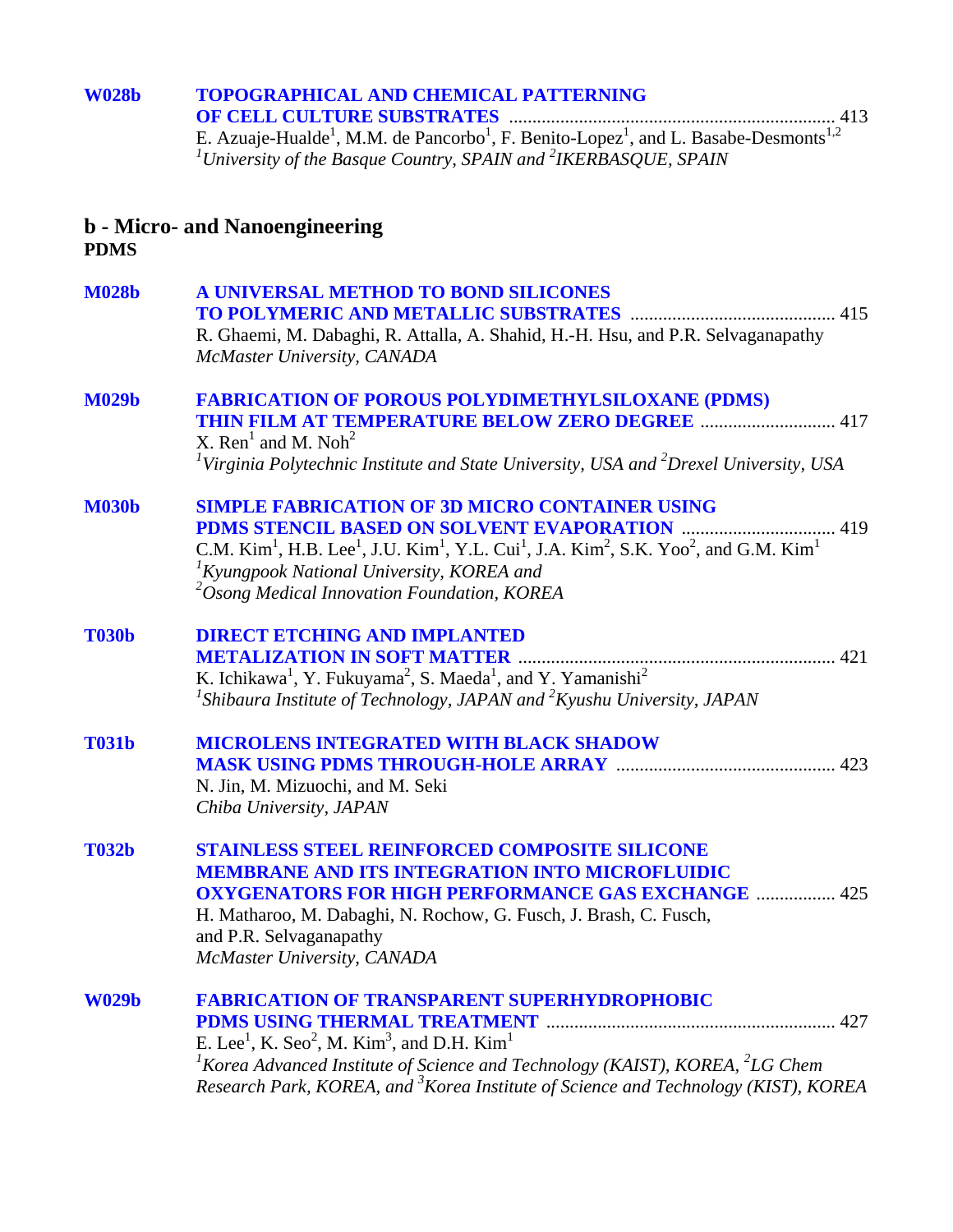# **[W028b TOPOGRAPHICAL AND CHEMICAL PATTERNING](#page-0-0)  OF CELL CULTURE SUBSTRATES** ...................................................................... 413 E. Azuaje-Hualde<sup>1</sup>, M.M. de Pancorbo<sup>1</sup>, F. Benito-Lopez<sup>1</sup>, and L. Basabe-Desmonts<sup>1,2</sup><br><sup>*1*</sup>University of the Basque Country, SPAIN and <sup>2</sup>IKERBASQUE, SPAIN

### **b - Micro- and Nanoengineering PDMS**

| <b>M028b</b> | A UNIVERSAL METHOD TO BOND SILICONES                                                                                                                                                                                           |  |
|--------------|--------------------------------------------------------------------------------------------------------------------------------------------------------------------------------------------------------------------------------|--|
|              | R. Ghaemi, M. Dabaghi, R. Attalla, A. Shahid, H.-H. Hsu, and P.R. Selvaganapathy<br>McMaster University, CANADA                                                                                                                |  |
| <b>M029b</b> | <b>FABRICATION OF POROUS POLYDIMETHYLSILOXANE (PDMS)</b>                                                                                                                                                                       |  |
|              | THIN FILM AT TEMPERATURE BELOW ZERO DEGREE  417                                                                                                                                                                                |  |
|              | X. Ren <sup>1</sup> and M. Noh <sup>2</sup><br><sup>1</sup> Virginia Polytechnic Institute and State University, USA and $^{2}$ Drexel University, USA                                                                         |  |
| <b>M030b</b> | <b>SIMPLE FABRICATION OF 3D MICRO CONTAINER USING</b>                                                                                                                                                                          |  |
|              |                                                                                                                                                                                                                                |  |
|              | C.M. Kim <sup>1</sup> , H.B. Lee <sup>1</sup> , J.U. Kim <sup>1</sup> , Y.L. Cui <sup>1</sup> , J.A. Kim <sup>2</sup> , S.K. Yoo <sup>2</sup> , and G.M. Kim <sup>1</sup><br>${}^{1}$ Kyungpook National University, KOREA and |  |
|              | $\alpha$ <sup>2</sup> Osong Medical Innovation Foundation, KOREA                                                                                                                                                               |  |
| <b>T030b</b> | <b>DIRECT ETCHING AND IMPLANTED</b>                                                                                                                                                                                            |  |
|              |                                                                                                                                                                                                                                |  |
|              | K. Ichikawa <sup>1</sup> , Y. Fukuyama <sup>2</sup> , S. Maeda <sup>1</sup> , and Y. Yamanishi <sup>2</sup><br><sup>1</sup> Shibaura Institute of Technology, JAPAN and <sup>2</sup> Kyushu University, JAPAN                  |  |
| <b>T031b</b> | <b>MICROLENS INTEGRATED WITH BLACK SHADOW</b>                                                                                                                                                                                  |  |
|              | <b>MASK USING PDMS THROUGH-HOLE ARRAY manufacture and the CO23</b>                                                                                                                                                             |  |
|              | N. Jin, M. Mizuochi, and M. Seki<br>Chiba University, JAPAN                                                                                                                                                                    |  |
|              |                                                                                                                                                                                                                                |  |
| <b>T032b</b> | <b>STAINLESS STEEL REINFORCED COMPOSITE SILICONE</b>                                                                                                                                                                           |  |
|              | <b>MEMBRANE AND ITS INTEGRATION INTO MICROFLUIDIC</b>                                                                                                                                                                          |  |
|              | <b>OXYGENATORS FOR HIGH PERFORMANCE GAS EXCHANGE  425</b><br>H. Matharoo, M. Dabaghi, N. Rochow, G. Fusch, J. Brash, C. Fusch,                                                                                                 |  |
|              | and P.R. Selvaganapathy                                                                                                                                                                                                        |  |
|              | McMaster University, CANADA                                                                                                                                                                                                    |  |
| <b>W029b</b> | <b>FABRICATION OF TRANSPARENT SUPERHYDROPHOBIC</b>                                                                                                                                                                             |  |
|              | E. Lee <sup>1</sup> , K. Seo <sup>2</sup> , M. Kim <sup>3</sup> , and D.H. Kim <sup>1</sup>                                                                                                                                    |  |
|              | <sup>1</sup> Korea Advanced Institute of Science and Technology (KAIST), KOREA, ${}^{2}LG$ Chem                                                                                                                                |  |
|              | Research Park, KOREA, and <sup>3</sup> Korea Institute of Science and Technology (KIST), KOREA                                                                                                                                 |  |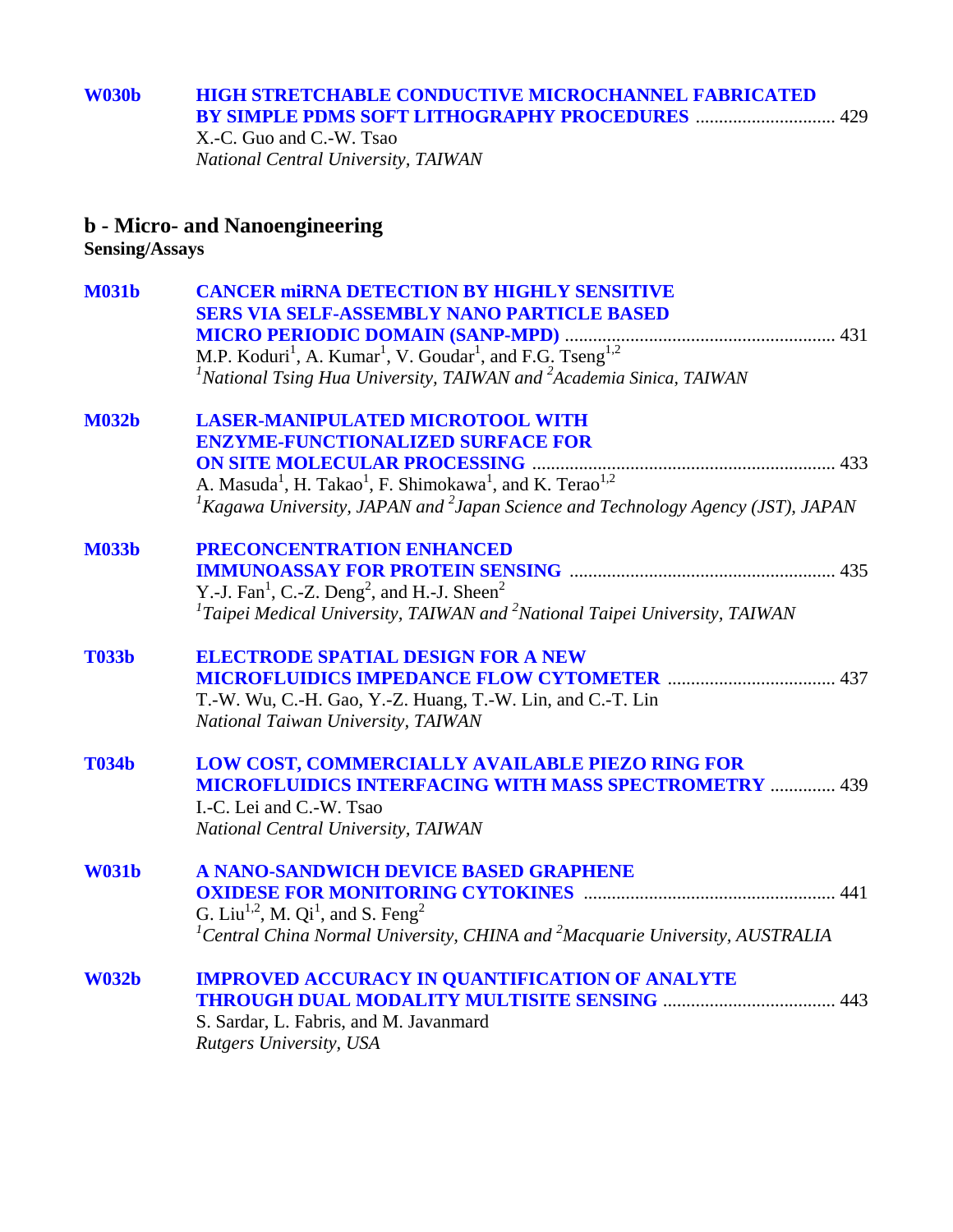### **[W030b HIGH STRETCHABLE CONDUCTIVE MICROCHANNEL FABRICATED](#page-0-0)  BY SIMPLE PDMS SOFT LITHOGRAPHY PROCEDURES** .............................. 429

X.-C. Guo and C.-W. Tsao *National Central University, TAIWAN* 

### **b - Micro- and Nanoengineering**

**Sensing/Assays**

| <b>M031b</b> | <b>CANCER MIRNA DETECTION BY HIGHLY SENSITIVE</b>                                                        |
|--------------|----------------------------------------------------------------------------------------------------------|
|              | <b>SERS VIA SELF-ASSEMBLY NANO PARTICLE BASED</b>                                                        |
|              |                                                                                                          |
|              |                                                                                                          |
|              | <sup>1</sup> National Tsing Hua University, TAIWAN and $^{2}$ Academia Sinica, TAIWAN                    |
| <b>M032b</b> | <b>LASER-MANIPULATED MICROTOOL WITH</b>                                                                  |
|              | <b>ENZYME-FUNCTIONALIZED SURFACE FOR</b>                                                                 |
|              |                                                                                                          |
|              | A. Masuda <sup>1</sup> , H. Takao <sup>1</sup> , F. Shimokawa <sup>1</sup> , and K. Terao <sup>1,2</sup> |
|              | <sup>1</sup> Kagawa University, JAPAN and <sup>2</sup> Japan Science and Technology Agency (JST), JAPAN  |
| <b>M033b</b> | PRECONCENTRATION ENHANCED                                                                                |
|              |                                                                                                          |
|              | Y.-J. Fan <sup>1</sup> , C.-Z. Deng <sup>2</sup> , and H.-J. Sheen <sup>2</sup>                          |
|              | ${}^{1}$ Taipei Medical University, TAIWAN and ${}^{2}$ National Taipei University, TAIWAN               |
| <b>T033b</b> | <b>ELECTRODE SPATIAL DESIGN FOR A NEW</b>                                                                |
|              |                                                                                                          |
|              | T.-W. Wu, C.-H. Gao, Y.-Z. Huang, T.-W. Lin, and C.-T. Lin                                               |
|              | National Taiwan University, TAIWAN                                                                       |
| <b>T034b</b> | LOW COST, COMMERCIALLY AVAILABLE PIEZO RING FOR                                                          |
|              | <b>MICROFLUIDICS INTERFACING WITH MASS SPECTROMETRY  439</b>                                             |
|              | I.-C. Lei and C.-W. Tsao                                                                                 |
|              | National Central University, TAIWAN                                                                      |
| <b>W031b</b> | A NANO-SANDWICH DEVICE BASED GRAPHENE                                                                    |
|              |                                                                                                          |
|              | G. Liu <sup>1,2</sup> , M. Qi <sup>1</sup> , and S. Feng <sup>2</sup>                                    |
|              | <sup>1</sup> Central China Normal University, CHINA and <sup>2</sup> Macquarie University, AUSTRALIA     |
| <b>W032b</b> | <b>IMPROVED ACCURACY IN QUANTIFICATION OF ANALYTE</b>                                                    |
|              |                                                                                                          |
|              | S. Sardar, L. Fabris, and M. Javanmard                                                                   |
|              | Rutgers University, USA                                                                                  |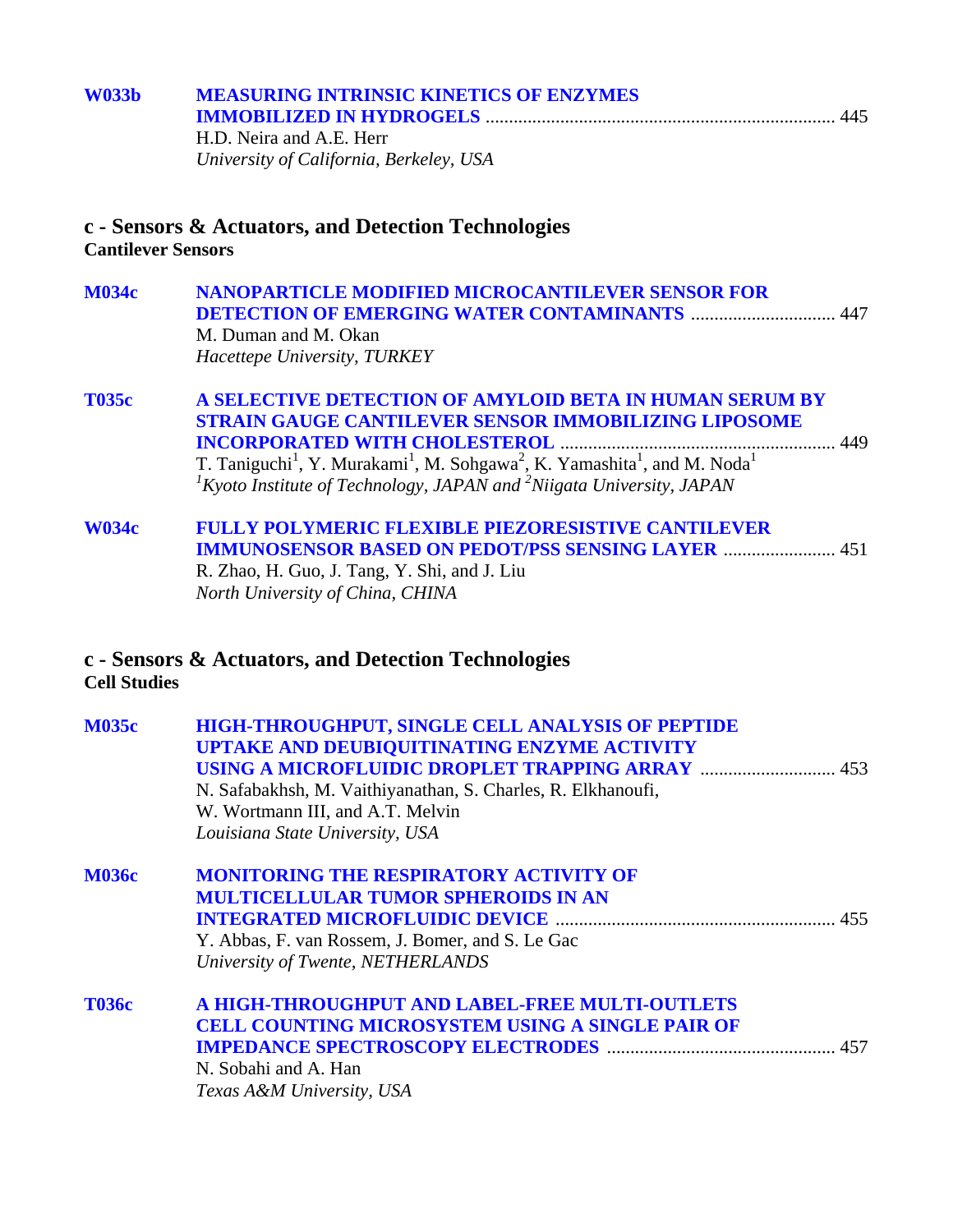| <b>W033b</b>              | <b>MEASURING INTRINSIC KINETICS OF ENZYMES</b>                                                                                                                                                                                         |  |
|---------------------------|----------------------------------------------------------------------------------------------------------------------------------------------------------------------------------------------------------------------------------------|--|
|                           | H.D. Neira and A.E. Herr                                                                                                                                                                                                               |  |
|                           | University of California, Berkeley, USA                                                                                                                                                                                                |  |
| <b>Cantilever Sensors</b> | c - Sensors & Actuators, and Detection Technologies                                                                                                                                                                                    |  |
| <b>M034c</b>              | <b>NANOPARTICLE MODIFIED MICROCANTILEVER SENSOR FOR</b><br><b>DETECTION OF EMERGING WATER CONTAMINANTS  447</b><br>M. Duman and M. Okan<br>Hacettepe University, TURKEY                                                                |  |
| <b>T035c</b>              | A SELECTIVE DETECTION OF AMYLOID BETA IN HUMAN SERUM BY<br><b>STRAIN GAUGE CANTILEVER SENSOR IMMOBILIZING LIPOSOME</b>                                                                                                                 |  |
|                           | T. Taniguchi <sup>1</sup> , Y. Murakami <sup>1</sup> , M. Sohgawa <sup>2</sup> , K. Yamashita <sup>1</sup> , and M. Noda <sup>1</sup><br>${}^{1}$ Kyoto Institute of Technology, JAPAN and <sup>2</sup> Niigata University, JAPAN      |  |
| <b>W034c</b>              | <b>FULLY POLYMERIC FLEXIBLE PIEZORESISTIVE CANTILEVER</b><br><b>IMMUNOSENSOR BASED ON PEDOT/PSS SENSING LAYER  451</b><br>R. Zhao, H. Guo, J. Tang, Y. Shi, and J. Liu<br>North University of China, CHINA                             |  |
| <b>Cell Studies</b>       | c - Sensors & Actuators, and Detection Technologies                                                                                                                                                                                    |  |
| <b>M035c</b>              | HIGH-THROUGHPUT, SINGLE CELL ANALYSIS OF PEPTIDE<br>UPTAKE AND DEUBIQUITINATING ENZYME ACTIVITY<br>N. Safabakhsh, M. Vaithiyanathan, S. Charles, R. Elkhanoufi,<br>W. Wortmann III, and A.T. Melvin<br>Louisiana State University, USA |  |
| <b>M036c</b>              | <b>MONITORING THE RESPIRATORY ACTIVITY OF</b><br><b>MULTICELLULAR TUMOR SPHEROIDS IN AN</b><br>Y. Abbas, F. van Rossem, J. Bomer, and S. Le Gac<br>University of Twente, NETHERLANDS                                                   |  |
| <b>T036c</b>              | A HIGH-THROUGHPUT AND LABEL-FREE MULTI-OUTLETS<br><b>CELL COUNTING MICROSYSTEM USING A SINGLE PAIR OF</b><br>N. Sobahi and A. Han<br>Texas A&M University, USA                                                                         |  |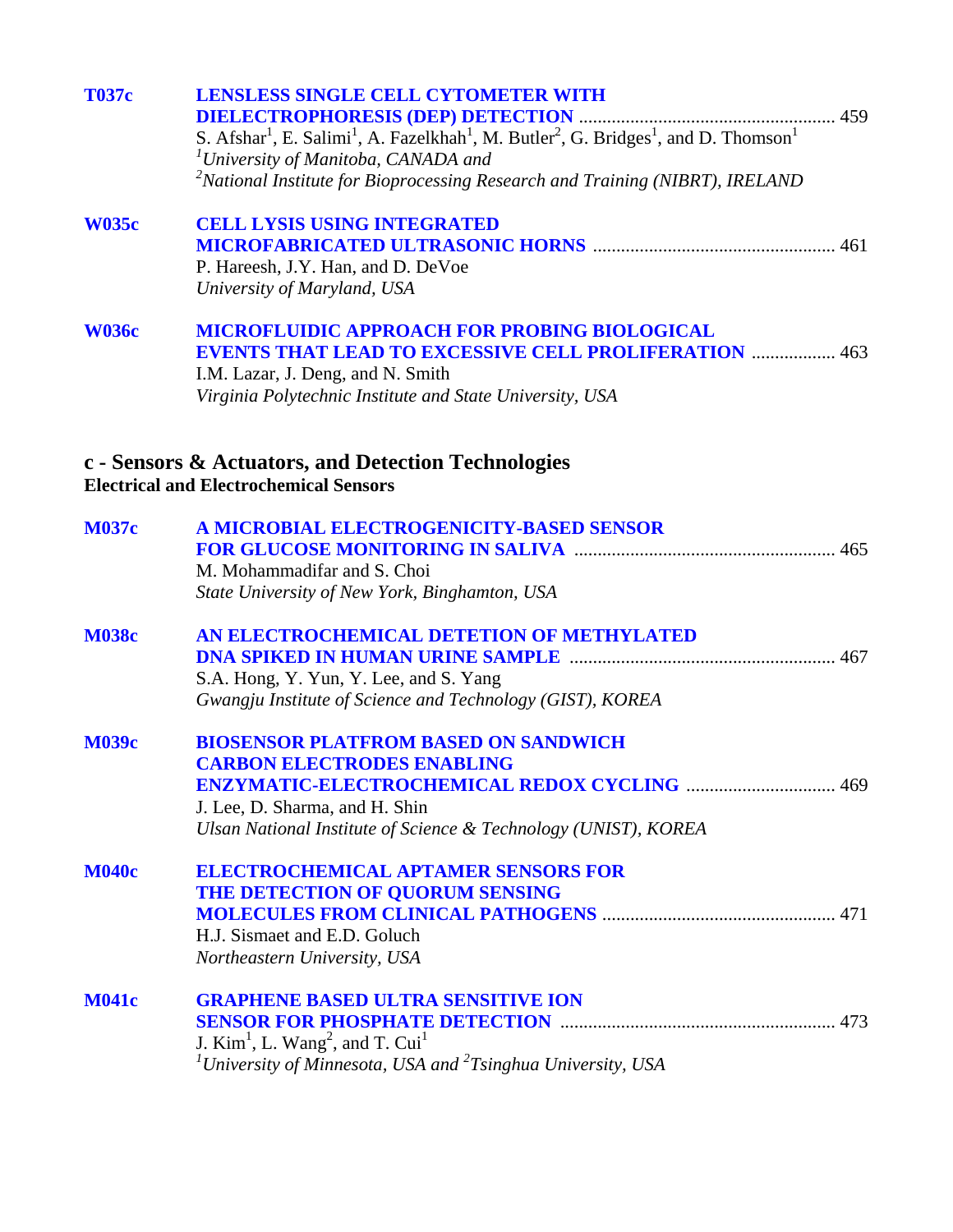| <b>T037c</b> | <b>LENSLESS SINGLE CELL CYTOMETER WITH</b><br>S. Afshar <sup>1</sup> , E. Salimi <sup>1</sup> , A. Fazelkhah <sup>1</sup> , M. Butler <sup>2</sup> , G. Bridges <sup>1</sup> , and D. Thomson <sup>1</sup><br>$1$ University of Manitoba, CANADA and<br>$^{2}$ National Institute for Bioprocessing Research and Training (NIBRT), IRELAND |
|--------------|--------------------------------------------------------------------------------------------------------------------------------------------------------------------------------------------------------------------------------------------------------------------------------------------------------------------------------------------|
| <b>W035c</b> | <b>CELL LYSIS USING INTEGRATED</b><br>P. Hareesh, J.Y. Han, and D. DeVoe<br>University of Maryland, USA                                                                                                                                                                                                                                    |
| <b>W036c</b> | <b>MICROFLUIDIC APPROACH FOR PROBING BIOLOGICAL</b><br><b>EVENTS THAT LEAD TO EXCESSIVE CELL PROLIFERATION  463</b><br>I.M. Lazar, J. Deng, and N. Smith<br>Virginia Polytechnic Institute and State University, USA                                                                                                                       |
|              | c - Sensors & Actuators, and Detection Technologies<br><b>Electrical and Electrochemical Sensors</b>                                                                                                                                                                                                                                       |
| <b>M037c</b> | A MICROBIAL ELECTROGENICITY-BASED SENSOR<br>M. Mohammadifar and S. Choi<br>State University of New York, Binghamton, USA                                                                                                                                                                                                                   |
| <b>M038c</b> | AN ELECTROCHEMICAL DETETION OF METHYLATED<br>S.A. Hong, Y. Yun, Y. Lee, and S. Yang<br>Gwangju Institute of Science and Technology (GIST), KOREA                                                                                                                                                                                           |
| <b>M039c</b> | <b>BIOSENSOR PLATFROM BASED ON SANDWICH</b><br><b>CARBON ELECTRODES ENABLING</b><br>469<br>J. Lee, D. Sharma, and H. Shin<br>Ulsan National Institute of Science & Technology (UNIST), KOREA                                                                                                                                               |
| <b>M040c</b> | <b>ELECTROCHEMICAL APTAMER SENSORS FOR</b><br>THE DETECTION OF QUORUM SENSING<br>H.J. Sismaet and E.D. Goluch<br>Northeastern University, USA                                                                                                                                                                                              |
| <b>M041c</b> | <b>GRAPHENE BASED ULTRA SENSITIVE ION</b><br>J. $Kim1$ , L. Wang <sup>2</sup> , and T. Cui <sup>1</sup><br><sup>1</sup> University of Minnesota, USA and ${}^{2}T$ singhua University, USA                                                                                                                                                 |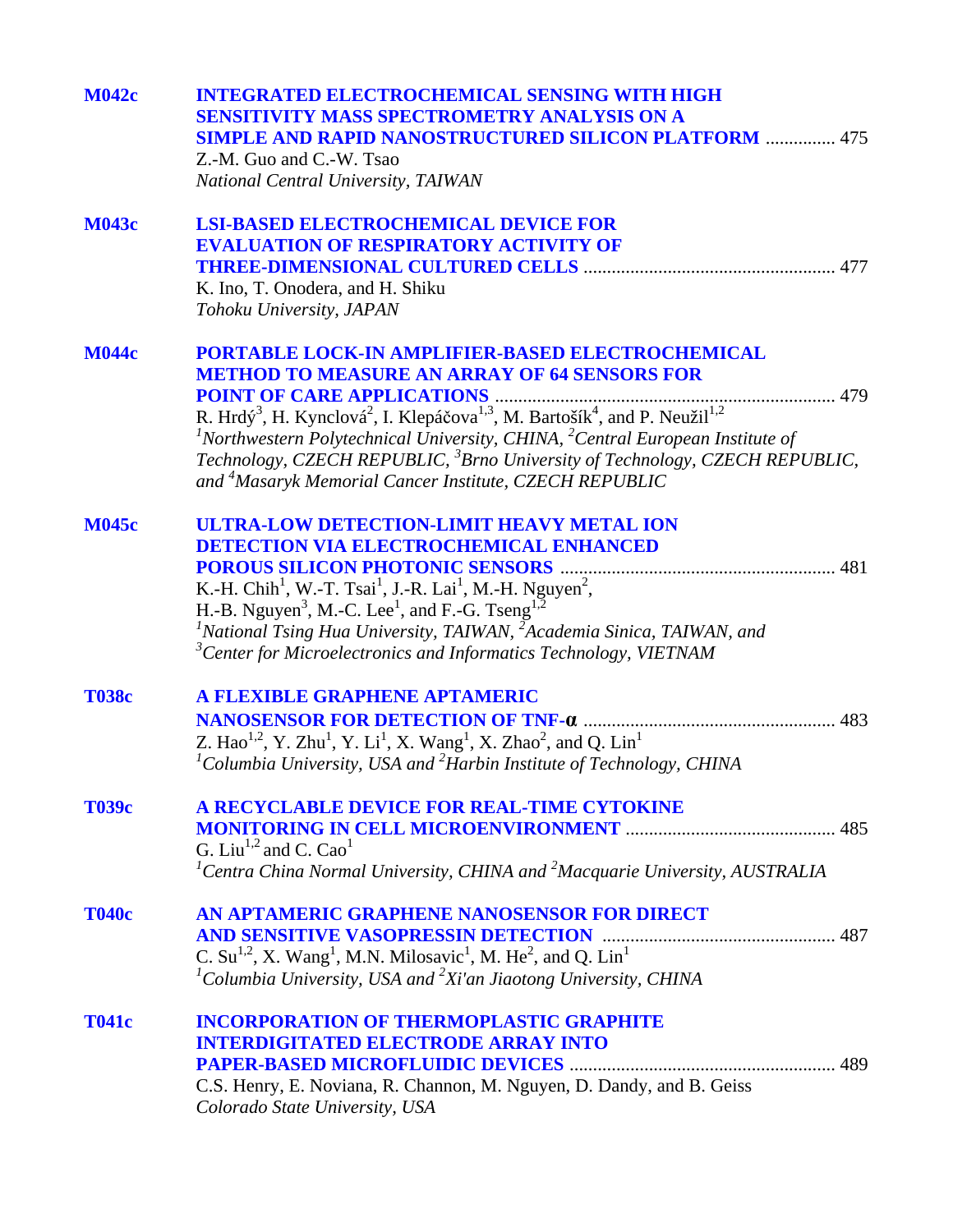| <b>M042c</b> | <b>INTEGRATED ELECTROCHEMICAL SENSING WITH HIGH</b><br><b>SENSITIVITY MASS SPECTROMETRY ANALYSIS ON A</b><br><b>SIMPLE AND RAPID NANOSTRUCTURED SILICON PLATFORM  475</b><br>Z.-M. Guo and C.-W. Tsao |
|--------------|-------------------------------------------------------------------------------------------------------------------------------------------------------------------------------------------------------|
|              | National Central University, TAIWAN                                                                                                                                                                   |
| <b>M043c</b> | <b>LSI-BASED ELECTROCHEMICAL DEVICE FOR</b><br><b>EVALUATION OF RESPIRATORY ACTIVITY OF</b>                                                                                                           |
|              | 477                                                                                                                                                                                                   |
|              | K. Ino, T. Onodera, and H. Shiku<br>Tohoku University, JAPAN                                                                                                                                          |
| <b>M044c</b> | <b>PORTABLE LOCK-IN AMPLIFIER-BASED ELECTROCHEMICAL</b>                                                                                                                                               |
|              | <b>METHOD TO MEASURE AN ARRAY OF 64 SENSORS FOR</b>                                                                                                                                                   |
|              |                                                                                                                                                                                                       |
|              | $1$ Northwestern Polytechnical University, CHINA, $2$ Central European Institute of                                                                                                                   |
|              | Technology, CZECH REPUBLIC, <sup>3</sup> Brno University of Technology, CZECH REPUBLIC,                                                                                                               |
|              | and <sup>4</sup> Masaryk Memorial Cancer Institute, CZECH REPUBLIC                                                                                                                                    |
| <b>M045c</b> | ULTRA-LOW DETECTION-LIMIT HEAVY METAL ION                                                                                                                                                             |
|              | <b>DETECTION VIA ELECTROCHEMICAL ENHANCED</b>                                                                                                                                                         |
|              | 481<br>K.-H. Chih <sup>1</sup> , W.-T. Tsai <sup>1</sup> , J.-R. Lai <sup>1</sup> , M.-H. Nguyen <sup>2</sup> ,                                                                                       |
|              | H.-B. Nguyen <sup>3</sup> , M.-C. Lee <sup>1</sup> , and F.-G. Tseng <sup>1,2</sup>                                                                                                                   |
|              | $1$ National Tsing Hua University, TAIWAN, $2$ Academia Sinica, TAIWAN, and                                                                                                                           |
|              | ${}^{3}$ Center for Microelectronics and Informatics Technology, VIETNAM                                                                                                                              |
| <b>T038c</b> | A FLEXIBLE GRAPHENE APTAMERIC                                                                                                                                                                         |
|              |                                                                                                                                                                                                       |
|              | Z. Hao <sup>1,2</sup> , Y. Zhu <sup>1</sup> , Y. Li <sup>1</sup> , X. Wang <sup>1</sup> , X. Zhao <sup>2</sup> , and Q. Lin <sup>1</sup>                                                              |
|              | <sup>1</sup> Columbia University, USA and ${}^{2}$ Harbin Institute of Technology, CHINA                                                                                                              |
| <b>T039c</b> | A RECYCLABLE DEVICE FOR REAL-TIME CYTOKINE                                                                                                                                                            |
|              |                                                                                                                                                                                                       |
|              | G. Liu <sup>1,2</sup> and C. Cao <sup>1</sup><br>${}^{1}$ Centra China Normal University, CHINA and ${}^{2}$ Macquarie University, AUSTRALIA                                                          |
|              |                                                                                                                                                                                                       |
| <b>T040c</b> | AN APTAMERIC GRAPHENE NANOSENSOR FOR DIRECT                                                                                                                                                           |
|              | <b>AND SENSITIVE VASOPRESSIN DETECTION</b>                                                                                                                                                            |
|              | C. Su <sup>1,2</sup> , X. Wang <sup>1</sup> , M.N. Milosavic <sup>1</sup> , M. He <sup>2</sup> , and Q. Lin <sup>1</sup>                                                                              |
|              | <sup>1</sup> Columbia University, USA and ${}^{2}Xi'$ an Jiaotong University, CHINA                                                                                                                   |
| <b>T041c</b> | <b>INCORPORATION OF THERMOPLASTIC GRAPHITE</b>                                                                                                                                                        |
|              | <b>INTERDIGITATED ELECTRODE ARRAY INTO</b>                                                                                                                                                            |
|              |                                                                                                                                                                                                       |
|              | C.S. Henry, E. Noviana, R. Channon, M. Nguyen, D. Dandy, and B. Geiss                                                                                                                                 |
|              | Colorado State University, USA                                                                                                                                                                        |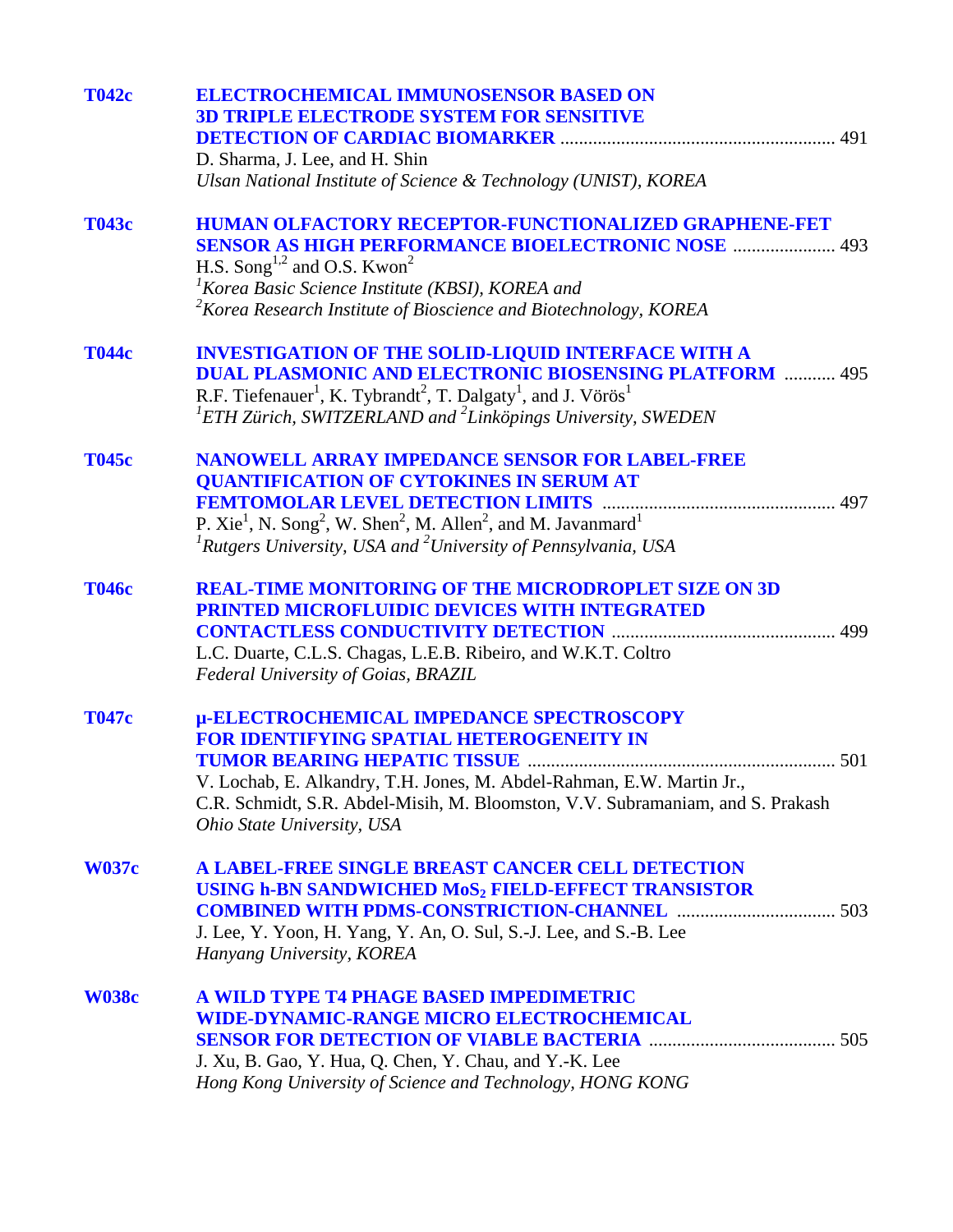| <b>T042c</b> | <b>ELECTROCHEMICAL IMMUNOSENSOR BASED ON</b>                                                                              |
|--------------|---------------------------------------------------------------------------------------------------------------------------|
|              | <b>3D TRIPLE ELECTRODE SYSTEM FOR SENSITIVE</b>                                                                           |
|              |                                                                                                                           |
|              | D. Sharma, J. Lee, and H. Shin                                                                                            |
|              | Ulsan National Institute of Science & Technology (UNIST), KOREA                                                           |
| Т043с        | <b>HUMAN OLFACTORY RECEPTOR-FUNCTIONALIZED GRAPHENE-FET</b>                                                               |
|              | <b>SENSOR AS HIGH PERFORMANCE BIOELECTRONIC NOSE  493</b>                                                                 |
|              | H.S. Song <sup>1,2</sup> and O.S. Kwon <sup>2</sup>                                                                       |
|              | <sup>1</sup> Korea Basic Science Institute (KBSI), KOREA and                                                              |
|              | $2$ Korea Research Institute of Bioscience and Biotechnology, KOREA                                                       |
| <b>T044c</b> | <b>INVESTIGATION OF THE SOLID-LIQUID INTERFACE WITH A</b>                                                                 |
|              | <b>DUAL PLASMONIC AND ELECTRONIC BIOSENSING PLATFORM  495</b>                                                             |
|              | R.F. Tiefenauer <sup>1</sup> , K. Tybrandt <sup>2</sup> , T. Dalgaty <sup>1</sup> , and J. Vörös <sup>1</sup>             |
|              | ${}^{1}$ ETH Zürich, SWITZERLAND and ${}^{2}$ Linköpings University, SWEDEN                                               |
| <b>T045c</b> | NANOWELL ARRAY IMPEDANCE SENSOR FOR LABEL-FREE                                                                            |
|              | <b>QUANTIFICATION OF CYTOKINES IN SERUM AT</b>                                                                            |
|              |                                                                                                                           |
|              | P. Xie <sup>1</sup> , N. Song <sup>2</sup> , W. Shen <sup>2</sup> , M. Allen <sup>2</sup> , and M. Javanmard <sup>1</sup> |
|              | ${}^{1}$ Rutgers University, USA and ${}^{2}$ University of Pennsylvania, USA                                             |
| <b>T046c</b> | <b>REAL-TIME MONITORING OF THE MICRODROPLET SIZE ON 3D</b>                                                                |
|              | PRINTED MICROFLUIDIC DEVICES WITH INTEGRATED                                                                              |
|              |                                                                                                                           |
|              | L.C. Duarte, C.L.S. Chagas, L.E.B. Ribeiro, and W.K.T. Coltro                                                             |
|              | Federal University of Goias, BRAZIL                                                                                       |
| <b>T047c</b> | µ-ELECTROCHEMICAL IMPEDANCE SPECTROSCOPY                                                                                  |
|              | <b>FOR IDENTIFYING SPATIAL HETEROGENEITY IN</b>                                                                           |
|              | 501                                                                                                                       |
|              | V. Lochab, E. Alkandry, T.H. Jones, M. Abdel-Rahman, E.W. Martin Jr.,                                                     |
|              | C.R. Schmidt, S.R. Abdel-Misih, M. Bloomston, V.V. Subramaniam, and S. Prakash                                            |
|              | Ohio State University, USA                                                                                                |
| <b>W037c</b> | A LABEL-FREE SINGLE BREAST CANCER CELL DETECTION                                                                          |
|              | USING h-BN SANDWICHED MoS <sub>2</sub> FIELD-EFFECT TRANSISTOR                                                            |
|              |                                                                                                                           |
|              | J. Lee, Y. Yoon, H. Yang, Y. An, O. Sul, S.-J. Lee, and S.-B. Lee                                                         |
|              | Hanyang University, KOREA                                                                                                 |
| <b>W038c</b> | A WILD TYPE T4 PHAGE BASED IMPEDIMETRIC                                                                                   |
|              | <b>WIDE-DYNAMIC-RANGE MICRO ELECTROCHEMICAL</b>                                                                           |
|              |                                                                                                                           |
|              | J. Xu, B. Gao, Y. Hua, Q. Chen, Y. Chau, and Y.-K. Lee                                                                    |
|              | Hong Kong University of Science and Technology, HONG KONG                                                                 |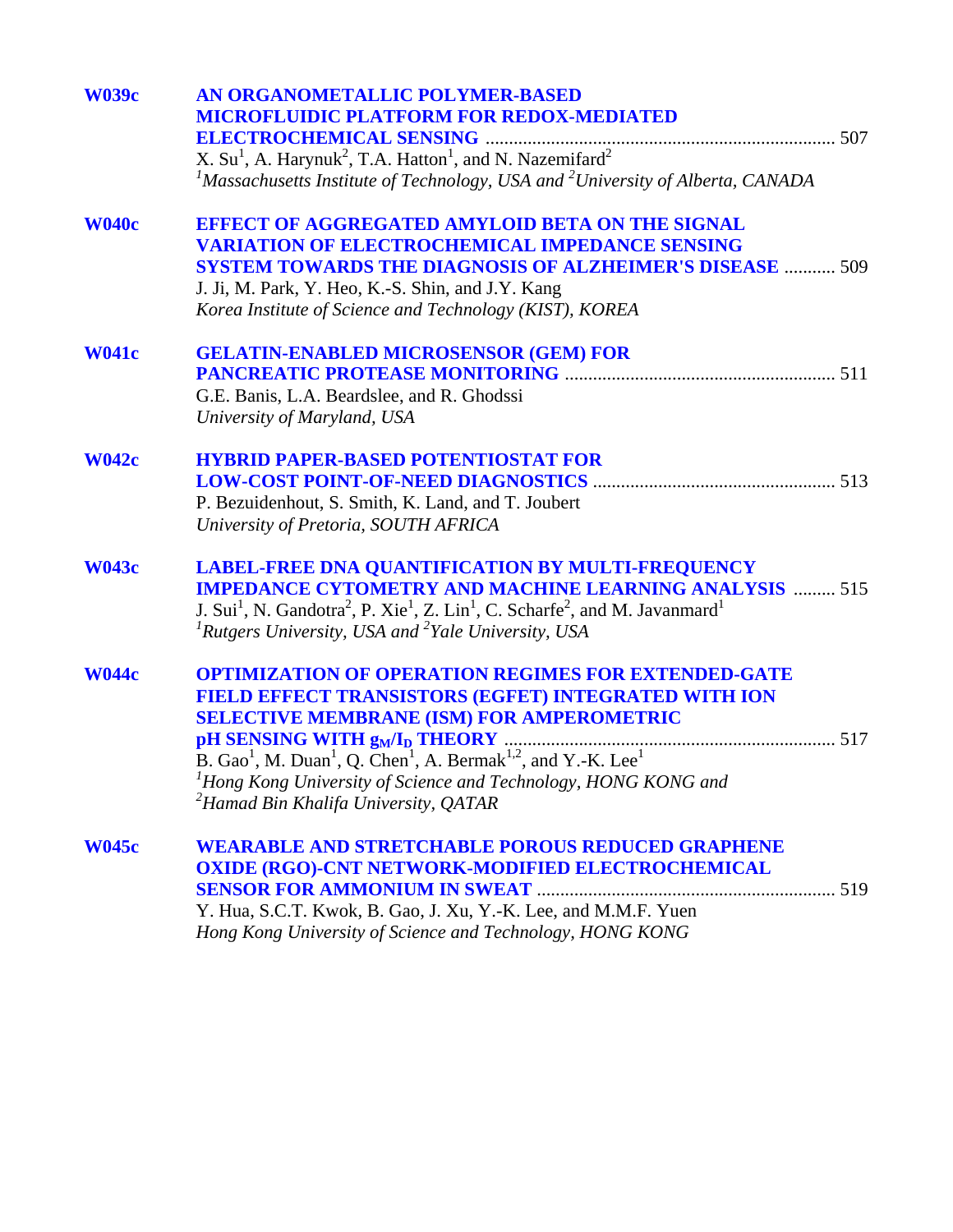| <b>W039c</b> | AN ORGANOMETALLIC POLYMER-BASED                                                                                                                      |
|--------------|------------------------------------------------------------------------------------------------------------------------------------------------------|
|              | <b>MICROFLUIDIC PLATFORM FOR REDOX-MEDIATED</b>                                                                                                      |
|              |                                                                                                                                                      |
|              | X. $Su1$ , A. Harynuk <sup>2</sup> , T.A. Hatton <sup>1</sup> , and N. Nazemifard <sup>2</sup>                                                       |
|              | <sup>1</sup> Massachusetts Institute of Technology, USA and <sup>2</sup> University of Alberta, CANADA                                               |
| <b>W040c</b> | <b>EFFECT OF AGGREGATED AMYLOID BETA ON THE SIGNAL</b>                                                                                               |
|              | <b>VARIATION OF ELECTROCHEMICAL IMPEDANCE SENSING</b>                                                                                                |
|              | <b>SYSTEM TOWARDS THE DIAGNOSIS OF ALZHEIMER'S DISEASE  509</b>                                                                                      |
|              | J. Ji, M. Park, Y. Heo, K.-S. Shin, and J.Y. Kang                                                                                                    |
|              | Korea Institute of Science and Technology (KIST), KOREA                                                                                              |
| <b>W041c</b> | <b>GELATIN-ENABLED MICROSENSOR (GEM) FOR</b>                                                                                                         |
|              |                                                                                                                                                      |
|              | G.E. Banis, L.A. Beardslee, and R. Ghodssi                                                                                                           |
|              | University of Maryland, USA                                                                                                                          |
| <b>W042c</b> | <b>HYBRID PAPER-BASED POTENTIOSTAT FOR</b>                                                                                                           |
|              |                                                                                                                                                      |
|              | P. Bezuidenhout, S. Smith, K. Land, and T. Joubert                                                                                                   |
|              | University of Pretoria, SOUTH AFRICA                                                                                                                 |
| <b>W043c</b> | <b>LABEL-FREE DNA QUANTIFICATION BY MULTI-FREQUENCY</b>                                                                                              |
|              | <b>IMPEDANCE CYTOMETRY AND MACHINE LEARNING ANALYSIS  515</b>                                                                                        |
|              | J. Sui <sup>1</sup> , N. Gandotra <sup>2</sup> , P. Xie <sup>1</sup> , Z. Lin <sup>1</sup> , C. Scharfe <sup>2</sup> , and M. Javanmard <sup>1</sup> |
|              | ${}^{1}$ Rutgers University, USA and ${}^{2}$ Yale University, USA                                                                                   |
| <b>W044c</b> | <b>OPTIMIZATION OF OPERATION REGIMES FOR EXTENDED-GATE</b>                                                                                           |
|              | FIELD EFFECT TRANSISTORS (EGFET) INTEGRATED WITH ION                                                                                                 |
|              | <b>SELECTIVE MEMBRANE (ISM) FOR AMPEROMETRIC</b>                                                                                                     |
|              |                                                                                                                                                      |
|              | B. Gao <sup>1</sup> , M. Duan <sup>1</sup> , Q. Chen <sup>1</sup> , A. Bermak <sup>1,2</sup> , and Y.-K. Lee <sup>1</sup>                            |
|              | <sup>1</sup> Hong Kong University of Science and Technology, HONG KONG and                                                                           |
|              | <sup>2</sup> Hamad Bin Khalifa University, QATAR                                                                                                     |
| <b>W045c</b> | <b>WEARABLE AND STRETCHABLE POROUS REDUCED GRAPHENE</b>                                                                                              |
|              | <b>OXIDE (RGO)-CNT NETWORK-MODIFIED ELECTROCHEMICAL</b>                                                                                              |
|              |                                                                                                                                                      |
|              | Y. Hua, S.C.T. Kwok, B. Gao, J. Xu, Y.-K. Lee, and M.M.F. Yuen                                                                                       |
|              | Hong Kong University of Science and Technology, HONG KONG                                                                                            |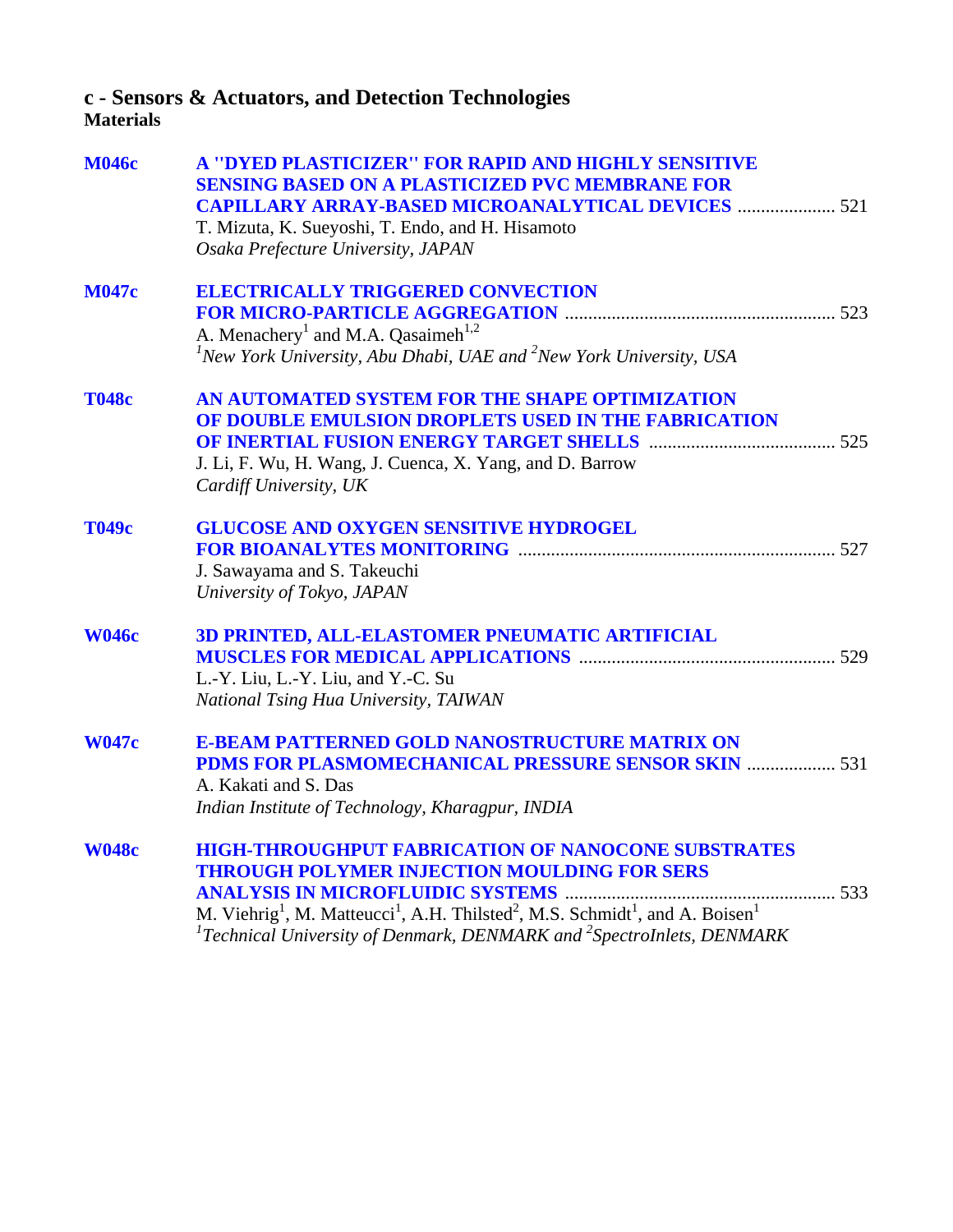# **c - Sensors & Actuators, and Detection Technologies**

## **Materials**

| <b>M046c</b> | A "DYED PLASTICIZER" FOR RAPID AND HIGHLY SENSITIVE<br><b>SENSING BASED ON A PLASTICIZED PVC MEMBRANE FOR</b><br><b>CAPILLARY ARRAY-BASED MICROANALYTICAL DEVICES  521</b><br>T. Mizuta, K. Sueyoshi, T. Endo, and H. Hisamoto<br>Osaka Prefecture University, JAPAN                                                                                                                                    |
|--------------|---------------------------------------------------------------------------------------------------------------------------------------------------------------------------------------------------------------------------------------------------------------------------------------------------------------------------------------------------------------------------------------------------------|
| <b>M047c</b> | <b>ELECTRICALLY TRIGGERED CONVECTION</b><br>A. Menachery <sup>1</sup> and M.A. Qasaimeh <sup>1,2</sup><br>${}^{1}$ New York University, Abu Dhabi, UAE and ${}^{2}$ New York University, USA                                                                                                                                                                                                            |
| <b>T048c</b> | AN AUTOMATED SYSTEM FOR THE SHAPE OPTIMIZATION<br>OF DOUBLE EMULSION DROPLETS USED IN THE FABRICATION<br>J. Li, F. Wu, H. Wang, J. Cuenca, X. Yang, and D. Barrow<br>Cardiff University, UK                                                                                                                                                                                                             |
| Т049с        | <b>GLUCOSE AND OXYGEN SENSITIVE HYDROGEL</b><br>J. Sawayama and S. Takeuchi<br>University of Tokyo, JAPAN                                                                                                                                                                                                                                                                                               |
| <b>W046c</b> | 3D PRINTED, ALL-ELASTOMER PNEUMATIC ARTIFICIAL<br>L.-Y. Liu, L.-Y. Liu, and Y.-C. Su<br>National Tsing Hua University, TAIWAN                                                                                                                                                                                                                                                                           |
| <b>W047c</b> | <b>E-BEAM PATTERNED GOLD NANOSTRUCTURE MATRIX ON</b><br>PDMS FOR PLASMOMECHANICAL PRESSURE SENSOR SKIN  531<br>A. Kakati and S. Das<br>Indian Institute of Technology, Kharagpur, INDIA                                                                                                                                                                                                                 |
| <b>W048c</b> | <b>HIGH-THROUGHPUT FABRICATION OF NANOCONE SUBSTRATES</b><br><b>THROUGH POLYMER INJECTION MOULDING FOR SERS</b><br><b>ANALYSIS IN MICROFLUIDIC SYSTEMS</b><br>533<br>M. Viehrig <sup>1</sup> , M. Matteucci <sup>1</sup> , A.H. Thilsted <sup>2</sup> , M.S. Schmidt <sup>1</sup> , and A. Boisen <sup>1</sup><br>${}^{1}$ Technical University of Denmark, DENMARK and ${}^{2}$ SpectroInlets, DENMARK |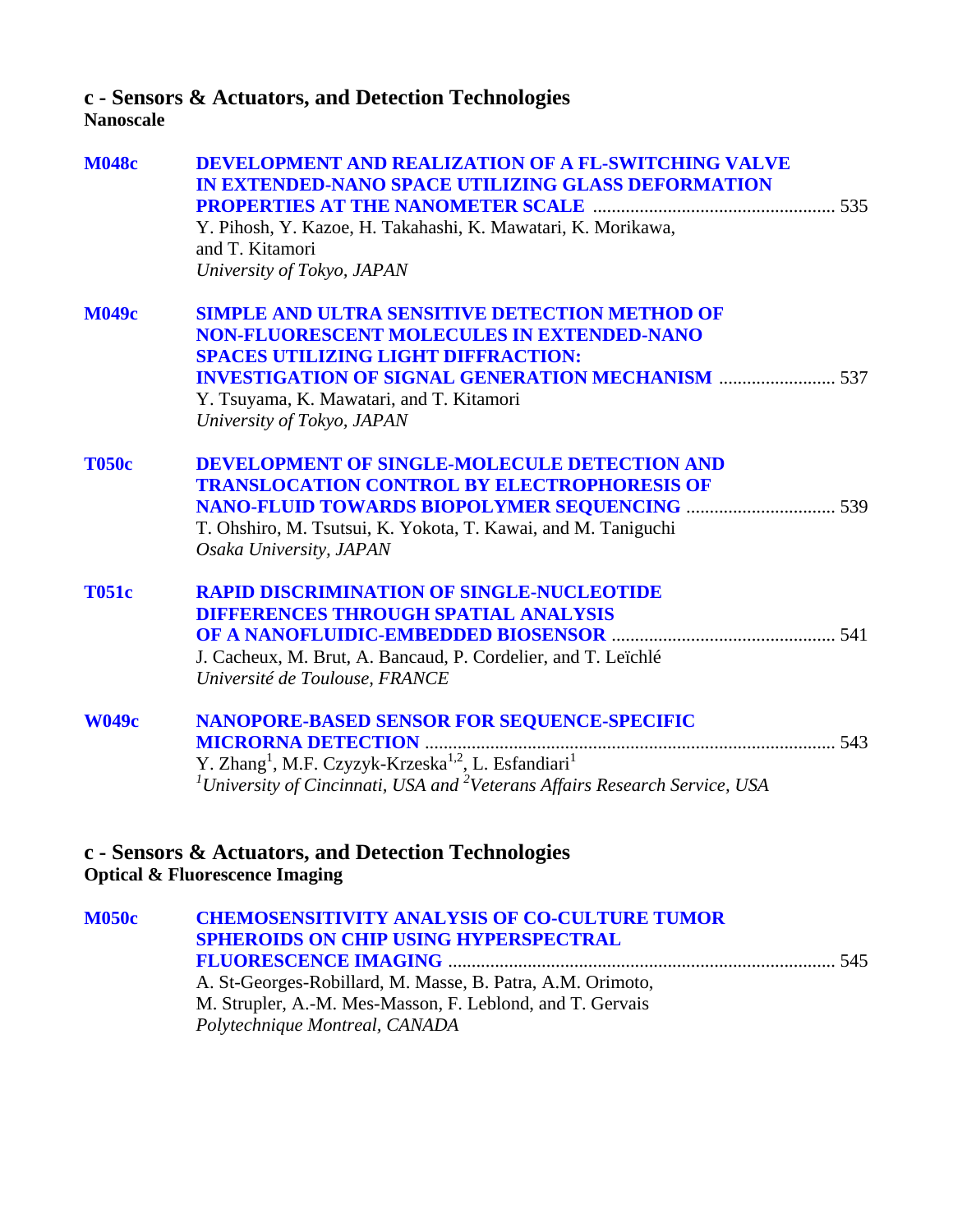## **c - Sensors & Actuators, and Detection Technologies**

**Nanoscale**

| <b>M048c</b> | <b>DEVELOPMENT AND REALIZATION OF A FL-SWITCHING VALVE</b><br>IN EXTENDED-NANO SPACE UTILIZING GLASS DEFORMATION |
|--------------|------------------------------------------------------------------------------------------------------------------|
|              |                                                                                                                  |
|              | Y. Pihosh, Y. Kazoe, H. Takahashi, K. Mawatari, K. Morikawa,<br>and T. Kitamori                                  |
|              | University of Tokyo, JAPAN                                                                                       |
| <b>M049c</b> | <b>SIMPLE AND ULTRA SENSITIVE DETECTION METHOD OF</b>                                                            |
|              | <b>NON-FLUORESCENT MOLECULES IN EXTENDED-NANO</b>                                                                |
|              | <b>SPACES UTILIZING LIGHT DIFFRACTION:</b>                                                                       |
|              |                                                                                                                  |
|              | Y. Tsuyama, K. Mawatari, and T. Kitamori<br>University of Tokyo, JAPAN                                           |
|              |                                                                                                                  |
| <b>T050c</b> | DEVELOPMENT OF SINGLE-MOLECULE DETECTION AND                                                                     |
|              | <b>TRANSLOCATION CONTROL BY ELECTROPHORESIS OF</b>                                                               |
|              |                                                                                                                  |
|              | T. Ohshiro, M. Tsutsui, K. Yokota, T. Kawai, and M. Taniguchi                                                    |
|              | Osaka University, JAPAN                                                                                          |
| <b>T051c</b> | <b>RAPID DISCRIMINATION OF SINGLE-NUCLEOTIDE</b>                                                                 |
|              | <b>DIFFERENCES THROUGH SPATIAL ANALYSIS</b>                                                                      |
|              |                                                                                                                  |
|              | J. Cacheux, M. Brut, A. Bancaud, P. Cordelier, and T. Leïchlé                                                    |
|              | Université de Toulouse, FRANCE                                                                                   |
| <b>W049c</b> | NANOPORE-BASED SENSOR FOR SEQUENCE-SPECIFIC                                                                      |
|              |                                                                                                                  |
|              | Y. Zhang <sup>1</sup> , M.F. Czyzyk-Krzeska <sup>1,2</sup> , L. Esfandiari <sup>1</sup>                          |
|              | <sup>1</sup> University of Cincinnati, USA and <sup>2</sup> Veterans Affairs Research Service, USA               |
|              |                                                                                                                  |
|              | c - Sensors & Actuators, and Detection Technologies                                                              |
|              | <b>Optical &amp; Fluorescence Imaging</b>                                                                        |
|              |                                                                                                                  |

**[M050c CHEMOSENSITIVITY ANALYSIS OF CO-CULTURE TUMOR](#page-0-0)  SPHEROIDS ON CHIP USING HYPERSPECTRAL FLUORESCENCE IMAGING** ................................................................................... 545 A. St-Georges-Robillard, M. Masse, B. Patra, A.M. Orimoto, M. Strupler, A.-M. Mes-Masson, F. Leblond, and T. Gervais *Polytechnique Montreal, CANADA*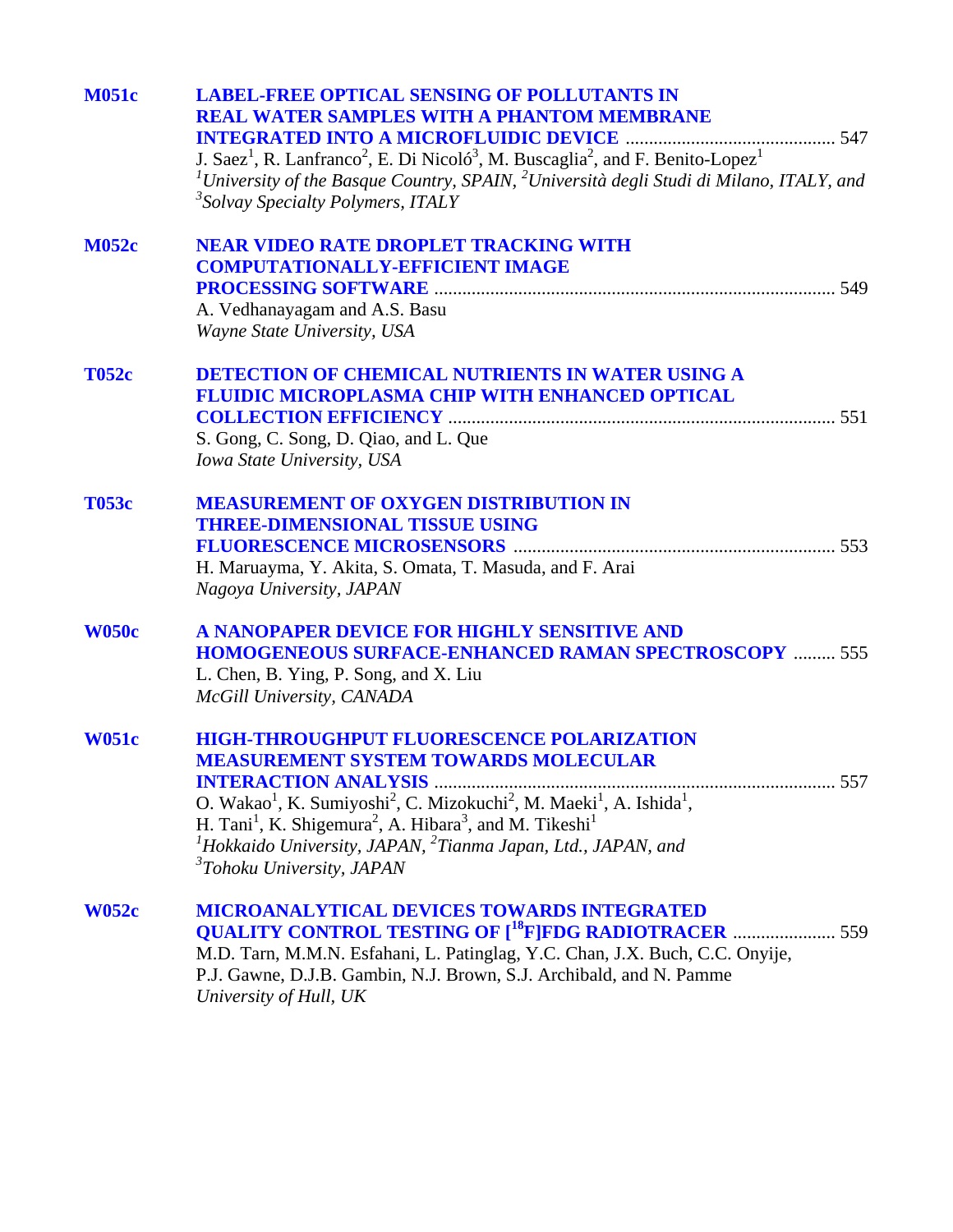| <b>M051c</b> | <b>LABEL-FREE OPTICAL SENSING OF POLLUTANTS IN</b><br><b>REAL WATER SAMPLES WITH A PHANTOM MEMBRANE</b>                                                          |
|--------------|------------------------------------------------------------------------------------------------------------------------------------------------------------------|
|              |                                                                                                                                                                  |
|              | J. Saez <sup>1</sup> , R. Lanfranco <sup>2</sup> , E. Di Nicoló <sup>3</sup> , M. Buscaglia <sup>2</sup> , and F. Benito-Lopez <sup>1</sup>                      |
|              | <sup>1</sup> University of the Basque Country, SPAIN, <sup>2</sup> Università degli Studi di Milano, ITALY, and<br><sup>3</sup> Solvay Specialty Polymers, ITALY |
| <b>M052c</b> | <b>NEAR VIDEO RATE DROPLET TRACKING WITH</b>                                                                                                                     |
|              | <b>COMPUTATIONALLY-EFFICIENT IMAGE</b>                                                                                                                           |
|              |                                                                                                                                                                  |
|              | A. Vedhanayagam and A.S. Basu                                                                                                                                    |
|              | Wayne State University, USA                                                                                                                                      |
| <b>T052c</b> | <b>DETECTION OF CHEMICAL NUTRIENTS IN WATER USING A</b>                                                                                                          |
|              | FLUIDIC MICROPLASMA CHIP WITH ENHANCED OPTICAL                                                                                                                   |
|              |                                                                                                                                                                  |
|              | S. Gong, C. Song, D. Qiao, and L. Que                                                                                                                            |
|              | Iowa State University, USA                                                                                                                                       |
| <b>T053c</b> | <b>MEASUREMENT OF OXYGEN DISTRIBUTION IN</b>                                                                                                                     |
|              | <b>THREE-DIMENSIONAL TISSUE USING</b>                                                                                                                            |
|              |                                                                                                                                                                  |
|              | H. Maruayma, Y. Akita, S. Omata, T. Masuda, and F. Arai                                                                                                          |
|              | Nagoya University, JAPAN                                                                                                                                         |
| <b>W050c</b> | A NANOPAPER DEVICE FOR HIGHLY SENSITIVE AND                                                                                                                      |
|              | <b>HOMOGENEOUS SURFACE-ENHANCED RAMAN SPECTROSCOPY  555</b>                                                                                                      |
|              | L. Chen, B. Ying, P. Song, and X. Liu                                                                                                                            |
|              | McGill University, CANADA                                                                                                                                        |
| <b>W051c</b> | <b>HIGH-THROUGHPUT FLUORESCENCE POLARIZATION</b>                                                                                                                 |
|              | <b>MEASUREMENT SYSTEM TOWARDS MOLECULAR</b>                                                                                                                      |
|              | 557<br><b>INTERACTION ANALYSIS </b>                                                                                                                              |
|              | O. Wakao <sup>1</sup> , K. Sumiyoshi <sup>2</sup> , C. Mizokuchi <sup>2</sup> , M. Maeki <sup>1</sup> , A. Ishida <sup>1</sup> ,                                 |
|              | H. Tani <sup>1</sup> , K. Shigemura <sup>2</sup> , A. Hibara <sup>3</sup> , and M. Tikeshi <sup>1</sup>                                                          |
|              | <sup>1</sup> Hokkaido University, JAPAN, <sup>2</sup> Tianma Japan, Ltd., JAPAN, and                                                                             |
|              | <sup>3</sup> Tohoku University, JAPAN                                                                                                                            |
| <b>W052c</b> | <b>MICROANALYTICAL DEVICES TOWARDS INTEGRATED</b>                                                                                                                |
|              | <b>QUALITY CONTROL TESTING OF [<sup>18</sup>F]FDG RADIOTRACER  559</b>                                                                                           |
|              | M.D. Tarn, M.M.N. Esfahani, L. Patinglag, Y.C. Chan, J.X. Buch, C.C. Onyije,                                                                                     |
|              | P.J. Gawne, D.J.B. Gambin, N.J. Brown, S.J. Archibald, and N. Pamme                                                                                              |
|              | University of Hull, UK                                                                                                                                           |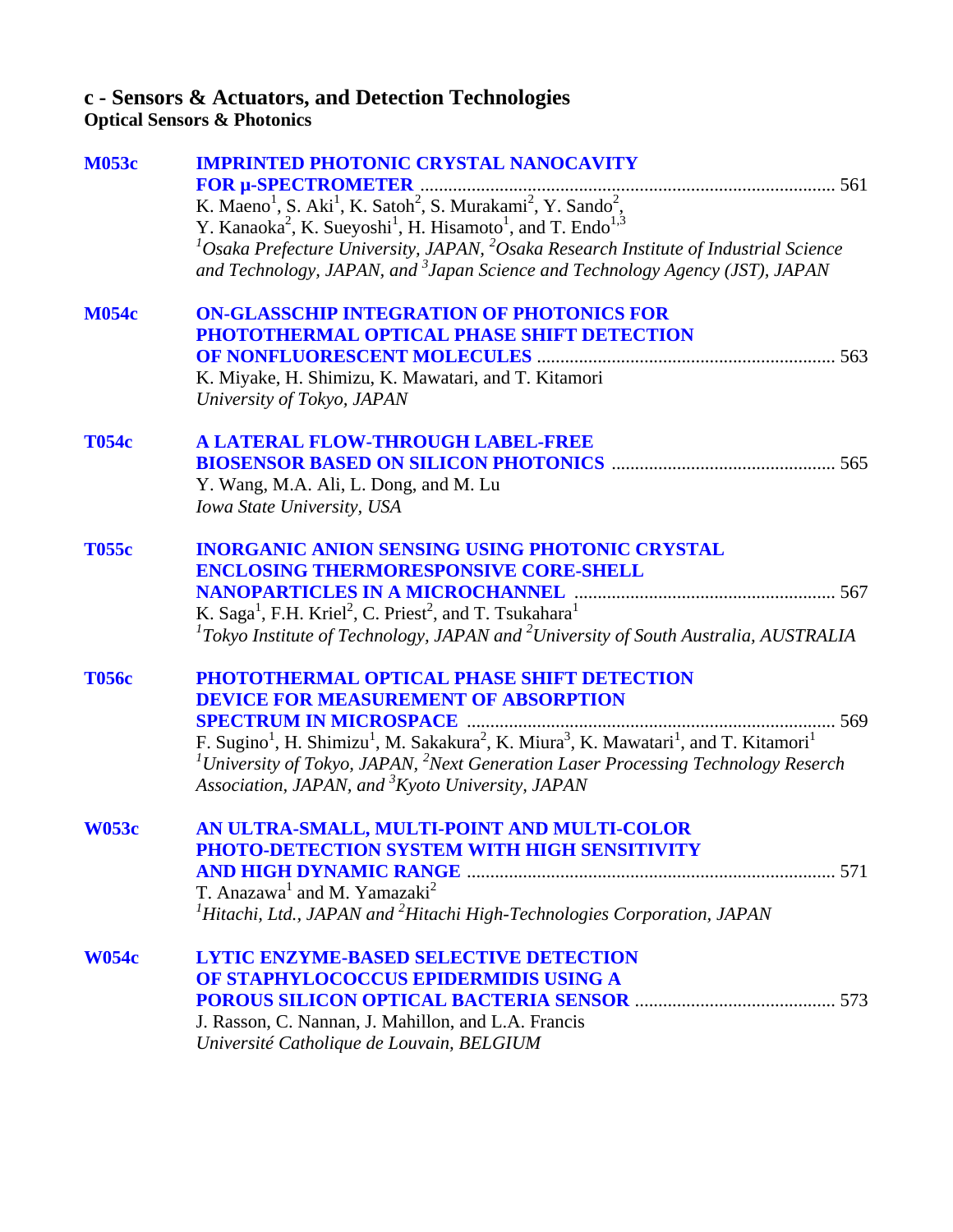## **c - Sensors & Actuators, and Detection Technologies**

**Optical Sensors & Photonics**

| <b>M053c</b> | <b>IMPRINTED PHOTONIC CRYSTAL NANOCAVITY</b>                                                                                                                              |
|--------------|---------------------------------------------------------------------------------------------------------------------------------------------------------------------------|
|              |                                                                                                                                                                           |
|              | K. Maeno <sup>1</sup> , S. Aki <sup>1</sup> , K. Satoh <sup>2</sup> , S. Murakami <sup>2</sup> , Y. Sando <sup>2</sup> ,                                                  |
|              | Y. Kanaoka <sup>2</sup> , K. Sueyoshi <sup>1</sup> , H. Hisamoto <sup>1</sup> , and T. Endo <sup>1,3</sup>                                                                |
|              | ${}^{1}$ Osaka Prefecture University, JAPAN, ${}^{2}$ Osaka Research Institute of Industrial Science                                                                      |
|              | and Technology, JAPAN, and <sup>3</sup> Japan Science and Technology Agency (JST), JAPAN                                                                                  |
| <b>M054c</b> | <b>ON-GLASSCHIP INTEGRATION OF PHOTONICS FOR</b>                                                                                                                          |
|              | PHOTOTHERMAL OPTICAL PHASE SHIFT DETECTION                                                                                                                                |
|              |                                                                                                                                                                           |
|              | K. Miyake, H. Shimizu, K. Mawatari, and T. Kitamori                                                                                                                       |
|              | University of Tokyo, JAPAN                                                                                                                                                |
| <b>T054c</b> | A LATERAL FLOW-THROUGH LABEL-FREE                                                                                                                                         |
|              |                                                                                                                                                                           |
|              | Y. Wang, M.A. Ali, L. Dong, and M. Lu                                                                                                                                     |
|              | Iowa State University, USA                                                                                                                                                |
| <b>T055c</b> | <b>INORGANIC ANION SENSING USING PHOTONIC CRYSTAL</b>                                                                                                                     |
|              | <b>ENCLOSING THERMORESPONSIVE CORE-SHELL</b>                                                                                                                              |
|              |                                                                                                                                                                           |
|              | K. Saga <sup>1</sup> , F.H. Kriel <sup>2</sup> , C. Priest <sup>2</sup> , and T. Tsukahara <sup>1</sup>                                                                   |
|              | ${}^{1}$ Tokyo Institute of Technology, JAPAN and ${}^{2}$ University of South Australia, AUSTRALIA                                                                       |
| <b>T056c</b> | PHOTOTHERMAL OPTICAL PHASE SHIFT DETECTION                                                                                                                                |
|              | <b>DEVICE FOR MEASUREMENT OF ABSORPTION</b>                                                                                                                               |
|              |                                                                                                                                                                           |
|              | F. Sugino <sup>1</sup> , H. Shimizu <sup>1</sup> , M. Sakakura <sup>2</sup> , K. Miura <sup>3</sup> , K. Mawatari <sup>1</sup> , and T. Kitamori <sup>1</sup>             |
|              | <sup>1</sup> University of Tokyo, JAPAN, <sup>2</sup> Next Generation Laser Processing Technology Reserch<br>Association, JAPAN, and <sup>3</sup> Kyoto University, JAPAN |
| <b>W053c</b> | AN ULTRA-SMALL, MULTI-POINT AND MULTI-COLOR                                                                                                                               |
|              | PHOTO-DETECTION SYSTEM WITH HIGH SENSITIVITY                                                                                                                              |
|              |                                                                                                                                                                           |
|              | T. Anazawa <sup>1</sup> and M. Yamazaki <sup>2</sup>                                                                                                                      |
|              | <sup>1</sup> Hitachi, Ltd., JAPAN and $^{2}$ Hitachi High-Technologies Corporation, JAPAN                                                                                 |
| <b>W054c</b> | <b>LYTIC ENZYME-BASED SELECTIVE DETECTION</b>                                                                                                                             |
|              | OF STAPHYLOCOCCUS EPIDERMIDIS USING A                                                                                                                                     |
|              |                                                                                                                                                                           |
|              | J. Rasson, C. Nannan, J. Mahillon, and L.A. Francis                                                                                                                       |
|              | Université Catholique de Louvain, BELGIUM                                                                                                                                 |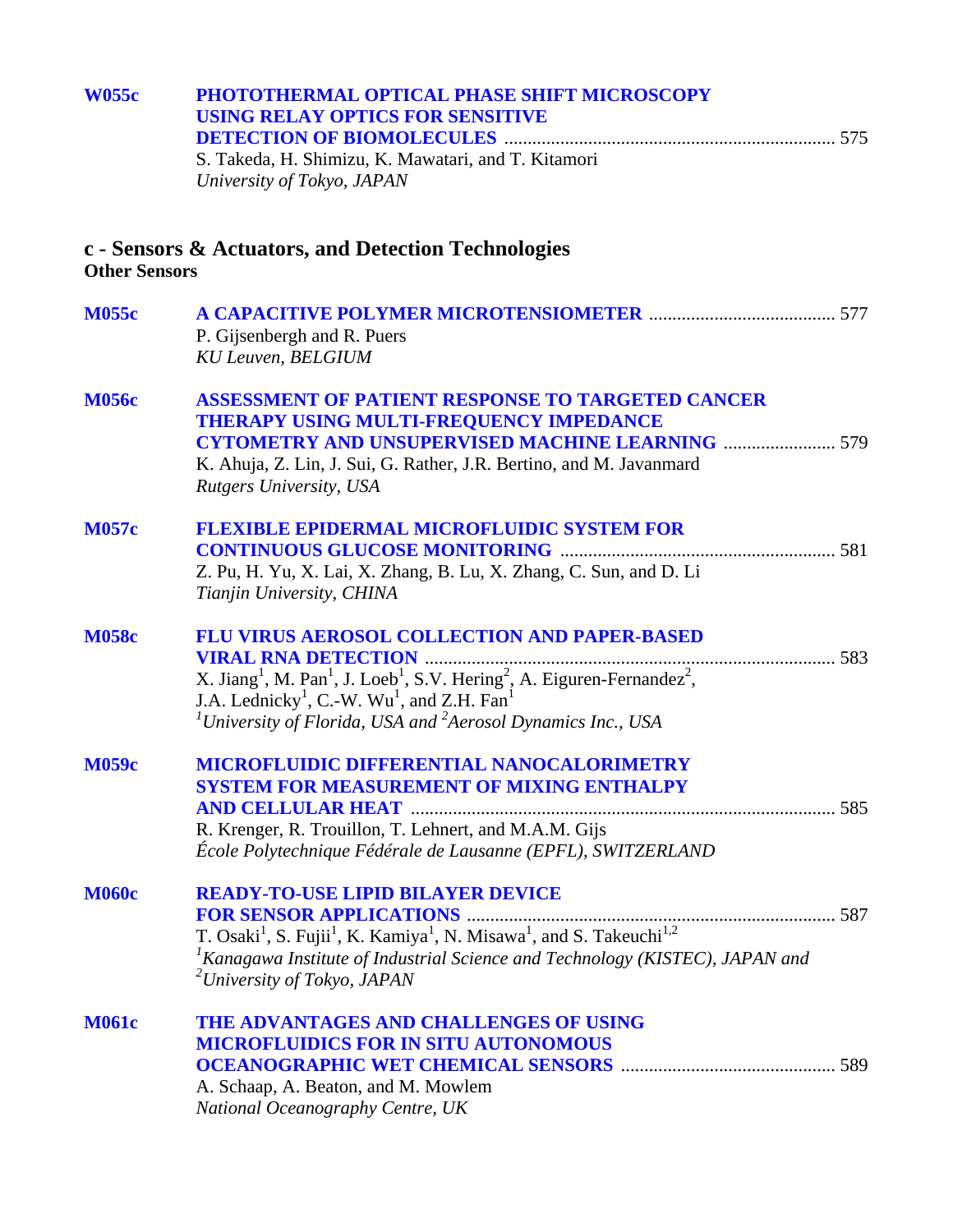| <b>W055c</b>         | PHOTOTHERMAL OPTICAL PHASE SHIFT MICROSCOPY<br><b>USING RELAY OPTICS FOR SENSITIVE</b>                                                                                                                                                                                                                                                                 |  |  |
|----------------------|--------------------------------------------------------------------------------------------------------------------------------------------------------------------------------------------------------------------------------------------------------------------------------------------------------------------------------------------------------|--|--|
|                      |                                                                                                                                                                                                                                                                                                                                                        |  |  |
|                      | S. Takeda, H. Shimizu, K. Mawatari, and T. Kitamori<br>University of Tokyo, JAPAN                                                                                                                                                                                                                                                                      |  |  |
| <b>Other Sensors</b> | c - Sensors & Actuators, and Detection Technologies                                                                                                                                                                                                                                                                                                    |  |  |
| <b>M055c</b>         | P. Gijsenbergh and R. Puers<br><b>KU Leuven, BELGIUM</b>                                                                                                                                                                                                                                                                                               |  |  |
| <b>M056c</b>         | <b>ASSESSMENT OF PATIENT RESPONSE TO TARGETED CANCER</b><br>THERAPY USING MULTI-FREQUENCY IMPEDANCE<br><b>CYTOMETRY AND UNSUPERVISED MACHINE LEARNING  579</b><br>K. Ahuja, Z. Lin, J. Sui, G. Rather, J.R. Bertino, and M. Javanmard<br><b>Rutgers University, USA</b>                                                                                |  |  |
| <b>M057c</b>         | <b>FLEXIBLE EPIDERMAL MICROFLUIDIC SYSTEM FOR</b><br>Z. Pu, H. Yu, X. Lai, X. Zhang, B. Lu, X. Zhang, C. Sun, and D. Li<br>Tianjin University, CHINA                                                                                                                                                                                                   |  |  |
| <b>M058c</b>         | FLU VIRUS AEROSOL COLLECTION AND PAPER-BASED<br>X. Jiang <sup>1</sup> , M. Pan <sup>1</sup> , J. Loeb <sup>1</sup> , S.V. Hering <sup>2</sup> , A. Eiguren-Fernandez <sup>2</sup> ,<br>J.A. Lednicky <sup>1</sup> , C.-W. Wu <sup>1</sup> , and Z.H. Fan <sup>1</sup><br><sup>1</sup> University of Florida, USA and $^{2}$ Aerosol Dynamics Inc., USA |  |  |
| <b>M059c</b>         | MICROFLUIDIC DIFFERENTIAL NANOCALORIMETRY<br><b>SYSTEM FOR MEASUREMENT OF MIXING ENTHALPY</b><br><b>AND CELLULAR HEAT</b><br>R. Krenger, R. Trouillon, T. Lehnert, and M.A.M. Gijs<br>École Polytechnique Fédérale de Lausanne (EPFL), SWITZERLAND                                                                                                     |  |  |
| <b>M060c</b>         | <b>READY-TO-USE LIPID BILAYER DEVICE</b><br>${}^{1}$ Kanagawa Institute of Industrial Science and Technology (KISTEC), JAPAN and<br><sup>2</sup> University of Tokyo, JAPAN                                                                                                                                                                            |  |  |
| <b>M061c</b>         | THE ADVANTAGES AND CHALLENGES OF USING<br><b>MICROFLUIDICS FOR IN SITU AUTONOMOUS</b><br>A. Schaap, A. Beaton, and M. Mowlem<br>National Oceanography Centre, UK                                                                                                                                                                                       |  |  |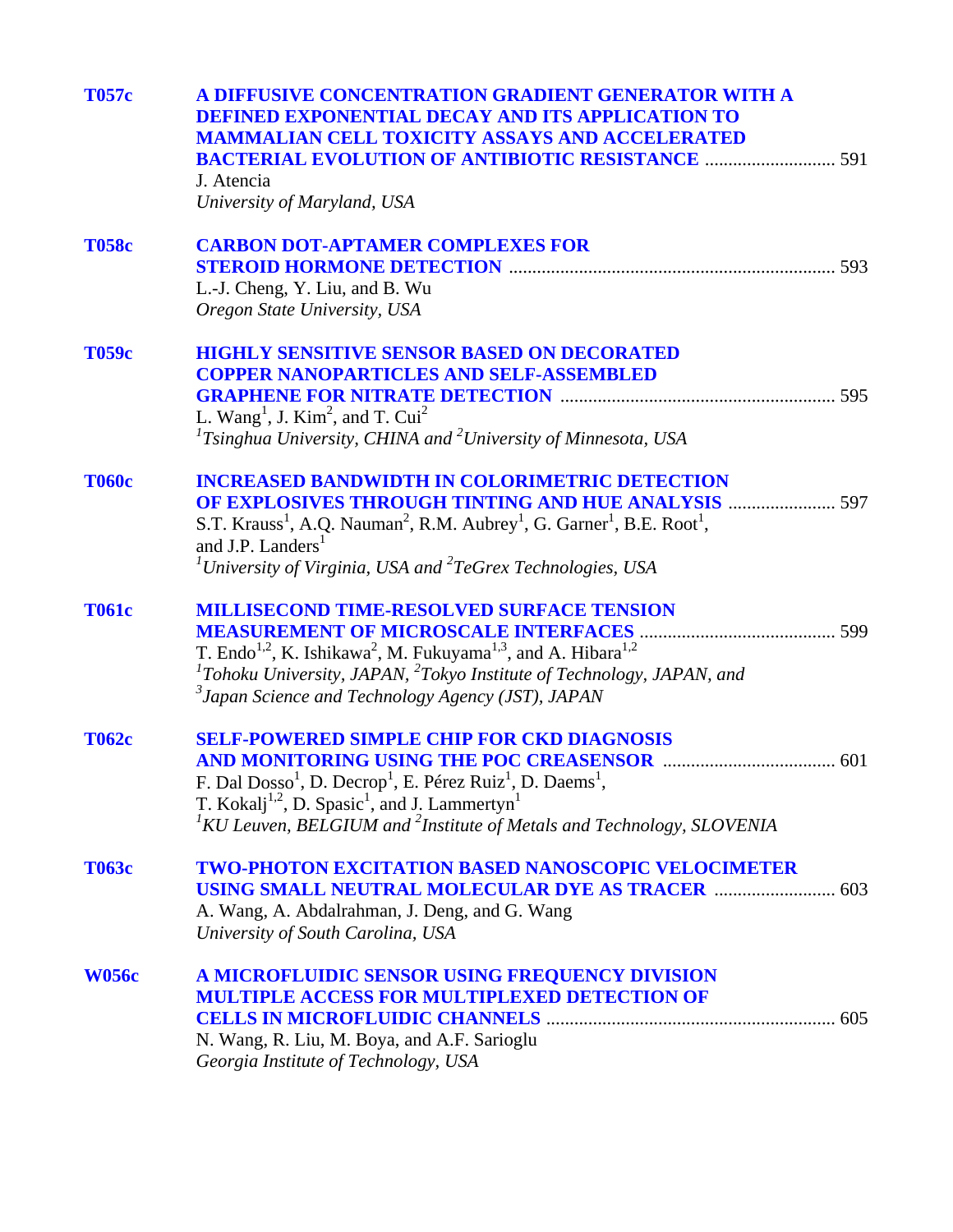| <b>T057c</b> | A DIFFUSIVE CONCENTRATION GRADIENT GENERATOR WITH A<br>DEFINED EXPONENTIAL DECAY AND ITS APPLICATION TO<br><b>MAMMALIAN CELL TOXICITY ASSAYS AND ACCELERATED</b><br><b>BACTERIAL EVOLUTION OF ANTIBIOTIC RESISTANCE  591</b><br>J. Atencia<br>University of Maryland, USA                                                                                                   |
|--------------|-----------------------------------------------------------------------------------------------------------------------------------------------------------------------------------------------------------------------------------------------------------------------------------------------------------------------------------------------------------------------------|
| <b>T058c</b> | <b>CARBON DOT-APTAMER COMPLEXES FOR</b><br>L.-J. Cheng, Y. Liu, and B. Wu<br>Oregon State University, USA                                                                                                                                                                                                                                                                   |
| <b>T059c</b> | <b>HIGHLY SENSITIVE SENSOR BASED ON DECORATED</b><br><b>COPPER NANOPARTICLES AND SELF-ASSEMBLED</b><br>L. Wang <sup>1</sup> , J. Kim <sup>2</sup> , and T. Cui <sup>2</sup><br><sup>1</sup> Tsinghua University, CHINA and <sup>2</sup> University of Minnesota, USA                                                                                                        |
| <b>T060c</b> | <b>INCREASED BANDWIDTH IN COLORIMETRIC DETECTION</b><br><b>OF EXPLOSIVES THROUGH TINTING AND HUE ANALYSIS  597</b><br>S.T. Krauss <sup>1</sup> , A.Q. Nauman <sup>2</sup> , R.M. Aubrey <sup>1</sup> , G. Garner <sup>1</sup> , B.E. Root <sup>1</sup> ,<br>and J.P. Landers <sup>1</sup><br><sup>1</sup> University of Virginia, USA and ${}^{2}TeG$ rex Technologies, USA |
| <b>T061c</b> | <b>MILLISECOND TIME-RESOLVED SURFACE TENSION</b><br>T. Endo <sup>1,2</sup> , K. Ishikawa <sup>2</sup> , M. Fukuyama <sup>1,3</sup> , and A. Hibara <sup>1,2</sup><br>${}^{1}$ Tohoku University, JAPAN, ${}^{2}$ Tokyo Institute of Technology, JAPAN, and<br>$\beta$ Japan Science and Technology Agency (JST), JAPAN                                                      |
| <b>T062c</b> | <b>SELF-POWERED SIMPLE CHIP FOR CKD DIAGNOSIS</b><br>F. Dal Dosso <sup>1</sup> , D. Decrop <sup>1</sup> , E. Pérez Ruiz <sup>1</sup> , D. Daems <sup>1</sup> ,<br>T. Kokalj <sup>1,2</sup> , D. Spasic <sup>1</sup> , and J. Lammertyn <sup>1</sup><br>${}^{1}$ KU Leuven, BELGIUM and ${}^{2}$ Institute of Metals and Technology, SLOVENIA                                |
| <b>T063c</b> | <b>TWO-PHOTON EXCITATION BASED NANOSCOPIC VELOCIMETER</b><br><b>USING SMALL NEUTRAL MOLECULAR DYE AS TRACER  603</b><br>A. Wang, A. Abdalrahman, J. Deng, and G. Wang<br>University of South Carolina, USA                                                                                                                                                                  |
| <b>W056c</b> | A MICROFLUIDIC SENSOR USING FREQUENCY DIVISION<br><b>MULTIPLE ACCESS FOR MULTIPLEXED DETECTION OF</b><br>N. Wang, R. Liu, M. Boya, and A.F. Sarioglu<br>Georgia Institute of Technology, USA                                                                                                                                                                                |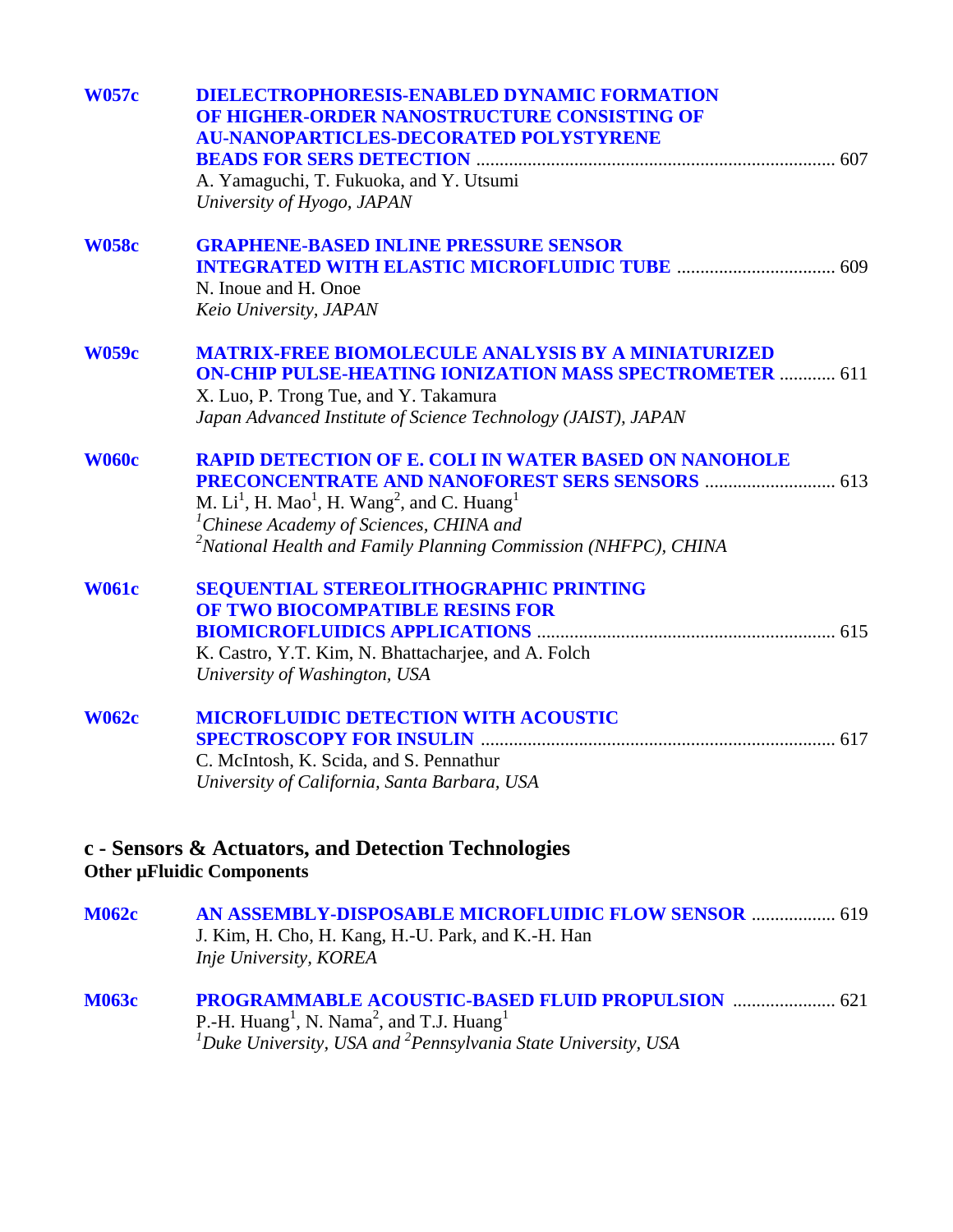| <b>W057c</b> | <b>DIELECTROPHORESIS-ENABLED DYNAMIC FORMATION</b><br>OF HIGHER-ORDER NANOSTRUCTURE CONSISTING OF<br><b>AU-NANOPARTICLES-DECORATED POLYSTYRENE</b> |
|--------------|----------------------------------------------------------------------------------------------------------------------------------------------------|
|              |                                                                                                                                                    |
|              | A. Yamaguchi, T. Fukuoka, and Y. Utsumi                                                                                                            |
|              | University of Hyogo, JAPAN                                                                                                                         |
| <b>W058c</b> | <b>GRAPHENE-BASED INLINE PRESSURE SENSOR</b>                                                                                                       |
|              |                                                                                                                                                    |
|              | N. Inoue and H. Onoe                                                                                                                               |
|              | Keio University, JAPAN                                                                                                                             |
| <b>W059c</b> | <b>MATRIX-FREE BIOMOLECULE ANALYSIS BY A MINIATURIZED</b><br><b>ON-CHIP PULSE-HEATING IONIZATION MASS SPECTROMETER  611</b>                        |
|              | X. Luo, P. Trong Tue, and Y. Takamura                                                                                                              |
|              | Japan Advanced Institute of Science Technology (JAIST), JAPAN                                                                                      |
| <b>W060c</b> | <b>RAPID DETECTION OF E. COLI IN WATER BASED ON NANOHOLE</b>                                                                                       |
|              |                                                                                                                                                    |
|              | M. $Li1$ , H. Mao <sup>1</sup> , H. Wang <sup>2</sup> , and C. Huang <sup>1</sup>                                                                  |
|              | <sup>1</sup> Chinese Academy of Sciences, CHINA and                                                                                                |
|              | $2$ National Health and Family Planning Commission (NHFPC), CHINA                                                                                  |
| <b>W061c</b> | <b>SEQUENTIAL STEREOLITHOGRAPHIC PRINTING</b>                                                                                                      |
|              | OF TWO BIOCOMPATIBLE RESINS FOR                                                                                                                    |
|              |                                                                                                                                                    |
|              | K. Castro, Y.T. Kim, N. Bhattacharjee, and A. Folch                                                                                                |
|              | University of Washington, USA                                                                                                                      |
| <b>W062c</b> | <b>MICROFLUIDIC DETECTION WITH ACOUSTIC</b>                                                                                                        |
|              |                                                                                                                                                    |
|              | C. McIntosh, K. Scida, and S. Pennathur                                                                                                            |
|              | University of California, Santa Barbara, USA                                                                                                       |
|              |                                                                                                                                                    |
|              | c - Sensors & Actuators, and Detection Technologies<br><b>Other µFluidic Components</b>                                                            |
| <b>M062c</b> | AN ASSEMBLY-DISPOSABLE MICROFLUIDIC FLOW SENSOR  619                                                                                               |
|              | J. Kim, H. Cho, H. Kang, H.-U. Park, and K.-H. Han<br>Inje University, KOREA                                                                       |
|              |                                                                                                                                                    |

**[M063c PROGRAMMABLE ACOUSTIC-BASED FLUID PROPULSION](#page-0-0)** ...................... 621 P.-H. Huang<sup>1</sup>, N. Nama<sup>2</sup>, and T.J. Huang<sup>1</sup><br><sup>1</sup>Duke University, USA and <sup>2</sup>Pennsylvania State University, USA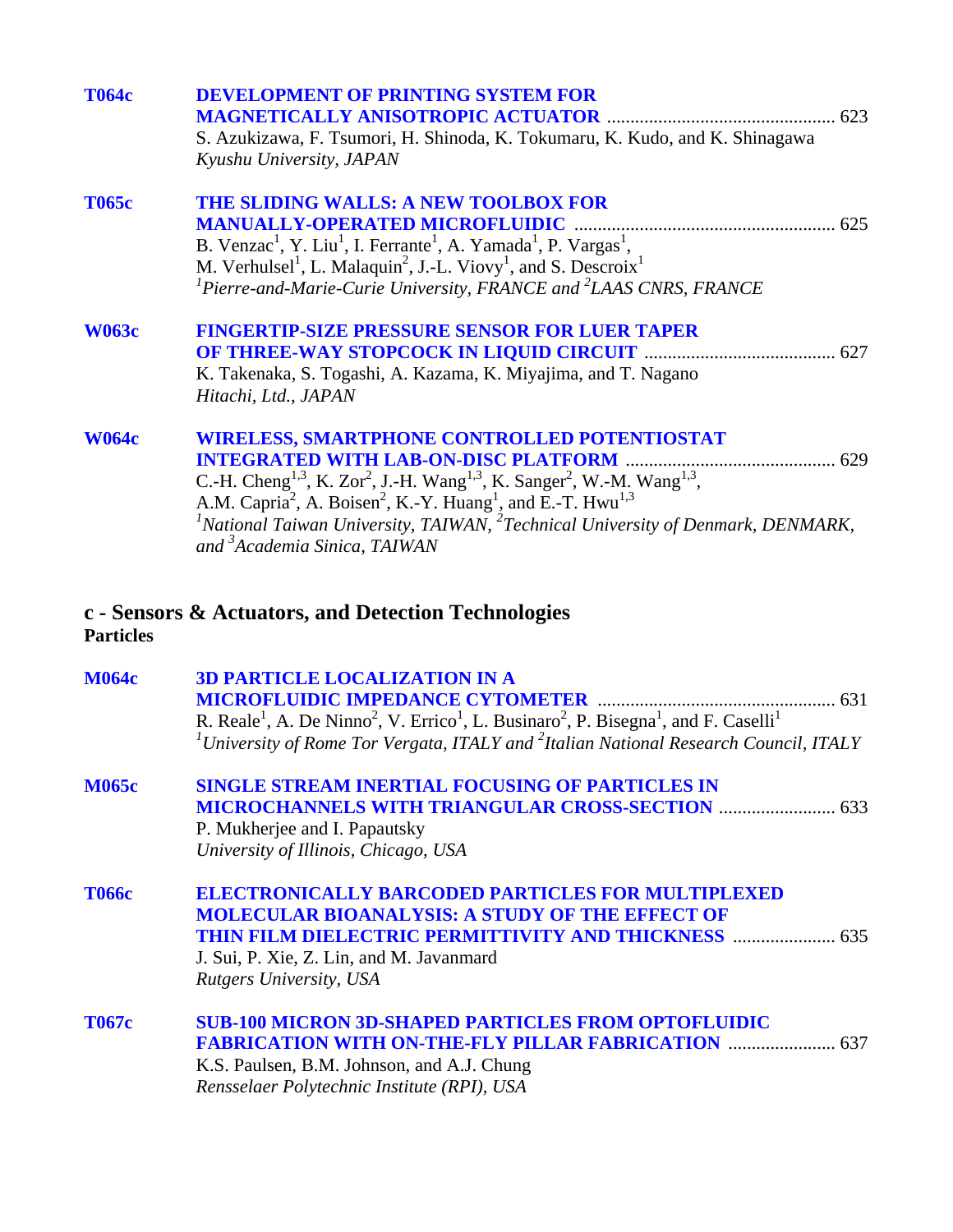| <b>T064c</b>     | <b>DEVELOPMENT OF PRINTING SYSTEM FOR</b><br><b>MAGNETICALLY ANISOTROPIC ACTUATOR</b>                                                                                                                                                                                        |  |
|------------------|------------------------------------------------------------------------------------------------------------------------------------------------------------------------------------------------------------------------------------------------------------------------------|--|
|                  | S. Azukizawa, F. Tsumori, H. Shinoda, K. Tokumaru, K. Kudo, and K. Shinagawa<br>Kyushu University, JAPAN                                                                                                                                                                     |  |
| <b>T065c</b>     | THE SLIDING WALLS: A NEW TOOLBOX FOR                                                                                                                                                                                                                                         |  |
|                  | <b>MANUALLY-OPERATED MICROFLUIDIC</b><br>B. Venzac <sup>1</sup> , Y. Liu <sup>1</sup> , I. Ferrante <sup>1</sup> , A. Yamada <sup>1</sup> , P. Vargas <sup>1</sup> ,                                                                                                         |  |
|                  | M. Verhulsel <sup>1</sup> , L. Malaquin <sup>2</sup> , J.-L. Viovy <sup>1</sup> , and S. Descroix <sup>1</sup>                                                                                                                                                               |  |
|                  | ${}^{1}$ Pierre-and-Marie-Curie University, FRANCE and ${}^{2}$ LAAS CNRS, FRANCE                                                                                                                                                                                            |  |
| <b>W063c</b>     | <b>FINGERTIP-SIZE PRESSURE SENSOR FOR LUER TAPER</b>                                                                                                                                                                                                                         |  |
|                  |                                                                                                                                                                                                                                                                              |  |
|                  | K. Takenaka, S. Togashi, A. Kazama, K. Miyajima, and T. Nagano<br>Hitachi, Ltd., JAPAN                                                                                                                                                                                       |  |
| <b>W064c</b>     | <b>WIRELESS, SMARTPHONE CONTROLLED POTENTIOSTAT</b>                                                                                                                                                                                                                          |  |
|                  | <b>INTEGRATED WITH LAB-ON-DISC PLATFORM</b>                                                                                                                                                                                                                                  |  |
|                  | C.-H. Cheng <sup>1,3</sup> , K. Zor <sup>2</sup> , J.-H. Wang <sup>1,3</sup> , K. Sanger <sup>2</sup> , W.-M. Wang <sup>1,3</sup> ,<br>A.M. Capria <sup>2</sup> , A. Boisen <sup>2</sup> , K.-Y. Huang <sup>1</sup> , and E.-T. Hwu <sup>1,3</sup>                           |  |
|                  | $1$ National Taiwan University, TAIWAN, $2$ Technical University of Denmark, DENMARK,<br>and <sup>3</sup> Academia Sinica, TAIWAN                                                                                                                                            |  |
| <b>Particles</b> | c - Sensors & Actuators, and Detection Technologies                                                                                                                                                                                                                          |  |
| <b>M064c</b>     | <b>3D PARTICLE LOCALIZATION IN A</b>                                                                                                                                                                                                                                         |  |
|                  | <b>MICROFLUIDIC IMPEDANCE CYTOMETER</b>                                                                                                                                                                                                                                      |  |
|                  | R. Reale <sup>1</sup> , A. De Ninno <sup>2</sup> , V. Errico <sup>1</sup> , L. Businaro <sup>2</sup> , P. Bisegna <sup>1</sup> , and F. Caselli <sup>1</sup><br><sup>1</sup> University of Rome Tor Vergata, ITALY and <sup>2</sup> Italian National Research Council, ITALY |  |
| RAAZE            | CIMOL E CTDEAM IMEDITAL EQUICIMO QE DADTICI EC IM                                                                                                                                                                                                                            |  |

#### **[M065c SINGLE STREAM INERTIAL FOCUSING OF PARTICLES IN](#page-0-0)  MICROCHANNELS WITH TRIANGULAR CROSS-SECTION** ......................... 633 P. Mukherjee and I. Papautsky *University of Illinois, Chicago, USA*

**[T066c ELECTRONICALLY BARCODED PARTICLES FOR MULTIPLEXED](#page-0-0)  MOLECULAR BIOANALYSIS: A STUDY OF THE EFFECT OF THIN FILM DIELECTRIC PERMITTIVITY AND THICKNESS** ...................... 635 J. Sui, P. Xie, Z. Lin, and M. Javanmard *Rutgers University, USA* 

| <b>T067c</b> | <b>SUB-100 MICRON 3D-SHAPED PARTICLES FROM OPTOFLUIDIC</b> |  |
|--------------|------------------------------------------------------------|--|
|              | <b>FABRICATION WITH ON-THE-FLY PILLAR FABRICATION  637</b> |  |
|              | K.S. Paulsen, B.M. Johnson, and A.J. Chung                 |  |
|              | Rensselaer Polytechnic Institute (RPI), USA                |  |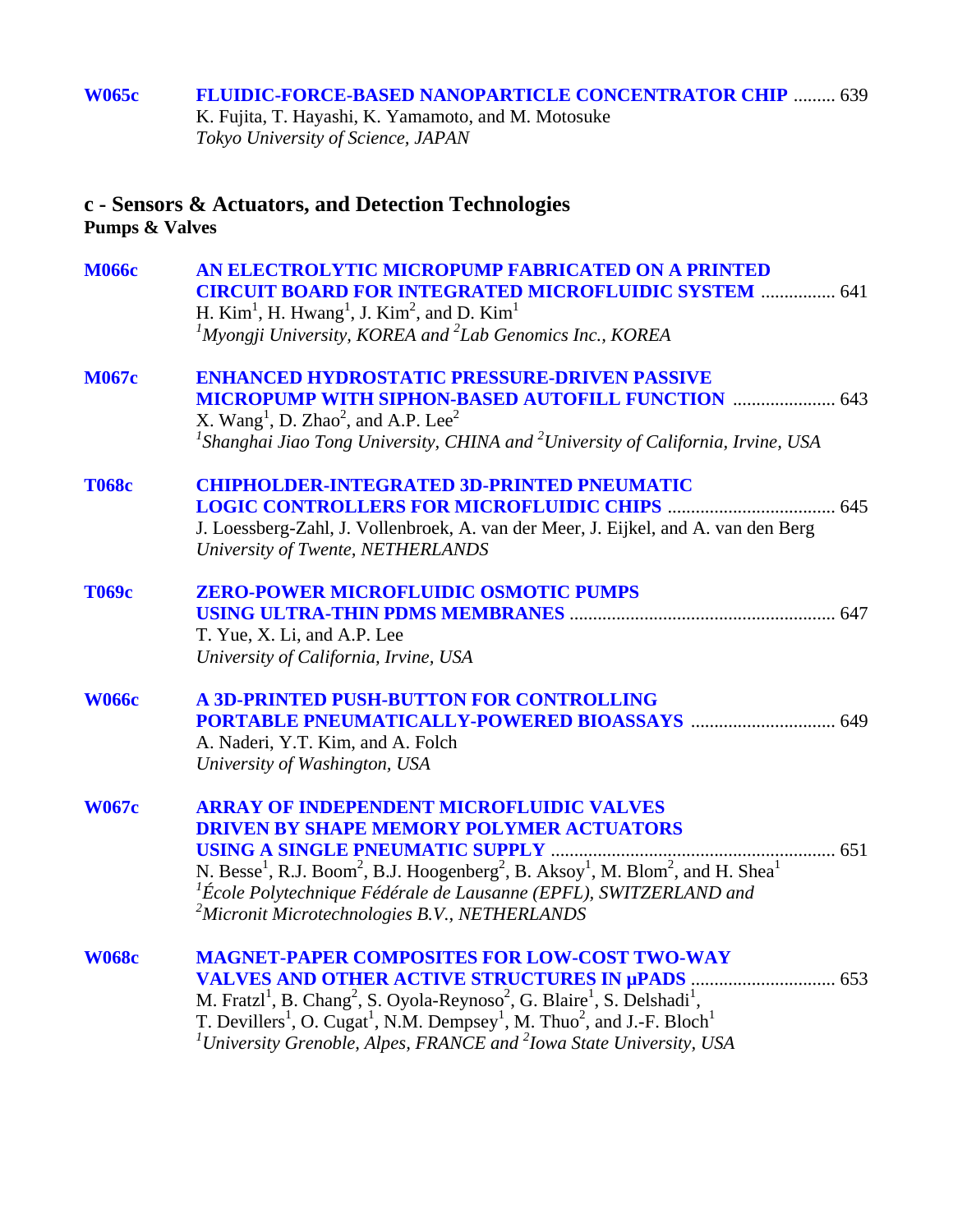#### **[W065c FLUIDIC-FORCE-BASED NANOPARTICLE CONCENTRATOR CHIP](#page-0-0)** ......... 639 K. Fujita, T. Hayashi, K. Yamamoto, and M. Motosuke *Tokyo University of Science, JAPAN*

### **c - Sensors & Actuators, and Detection Technologies Pumps & Valves**

| <b>M066c</b> | AN ELECTROLYTIC MICROPUMP FABRICATED ON A PRINTED<br><b>CIRCUIT BOARD FOR INTEGRATED MICROFLUIDIC SYSTEM  641</b><br>H. Kim <sup>1</sup> , H. Hwang <sup>1</sup> , J. Kim <sup>2</sup> , and D. Kim <sup>1</sup><br><sup>1</sup> Myongji University, KOREA and <sup>2</sup> Lab Genomics Inc., KOREA                                                                                                                                          |
|--------------|-----------------------------------------------------------------------------------------------------------------------------------------------------------------------------------------------------------------------------------------------------------------------------------------------------------------------------------------------------------------------------------------------------------------------------------------------|
| <b>M067c</b> | <b>ENHANCED HYDROSTATIC PRESSURE-DRIVEN PASSIVE</b><br><b>MICROPUMP WITH SIPHON-BASED AUTOFILL FUNCTION  643</b><br>X. Wang <sup>1</sup> , D. Zhao <sup>2</sup> , and A.P. Lee <sup>2</sup><br><sup>1</sup> Shanghai Jiao Tong University, CHINA and <sup>2</sup> University of California, Irvine, USA                                                                                                                                       |
| <b>T068c</b> | <b>CHIPHOLDER-INTEGRATED 3D-PRINTED PNEUMATIC</b><br>J. Loessberg-Zahl, J. Vollenbroek, A. van der Meer, J. Eijkel, and A. van den Berg<br>University of Twente, NETHERLANDS                                                                                                                                                                                                                                                                  |
| <b>T069c</b> | <b>ZERO-POWER MICROFLUIDIC OSMOTIC PUMPS</b><br>T. Yue, X. Li, and A.P. Lee<br>University of California, Irvine, USA                                                                                                                                                                                                                                                                                                                          |
| <b>W066c</b> | A 3D-PRINTED PUSH-BUTTON FOR CONTROLLING<br>A. Naderi, Y.T. Kim, and A. Folch<br>University of Washington, USA                                                                                                                                                                                                                                                                                                                                |
| <b>W067c</b> | <b>ARRAY OF INDEPENDENT MICROFLUIDIC VALVES</b><br><b>DRIVEN BY SHAPE MEMORY POLYMER ACTUATORS</b><br>N. Besse <sup>1</sup> , R.J. Boom <sup>2</sup> , B.J. Hoogenberg <sup>2</sup> , B. Aksoy <sup>1</sup> , M. Blom <sup>2</sup> , and H. Shea <sup>1</sup><br>${}^{1}\acute{E}$ cole Polytechnique Fédérale de Lausanne (EPFL), SWITZERLAND and<br><sup>2</sup> Micronit Microtechnologies B.V., NETHERLANDS                               |
| <b>W068c</b> | <b>MAGNET-PAPER COMPOSITES FOR LOW-COST TWO-WAY</b><br>M. Fratzl <sup>1</sup> , B. Chang <sup>2</sup> , S. Oyola-Reynoso <sup>2</sup> , G. Blaire <sup>1</sup> , S. Delshadi <sup>1</sup> ,<br>T. Devillers <sup>1</sup> , O. Cugat <sup>1</sup> , N.M. Dempsey <sup>1</sup> , M. Thuo <sup>2</sup> , and J.-F. Bloch <sup>1</sup><br>$\mu$ <sup>1</sup> University Grenoble, Alpes, FRANCE and $\mu$ <sup>2</sup> Iowa State University, USA |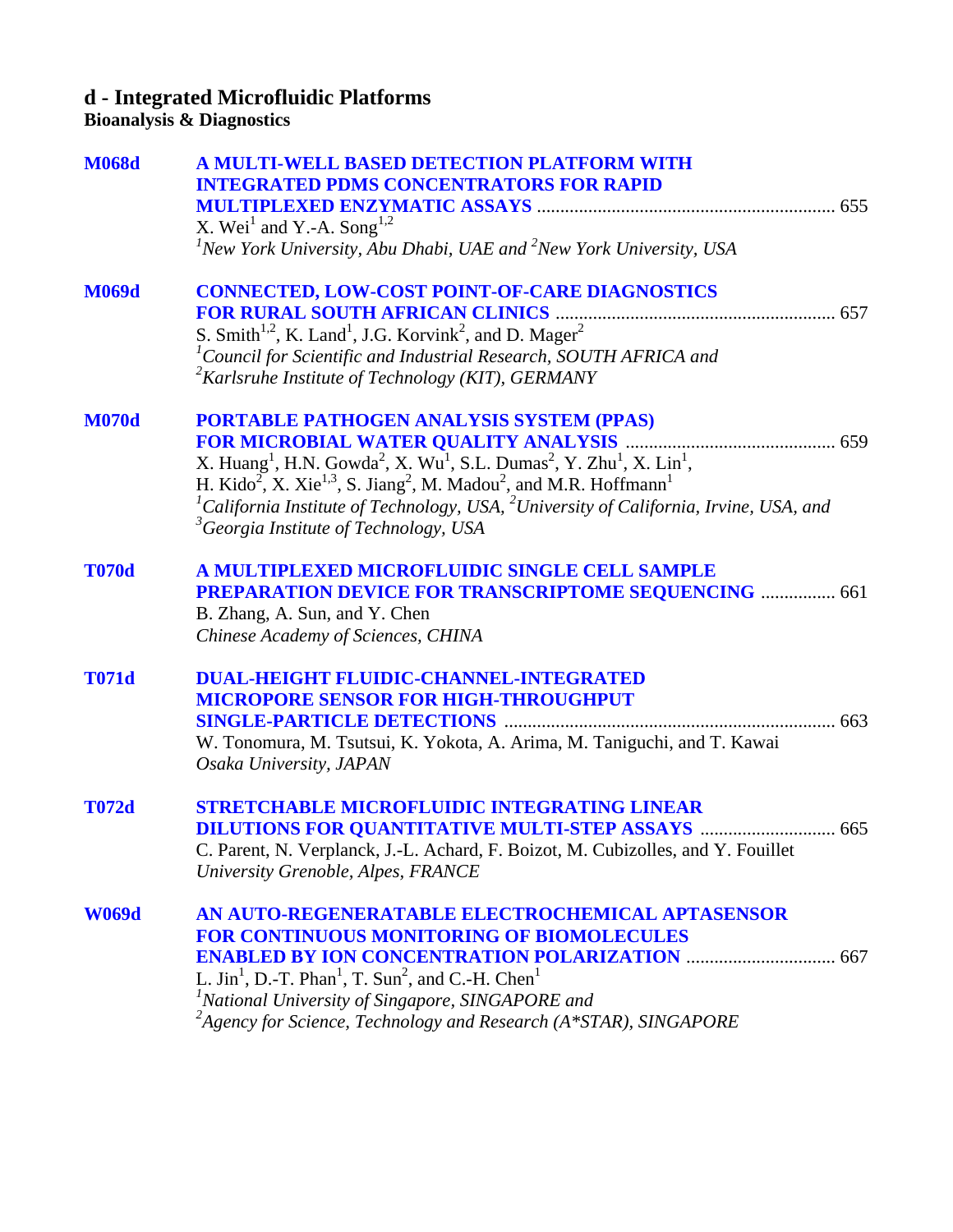## **d - Integrated Microfluidic Platforms**

#### **Bioanalysis & Diagnostics**

| <b>M068d</b> | <b>A MULTI-WELL BASED DETECTION PLATFORM WITH</b>                                                                                            |  |
|--------------|----------------------------------------------------------------------------------------------------------------------------------------------|--|
|              | <b>INTEGRATED PDMS CONCENTRATORS FOR RAPID</b>                                                                                               |  |
|              |                                                                                                                                              |  |
|              | X. Wei <sup>1</sup> and Y.-A. Song <sup>1,2</sup>                                                                                            |  |
|              | ${}^{1}$ New York University, Abu Dhabi, UAE and ${}^{2}$ New York University, USA                                                           |  |
| <b>M069d</b> | <b>CONNECTED, LOW-COST POINT-OF-CARE DIAGNOSTICS</b>                                                                                         |  |
|              |                                                                                                                                              |  |
|              | S. Smith <sup>1,2</sup> , K. Land <sup>1</sup> , J.G. Korvink <sup>2</sup> , and D. Mager <sup>2</sup>                                       |  |
|              | ${}^{1}$ Council for Scientific and Industrial Research, SOUTH AFRICA and                                                                    |  |
|              | <sup>2</sup> Karlsruhe Institute of Technology (KIT), GERMANY                                                                                |  |
| <b>M070d</b> | <b>PORTABLE PATHOGEN ANALYSIS SYSTEM (PPAS)</b>                                                                                              |  |
|              | FOR MICROBIAL WATER QUALITY ANALYSIS <b>MALLYSIS</b> (1995) 1999                                                                             |  |
|              | X. Huang <sup>1</sup> , H.N. Gowda <sup>2</sup> , X. Wu <sup>1</sup> , S.L. Dumas <sup>2</sup> , Y. Zhu <sup>1</sup> , X. Lin <sup>1</sup> , |  |
|              | H. Kido <sup>2</sup> , X. Xie <sup>1,3</sup> , S. Jiang <sup>2</sup> , M. Madou <sup>2</sup> , and M.R. Hoffmann <sup>1</sup>                |  |
|              | <sup>1</sup> California Institute of Technology, USA, <sup>2</sup> University of California, Irvine, USA, and                                |  |
|              | <sup>3</sup> Georgia Institute of Technology, USA                                                                                            |  |
| <b>T070d</b> | A MULTIPLEXED MICROFLUIDIC SINGLE CELL SAMPLE                                                                                                |  |
|              | <b>PREPARATION DEVICE FOR TRANSCRIPTOME SEQUENCING  661</b>                                                                                  |  |
|              | B. Zhang, A. Sun, and Y. Chen                                                                                                                |  |
|              | Chinese Academy of Sciences, CHINA                                                                                                           |  |
| <b>T071d</b> | <b>DUAL-HEIGHT FLUIDIC-CHANNEL-INTEGRATED</b>                                                                                                |  |
|              | <b>MICROPORE SENSOR FOR HIGH-THROUGHPUT</b>                                                                                                  |  |
|              |                                                                                                                                              |  |
|              | W. Tonomura, M. Tsutsui, K. Yokota, A. Arima, M. Taniguchi, and T. Kawai                                                                     |  |
|              | Osaka University, JAPAN                                                                                                                      |  |
| <b>T072d</b> | <b>STRETCHABLE MICROFLUIDIC INTEGRATING LINEAR</b>                                                                                           |  |
|              |                                                                                                                                              |  |
|              | C. Parent, N. Verplanck, J.-L. Achard, F. Boizot, M. Cubizolles, and Y. Fouillet                                                             |  |
|              | University Grenoble, Alpes, FRANCE                                                                                                           |  |
| <b>W069d</b> | AN AUTO-REGENERATABLE ELECTROCHEMICAL APTASENSOR                                                                                             |  |
|              | <b>FOR CONTINUOUS MONITORING OF BIOMOLECULES</b>                                                                                             |  |
|              |                                                                                                                                              |  |
|              | L. Jin <sup>1</sup> , D.-T. Phan <sup>1</sup> , T. Sun <sup>2</sup> , and C.-H. Chen <sup>1</sup>                                            |  |
|              | <sup>1</sup> National University of Singapore, SINGAPORE and                                                                                 |  |
|              | ${}^{2}$ Agency for Science, Technology and Research (A*STAR), SINGAPORE                                                                     |  |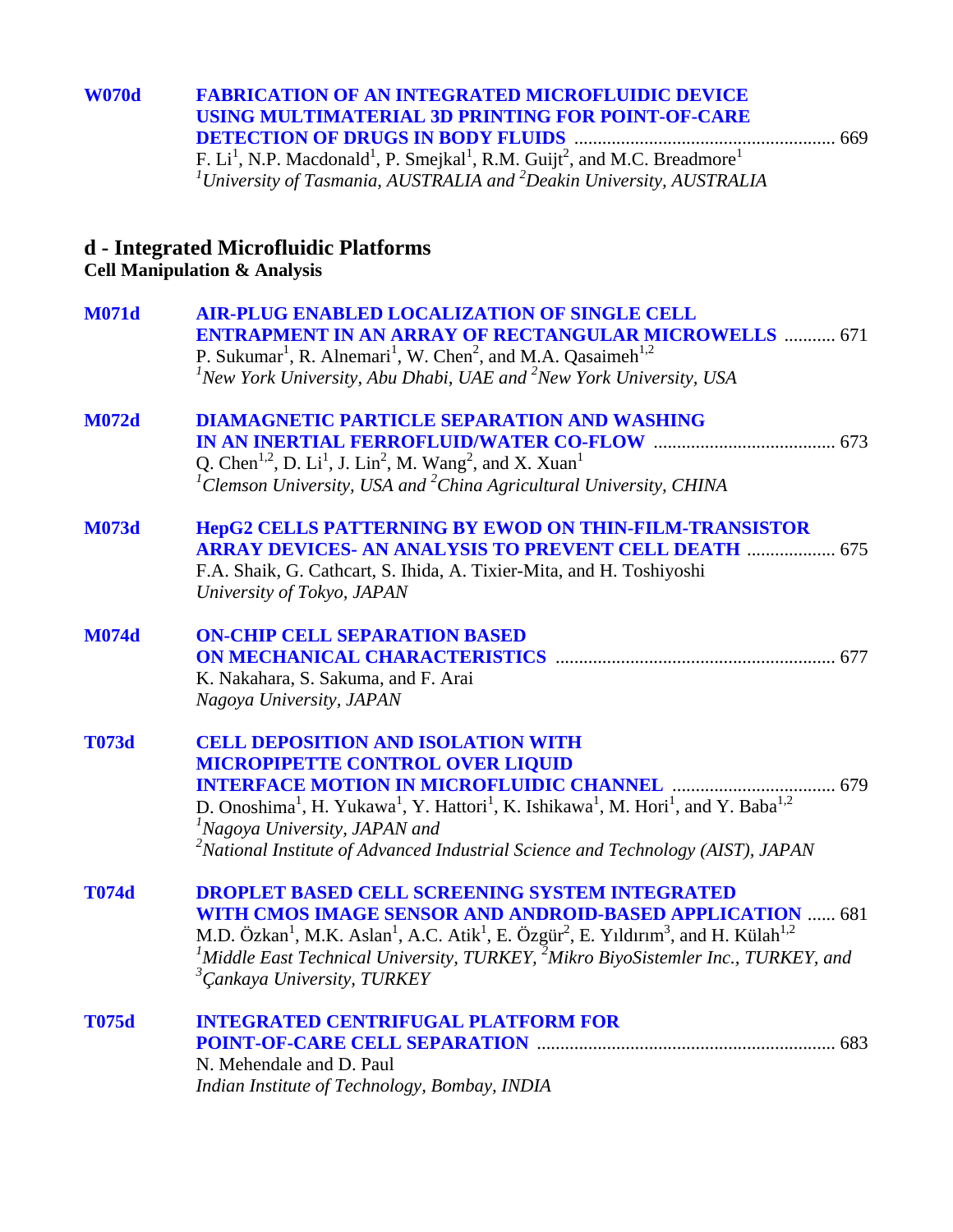| <b>W070d</b> | <b>FABRICATION OF AN INTEGRATED MICROFLUIDIC DEVICE</b>                                                                                |  |
|--------------|----------------------------------------------------------------------------------------------------------------------------------------|--|
|              | USING MULTIMATERIAL 3D PRINTING FOR POINT-OF-CARE                                                                                      |  |
|              |                                                                                                                                        |  |
|              | F. Li <sup>1</sup> , N.P. Macdonald <sup>1</sup> , P. Smejkal <sup>1</sup> , R.M. Guijt <sup>2</sup> , and M.C. Breadmore <sup>1</sup> |  |
|              | $1$ University of Tasmania, AUSTRALIA and $2$ Deakin University, AUSTRALIA                                                             |  |

#### **d - Integrated Microfluidic Platforms**

#### **Cell Manipulation & Analysis**

| <b>M071d</b> | <b>AIR-PLUG ENABLED LOCALIZATION OF SINGLE CELL</b><br><b>ENTRAPMENT IN AN ARRAY OF RECTANGULAR MICROWELLS  671</b><br>P. Sukumar <sup>1</sup> , R. Alnemari <sup>1</sup> , W. Chen <sup>2</sup> , and M.A. Qasaimeh <sup>1,2</sup><br>${}^{1}$ New York University, Abu Dhabi, UAE and ${}^{2}$ New York University, USA                                                                                                                 |
|--------------|-------------------------------------------------------------------------------------------------------------------------------------------------------------------------------------------------------------------------------------------------------------------------------------------------------------------------------------------------------------------------------------------------------------------------------------------|
| <b>M072d</b> | <b>DIAMAGNETIC PARTICLE SEPARATION AND WASHING</b><br>Q. Chen <sup>1,2</sup> , D. Li <sup>1</sup> , J. Lin <sup>2</sup> , M. Wang <sup>2</sup> , and X. Xuan <sup>1</sup><br>${}^{1}$ Clemson University, USA and ${}^{2}$ China Agricultural University, CHINA                                                                                                                                                                           |
| <b>M073d</b> | HepG2 CELLS PATTERNING BY EWOD ON THIN-FILM-TRANSISTOR<br><b>ARRAY DEVICES- AN ANALYSIS TO PREVENT CELL DEATH  675</b><br>F.A. Shaik, G. Cathcart, S. Ihida, A. Tixier-Mita, and H. Toshiyoshi<br>University of Tokyo, JAPAN                                                                                                                                                                                                              |
| <b>M074d</b> | <b>ON-CHIP CELL SEPARATION BASED</b><br>K. Nakahara, S. Sakuma, and F. Arai<br>Nagoya University, JAPAN                                                                                                                                                                                                                                                                                                                                   |
| <b>T073d</b> | <b>CELL DEPOSITION AND ISOLATION WITH</b><br><b>MICROPIPETTE CONTROL OVER LIQUID</b><br>D. Onoshima <sup>1</sup> , H. Yukawa <sup>1</sup> , Y. Hattori <sup>1</sup> , K. Ishikawa <sup>1</sup> , M. Hori <sup>1</sup> , and Y. Baba <sup>1,2</sup><br><sup>1</sup> Nagoya University, JAPAN and<br>$^{2}$ National Institute of Advanced Industrial Science and Technology (AIST), JAPAN                                                  |
| <b>T074d</b> | <b>DROPLET BASED CELL SCREENING SYSTEM INTEGRATED</b><br>WITH CMOS IMAGE SENSOR AND ANDROID-BASED APPLICATION  681<br>M.D. Özkan <sup>1</sup> , M.K. Aslan <sup>1</sup> , A.C. Atik <sup>1</sup> , E. Özgür <sup>2</sup> , E. Yıldırım <sup>3</sup> , and H. Külah <sup>1,2</sup><br><sup>1</sup> Middle East Technical University, TURKEY, <sup>2</sup> Mikro BiyoSistemler Inc., TURKEY, and<br><sup>3</sup> Cankaya University, TURKEY |
| <b>T075d</b> | <b>INTEGRATED CENTRIFUGAL PLATFORM FOR</b><br>N. Mehendale and D. Paul<br>Indian Institute of Technology, Bombay, INDIA                                                                                                                                                                                                                                                                                                                   |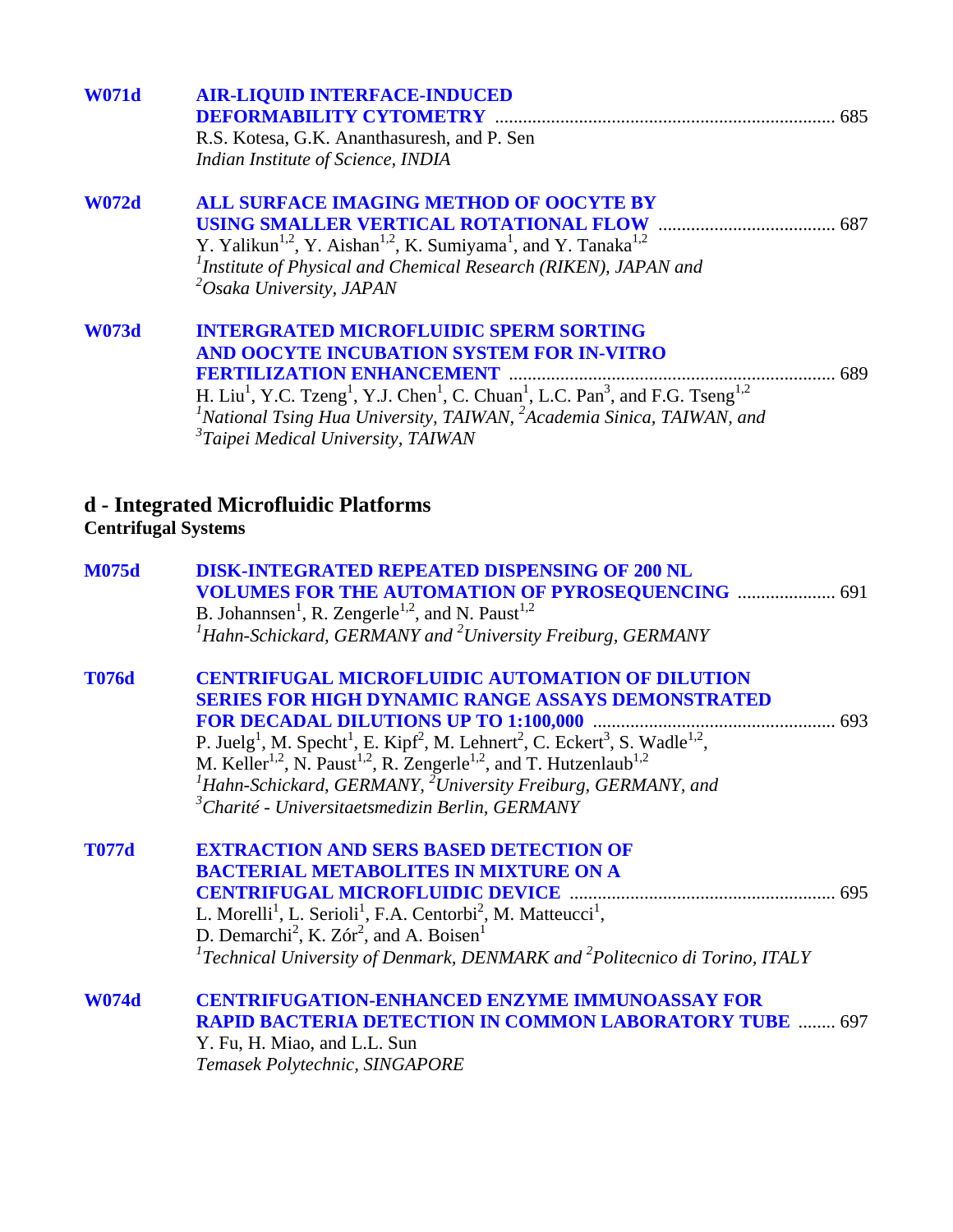| <b>W071d</b>               | <b>AIR-LIQUID INTERFACE-INDUCED</b>                                                                                                                    |  |
|----------------------------|--------------------------------------------------------------------------------------------------------------------------------------------------------|--|
|                            | <b>DEFORMABILITY CYTOMETRY</b>                                                                                                                         |  |
|                            | R.S. Kotesa, G.K. Ananthasuresh, and P. Sen                                                                                                            |  |
|                            | Indian Institute of Science, INDIA                                                                                                                     |  |
| <b>W072d</b>               | <b>ALL SURFACE IMAGING METHOD OF OOCYTE BY</b>                                                                                                         |  |
|                            |                                                                                                                                                        |  |
|                            | Y. Yalikun <sup>1,2</sup> , Y. Aishan <sup>1,2</sup> , K. Sumiyama <sup>1</sup> , and Y. Tanaka <sup>1,2</sup>                                         |  |
|                            | <sup>1</sup> Institute of Physical and Chemical Research (RIKEN), JAPAN and                                                                            |  |
|                            | <sup>2</sup> Osaka University, JAPAN                                                                                                                   |  |
| <b>W073d</b>               | <b>INTERGRATED MICROFLUIDIC SPERM SORTING</b>                                                                                                          |  |
|                            | <b>AND OOCYTE INCUBATION SYSTEM FOR IN-VITRO</b>                                                                                                       |  |
|                            |                                                                                                                                                        |  |
|                            | H. Liu <sup>1</sup> , Y.C. Tzeng <sup>1</sup> , Y.J. Chen <sup>1</sup> , C. Chuan <sup>1</sup> , L.C. Pan <sup>3</sup> , and F.G. Tseng <sup>1,2</sup> |  |
|                            | <sup>1</sup> National Tsing Hua University, TAIWAN, <sup>2</sup> Academia Sinica, TAIWAN, and                                                          |  |
|                            | <sup>3</sup> Taipei Medical University, TAIWAN                                                                                                         |  |
|                            |                                                                                                                                                        |  |
|                            | d - Integrated Microfluidic Platforms                                                                                                                  |  |
| <b>Centrifugal Systems</b> |                                                                                                                                                        |  |
| <b>M075d</b>               | <b>DISK-INTEGRATED REPEATED DISPENSING OF 200 NL</b>                                                                                                   |  |
|                            | <b>VOLUMES FOR THE AUTOMATION OF PYROSEQUENCING  691</b>                                                                                               |  |
|                            | B. Johannsen <sup>1</sup> , R. Zengerle <sup>1,2</sup> , and N. Paust <sup>1,2</sup>                                                                   |  |
|                            | ${}^{1}$ Hahn-Schickard, GERMANY and ${}^{2}$ University Freiburg, GERMANY                                                                             |  |
| <b>T076d</b>               | <b>CENTRIFUGAL MICROFLUIDIC AUTOMATION OF DILUTION</b>                                                                                                 |  |
|                            | <b>SERIES FOR HIGH DYNAMIC RANGE ASSAYS DEMONSTRATED</b>                                                                                               |  |
|                            |                                                                                                                                                        |  |
|                            | P. Juelg <sup>1</sup> , M. Specht <sup>1</sup> , E. Kipf <sup>2</sup> , M. Lehnert <sup>2</sup> , C. Eckert <sup>3</sup> , S. Wadle <sup>1,2</sup> ,   |  |
|                            | M. Keller <sup>1,2</sup> , N. Paust <sup>1,2</sup> , R. Zengerle <sup>1,2</sup> , and T. Hutzenlaub <sup>1,2</sup>                                     |  |
|                            | ${}^{1}$ Hahn-Schickard, GERMANY, ${}^{2}$ University Freiburg, GERMANY, and                                                                           |  |
|                            | $3$ Charité - Universitaetsmedizin Berlin, GERMANY                                                                                                     |  |
| <b>T077d</b>               | <b>EXTRACTION AND SERS BASED DETECTION OF</b>                                                                                                          |  |
|                            | <b>BACTERIAL METABOLITES IN MIXTURE ON A</b>                                                                                                           |  |
|                            |                                                                                                                                                        |  |
|                            | L. Morelli <sup>1</sup> , L. Serioli <sup>1</sup> , F.A. Centorbi <sup>2</sup> , M. Matteucci <sup>1</sup> ,                                           |  |
|                            | D. Demarchi <sup>2</sup> , K. Zór <sup>2</sup> , and A. Boisen <sup>1</sup>                                                                            |  |
|                            | <sup>1</sup> Technical University of Denmark, DENMARK and <sup>2</sup> Politecnico di Torino, ITALY                                                    |  |
| <b>W074d</b>               | <b>CENTRIFUGATION-ENHANCED ENZYME IMMUNOASSAY FOR</b>                                                                                                  |  |
|                            | <b>RAPID BACTERIA DETECTION IN COMMON LABORATORY TUBE  697</b>                                                                                         |  |
|                            | Y. Fu, H. Miao, and L.L. Sun                                                                                                                           |  |
|                            | Temasek Polytechnic, SINGAPORE                                                                                                                         |  |
|                            |                                                                                                                                                        |  |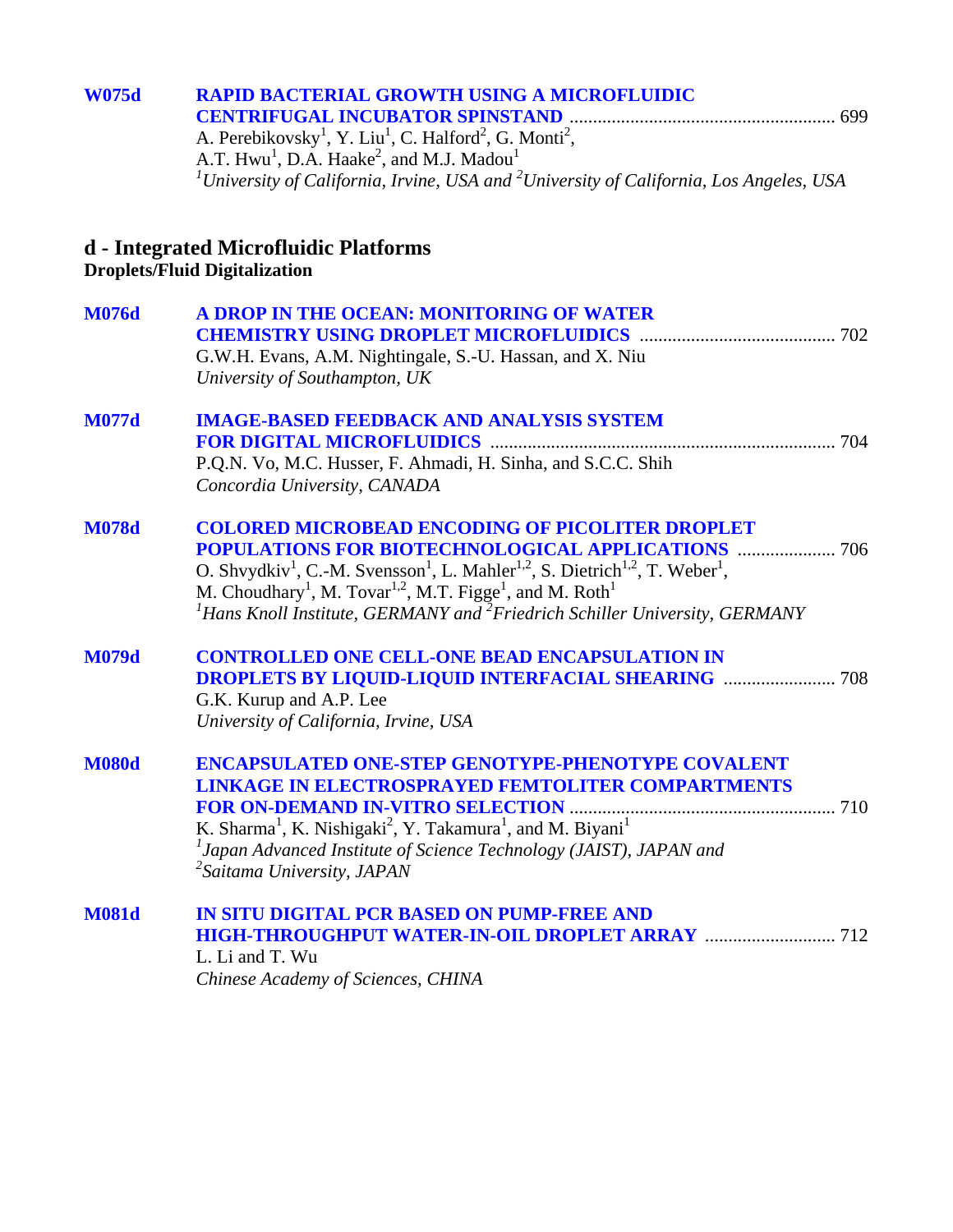## **[W075d RAPID BACTERIAL GROWTH USING A MICROFLUIDIC](#page-0-0)  CENTRIFUGAL INCUBATOR SPINSTAND** ......................................................... 699 A. Perebikovsky<sup>1</sup>, Y. Liu<sup>1</sup>, C. Halford<sup>2</sup>, G. Monti<sup>2</sup>, A.T.  $Hwu<sup>1</sup>$ , D.A.  $Haake<sup>2</sup>$ , and M.J. Madou<sup>1</sup> *1 University of California, Irvine, USA and <sup>2</sup> University of California, Los Angeles, USA*  **d - Integrated Microfluidic Platforms Droplets/Fluid Digitalization [M076d A DROP IN THE OCEAN: MONITORING OF WATER](#page-0-0)  CHEMISTRY USING DROPLET MICROFLUIDICS** .......................................... 702 G.W.H. Evans, A.M. Nightingale, S.-U. Hassan, and X. Niu *University of Southampton, UK*  **[M077d IMAGE-BASED FEEDBACK AND ANALYSIS SYSTEM](#page-0-0)  FOR DIGITAL MICROFLUIDICS** .......................................................................... 704 P.Q.N. Vo, M.C. Husser, F. Ahmadi, H. Sinha, and S.C.C. Shih *Concordia University, CANADA*

| M078d | <b>COLORED MICROBEAD ENCODING OF PICOLITER DROPLET</b>                                                                                   |  |
|-------|------------------------------------------------------------------------------------------------------------------------------------------|--|
|       |                                                                                                                                          |  |
|       | O. Shvydkiv <sup>1</sup> , C.-M. Svensson <sup>1</sup> , L. Mahler <sup>1,2</sup> , S. Dietrich <sup>1,2</sup> , T. Weber <sup>1</sup> , |  |
|       | M. Choudhary <sup>1</sup> , M. Tovar <sup>1,2</sup> , M.T. Figge <sup>1</sup> , and M. Roth <sup>1</sup>                                 |  |
|       | $H$ ans Knoll Institute, GERMANY and <sup>2</sup> Friedrich Schiller University, GERMANY                                                 |  |

**[M079d CONTROLLED ONE CELL-ONE BEAD ENCAPSULATION IN](#page-0-0)  DROPLETS BY LIQUID-LIQUID INTERFACIAL SHEARING** ........................ 708 G.K. Kurup and A.P. Lee *University of California, Irvine, USA* 

**M080d ENCAPSULATED ONE-STEP GENOTYPE-PHENOTYPE COVALENT [LINKAGE IN ELECTROSPRAYED FEMTOLITER COMPARTMENTS](#page-0-0)  FOR ON-DEMAND IN-VITRO SELECTION** ......................................................... 710 K. Sharma<sup>1</sup>, K. Nishigaki<sup>2</sup>, Y. Takamura<sup>1</sup>, and M. Biyani<sup>1</sup> *1 Japan Advanced Institute of Science Technology (JAIST), JAPAN and 2 Saitama University, JAPAN* 

**[M081d IN SITU DIGITAL PCR BASED ON PUMP-FREE AND](#page-0-0)  HIGH-THROUGHPUT WATER-IN-OIL DROPLET ARRAY** ............................ 712 L. Li and T. Wu *Chinese Academy of Sciences, CHINA*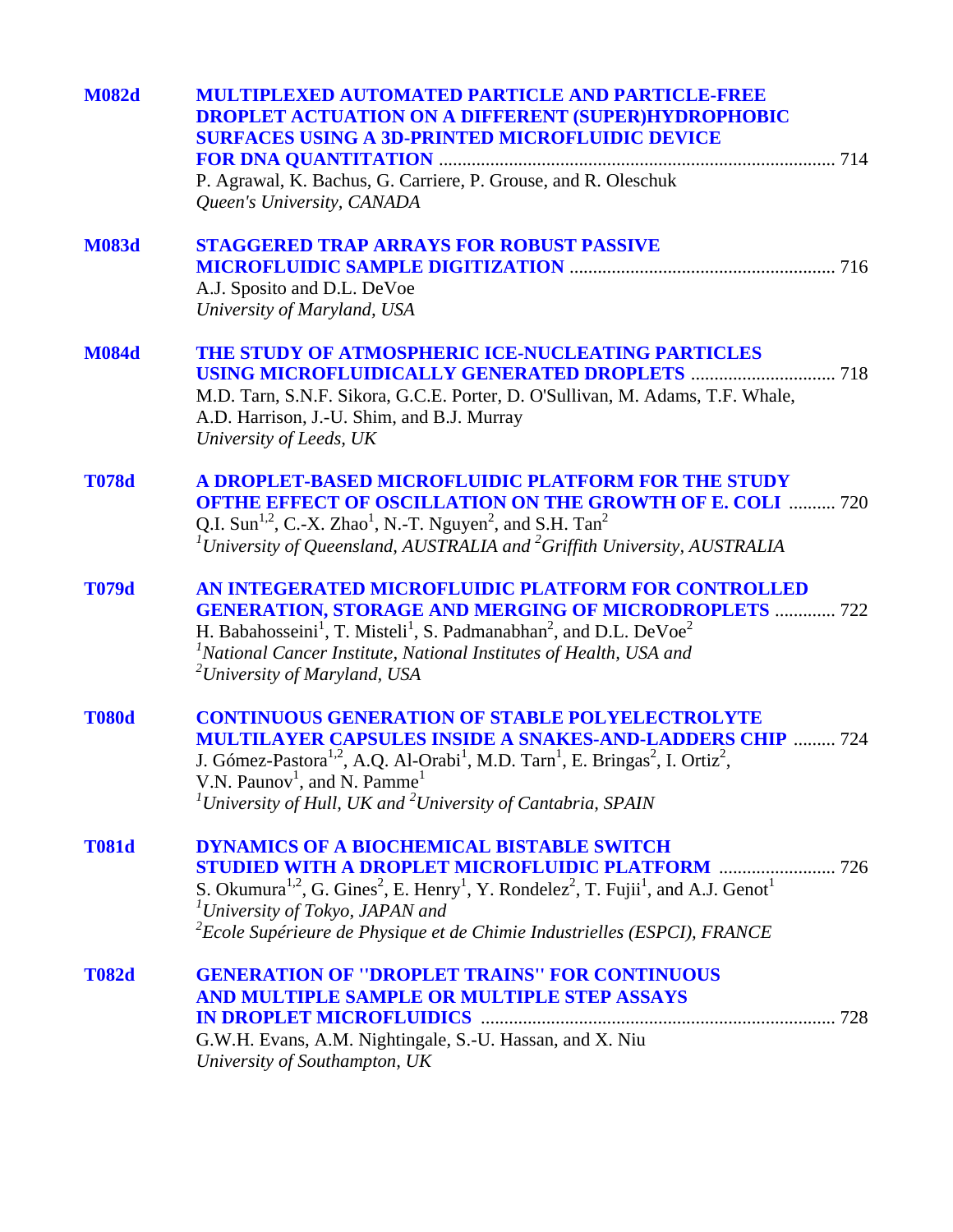| <b>M082d</b> | <b>MULTIPLEXED AUTOMATED PARTICLE AND PARTICLE-FREE</b><br><b>DROPLET ACTUATION ON A DIFFERENT (SUPER)HYDROPHOBIC</b><br><b>SURFACES USING A 3D-PRINTED MICROFLUIDIC DEVICE</b><br>P. Agrawal, K. Bachus, G. Carriere, P. Grouse, and R. Oleschuk<br>Queen's University, CANADA                                                                                                                                        |
|--------------|------------------------------------------------------------------------------------------------------------------------------------------------------------------------------------------------------------------------------------------------------------------------------------------------------------------------------------------------------------------------------------------------------------------------|
| <b>M083d</b> | <b>STAGGERED TRAP ARRAYS FOR ROBUST PASSIVE</b><br>A.J. Sposito and D.L. DeVoe<br>University of Maryland, USA                                                                                                                                                                                                                                                                                                          |
| <b>M084d</b> | THE STUDY OF ATMOSPHERIC ICE-NUCLEATING PARTICLES<br>M.D. Tarn, S.N.F. Sikora, G.C.E. Porter, D. O'Sullivan, M. Adams, T.F. Whale,<br>A.D. Harrison, J.-U. Shim, and B.J. Murray<br>University of Leeds, UK                                                                                                                                                                                                            |
| <b>T078d</b> | A DROPLET-BASED MICROFLUIDIC PLATFORM FOR THE STUDY<br><b>OFTHE EFFECT OF OSCILLATION ON THE GROWTH OF E. COLI  720</b><br>Q.I. Sun <sup>1,2</sup> , C.-X. Zhao <sup>1</sup> , N.-T. Nguyen <sup>2</sup> , and S.H. Tan <sup>2</sup><br><sup>1</sup> University of Queensland, AUSTRALIA and <sup>2</sup> Griffith University, AUSTRALIA                                                                               |
| <b>T079d</b> | AN INTEGERATED MICROFLUIDIC PLATFORM FOR CONTROLLED<br><b>GENERATION, STORAGE AND MERGING OF MICRODROPLETS  722</b><br>H. Babahosseini <sup>1</sup> , T. Misteli <sup>1</sup> , S. Padmanabhan <sup>2</sup> , and D.L. DeVoe <sup>2</sup><br><sup>1</sup> National Cancer Institute, National Institutes of Health, USA and<br><sup>2</sup> University of Maryland, USA                                                |
| <b>T080d</b> | <b>CONTINUOUS GENERATION OF STABLE POLYELECTROLYTE</b><br><b>MULTILAYER CAPSULES INSIDE A SNAKES-AND-LADDERS CHIP  724</b><br>J. Gómez-Pastora <sup>1,2</sup> , A.Q. Al-Orabi <sup>1</sup> , M.D. Tarn <sup>1</sup> , E. Bringas <sup>2</sup> , I. Ortiz <sup>2</sup> ,<br>V.N. Paunov <sup>1</sup> , and N. Pamme <sup>1</sup><br><sup>1</sup> University of Hull, UK and <sup>2</sup> University of Cantabria, SPAIN |
| <b>T081d</b> | <b>DYNAMICS OF A BIOCHEMICAL BISTABLE SWITCH</b><br><b>STUDIED WITH A DROPLET MICROFLUIDIC PLATFORM  726</b><br>S. Okumura <sup>1,2</sup> , G. Gines <sup>2</sup> , E. Henry <sup>1</sup> , Y. Rondelez <sup>2</sup> , T. Fujii <sup>1</sup> , and A.J. Genot <sup>1</sup><br>$I University of Tokyo, JAPAN and$<br>${}^{2}$ Ecole Supérieure de Physique et de Chimie Industrielles (ESPCI), FRANCE                   |
| <b>T082d</b> | <b>GENERATION OF "DROPLET TRAINS" FOR CONTINUOUS</b><br>AND MULTIPLE SAMPLE OR MULTIPLE STEP ASSAYS<br>G.W.H. Evans, A.M. Nightingale, S.-U. Hassan, and X. Niu<br>University of Southampton, UK                                                                                                                                                                                                                       |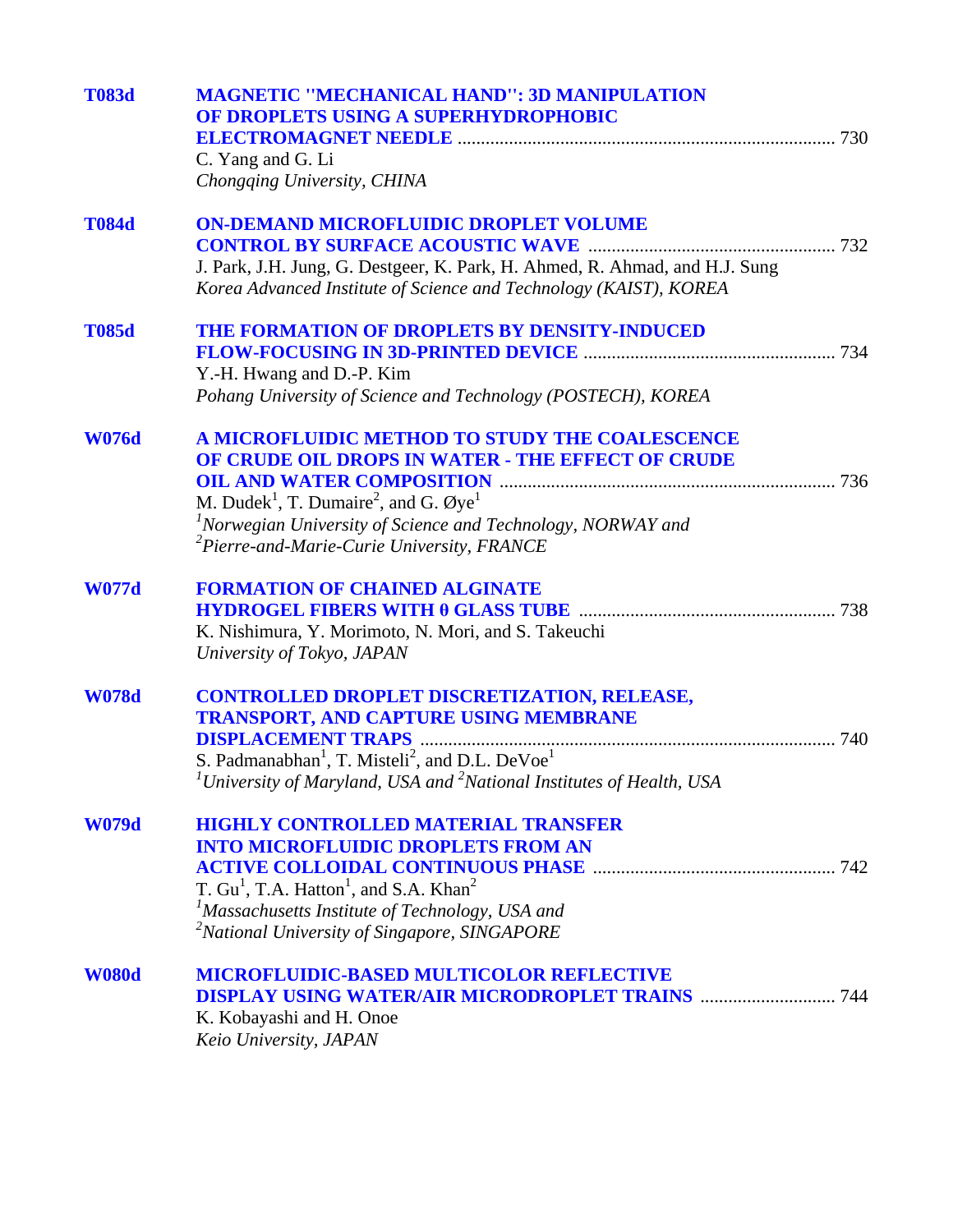| <b>T083d</b> | <b>MAGNETIC "MECHANICAL HAND": 3D MANIPULATION</b><br>OF DROPLETS USING A SUPERHYDROPHOBIC<br>C. Yang and G. Li<br>Chongqing University, CHINA                                                                                                                                                                                 |
|--------------|--------------------------------------------------------------------------------------------------------------------------------------------------------------------------------------------------------------------------------------------------------------------------------------------------------------------------------|
| <b>T084d</b> | <b>ON-DEMAND MICROFLUIDIC DROPLET VOLUME</b><br>J. Park, J.H. Jung, G. Destgeer, K. Park, H. Ahmed, R. Ahmad, and H.J. Sung<br>Korea Advanced Institute of Science and Technology (KAIST), KOREA                                                                                                                               |
| <b>T085d</b> | THE FORMATION OF DROPLETS BY DENSITY-INDUCED<br>Y.-H. Hwang and D.-P. Kim<br>Pohang University of Science and Technology (POSTECH), KOREA                                                                                                                                                                                      |
| <b>W076d</b> | A MICROFLUIDIC METHOD TO STUDY THE COALESCENCE<br>OF CRUDE OIL DROPS IN WATER - THE EFFECT OF CRUDE<br>M. Dudek <sup>1</sup> , T. Dumaire <sup>2</sup> , and G. $\varnothing$ ye <sup>1</sup><br>${}^{1}$ Norwegian University of Science and Technology, NORWAY and<br><sup>2</sup> Pierre-and-Marie-Curie University, FRANCE |
| <b>W077d</b> | <b>FORMATION OF CHAINED ALGINATE</b><br>K. Nishimura, Y. Morimoto, N. Mori, and S. Takeuchi<br>University of Tokyo, JAPAN                                                                                                                                                                                                      |
| <b>W078d</b> | <b>CONTROLLED DROPLET DISCRETIZATION, RELEASE,</b><br>TRANSPORT, AND CAPTURE USING MEMBRANE<br>S. Padmanabhan <sup>1</sup> , T. Misteli <sup>2</sup> , and D.L. DeVoe <sup>1</sup><br><sup>1</sup> University of Maryland, USA and <sup>2</sup> National Institutes of Health, USA                                             |
| <b>W079d</b> | <b>HIGHLY CONTROLLED MATERIAL TRANSFER</b><br><b>INTO MICROFLUIDIC DROPLETS FROM AN</b><br>T. $Gu1$ , T.A. Hatton <sup>1</sup> , and S.A. Khan <sup>2</sup><br><sup>1</sup> Massachusetts Institute of Technology, USA and<br><sup>2</sup> National University of Singapore, SINGAPORE                                         |
| <b>W080d</b> | <b>MICROFLUIDIC-BASED MULTICOLOR REFLECTIVE</b><br><b>DISPLAY USING WATER/AIR MICRODROPLET TRAINS  744</b><br>K. Kobayashi and H. Onoe<br>Keio University, JAPAN                                                                                                                                                               |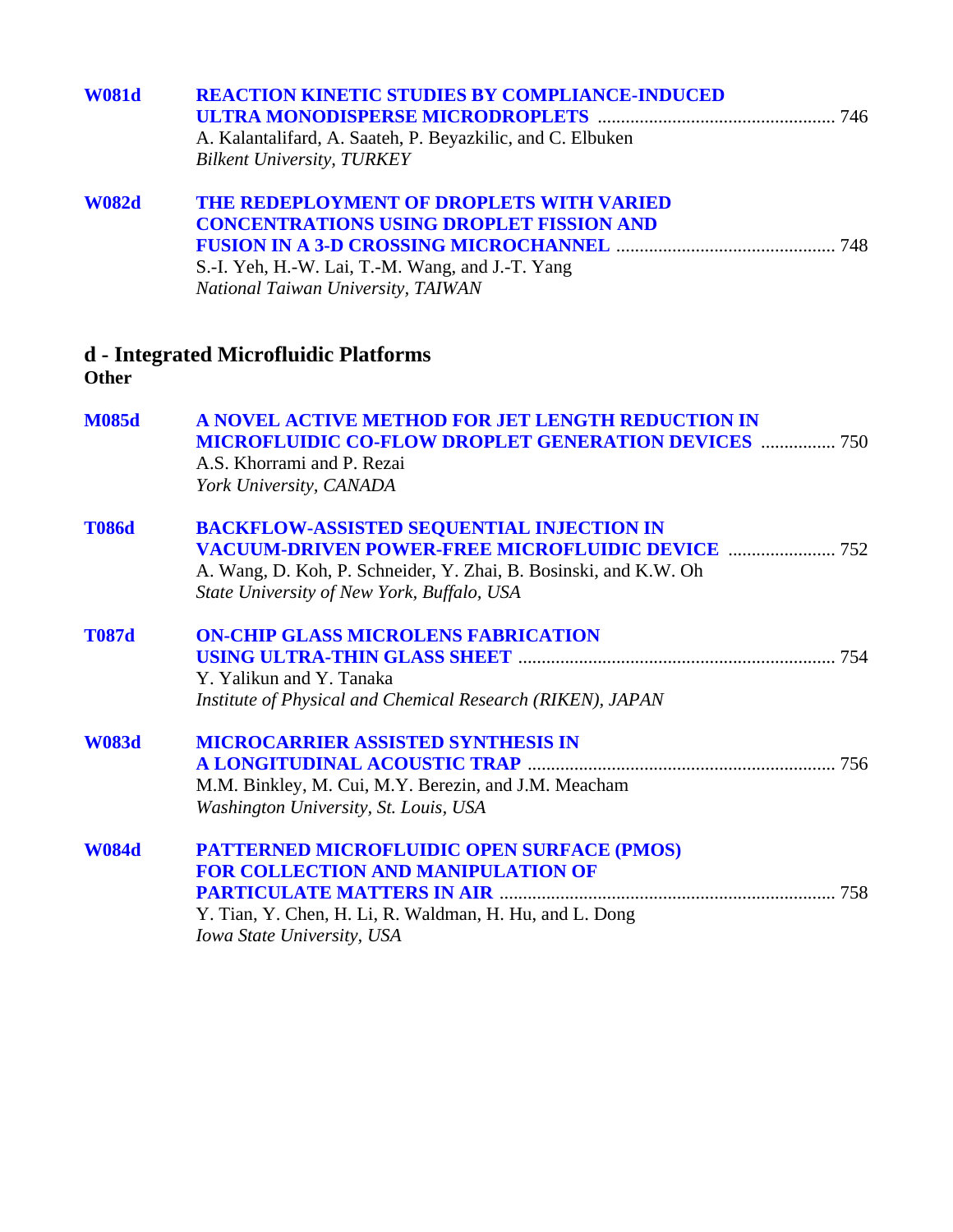| <b>W081d</b> | <b>REACTION KINETIC STUDIES BY COMPLIANCE-INDUCED</b><br>A. Kalantalifard, A. Saateh, P. Beyazkilic, and C. Elbuken<br><b>Bilkent University, TURKEY</b>                                                                       |
|--------------|--------------------------------------------------------------------------------------------------------------------------------------------------------------------------------------------------------------------------------|
| <b>W082d</b> | THE REDEPLOYMENT OF DROPLETS WITH VARIED<br><b>CONCENTRATIONS USING DROPLET FISSION AND</b><br>S.-I. Yeh, H.-W. Lai, T.-M. Wang, and J.-T. Yang<br>National Taiwan University, TAIWAN                                          |
| Other        | d - Integrated Microfluidic Platforms                                                                                                                                                                                          |
| <b>M085d</b> | A NOVEL ACTIVE METHOD FOR JET LENGTH REDUCTION IN<br><b>MICROFLUIDIC CO-FLOW DROPLET GENERATION DEVICES  750</b><br>A.S. Khorrami and P. Rezai<br>York University, CANADA                                                      |
| <b>T086d</b> | <b>BACKFLOW-ASSISTED SEQUENTIAL INJECTION IN</b><br><b>VACUUM-DRIVEN POWER-FREE MICROFLUIDIC DEVICE  752</b><br>A. Wang, D. Koh, P. Schneider, Y. Zhai, B. Bosinski, and K.W. Oh<br>State University of New York, Buffalo, USA |
| <b>T087d</b> | <b>ON-CHIP GLASS MICROLENS FABRICATION</b><br>Y. Yalikun and Y. Tanaka<br>Institute of Physical and Chemical Research (RIKEN), JAPAN                                                                                           |
| <b>W083d</b> | <b>MICROCARRIER ASSISTED SYNTHESIS IN</b><br>M.M. Binkley, M. Cui, M.Y. Berezin, and J.M. Meacham<br>Washington University, St. Louis, USA                                                                                     |
| <b>W084d</b> | PATTERNED MICROFLUIDIC OPEN SURFACE (PMOS)<br><b>FOR COLLECTION AND MANIPULATION OF</b><br>Y. Tian, Y. Chen, H. Li, R. Waldman, H. Hu, and L. Dong<br>Iowa State University, USA                                               |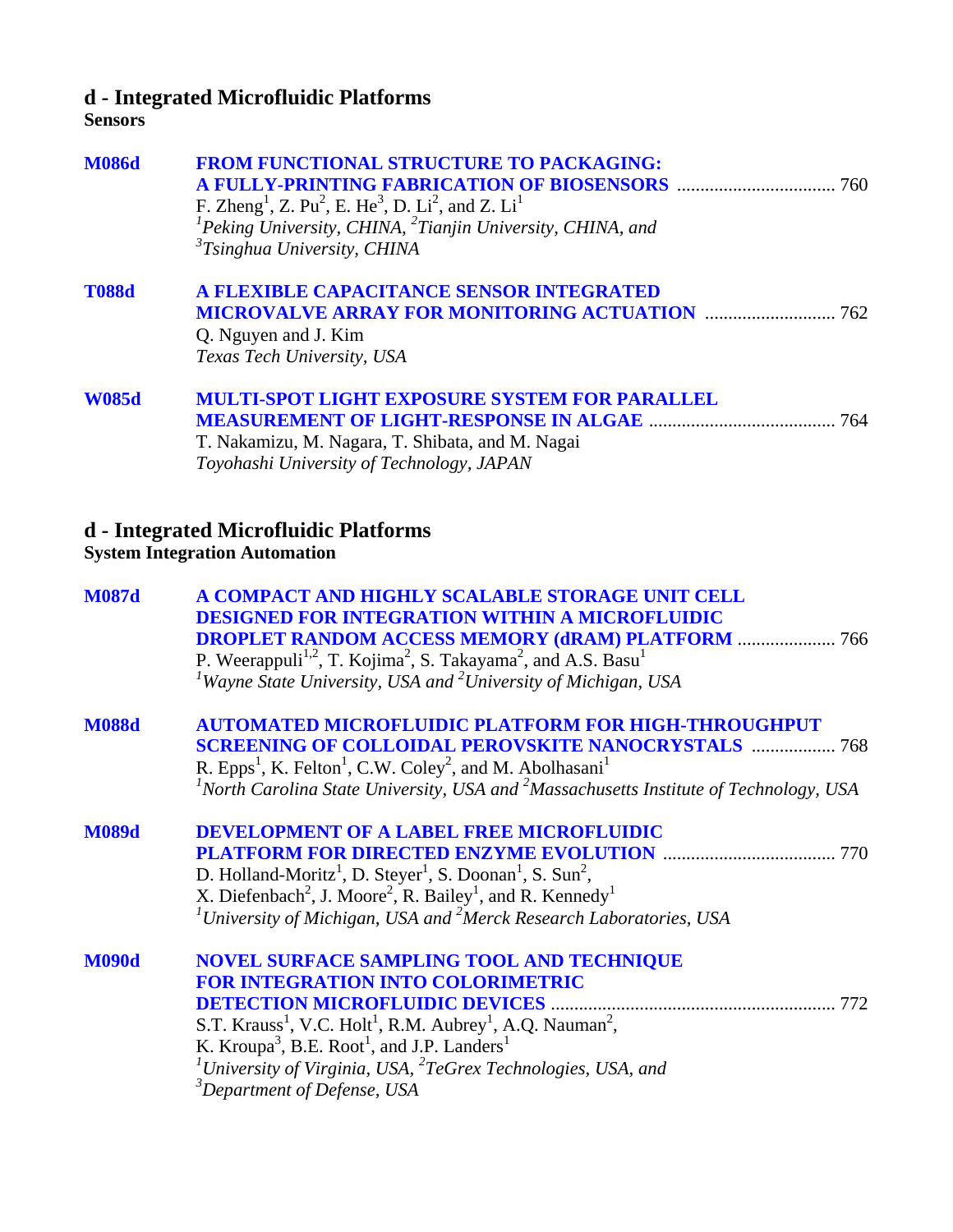## **d - Integrated Microfluidic Platforms**

#### **Sensors**

| <b>M086d</b> | <b>FROM FUNCTIONAL STRUCTURE TO PACKAGING:</b><br><b>A FULLY-PRINTING FABRICATION OF BIOSENSORS manufacturer and the 760</b><br>F. Zheng <sup>1</sup> , Z. Pu <sup>2</sup> , E. He <sup>3</sup> , D. Li <sup>2</sup> , and Z. Li <sup>1</sup><br><sup>1</sup> Peking University, CHINA, $^{2}$ Tianjin University, CHINA, and<br>${}^{3}T$ singhua University, CHINA           |
|--------------|--------------------------------------------------------------------------------------------------------------------------------------------------------------------------------------------------------------------------------------------------------------------------------------------------------------------------------------------------------------------------------|
| <b>T088d</b> | A FLEXIBLE CAPACITANCE SENSOR INTEGRATED<br><b>MICROVALVE ARRAY FOR MONITORING ACTUATION  762</b><br>Q. Nguyen and J. Kim<br>Texas Tech University, USA                                                                                                                                                                                                                        |
| <b>W085d</b> | <b>MULTI-SPOT LIGHT EXPOSURE SYSTEM FOR PARALLEL</b><br>T. Nakamizu, M. Nagara, T. Shibata, and M. Nagai<br>Toyohashi University of Technology, JAPAN                                                                                                                                                                                                                          |
|              | d - Integrated Microfluidic Platforms<br><b>System Integration Automation</b>                                                                                                                                                                                                                                                                                                  |
| <b>M087d</b> | A COMPACT AND HIGHLY SCALABLE STORAGE UNIT CELL<br><b>DESIGNED FOR INTEGRATION WITHIN A MICROFLUIDIC</b><br><b>DROPLET RANDOM ACCESS MEMORY (dRAM) PLATFORM  766</b><br>P. Weerappuli <sup>1,2</sup> , T. Kojima <sup>2</sup> , S. Takayama <sup>2</sup> , and A.S. Basu <sup>1</sup><br><sup>1</sup> Wayne State University, USA and <sup>2</sup> University of Michigan, USA |
| <b>M088d</b> | <b>AUTOMATED MICROFLUIDIC PLATFORM FOR HIGH-THROUGHPUT</b><br><b>SCREENING OF COLLOIDAL PEROVSKITE NANOCRYSTALS  768</b><br>R. Epps <sup>1</sup> , K. Felton <sup>1</sup> , C.W. Coley <sup>2</sup> , and M. Abolhasani <sup>1</sup><br><sup>1</sup> North Carolina State University, USA and <sup>2</sup> Massachusetts Institute of Technology, USA                          |
| <b>M089d</b> | <b>DEVELOPMENT OF A LABEL FREE MICROFLUIDIC</b><br>770<br>D. Holland-Moritz <sup>1</sup> , D. Steyer <sup>1</sup> , S. Doonan <sup>1</sup> , S. Sun <sup>2</sup> ,<br>X. Diefenbach <sup>2</sup> , J. Moore <sup>2</sup> , R. Bailey <sup>1</sup> , and R. Kennedy <sup>1</sup><br>${}^{1}$ University of Michigan, USA and ${}^{2}$ Merck Research Laboratories, USA          |
| <b>M090d</b> | NOVEL SURFACE SAMPLING TOOL AND TECHNIQUE<br><b>FOR INTEGRATION INTO COLORIMETRIC</b><br>K. Kroupa <sup>3</sup> , B.E. Root <sup>1</sup> , and J.P. Landers <sup>1</sup><br><sup>1</sup> University of Virginia, USA, ${}^{2}TeG$ rex Technologies, USA, and<br><sup>3</sup> Department of Defense, USA                                                                        |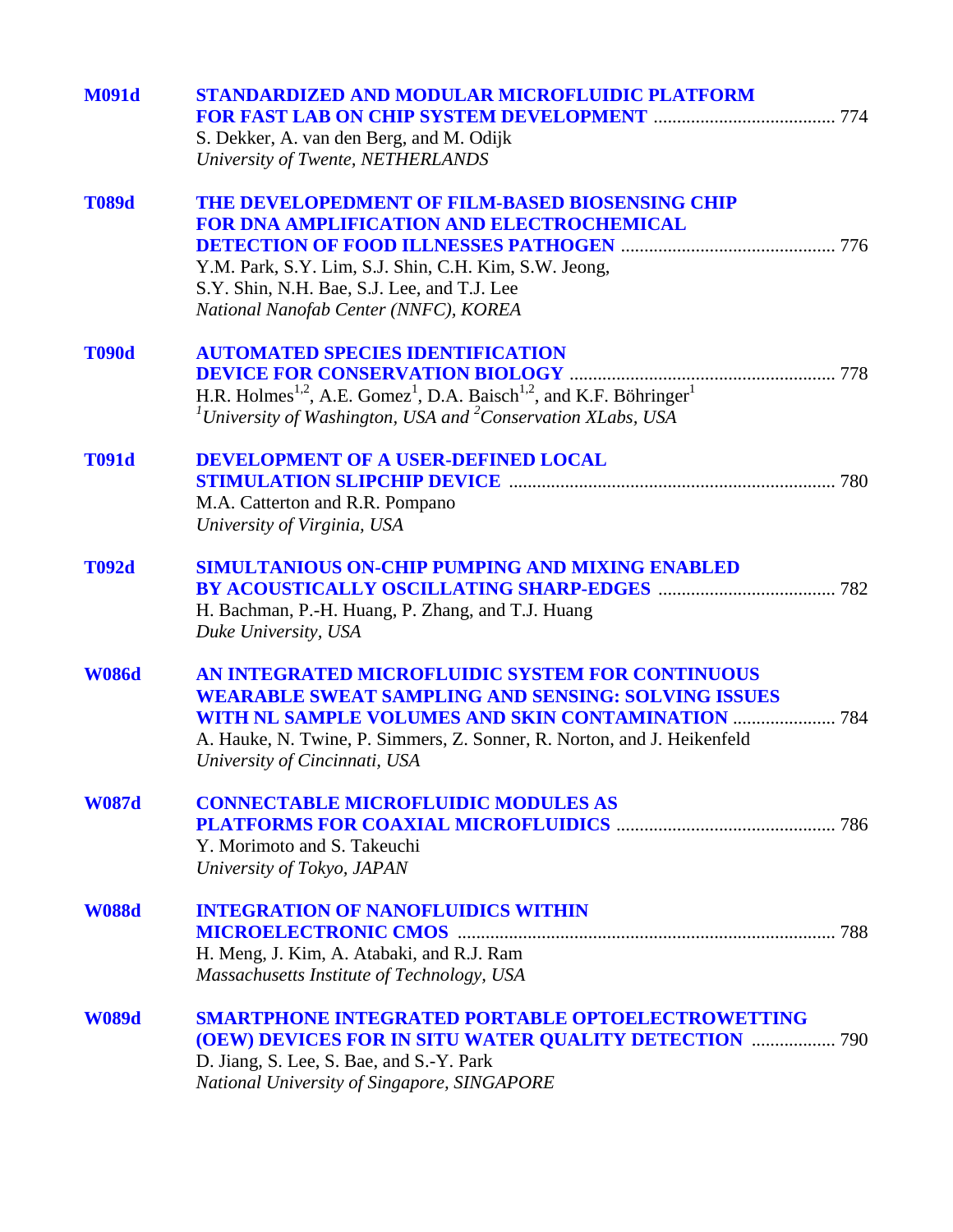| <b>M091d</b> | <b>STANDARDIZED AND MODULAR MICROFLUIDIC PLATFORM</b>                                                               |  |
|--------------|---------------------------------------------------------------------------------------------------------------------|--|
|              |                                                                                                                     |  |
|              | S. Dekker, A. van den Berg, and M. Odijk                                                                            |  |
|              | University of Twente, NETHERLANDS                                                                                   |  |
| <b>T089d</b> | THE DEVELOPEDMENT OF FILM-BASED BIOSENSING CHIP                                                                     |  |
|              | <b>FOR DNA AMPLIFICATION AND ELECTROCHEMICAL</b>                                                                    |  |
|              |                                                                                                                     |  |
|              | Y.M. Park, S.Y. Lim, S.J. Shin, C.H. Kim, S.W. Jeong,                                                               |  |
|              | S.Y. Shin, N.H. Bae, S.J. Lee, and T.J. Lee                                                                         |  |
|              | National Nanofab Center (NNFC), KOREA                                                                               |  |
| <b>T090d</b> | <b>AUTOMATED SPECIES IDENTIFICATION</b>                                                                             |  |
|              |                                                                                                                     |  |
|              | H.R. Holmes <sup>1,2</sup> , A.E. Gomez <sup>1</sup> , D.A. Baisch <sup>1,2</sup> , and K.F. Böhringer <sup>1</sup> |  |
|              | <sup>1</sup> University of Washington, USA and <sup>2</sup> Conservation XLabs, USA                                 |  |
|              |                                                                                                                     |  |
| <b>T091d</b> | DEVELOPMENT OF A USER-DEFINED LOCAL                                                                                 |  |
|              |                                                                                                                     |  |
|              | M.A. Catterton and R.R. Pompano                                                                                     |  |
|              | University of Virginia, USA                                                                                         |  |
| <b>T092d</b> | SIMULTANIOUS ON-CHIP PUMPING AND MIXING ENABLED                                                                     |  |
|              |                                                                                                                     |  |
|              | H. Bachman, P.-H. Huang, P. Zhang, and T.J. Huang                                                                   |  |
|              | Duke University, USA                                                                                                |  |
| <b>W086d</b> | AN INTEGRATED MICROFLUIDIC SYSTEM FOR CONTINUOUS                                                                    |  |
|              | <b>WEARABLE SWEAT SAMPLING AND SENSING: SOLVING ISSUES</b>                                                          |  |
|              | <b>WITH NL SAMPLE VOLUMES AND SKIN CONTAMINATION  784</b>                                                           |  |
|              | A. Hauke, N. Twine, P. Simmers, Z. Sonner, R. Norton, and J. Heikenfeld                                             |  |
|              | University of Cincinnati, USA                                                                                       |  |
| <b>W087d</b> | <b>CONNECTABLE MICROFLUIDIC MODULES AS</b>                                                                          |  |
|              |                                                                                                                     |  |
|              | Y. Morimoto and S. Takeuchi                                                                                         |  |
|              | University of Tokyo, JAPAN                                                                                          |  |
| <b>W088d</b> | <b>INTEGRATION OF NANOFLUIDICS WITHIN</b>                                                                           |  |
|              |                                                                                                                     |  |
|              | H. Meng, J. Kim, A. Atabaki, and R.J. Ram                                                                           |  |
|              | Massachusetts Institute of Technology, USA                                                                          |  |
| <b>W089d</b> | <b>SMARTPHONE INTEGRATED PORTABLE OPTOELECTROWETTING</b>                                                            |  |
|              | <b>(OEW) DEVICES FOR IN SITU WATER QUALITY DETECTION  790</b>                                                       |  |
|              | D. Jiang, S. Lee, S. Bae, and S.-Y. Park                                                                            |  |
|              | National University of Singapore, SINGAPORE                                                                         |  |
|              |                                                                                                                     |  |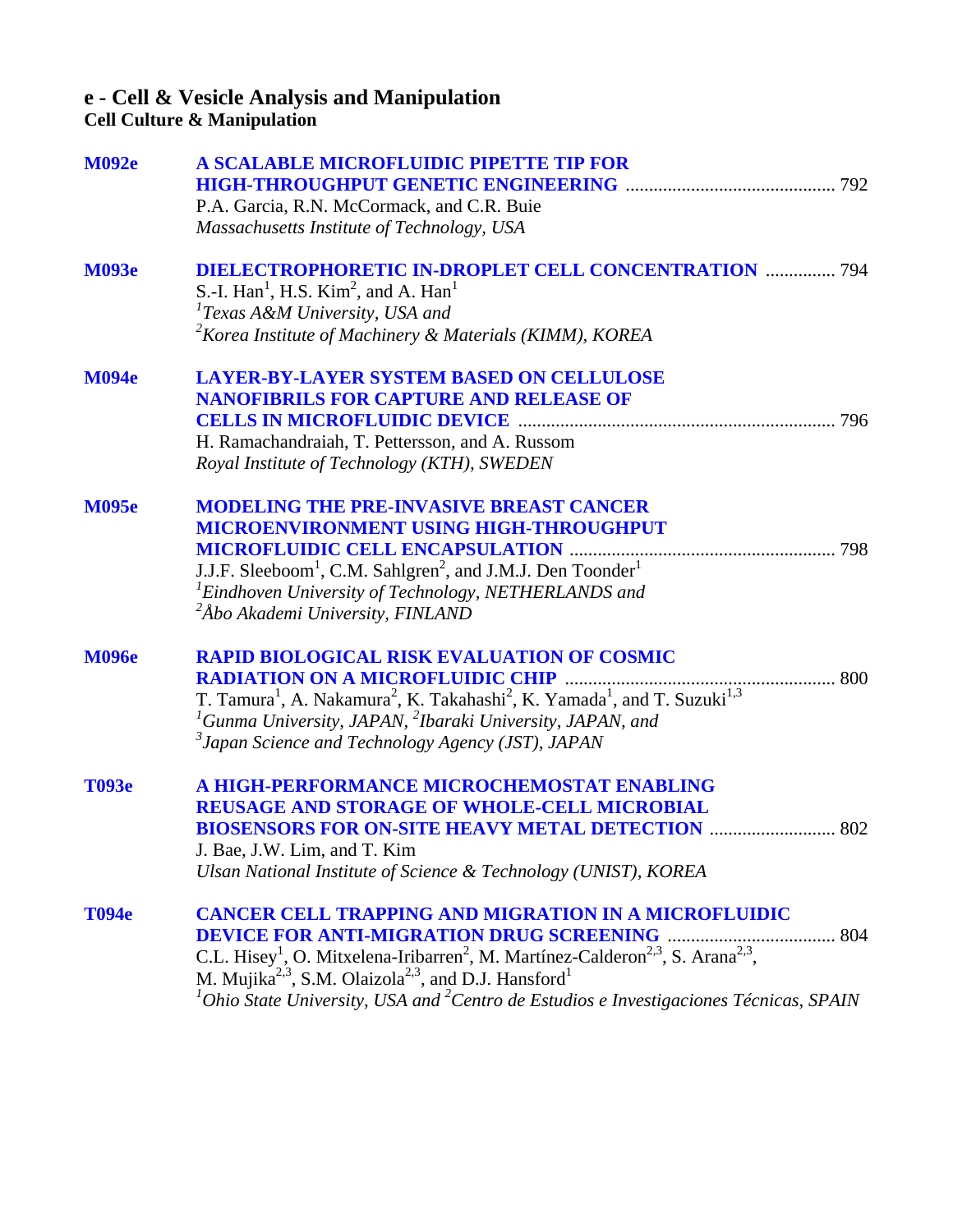## **e - Cell & Vesicle Analysis and Manipulation**

**Cell Culture & Manipulation**

| <b>M092e</b> | A SCALABLE MICROFLUIDIC PIPETTE TIP FOR                                                                                               |     |
|--------------|---------------------------------------------------------------------------------------------------------------------------------------|-----|
|              |                                                                                                                                       |     |
|              | P.A. Garcia, R.N. McCormack, and C.R. Buie                                                                                            |     |
|              | Massachusetts Institute of Technology, USA                                                                                            |     |
| <b>M093e</b> | <b>DIELECTROPHORETIC IN-DROPLET CELL CONCENTRATION  794</b>                                                                           |     |
|              | S.-I. $\text{Han}^1$ , H.S. $\text{Kim}^2$ , and A. $\text{Han}^1$                                                                    |     |
|              | <sup>1</sup> Texas A&M University, USA and                                                                                            |     |
|              | $2K$ orea Institute of Machinery & Materials (KIMM), KOREA                                                                            |     |
| <b>M094e</b> | <b>LAYER-BY-LAYER SYSTEM BASED ON CELLULOSE</b>                                                                                       |     |
|              | <b>NANOFIBRILS FOR CAPTURE AND RELEASE OF</b>                                                                                         |     |
|              |                                                                                                                                       |     |
|              | H. Ramachandraiah, T. Pettersson, and A. Russom                                                                                       |     |
|              | Royal Institute of Technology (KTH), SWEDEN                                                                                           |     |
| <b>M095e</b> | <b>MODELING THE PRE-INVASIVE BREAST CANCER</b>                                                                                        |     |
|              | <b>MICROENVIRONMENT USING HIGH-THROUGHPUT</b>                                                                                         |     |
|              |                                                                                                                                       |     |
|              | J.J.F. Sleeboom <sup>1</sup> , C.M. Sahlgren <sup>2</sup> , and J.M.J. Den Toonder <sup>1</sup>                                       |     |
|              | <sup>1</sup> Eindhoven University of Technology, NETHERLANDS and                                                                      |     |
|              | <sup>2</sup> Åbo Akademi University, FINLAND                                                                                          |     |
| <b>M096e</b> | <b>RAPID BIOLOGICAL RISK EVALUATION OF COSMIC</b>                                                                                     |     |
|              |                                                                                                                                       |     |
|              | T. Tamura <sup>1</sup> , A. Nakamura <sup>2</sup> , K. Takahashi <sup>2</sup> , K. Yamada <sup>1</sup> , and T. Suzuki <sup>1,3</sup> |     |
|              | ${}^{1}$ Gunma University, JAPAN, ${}^{2}$ Ibaraki University, JAPAN, and                                                             |     |
|              | <sup>3</sup> Japan Science and Technology Agency (JST), JAPAN                                                                         |     |
| <b>T093e</b> | A HIGH-PERFORMANCE MICROCHEMOSTAT ENABLING                                                                                            |     |
|              | <b>REUSAGE AND STORAGE OF WHOLE-CELL MICROBIAL</b>                                                                                    |     |
|              | <b>BIOSENSORS FOR ON-SITE HEAVY METAL DETECTION </b>                                                                                  | 802 |
|              | J. Bae, J.W. Lim, and T. Kim                                                                                                          |     |
|              | Ulsan National Institute of Science & Technology (UNIST), KOREA                                                                       |     |
| <b>T094e</b> | <b>CANCER CELL TRAPPING AND MIGRATION IN A MICROFLUIDIC</b>                                                                           |     |
|              |                                                                                                                                       |     |
|              | C.L. Hisey <sup>1</sup> , O. Mitxelena-Iribarren <sup>2</sup> , M. Martínez-Calderon <sup>2,3</sup> , S. Arana <sup>2,3</sup> ,       |     |
|              | M. Mujika <sup>2,3</sup> , S.M. Olaizola <sup>2,3</sup> , and D.J. Hansford <sup>1</sup>                                              |     |
|              | ${}^{1}$ Ohio State University, USA and <sup>2</sup> Centro de Estudios e Investigaciones Técnicas, SPAIN                             |     |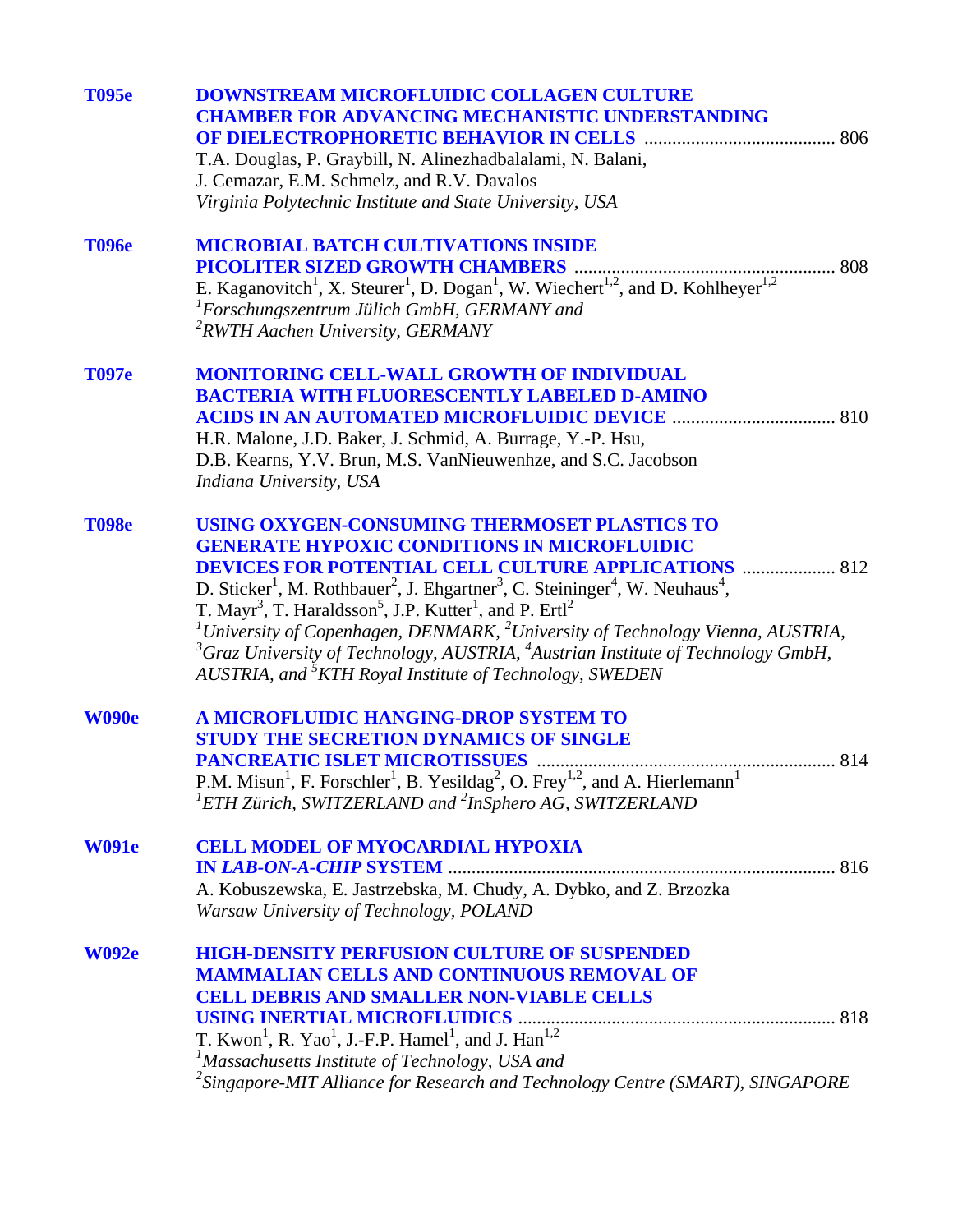| <b>T095e</b> | <b>DOWNSTREAM MICROFLUIDIC COLLAGEN CULTURE</b><br><b>CHAMBER FOR ADVANCING MECHANISTIC UNDERSTANDING</b>                                                                                                  |
|--------------|------------------------------------------------------------------------------------------------------------------------------------------------------------------------------------------------------------|
|              | T.A. Douglas, P. Graybill, N. Alinezhadbalalami, N. Balani,                                                                                                                                                |
|              | J. Cemazar, E.M. Schmelz, and R.V. Davalos                                                                                                                                                                 |
|              | Virginia Polytechnic Institute and State University, USA                                                                                                                                                   |
| <b>T096e</b> | <b>MICROBIAL BATCH CULTIVATIONS INSIDE</b>                                                                                                                                                                 |
|              | <b>PICOLITER SIZED GROWTH CHAMBERS </b><br>808                                                                                                                                                             |
|              | E. Kaganovitch <sup>1</sup> , X. Steurer <sup>1</sup> , D. Dogan <sup>1</sup> , W. Wiechert <sup>1,2</sup> , and D. Kohlheyer <sup>1,2</sup>                                                               |
|              | ${}^{1}$ Forschungszentrum Jülich GmbH, GERMANY and                                                                                                                                                        |
|              | <sup>2</sup> RWTH Aachen University, GERMANY                                                                                                                                                               |
| <b>T097e</b> | <b>MONITORING CELL-WALL GROWTH OF INDIVIDUAL</b>                                                                                                                                                           |
|              | <b>BACTERIA WITH FLUORESCENTLY LABELED D-AMINO</b>                                                                                                                                                         |
|              |                                                                                                                                                                                                            |
|              | H.R. Malone, J.D. Baker, J. Schmid, A. Burrage, Y.-P. Hsu,                                                                                                                                                 |
|              | D.B. Kearns, Y.V. Brun, M.S. VanNieuwenhze, and S.C. Jacobson                                                                                                                                              |
|              | Indiana University, USA                                                                                                                                                                                    |
| <b>T098e</b> | USING OXYGEN-CONSUMING THERMOSET PLASTICS TO                                                                                                                                                               |
|              | <b>GENERATE HYPOXIC CONDITIONS IN MICROFLUIDIC</b>                                                                                                                                                         |
|              | <b>DEVICES FOR POTENTIAL CELL CULTURE APPLICATIONS  812</b>                                                                                                                                                |
|              | D. Sticker <sup>1</sup> , M. Rothbauer <sup>2</sup> , J. Ehgartner <sup>3</sup> , C. Steininger <sup>4</sup> , W. Neuhaus <sup>4</sup> ,                                                                   |
|              | T. Mayr <sup>3</sup> , T. Haraldsson <sup>5</sup> , J.P. Kutter <sup>1</sup> , and P. Ertl <sup>2</sup>                                                                                                    |
|              | <sup>1</sup> University of Copenhagen, DENMARK, <sup>2</sup> University of Technology Vienna, AUSTRIA,<br>${}^{3}G$ raz University of Technology, AUSTRIA, ${}^{4}$ Austrian Institute of Technology GmbH, |
|              | AUSTRIA, and <sup>3</sup> KTH Royal Institute of Technology, SWEDEN                                                                                                                                        |
| <b>W090e</b> | A MICROFLUIDIC HANGING-DROP SYSTEM TO                                                                                                                                                                      |
|              | <b>STUDY THE SECRETION DYNAMICS OF SINGLE</b>                                                                                                                                                              |
|              |                                                                                                                                                                                                            |
|              | P.M. Misun <sup>1</sup> , F. Forschler <sup>1</sup> , B. Yesildag <sup>2</sup> , O. Frey <sup>1,2</sup> , and A. Hierlemann <sup>1</sup>                                                                   |
|              | ${}^{1}ETH$ Zürich, SWITZERLAND and ${}^{2}InSphero$ AG, SWITZERLAND                                                                                                                                       |
| <b>W091e</b> | <b>CELL MODEL OF MYOCARDIAL HYPOXIA</b>                                                                                                                                                                    |
|              |                                                                                                                                                                                                            |
|              | A. Kobuszewska, E. Jastrzebska, M. Chudy, A. Dybko, and Z. Brzozka                                                                                                                                         |
|              | Warsaw University of Technology, POLAND                                                                                                                                                                    |
| <b>W092e</b> | <b>HIGH-DENSITY PERFUSION CULTURE OF SUSPENDED</b>                                                                                                                                                         |
|              | <b>MAMMALIAN CELLS AND CONTINUOUS REMOVAL OF</b>                                                                                                                                                           |
|              | <b>CELL DEBRIS AND SMALLER NON-VIABLE CELLS</b>                                                                                                                                                            |
|              |                                                                                                                                                                                                            |
|              | T. Kwon <sup>1</sup> , R. Yao <sup>1</sup> , J.-F.P. Hamel <sup>1</sup> , and J. Han <sup>1,2</sup>                                                                                                        |
|              | <sup>1</sup> Massachusetts Institute of Technology, USA and                                                                                                                                                |
|              | <sup>2</sup> Singapore-MIT Alliance for Research and Technology Centre (SMART), SINGAPORE                                                                                                                  |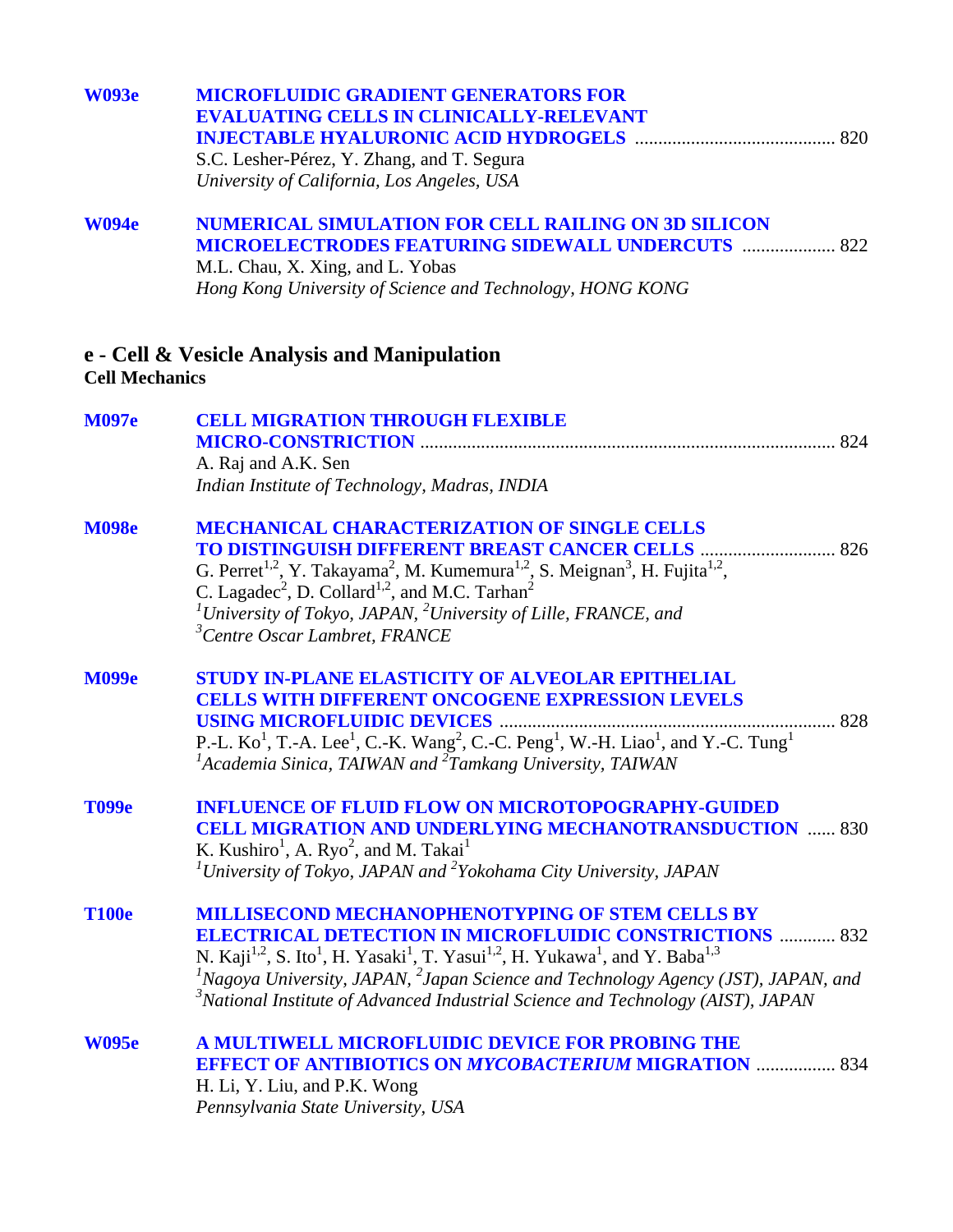| <b>W093e</b>          | <b>MICROFLUIDIC GRADIENT GENERATORS FOR</b><br><b>EVALUATING CELLS IN CLINICALLY-RELEVANT</b><br>S.C. Lesher-Pérez, Y. Zhang, and T. Segura<br>University of California, Los Angeles, USA                                                                                                                                                                                                                                                                                              |
|-----------------------|----------------------------------------------------------------------------------------------------------------------------------------------------------------------------------------------------------------------------------------------------------------------------------------------------------------------------------------------------------------------------------------------------------------------------------------------------------------------------------------|
| <b>W094e</b>          | <b>NUMERICAL SIMULATION FOR CELL RAILING ON 3D SILICON</b><br><b>MICROELECTRODES FEATURING SIDEWALL UNDERCUTS  822</b><br>M.L. Chau, X. Xing, and L. Yobas<br>Hong Kong University of Science and Technology, HONG KONG                                                                                                                                                                                                                                                                |
| <b>Cell Mechanics</b> | e - Cell & Vesicle Analysis and Manipulation                                                                                                                                                                                                                                                                                                                                                                                                                                           |
| <b>M097e</b>          | <b>CELL MIGRATION THROUGH FLEXIBLE</b><br>A. Raj and A.K. Sen<br>Indian Institute of Technology, Madras, INDIA                                                                                                                                                                                                                                                                                                                                                                         |
| <b>M098e</b>          | <b>MECHANICAL CHARACTERIZATION OF SINGLE CELLS</b><br><b>TO DISTINGUISH DIFFERENT BREAST CANCER CELLS  826</b><br>G. Perret <sup>1,2</sup> , Y. Takayama <sup>2</sup> , M. Kumemura <sup>1,2</sup> , S. Meignan <sup>3</sup> , H. Fujita <sup>1,2</sup> ,<br>C. Lagadec <sup>2</sup> , D. Collard <sup>1,2</sup> , and M.C. Tarhan <sup>2</sup><br><sup>1</sup> University of Tokyo, JAPAN, <sup>2</sup> University of Lille, FRANCE, and<br><sup>3</sup> Centre Oscar Lambret, FRANCE |
| <b>M099e</b>          | <b>STUDY IN-PLANE ELASTICITY OF ALVEOLAR EPITHELIAL</b><br><b>CELLS WITH DIFFERENT ONCOGENE EXPRESSION LEVELS</b><br>P.-L. Ko <sup>1</sup> , T.-A. Lee <sup>1</sup> , C.-K. Wang <sup>2</sup> , C.-C. Peng <sup>1</sup> , W.-H. Liao <sup>1</sup> , and Y.-C. Tung <sup>1</sup><br><sup>1</sup> Academia Sinica, TAIWAN and <sup>2</sup> Tamkang University, TAIWAN                                                                                                                    |
| <b>T099e</b>          | <b>INFLUENCE OF FLUID FLOW ON MICROTOPOGRAPHY-GUIDED</b><br><b>CELL MIGRATION AND UNDERLYING MECHANOTRANSDUCTION  830</b><br>K. Kushiro <sup>1</sup> , A. Ryo <sup>2</sup> , and M. Takai <sup>1</sup><br><sup>1</sup> University of Tokyo, JAPAN and <sup>2</sup> Yokohama City University, JAPAN                                                                                                                                                                                     |
| <b>T100e</b>          | <b>MILLISECOND MECHANOPHENOTYPING OF STEM CELLS BY</b><br><b>ELECTRICAL DETECTION IN MICROFLUIDIC CONSTRICTIONS  832</b><br>N. Kaji <sup>1,2</sup> , S. Ito <sup>1</sup> , H. Yasaki <sup>1</sup> , T. Yasui <sup>1,2</sup> , H. Yukawa <sup>1</sup> , and Y. Baba <sup>1,3</sup><br>${}^{1}$ Nagoya University, JAPAN, ${}^{2}$ Japan Science and Technology Agency (JST), JAPAN, and<br>$3^3$ National Institute of Advanced Industrial Science and Technology (AIST), JAPAN         |
| <b>W095e</b>          | <b>A MULTIWELL MICROFLUIDIC DEVICE FOR PROBING THE</b><br><b>EFFECT OF ANTIBIOTICS ON MYCOBACTERIUM MIGRATION  834</b><br>H. Li, Y. Liu, and P.K. Wong<br>Pennsylvania State University, USA                                                                                                                                                                                                                                                                                           |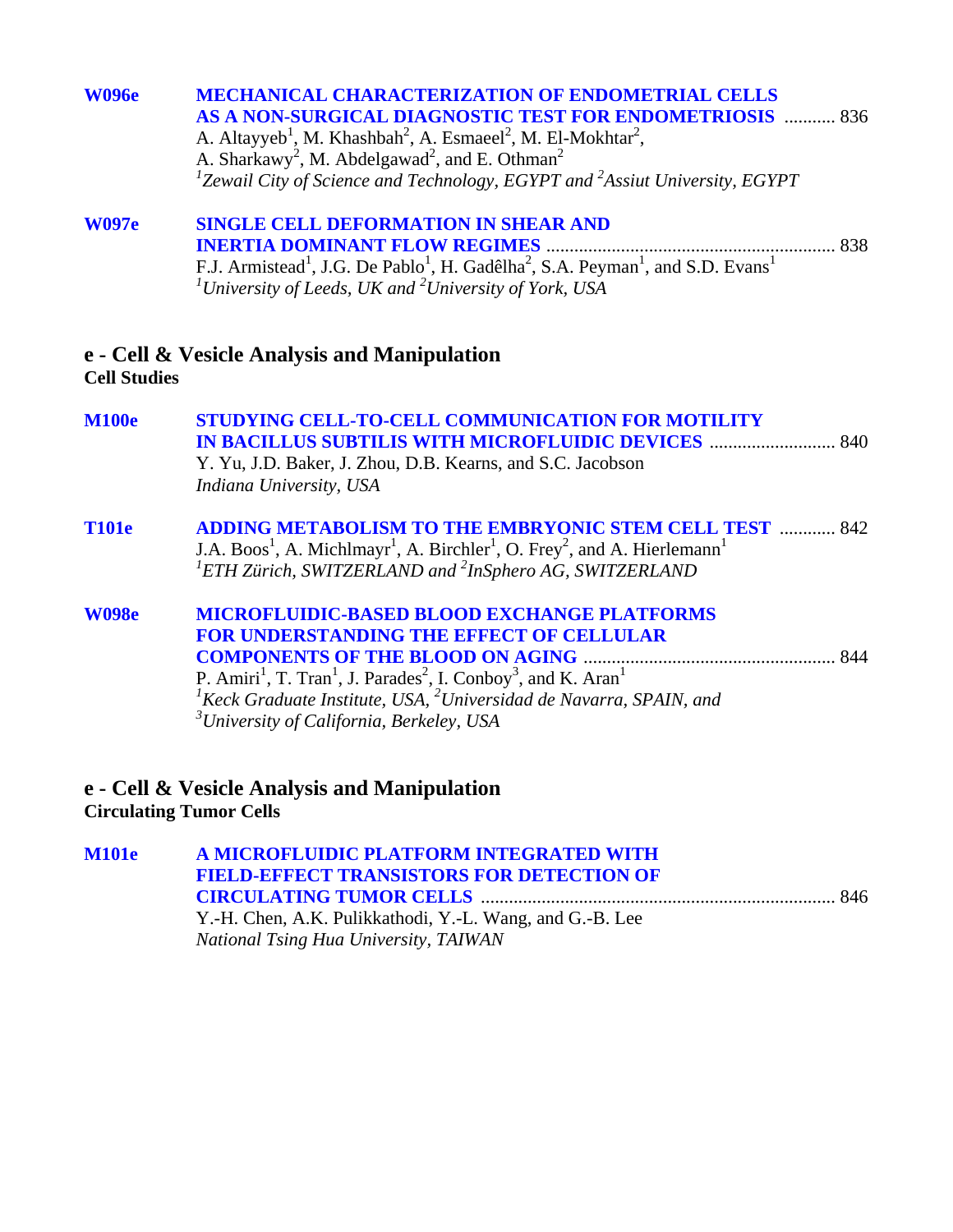| <b>W096e</b> | <b>MECHANICAL CHARACTERIZATION OF ENDOMETRIAL CELLS</b>                                                                                                                                   |
|--------------|-------------------------------------------------------------------------------------------------------------------------------------------------------------------------------------------|
|              | AS A NON-SURGICAL DIAGNOSTIC TEST FOR ENDOMETRIOSIS  836<br>A. Altayyeb <sup>1</sup> , M. Khashbah <sup>2</sup> , A. Esmaeel <sup>2</sup> , M. El-Mokhtar <sup>2</sup> ,                  |
|              | A. Sharkawy <sup>2</sup> , M. Abdelgawad <sup>2</sup> , and E. Othman <sup>2</sup><br><sup>1</sup> Zewail City of Science and Technology, EGYPT and <sup>2</sup> Assiut University, EGYPT |
| <b>W097e</b> | <b>SINGLE CELL DEFORMATION IN SHEAR AND</b>                                                                                                                                               |

**INERTIA DOMINANT FLOW REGIMES** .............................................................. 838 F.J. Armistead<sup>1</sup>, J.G. De Pablo<sup>1</sup>, H. Gadêlha<sup>2</sup>, S.A. Peyman<sup>1</sup>, and S.D. Evans<sup>1</sup><br><sup>*1*</sup>University of Leeds, UK and <sup>2</sup>University of York, USA

#### **e - Cell & Vesicle Analysis and Manipulation Cell Studies**

| <b>M100e</b> | <b>STUDYING CELL-TO-CELL COMMUNICATION FOR MOTILITY</b><br>Y. Yu, J.D. Baker, J. Zhou, D.B. Kearns, and S.C. Jacobson<br>Indiana University, USA                                                                                                                                                                                                                                  |     |
|--------------|-----------------------------------------------------------------------------------------------------------------------------------------------------------------------------------------------------------------------------------------------------------------------------------------------------------------------------------------------------------------------------------|-----|
| <b>T101e</b> | <b>ADDING METABOLISM TO THE EMBRYONIC STEM CELL TEST  842</b><br>J.A. Boos <sup>1</sup> , A. Michlmayr <sup>1</sup> , A. Birchler <sup>1</sup> , O. Frey <sup>2</sup> , and A. Hierlemann <sup>1</sup><br>${}^{1}ETH$ Zürich, SWITZERLAND and ${}^{2}InSphero$ AG, SWITZERLAND                                                                                                    |     |
| <b>W098e</b> | <b>MICROFLUIDIC-BASED BLOOD EXCHANGE PLATFORMS</b><br><b>FOR UNDERSTANDING THE EFFECT OF CELLULAR</b><br>P. Amiri <sup>1</sup> , T. Tran <sup>1</sup> , J. Parades <sup>2</sup> , I. Conboy <sup>3</sup> , and K. Aran <sup>1</sup><br>${}^{1}$ Keck Graduate Institute, USA, ${}^{2}$ Universidad de Navarra, SPAIN, and<br><sup>3</sup> University of California, Berkeley, USA | 844 |

### **e - Cell & Vesicle Analysis and Manipulation Circulating Tumor Cells**

**[M101e A MICROFLUIDIC PLATFORM INTEGRATED WITH](#page-0-0)  FIELD-EFFECT TRANSISTORS FOR DETECTION OF CIRCULATING TUMOR CELLS** ............................................................................ 846 Y.-H. Chen, A.K. Pulikkathodi, Y.-L. Wang, and G.-B. Lee *National Tsing Hua University, TAIWAN*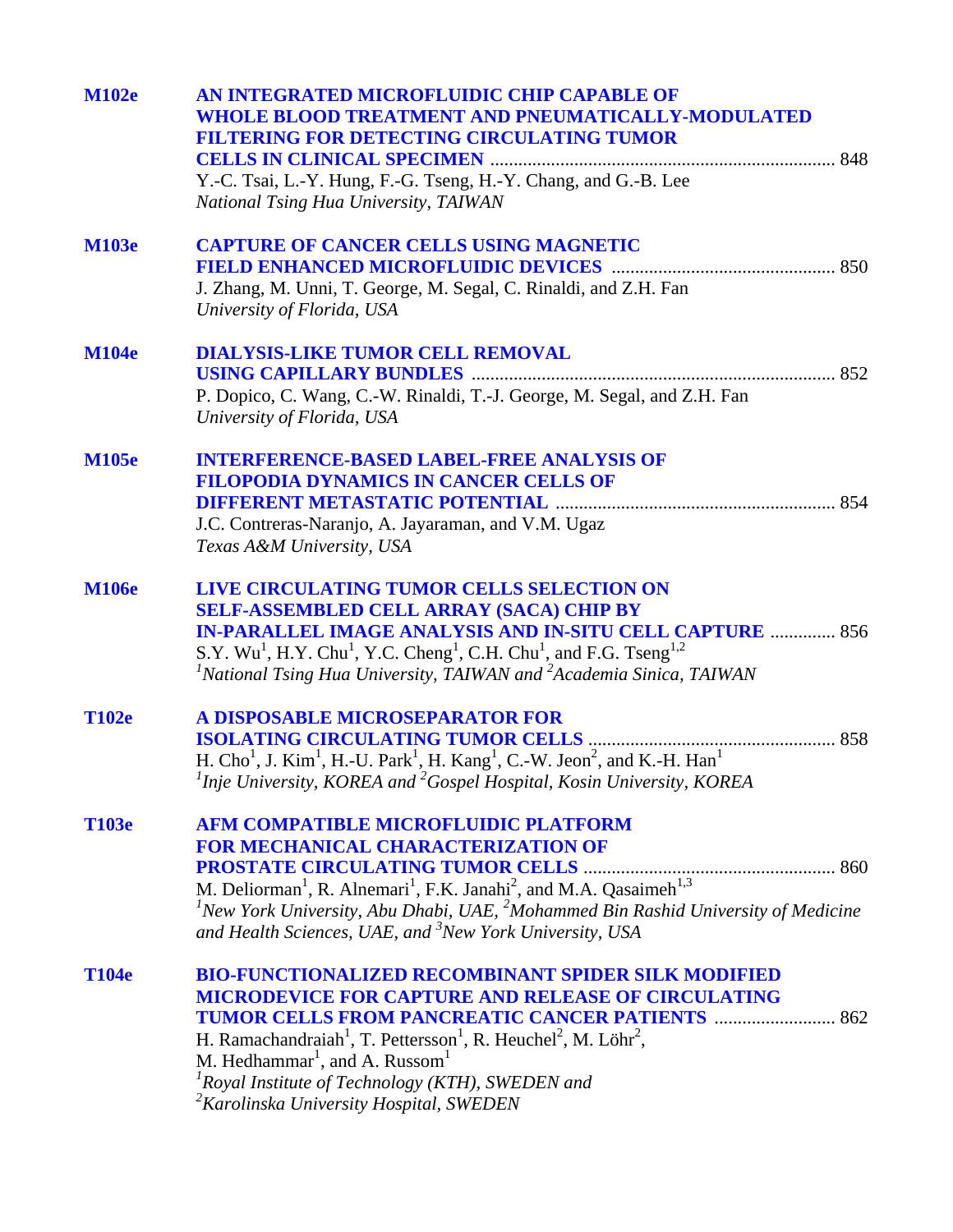| <b>M102e</b> | AN INTEGRATED MICROFLUIDIC CHIP CAPABLE OF                                                                                                        |  |
|--------------|---------------------------------------------------------------------------------------------------------------------------------------------------|--|
|              | <b>WHOLE BLOOD TREATMENT AND PNEUMATICALLY-MODULATED</b>                                                                                          |  |
|              | FILTERING FOR DETECTING CIRCULATING TUMOR                                                                                                         |  |
|              |                                                                                                                                                   |  |
|              | Y.-C. Tsai, L.-Y. Hung, F.-G. Tseng, H.-Y. Chang, and G.-B. Lee                                                                                   |  |
|              | National Tsing Hua University, TAIWAN                                                                                                             |  |
| <b>M103e</b> | <b>CAPTURE OF CANCER CELLS USING MAGNETIC</b>                                                                                                     |  |
|              |                                                                                                                                                   |  |
|              | J. Zhang, M. Unni, T. George, M. Segal, C. Rinaldi, and Z.H. Fan                                                                                  |  |
|              | University of Florida, USA                                                                                                                        |  |
| <b>M104e</b> | <b>DIALYSIS-LIKE TUMOR CELL REMOVAL</b>                                                                                                           |  |
|              |                                                                                                                                                   |  |
|              | P. Dopico, C. Wang, C.-W. Rinaldi, T.-J. George, M. Segal, and Z.H. Fan                                                                           |  |
|              | University of Florida, USA                                                                                                                        |  |
| <b>M105e</b> | <b>INTERFERENCE-BASED LABEL-FREE ANALYSIS OF</b>                                                                                                  |  |
|              | <b>FILOPODIA DYNAMICS IN CANCER CELLS OF</b>                                                                                                      |  |
|              |                                                                                                                                                   |  |
|              | J.C. Contreras-Naranjo, A. Jayaraman, and V.M. Ugaz                                                                                               |  |
|              | Texas A&M University, USA                                                                                                                         |  |
| <b>M106e</b> | LIVE CIRCULATING TUMOR CELLS SELECTION ON                                                                                                         |  |
|              | <b>SELF-ASSEMBLED CELL ARRAY (SACA) CHIP BY</b>                                                                                                   |  |
|              | <b>IN-PARALLEL IMAGE ANALYSIS AND IN-SITU CELL CAPTURE  856</b>                                                                                   |  |
|              | S.Y. Wu <sup>1</sup> , H.Y. Chu <sup>1</sup> , Y.C. Cheng <sup>1</sup> , C.H. Chu <sup>1</sup> , and F.G. Tseng <sup>1,2</sup>                    |  |
|              | <sup>1</sup> National Tsing Hua University, TAIWAN and <sup>2</sup> Academia Sinica, TAIWAN                                                       |  |
| <b>T102e</b> | A DISPOSABLE MICROSEPARATOR FOR                                                                                                                   |  |
|              |                                                                                                                                                   |  |
|              | H. Cho <sup>1</sup> , J. Kim <sup>1</sup> , H.-U. Park <sup>1</sup> , H. Kang <sup>1</sup> , C.-W. Jeon <sup>2</sup> , and K.-H. Han <sup>1</sup> |  |
|              | ${}^{1}$ Inje University, KOREA and ${}^{2}$ Gospel Hospital, Kosin University, KOREA                                                             |  |
| <b>T103e</b> | <b>AFM COMPATIBLE MICROFLUIDIC PLATFORM</b>                                                                                                       |  |
|              | <b>FOR MECHANICAL CHARACTERIZATION OF</b>                                                                                                         |  |
|              |                                                                                                                                                   |  |
|              |                                                                                                                                                   |  |
|              | ${}^{1}$ New York University, Abu Dhabi, UAE, ${}^{2}$ Mohammed Bin Rashid University of Medicine                                                 |  |
|              | and Health Sciences, UAE, and <sup>3</sup> New York University, USA                                                                               |  |
| <b>T104e</b> | <b>BIO-FUNCTIONALIZED RECOMBINANT SPIDER SILK MODIFIED</b>                                                                                        |  |
|              | <b>MICRODEVICE FOR CAPTURE AND RELEASE OF CIRCULATING</b>                                                                                         |  |
|              | <b>TUMOR CELLS FROM PANCREATIC CANCER PATIENTS  862</b>                                                                                           |  |
|              | H. Ramachandraiah <sup>1</sup> , T. Pettersson <sup>1</sup> , R. Heuchel <sup>2</sup> , M. Löhr <sup>2</sup> ,                                    |  |
|              | M. Hedhammar <sup>1</sup> , and A. Russom <sup>1</sup>                                                                                            |  |
|              | ${}^{1}$ Royal Institute of Technology (KTH), SWEDEN and                                                                                          |  |
|              | <sup>2</sup> Karolinska University Hospital, SWEDEN                                                                                               |  |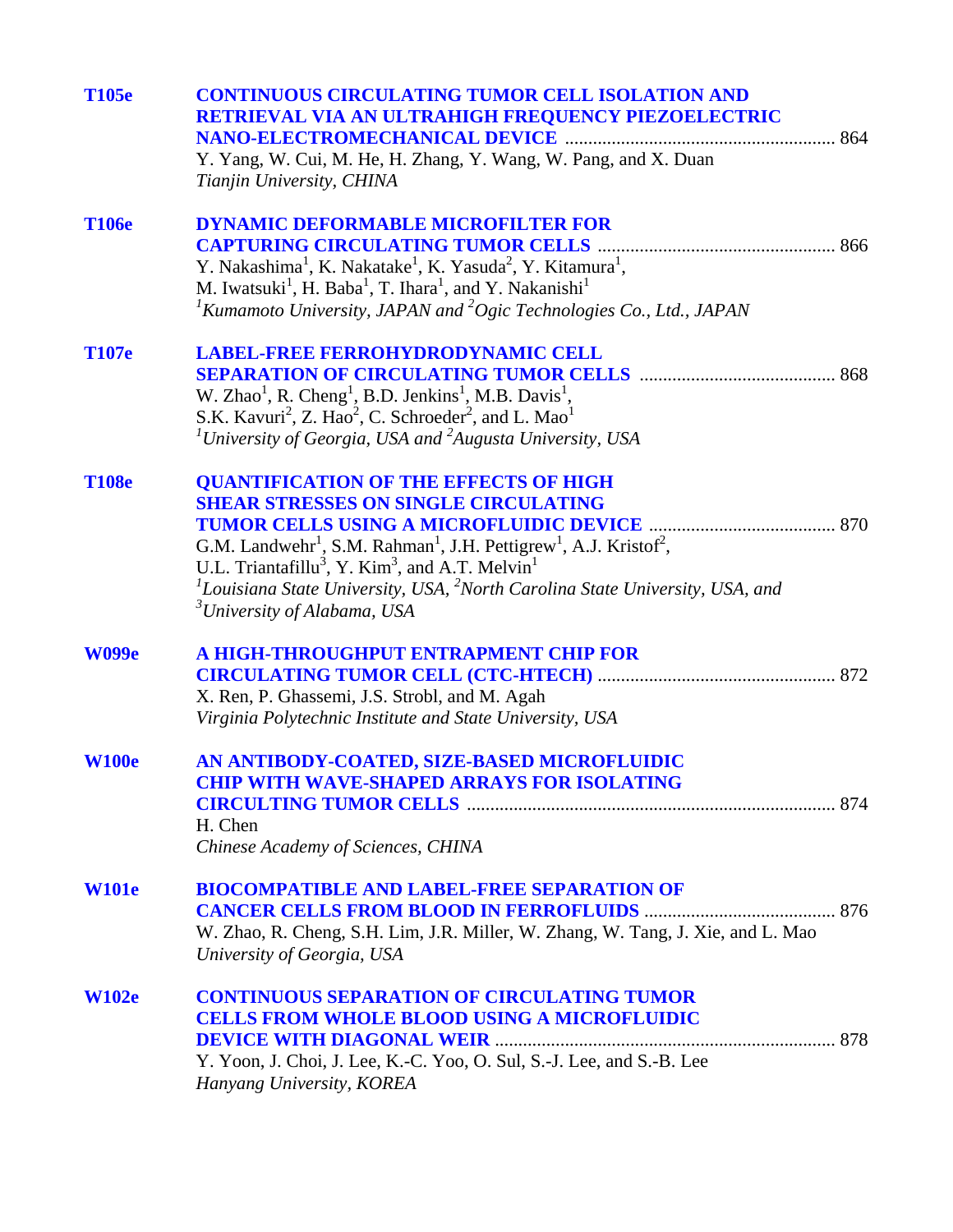| <b>T105e</b> | <b>CONTINUOUS CIRCULATING TUMOR CELL ISOLATION AND</b><br>RETRIEVAL VIA AN ULTRAHIGH FREQUENCY PIEZOELECTRIC<br>Y. Yang, W. Cui, M. He, H. Zhang, Y. Wang, W. Pang, and X. Duan<br>Tianjin University, CHINA                                                                                                                                                                                                                                       |
|--------------|----------------------------------------------------------------------------------------------------------------------------------------------------------------------------------------------------------------------------------------------------------------------------------------------------------------------------------------------------------------------------------------------------------------------------------------------------|
| <b>T106e</b> | <b>DYNAMIC DEFORMABLE MICROFILTER FOR</b><br>Y. Nakashima <sup>1</sup> , K. Nakatake <sup>1</sup> , K. Yasuda <sup>2</sup> , Y. Kitamura <sup>1</sup> ,<br>M. Iwatsuki <sup>1</sup> , H. Baba <sup>1</sup> , T. Ihara <sup>1</sup> , and Y. Nakanishi <sup>1</sup><br><sup>1</sup> Kumamoto University, JAPAN and <sup>2</sup> Ogic Technologies Co., Ltd., JAPAN                                                                                  |
| <b>T107e</b> | <b>LABEL-FREE FERROHYDRODYNAMIC CELL</b><br>W. Zhao <sup>1</sup> , R. Cheng <sup>1</sup> , B.D. Jenkins <sup>1</sup> , M.B. Davis <sup>1</sup> ,<br>S.K. Kavuri <sup>2</sup> , Z. Hao <sup>2</sup> , C. Schroeder <sup>2</sup> , and L. Mao <sup>1</sup><br><sup>1</sup> University of Georgia, USA and <sup>2</sup> Augusta University, USA                                                                                                       |
| <b>T108e</b> | <b>QUANTIFICATION OF THE EFFECTS OF HIGH</b><br><b>SHEAR STRESSES ON SINGLE CIRCULATING</b><br>G.M. Landwehr <sup>1</sup> , S.M. Rahman <sup>1</sup> , J.H. Pettigrew <sup>1</sup> , A.J. Kristof <sup>2</sup> ,<br>U.L. Triantafillu <sup>3</sup> , Y. Kim <sup>3</sup> , and A.T. Melvin <sup>1</sup><br>${}^{1}$ Louisiana State University, USA, ${}^{2}$ North Carolina State University, USA, and<br><sup>3</sup> University of Alabama, USA |
| <b>W099e</b> | A HIGH-THROUGHPUT ENTRAPMENT CHIP FOR<br>X. Ren, P. Ghassemi, J.S. Strobl, and M. Agah<br>Virginia Polytechnic Institute and State University, USA                                                                                                                                                                                                                                                                                                 |
| <b>W100e</b> | AN ANTIBODY-COATED, SIZE-BASED MICROFLUIDIC<br><b>CHIP WITH WAVE-SHAPED ARRAYS FOR ISOLATING</b><br>H. Chen<br>Chinese Academy of Sciences, CHINA                                                                                                                                                                                                                                                                                                  |
| <b>W101e</b> | <b>BIOCOMPATIBLE AND LABEL-FREE SEPARATION OF</b><br>W. Zhao, R. Cheng, S.H. Lim, J.R. Miller, W. Zhang, W. Tang, J. Xie, and L. Mao<br>University of Georgia, USA                                                                                                                                                                                                                                                                                 |
| <b>W102e</b> | <b>CONTINUOUS SEPARATION OF CIRCULATING TUMOR</b><br><b>CELLS FROM WHOLE BLOOD USING A MICROFLUIDIC</b><br>Y. Yoon, J. Choi, J. Lee, K.-C. Yoo, O. Sul, S.-J. Lee, and S.-B. Lee<br>Hanyang University, KOREA                                                                                                                                                                                                                                      |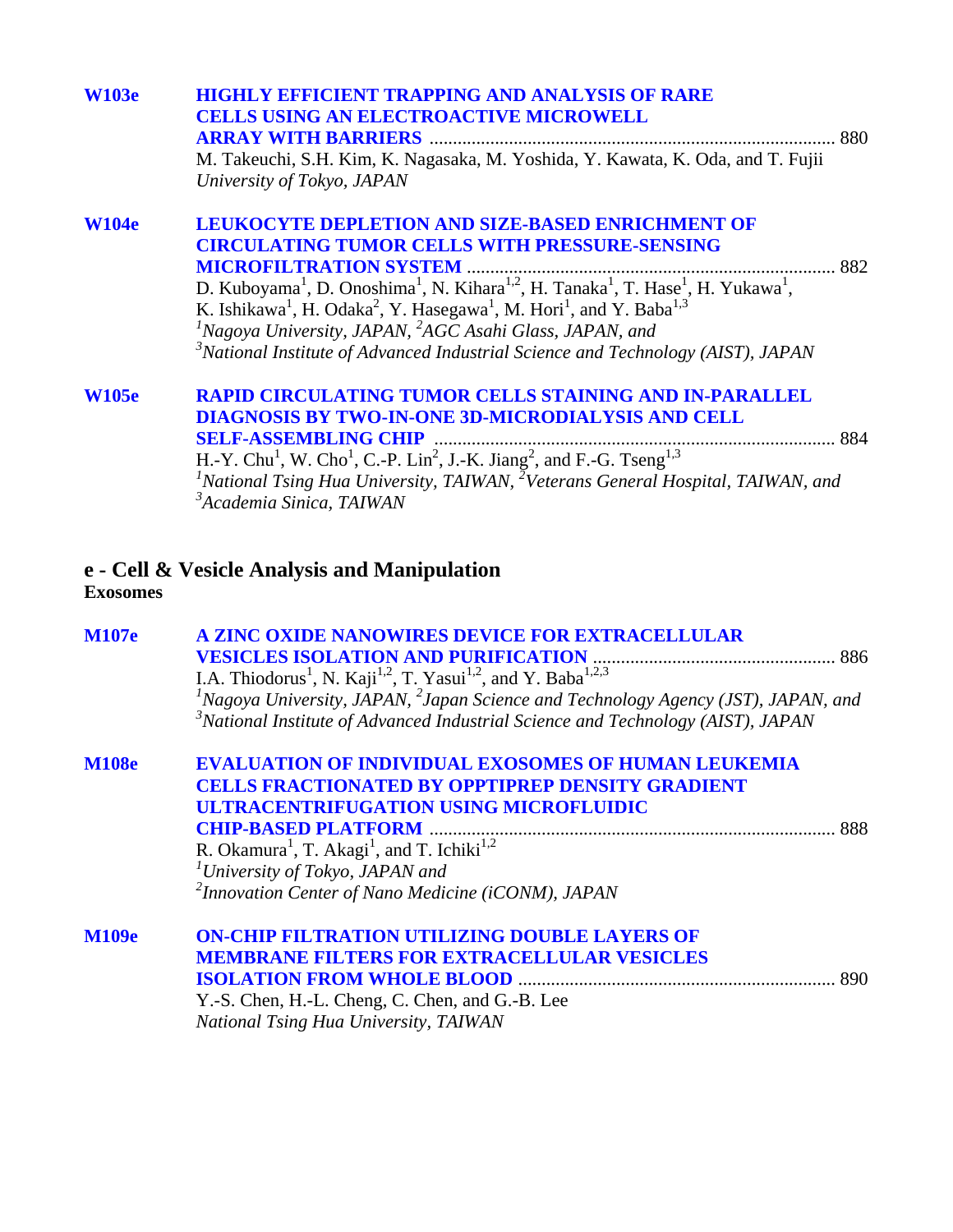| <b>W103e</b> | <b>HIGHLY EFFICIENT TRAPPING AND ANALYSIS OF RARE</b>                                                                                                                                                                                        |  |
|--------------|----------------------------------------------------------------------------------------------------------------------------------------------------------------------------------------------------------------------------------------------|--|
|              | <b>CELLS USING AN ELECTROACTIVE MICROWELL</b>                                                                                                                                                                                                |  |
|              | <b>ARRAY WITH BARRIERS</b>                                                                                                                                                                                                                   |  |
|              | M. Takeuchi, S.H. Kim, K. Nagasaka, M. Yoshida, Y. Kawata, K. Oda, and T. Fujii                                                                                                                                                              |  |
|              | University of Tokyo, JAPAN                                                                                                                                                                                                                   |  |
| <b>W104e</b> | <b>LEUKOCYTE DEPLETION AND SIZE-BASED ENRICHMENT OF</b>                                                                                                                                                                                      |  |
|              | <b>CIRCULATING TUMOR CELLS WITH PRESSURE-SENSING</b>                                                                                                                                                                                         |  |
|              | <b>MICROFILTRATION SYSTEM</b>                                                                                                                                                                                                                |  |
|              | D. Kuboyama <sup>1</sup> , D. Onoshima <sup>1</sup> , N. Kihara <sup>1,2</sup> , H. Tanaka <sup>1</sup> , T. Hase <sup>1</sup> , H. Yukawa <sup>1</sup> ,                                                                                    |  |
|              | K. Ishikawa <sup>1</sup> , H. Odaka <sup>2</sup> , Y. Hasegawa <sup>1</sup> , M. Hori <sup>1</sup> , and Y. Baba <sup>1,3</sup>                                                                                                              |  |
|              | ${}^{1}$ Nagoya University, JAPAN, ${}^{2}$ AGC Asahi Glass, JAPAN, and                                                                                                                                                                      |  |
|              | $3^3$ National Institute of Advanced Industrial Science and Technology (AIST), JAPAN                                                                                                                                                         |  |
| <b>W105e</b> | <b>RAPID CIRCULATING TUMOR CELLS STAINING AND IN-PARALLEL</b>                                                                                                                                                                                |  |
|              | DIAGNOSIS BY TWO-IN-ONE 3D-MICRODIALYSIS AND CELL                                                                                                                                                                                            |  |
|              | <b>SELF-ASSEMBLING CHIP</b>                                                                                                                                                                                                                  |  |
|              | H.-Y. Chu <sup>1</sup> , W. Cho <sup>1</sup> , C.-P. Lin <sup>2</sup> , J.-K. Jiang <sup>2</sup> , and F.-G. Tseng <sup>1,3</sup><br><sup>1</sup> National Tsing Hua University, TAIWAN, <sup>2</sup> Veterans General Hospital, TAIWAN, and |  |
|              |                                                                                                                                                                                                                                              |  |
|              | <sup>3</sup> Academia Sinica, TAIWAN                                                                                                                                                                                                         |  |
|              |                                                                                                                                                                                                                                              |  |

## **e - Cell & Vesicle Analysis and Manipulation Exosomes**

| <b>M107e</b> | A ZINC OXIDE NANOWIRES DEVICE FOR EXTRACELLULAR<br>I.A. Thiodorus <sup>1</sup> , N. Kaji <sup>1,2</sup> , T. Yasui <sup>1,2</sup> , and Y. Baba <sup>1,2,3</sup><br>${}^{1}$ Nagoya University, JAPAN, ${}^{2}$ Japan Science and Technology Agency (JST), JAPAN, and<br>$3^3$ National Institute of Advanced Industrial Science and Technology (AIST), JAPAN             |
|--------------|---------------------------------------------------------------------------------------------------------------------------------------------------------------------------------------------------------------------------------------------------------------------------------------------------------------------------------------------------------------------------|
| <b>M108e</b> | <b>EVALUATION OF INDIVIDUAL EXOSOMES OF HUMAN LEUKEMIA</b><br><b>CELLS FRACTIONATED BY OPPTIPREP DENSITY GRADIENT</b><br><b>ULTRACENTRIFUGATION USING MICROFLUIDIC</b><br>R. Okamura <sup>1</sup> , T. Akagi <sup>1</sup> , and T. Ichiki <sup>1,2</sup><br><sup>1</sup> University of Tokyo, JAPAN and<br><sup>2</sup> Innovation Center of Nano Medicine (iCONM), JAPAN |
| <b>M109e</b> | <b>ON-CHIP FILTRATION UTILIZING DOUBLE LAYERS OF</b><br><b>MEMBRANE FILTERS FOR EXTRACELLULAR VESICLES</b><br>Y.-S. Chen, H.-L. Cheng, C. Chen, and G.-B. Lee<br>National Tsing Hua University, TAIWAN                                                                                                                                                                    |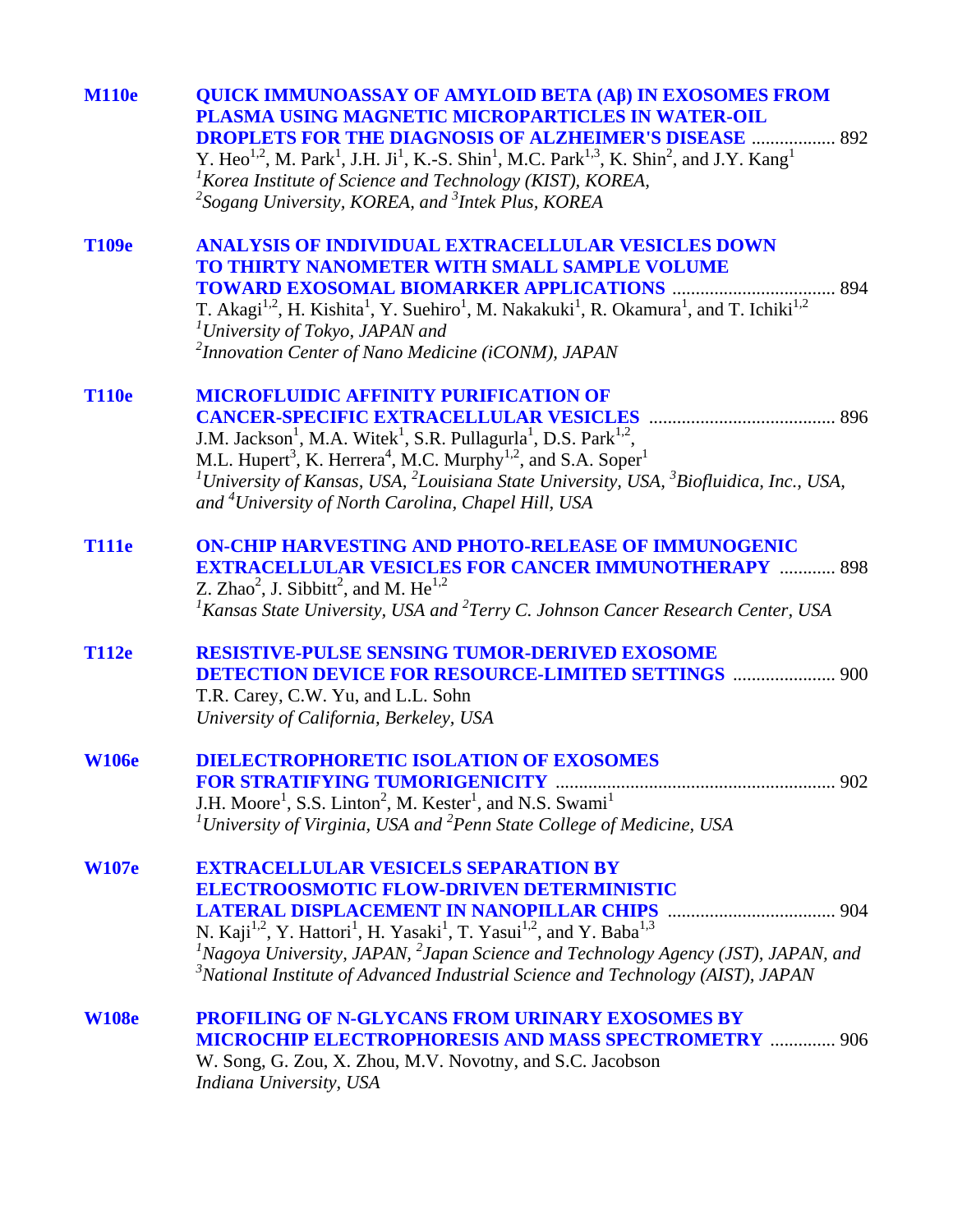| <b>M110e</b> | <b>QUICK IMMUNOASSAY OF AMYLOID BETA (AB) IN EXOSOMES FROM</b><br>PLASMA USING MAGNETIC MICROPARTICLES IN WATER-OIL<br><b>DROPLETS FOR THE DIAGNOSIS OF ALZHEIMER'S DISEASE  892</b><br>Y. Heo <sup>1,2</sup> , M. Park <sup>1</sup> , J.H. Ji <sup>1</sup> , K.-S. Shin <sup>1</sup> , M.C. Park <sup>1,3</sup> , K. Shin <sup>2</sup> , and J.Y. Kang <sup>1</sup><br><sup>1</sup> Korea Institute of Science and Technology (KIST), KOREA,<br><sup>2</sup> Sogang University, KOREA, and <sup>3</sup> Intek Plus, KOREA |
|--------------|----------------------------------------------------------------------------------------------------------------------------------------------------------------------------------------------------------------------------------------------------------------------------------------------------------------------------------------------------------------------------------------------------------------------------------------------------------------------------------------------------------------------------|
| T109e        | ANALYSIS OF INDIVIDUAL EXTRACELLULAR VESICLES DOWN<br>TO THIRTY NANOMETER WITH SMALL SAMPLE VOLUME<br>T. Akagi <sup>1,2</sup> , H. Kishita <sup>1</sup> , Y. Suehiro <sup>1</sup> , M. Nakakuki <sup>1</sup> , R. Okamura <sup>1</sup> , and T. Ichiki <sup>1,2</sup><br><sup>1</sup> University of Tokyo, JAPAN and<br><sup>2</sup> Innovation Center of Nano Medicine (iCONM), JAPAN                                                                                                                                     |
| <b>T110e</b> | <b>MICROFLUIDIC AFFINITY PURIFICATION OF</b><br>J.M. Jackson <sup>1</sup> , M.A. Witek <sup>1</sup> , S.R. Pullagurla <sup>1</sup> , D.S. Park <sup>1,2</sup> ,<br>M.L. Hupert <sup>3</sup> , K. Herrera <sup>4</sup> , M.C. Murphy <sup>1,2</sup> , and S.A. Soper <sup>1</sup><br><sup>1</sup> University of Kansas, USA, $^{2}$ Louisiana State University, USA, $^{3}$ Biofluidica, Inc., USA,<br>and <sup>4</sup> University of North Carolina, Chapel Hill, USA                                                      |
| <b>T111e</b> | <b>ON-CHIP HARVESTING AND PHOTO-RELEASE OF IMMUNOGENIC</b><br><b>EXTRACELLULAR VESICLES FOR CANCER IMMUNOTHERAPY  898</b><br>Z. Zhao <sup>2</sup> , J. Sibbitt <sup>2</sup> , and M. He <sup>1,2</sup><br>${}^{1}$ Kansas State University, USA and ${}^{2}$ Terry C. Johnson Cancer Research Center, USA                                                                                                                                                                                                                  |
| <b>T112e</b> | RESISTIVE-PULSE SENSING TUMOR-DERIVED EXOSOME<br><b>DETECTION DEVICE FOR RESOURCE-LIMITED SETTINGS  900</b><br>T.R. Carey, C.W. Yu, and L.L. Sohn<br>University of California, Berkeley, USA                                                                                                                                                                                                                                                                                                                               |
| <b>W106e</b> | <b>DIELECTROPHORETIC ISOLATION OF EXOSOMES</b><br><b>FOR STRATIFYING TUMORIGENICITY </b><br>902<br>J.H. Moore <sup>1</sup> , S.S. Linton <sup>2</sup> , M. Kester <sup>1</sup> , and N.S. Swami <sup>1</sup><br><sup>1</sup> University of Virginia, USA and <sup>2</sup> Penn State College of Medicine, USA                                                                                                                                                                                                              |
| <b>W107e</b> | <b>EXTRACELLULAR VESICELS SEPARATION BY</b><br><b>ELECTROOSMOTIC FLOW-DRIVEN DETERMINISTIC</b><br>N. Kaji <sup>1,2</sup> , Y. Hattori <sup>1</sup> , H. Yasaki <sup>1</sup> , T. Yasui <sup>1,2</sup> , and Y. Baba <sup>1,3</sup><br><sup>1</sup> Nagoya University, JAPAN, $^{2}$ Japan Science and Technology Agency (JST), JAPAN, and<br>$3^3$ National Institute of Advanced Industrial Science and Technology (AIST), JAPAN                                                                                          |
| <b>W108e</b> | <b>PROFILING OF N-GLYCANS FROM URINARY EXOSOMES BY</b><br><b>MICROCHIP ELECTROPHORESIS AND MASS SPECTROMETRY  906</b><br>W. Song, G. Zou, X. Zhou, M.V. Novotny, and S.C. Jacobson<br>Indiana University, USA                                                                                                                                                                                                                                                                                                              |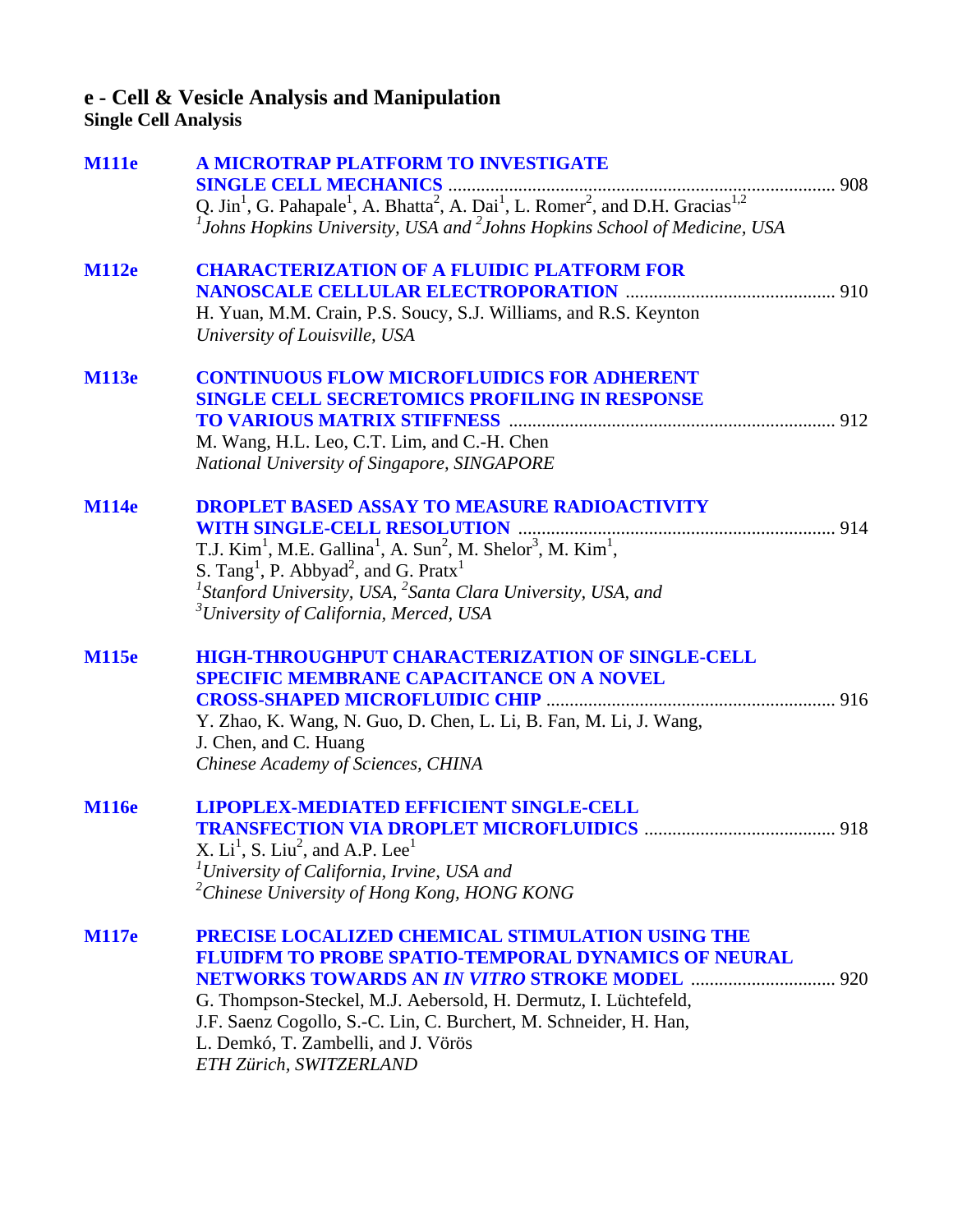#### **e - Cell & Vesicle Analysis and Manipulation Single Cell Analysis**

**[M111e A MICROTRAP PLATFORM TO INVESTIGATE](#page-0-0)  SINGLE CELL MECHANICS** ................................................................................... 908 Q. Jin<sup>1</sup>, G. Pahapale<sup>1</sup>, A. Bhatta<sup>2</sup>, A. Dai<sup>1</sup>, L. Romer<sup>2</sup>, and D.H. Gracias<sup>1,2</sup> *1 Johns Hopkins University, USA and 2 Johns Hopkins School of Medicine, USA*  **[M112e CHARACTERIZATION OF A FLUIDIC PLATFORM FOR](#page-0-0)  NANOSCALE CELLULAR ELECTROPORATION** ............................................. 910 H. Yuan, M.M. Crain, P.S. Soucy, S.J. Williams, and R.S. Keynton *University of Louisville, USA*  **[M113e CONTINUOUS FLOW MICROFLUIDICS FOR ADHERENT](#page-0-0)  SINGLE CELL SECRETOMICS PROFILING IN RESPONSE TO VARIOUS MATRIX STIFFNESS** ...................................................................... 912 M. Wang, H.L. Leo, C.T. Lim, and C.-H. Chen *National University of Singapore, SINGAPORE*  **[M114e DROPLET BASED ASSAY TO MEASURE RADIOACTIVITY](#page-0-0)  WITH SINGLE-CELL RESOLUTION** .................................................................... 914 T.J. Kim<sup>1</sup>, M.E. Gallina<sup>1</sup>, A. Sun<sup>2</sup>, M. Shelor<sup>3</sup>, M. Kim<sup>1</sup>, S. Tang<sup>1</sup>, P. Abbyad<sup>2</sup>, and G. Pratx<sup>1</sup> *1 Stanford University, USA, <sup>2</sup> Santa Clara University, USA, and 3 University of California, Merced, USA*  **[M115e HIGH-THROUGHPUT CHARACTERIZATION OF SINGLE-CELL](#page-0-0)  SPECIFIC MEMBRANE CAPACITANCE ON A NOVEL CROSS-SHAPED MICROFLUIDIC CHIP** .............................................................. 916 Y. Zhao, K. Wang, N. Guo, D. Chen, L. Li, B. Fan, M. Li, J. Wang, J. Chen, and C. Huang *Chinese Academy of Sciences, CHINA*  **[M116e LIPOPLEX-MEDIATED EFFICIENT SINGLE-CELL](#page-0-0)  TRANSFECTION VIA DROPLET MICROFLUIDICS** ......................................... 918 X.  $Li<sup>1</sup>$ , S.  $Li<sup>2</sup>$ , and A.P. Lee<sup>1</sup> *1 University of California, Irvine, USA and 2 Chinese University of Hong Kong, HONG KONG*  **[M117e PRECISE LOCALIZED CHEMICAL STIMULATION USING THE](#page-0-0)  FLUIDFM TO PROBE SPATIO-TEMPORAL DYNAMICS OF NEURAL NETWORKS TOWARDS AN** *IN VITRO* **STROKE MODEL** ............................... 920 G. Thompson-Steckel, M.J. Aebersold, H. Dermutz, I. Lüchtefeld, J.F. Saenz Cogollo, S.-C. Lin, C. Burchert, M. Schneider, H. Han, L. Demkó, T. Zambelli, and J. Vörös

*ETH Zürich, SWITZERLAND*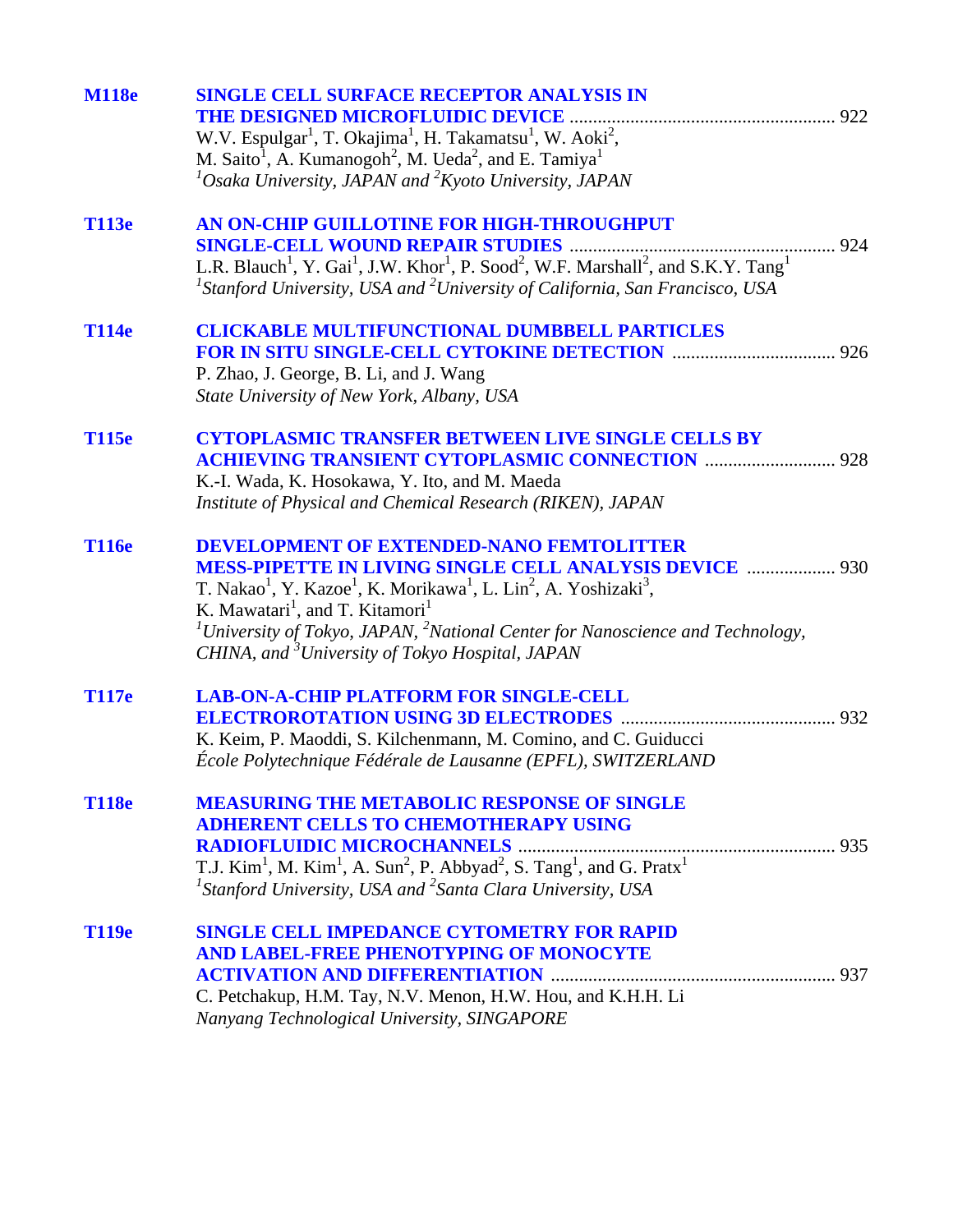| <b>M118e</b> | <b>SINGLE CELL SURFACE RECEPTOR ANALYSIS IN</b>                                                                                                                                                                                                           |  |
|--------------|-----------------------------------------------------------------------------------------------------------------------------------------------------------------------------------------------------------------------------------------------------------|--|
|              | W.V. Espulgar <sup>1</sup> , T. Okajima <sup>1</sup> , H. Takamatsu <sup>1</sup> , W. Aoki <sup>2</sup> ,                                                                                                                                                 |  |
|              | M. Saito <sup>1</sup> , A. Kumanogoh <sup>2</sup> , M. Ueda <sup>2</sup> , and E. Tamiya <sup>1</sup>                                                                                                                                                     |  |
|              | ${}^{1}$ Osaka University, JAPAN and ${}^{2}$ Kyoto University, JAPAN                                                                                                                                                                                     |  |
| <b>T113e</b> | AN ON-CHIP GUILLOTINE FOR HIGH-THROUGHPUT                                                                                                                                                                                                                 |  |
|              |                                                                                                                                                                                                                                                           |  |
|              | L.R. Blauch <sup>1</sup> , Y. Gai <sup>1</sup> , J.W. Khor <sup>1</sup> , P. Sood <sup>2</sup> , W.F. Marshall <sup>2</sup> , and S.K.Y. Tang <sup>1</sup><br>${}^{1}$ Stanford University, USA and ${}^{2}$ University of California, San Francisco, USA |  |
| <b>T114e</b> | <b>CLICKABLE MULTIFUNCTIONAL DUMBBELL PARTICLES</b>                                                                                                                                                                                                       |  |
|              |                                                                                                                                                                                                                                                           |  |
|              | P. Zhao, J. George, B. Li, and J. Wang                                                                                                                                                                                                                    |  |
|              | State University of New York, Albany, USA                                                                                                                                                                                                                 |  |
| <b>T115e</b> | <b>CYTOPLASMIC TRANSFER BETWEEN LIVE SINGLE CELLS BY</b>                                                                                                                                                                                                  |  |
|              | <b>ACHIEVING TRANSIENT CYTOPLASMIC CONNECTION  928</b>                                                                                                                                                                                                    |  |
|              | K.-I. Wada, K. Hosokawa, Y. Ito, and M. Maeda                                                                                                                                                                                                             |  |
|              | Institute of Physical and Chemical Research (RIKEN), JAPAN                                                                                                                                                                                                |  |
| <b>T116e</b> | <b>DEVELOPMENT OF EXTENDED-NANO FEMTOLITTER</b>                                                                                                                                                                                                           |  |
|              | <b>MESS-PIPETTE IN LIVING SINGLE CELL ANALYSIS DEVICE  930</b>                                                                                                                                                                                            |  |
|              | T. Nakao <sup>1</sup> , Y. Kazoe <sup>1</sup> , K. Morikawa <sup>1</sup> , L. Lin <sup>2</sup> , A. Yoshizaki <sup>3</sup> ,                                                                                                                              |  |
|              | K. Mawatari <sup>1</sup> , and T. Kitamori <sup>1</sup>                                                                                                                                                                                                   |  |
|              | <sup>1</sup> University of Tokyo, JAPAN, <sup>2</sup> National Center for Nanoscience and Technology,<br>CHINA, and <sup>3</sup> University of Tokyo Hospital, JAPAN                                                                                      |  |
|              |                                                                                                                                                                                                                                                           |  |
| <b>T117e</b> | <b>LAB-ON-A-CHIP PLATFORM FOR SINGLE-CELL</b>                                                                                                                                                                                                             |  |
|              |                                                                                                                                                                                                                                                           |  |
|              | K. Keim, P. Maoddi, S. Kilchenmann, M. Comino, and C. Guiducci                                                                                                                                                                                            |  |
|              | École Polytechnique Fédérale de Lausanne (EPFL), SWITZERLAND                                                                                                                                                                                              |  |
| <b>T118e</b> | <b>MEASURING THE METABOLIC RESPONSE OF SINGLE</b>                                                                                                                                                                                                         |  |
|              | <b>ADHERENT CELLS TO CHEMOTHERAPY USING</b>                                                                                                                                                                                                               |  |
|              |                                                                                                                                                                                                                                                           |  |
|              |                                                                                                                                                                                                                                                           |  |
|              | ${}^{1}$ Stanford University, USA and ${}^{2}$ Santa Clara University, USA                                                                                                                                                                                |  |
| <b>T119e</b> | <b>SINGLE CELL IMPEDANCE CYTOMETRY FOR RAPID</b>                                                                                                                                                                                                          |  |
|              | AND LABEL-FREE PHENOTYPING OF MONOCYTE                                                                                                                                                                                                                    |  |
|              |                                                                                                                                                                                                                                                           |  |
|              | C. Petchakup, H.M. Tay, N.V. Menon, H.W. Hou, and K.H.H. Li                                                                                                                                                                                               |  |
|              | Nanyang Technological University, SINGAPORE                                                                                                                                                                                                               |  |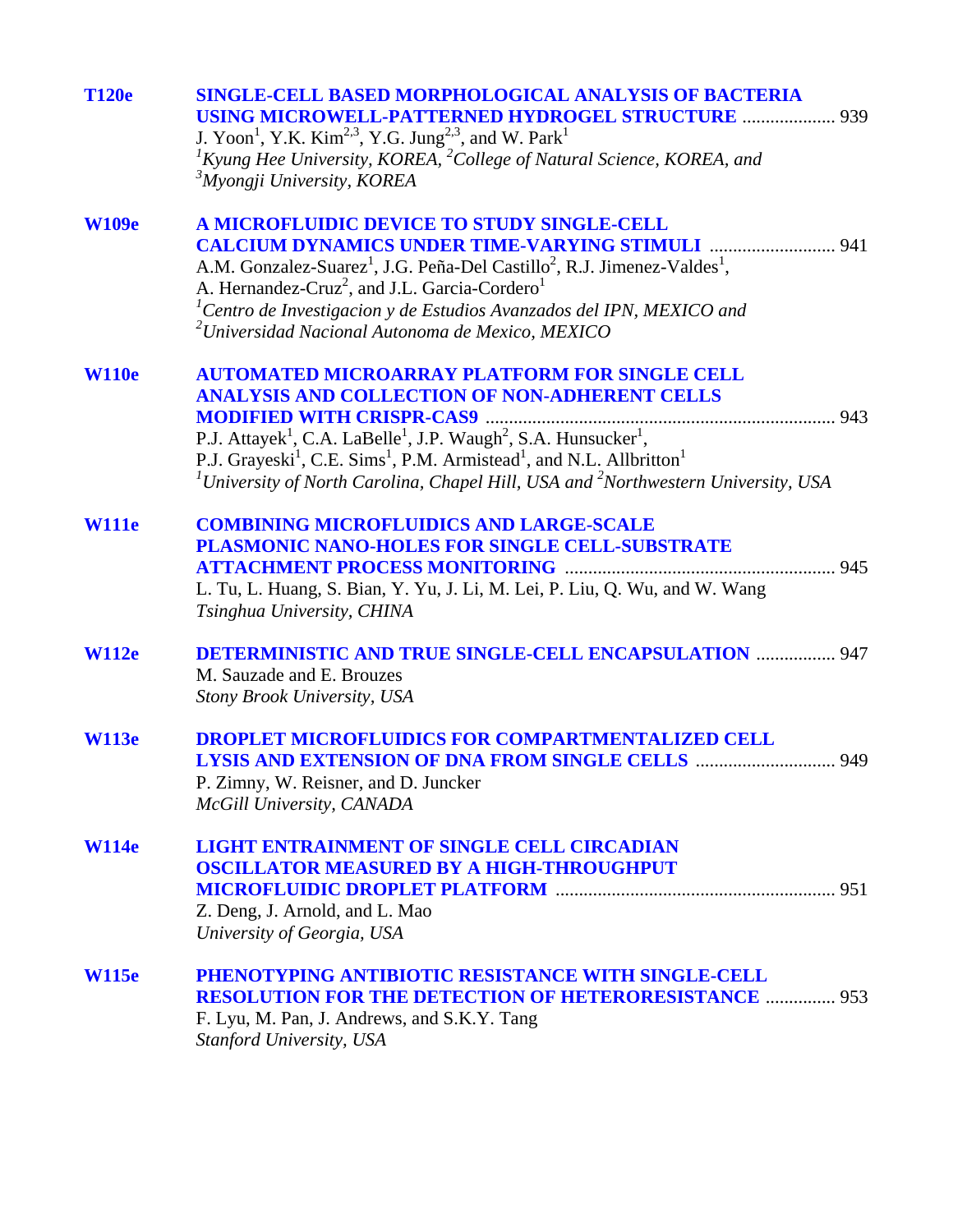| <b>T120e</b> | <b>SINGLE-CELL BASED MORPHOLOGICAL ANALYSIS OF BACTERIA</b><br><b>USING MICROWELL-PATTERNED HYDROGEL STRUCTURE  939</b><br>J. Yoon <sup>1</sup> , Y.K. Kim <sup>2,3</sup> , Y.G. Jung <sup>2,3</sup> , and W. Park <sup>1</sup><br>${}^{1}$ Kyung Hee University, KOREA, ${}^{2}$ College of Natural Science, KOREA, and                                                                                                                                             |  |
|--------------|----------------------------------------------------------------------------------------------------------------------------------------------------------------------------------------------------------------------------------------------------------------------------------------------------------------------------------------------------------------------------------------------------------------------------------------------------------------------|--|
|              | <sup>3</sup> Myongji University, KOREA                                                                                                                                                                                                                                                                                                                                                                                                                               |  |
| <b>W109e</b> | A MICROFLUIDIC DEVICE TO STUDY SINGLE-CELL<br><b>CALCIUM DYNAMICS UNDER TIME-VARYING STIMULI  941</b><br>A.M. Gonzalez-Suarez <sup>1</sup> , J.G. Peña-Del Castillo <sup>2</sup> , R.J. Jimenez-Valdes <sup>1</sup> ,<br>A. Hernandez-Cruz <sup>2</sup> , and J.L. Garcia-Cordero <sup>1</sup><br><sup>1</sup> Centro de Investigacion y de Estudios Avanzados del IPN, MEXICO and<br>$2$ Universidad Nacional Autonoma de Mexico, MEXICO                            |  |
| <b>W110e</b> | <b>AUTOMATED MICROARRAY PLATFORM FOR SINGLE CELL</b><br><b>ANALYSIS AND COLLECTION OF NON-ADHERENT CELLS</b><br>P.J. Attayek <sup>1</sup> , C.A. LaBelle <sup>1</sup> , J.P. Waugh <sup>2</sup> , S.A. Hunsucker <sup>1</sup> ,<br>P.J. Grayeski <sup>1</sup> , C.E. Sims <sup>1</sup> , P.M. Armistead <sup>1</sup> , and N.L. Allbritton <sup>1</sup><br><sup>1</sup> University of North Carolina, Chapel Hill, USA and <sup>2</sup> Northwestern University, USA |  |
| <b>W111e</b> | <b>COMBINING MICROFLUIDICS AND LARGE-SCALE</b><br>PLASMONIC NANO-HOLES FOR SINGLE CELL-SUBSTRATE<br>L. Tu, L. Huang, S. Bian, Y. Yu, J. Li, M. Lei, P. Liu, Q. Wu, and W. Wang<br>Tsinghua University, CHINA                                                                                                                                                                                                                                                         |  |
| <b>W112e</b> | <b>DETERMINISTIC AND TRUE SINGLE-CELL ENCAPSULATION  947</b><br>M. Sauzade and E. Brouzes<br>Stony Brook University, USA                                                                                                                                                                                                                                                                                                                                             |  |
| <b>W113e</b> | <b>DROPLET MICROFLUIDICS FOR COMPARTMENTALIZED CELL</b><br>P. Zimny, W. Reisner, and D. Juncker<br>McGill University, CANADA                                                                                                                                                                                                                                                                                                                                         |  |
| <b>W114e</b> | <b>LIGHT ENTRAINMENT OF SINGLE CELL CIRCADIAN</b><br><b>OSCILLATOR MEASURED BY A HIGH-THROUGHPUT</b><br>Z. Deng, J. Arnold, and L. Mao<br>University of Georgia, USA                                                                                                                                                                                                                                                                                                 |  |
| <b>W115e</b> | PHENOTYPING ANTIBIOTIC RESISTANCE WITH SINGLE-CELL<br><b>RESOLUTION FOR THE DETECTION OF HETERORESISTANCE  953</b><br>F. Lyu, M. Pan, J. Andrews, and S.K.Y. Tang<br>Stanford University, USA                                                                                                                                                                                                                                                                        |  |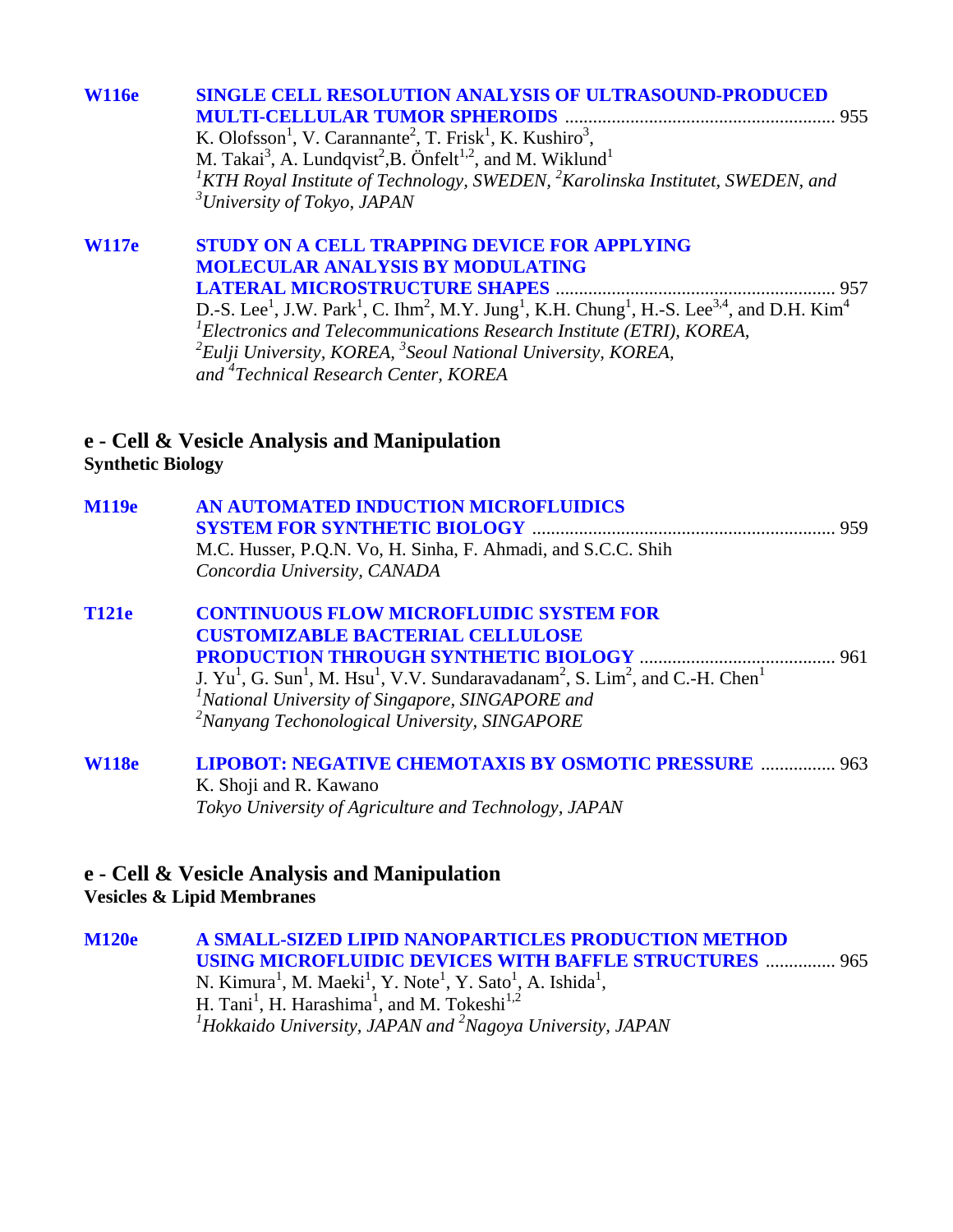| <b>W116e</b> | <b>SINGLE CELL RESOLUTION ANALYSIS OF ULTRASOUND-PRODUCED</b><br>K. Olofsson <sup>1</sup> , V. Carannante <sup>2</sup> , T. Frisk <sup>1</sup> , K. Kushiro <sup>3</sup> ,<br>M. Takai <sup>3</sup> , A. Lundqvist <sup>2</sup> , B. Önfelt <sup>1,2</sup> , and M. Wiklund <sup>1</sup><br><sup>1</sup> KTH Royal Institute of Technology, SWEDEN, $^{2}$ Karolinska Institutet, SWEDEN, and |
|--------------|-----------------------------------------------------------------------------------------------------------------------------------------------------------------------------------------------------------------------------------------------------------------------------------------------------------------------------------------------------------------------------------------------|
|              | $3$ University of Tokyo, JAPAN                                                                                                                                                                                                                                                                                                                                                                |
| <b>W117e</b> | STUDY ON A CELL TRAPPING DEVICE FOR APPLYING                                                                                                                                                                                                                                                                                                                                                  |

### **MOLECULAR ANALYSIS BY MODULATING LATERAL MICROSTRUCTURE SHAPES** ............................................................ 957 D.-S. Lee<sup>1</sup>, J.W. Park<sup>1</sup>, C. Ihm<sup>2</sup>, M.Y. Jung<sup>1</sup>, K.H. Chung<sup>1</sup>, H.-S. Lee<sup>3,4</sup>, and D.H. Kim<sup>4</sup> *1 Electronics and Telecommunications Research Institute (ETRI), KOREA, 2 Eulji University, KOREA, 3 Seoul National University, KOREA,*

*and 4 Technical Research Center, KOREA* 

### **e - Cell & Vesicle Analysis and Manipulation Synthetic Biology**

| <b>M119e</b> | AN AUTOMATED INDUCTION MICROFLUIDICS                                                                                                        |  |
|--------------|---------------------------------------------------------------------------------------------------------------------------------------------|--|
|              |                                                                                                                                             |  |
|              | M.C. Husser, P.Q.N. Vo, H. Sinha, F. Ahmadi, and S.C.C. Shih                                                                                |  |
|              | Concordia University, CANADA                                                                                                                |  |
| <b>T121e</b> | <b>CONTINUOUS FLOW MICROFLUIDIC SYSTEM FOR</b>                                                                                              |  |
|              | <b>CUSTOMIZABLE BACTERIAL CELLULOSE</b>                                                                                                     |  |
|              |                                                                                                                                             |  |
|              | J. $Yu1$ , G. Sun <sup>1</sup> , M. Hsu <sup>1</sup> , V.V. Sundaravadanam <sup>2</sup> , S. Lim <sup>2</sup> , and C.-H. Chen <sup>1</sup> |  |
|              | <sup>1</sup> National University of Singapore, SINGAPORE and                                                                                |  |

*2 Nanyang Techonological University, SINGAPORE* 

#### **[W118e LIPOBOT: NEGATIVE CHEMOTAXIS BY OSMOTIC PRESSURE](#page-0-0)** ................ 963 K. Shoji and R. Kawano *Tokyo University of Agriculture and Technology, JAPAN*

#### **e - Cell & Vesicle Analysis and Manipulation Vesicles & Lipid Membranes**

**[M120e A SMALL-SIZED LIPID NANOPARTICLES PRODUCTION METHOD](#page-0-0)  USING MICROFLUIDIC DEVICES WITH BAFFLE STRUCTURES** ............... 965 N. Kimura<sup>1</sup>, M. Maeki<sup>1</sup>, Y. Note<sup>1</sup>, Y. Sato<sup>1</sup>, A. Ishida<sup>1</sup>, H. Tani<sup>1</sup>, H. Harashima<sup>1</sup>, and M. Tokeshi<sup>1,2</sup> *1 Hokkaido University, JAPAN and 2 Nagoya University, JAPAN*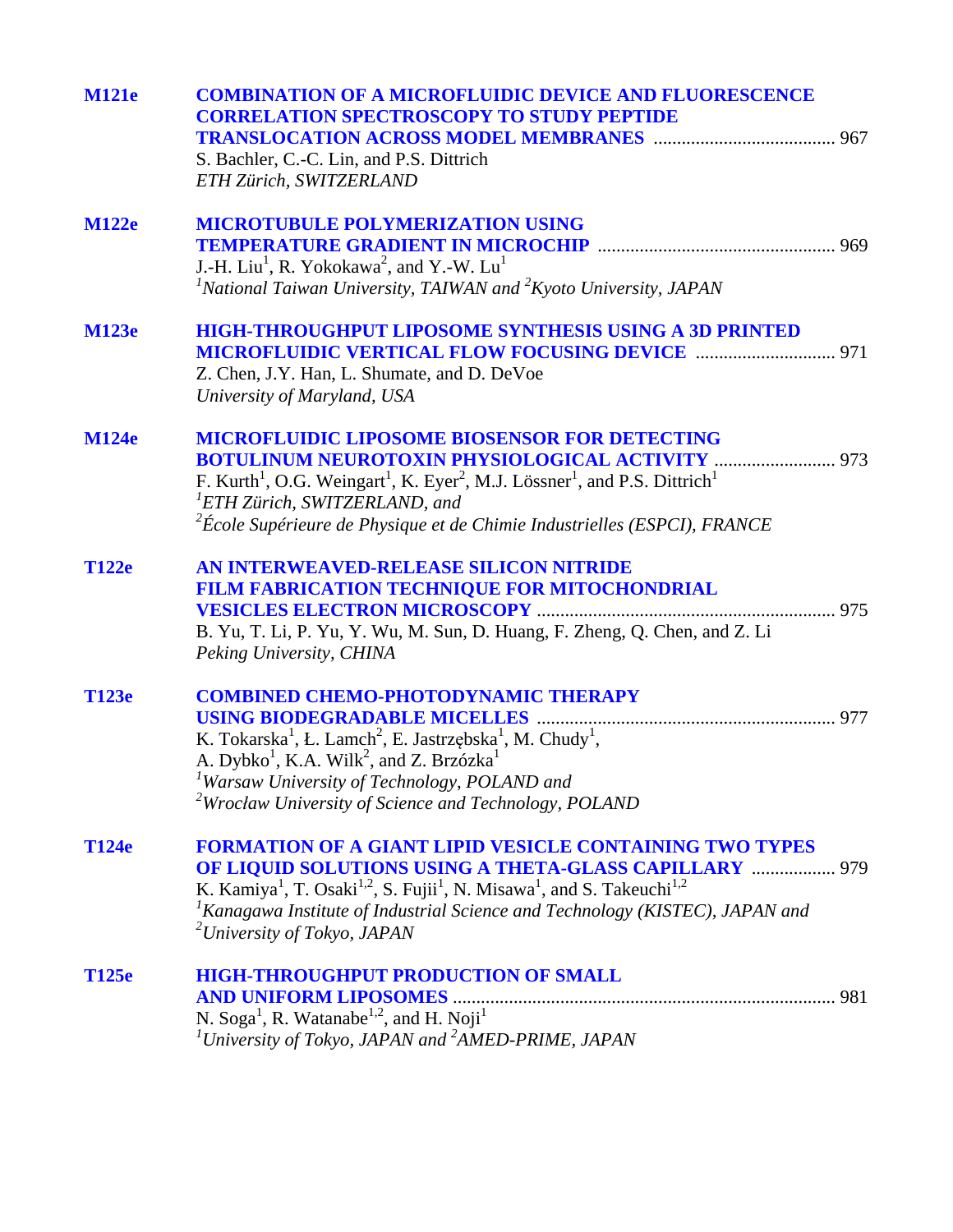| <b>M121e</b> | <b>COMBINATION OF A MICROFLUIDIC DEVICE AND FLUORESCENCE</b><br><b>CORRELATION SPECTROSCOPY TO STUDY PEPTIDE</b><br>S. Bachler, C.-C. Lin, and P.S. Dittrich<br>ETH Zürich, SWITZERLAND                                                                                                                                                                                                               |  |
|--------------|-------------------------------------------------------------------------------------------------------------------------------------------------------------------------------------------------------------------------------------------------------------------------------------------------------------------------------------------------------------------------------------------------------|--|
| <b>M122e</b> | <b>MICROTUBULE POLYMERIZATION USING</b><br>J.-H. Liu <sup>1</sup> , R. Yokokawa <sup>2</sup> , and Y.-W. Lu <sup>1</sup><br><sup>1</sup> National Taiwan University, TAIWAN and ${}^{2}K$ yoto University, JAPAN                                                                                                                                                                                      |  |
| <b>M123e</b> | <b>HIGH-THROUGHPUT LIPOSOME SYNTHESIS USING A 3D PRINTED</b><br><b>MICROFLUIDIC VERTICAL FLOW FOCUSING DEVICE  971</b><br>Z. Chen, J.Y. Han, L. Shumate, and D. DeVoe<br>University of Maryland, USA                                                                                                                                                                                                  |  |
| <b>M124e</b> | <b>MICROFLUIDIC LIPOSOME BIOSENSOR FOR DETECTING</b><br><b>BOTULINUM NEUROTOXIN PHYSIOLOGICAL ACTIVITY  973</b><br>F. Kurth <sup>1</sup> , O.G. Weingart <sup>1</sup> , K. Eyer <sup>2</sup> , M.J. Lössner <sup>1</sup> , and P.S. Dittrich <sup>1</sup><br><sup>1</sup> ETH Zürich, SWITZERLAND, and<br>$2^{2}$ École Supérieure de Physique et de Chimie Industrielles (ESPCI), FRANCE             |  |
| <b>T122e</b> | AN INTERWEAVED-RELEASE SILICON NITRIDE<br>FILM FABRICATION TECHNIQUE FOR MITOCHONDRIAL<br>B. Yu, T. Li, P. Yu, Y. Wu, M. Sun, D. Huang, F. Zheng, Q. Chen, and Z. Li<br>Peking University, CHINA                                                                                                                                                                                                      |  |
| T123e        | <b>COMBINED CHEMO-PHOTODYNAMIC THERAPY</b><br>K. Tokarska <sup>1</sup> , Ł. Lamch <sup>2</sup> , E. Jastrzębska <sup>1</sup> , M. Chudy <sup>1</sup> ,<br>A. Dybko <sup>1</sup> , K.A. Wilk <sup>2</sup> , and Z. Brzózka <sup>1</sup><br><sup>1</sup> Warsaw University of Technology, POLAND and<br>$2$ Wrocław University of Science and Technology, POLAND                                        |  |
| T124e        | <b>FORMATION OF A GIANT LIPID VESICLE CONTAINING TWO TYPES</b><br>OF LIQUID SOLUTIONS USING A THETA-GLASS CAPILLARY  979<br>K. Kamiya <sup>1</sup> , T. Osaki <sup>1,2</sup> , S. Fujii <sup>1</sup> , N. Misawa <sup>1</sup> , and S. Takeuchi <sup>1,2</sup><br><sup>1</sup> Kanagawa Institute of Industrial Science and Technology (KISTEC), JAPAN and<br><sup>2</sup> University of Tokyo, JAPAN |  |
| T125e        | <b>HIGH-THROUGHPUT PRODUCTION OF SMALL</b><br><b>AND UNIFORM LIPOSOMES</b><br>N. Soga <sup>1</sup> , R. Watanabe <sup>1,2</sup> , and H. Noji <sup>1</sup><br><sup>1</sup> University of Tokyo, JAPAN and <sup>2</sup> AMED-PRIME, JAPAN                                                                                                                                                              |  |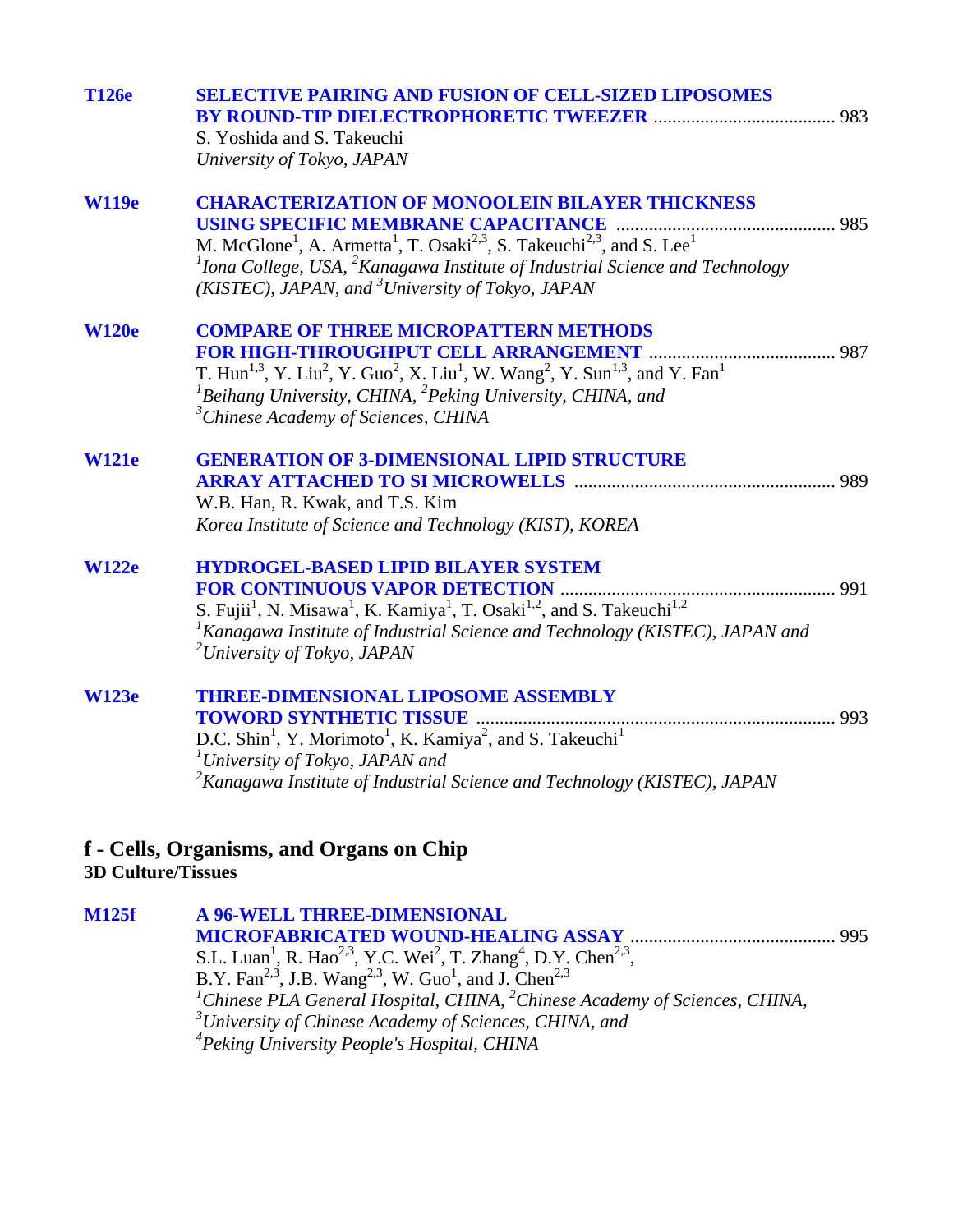| <b>T126e</b> | <b>SELECTIVE PAIRING AND FUSION OF CELL-SIZED LIPOSOMES</b>                                                                                                      |
|--------------|------------------------------------------------------------------------------------------------------------------------------------------------------------------|
|              |                                                                                                                                                                  |
|              | S. Yoshida and S. Takeuchi                                                                                                                                       |
|              | University of Tokyo, JAPAN                                                                                                                                       |
| <b>W119e</b> | <b>CHARACTERIZATION OF MONOOLEIN BILAYER THICKNESS</b>                                                                                                           |
|              | <b>USING SPECIFIC MEMBRANE CAPACITANCE</b>                                                                                                                       |
|              | M. McGlone <sup>1</sup> , A. Armetta <sup>1</sup> , T. Osaki <sup>2,3</sup> , S. Takeuchi <sup>2,3</sup> , and S. Lee <sup>1</sup>                               |
|              | ${}^{1}$ Iona College, USA, ${}^{2}$ Kanagawa Institute of Industrial Science and Technology                                                                     |
|              | (KISTEC), JAPAN, and <sup>3</sup> University of Tokyo, JAPAN                                                                                                     |
| <b>W120e</b> | <b>COMPARE OF THREE MICROPATTERN METHODS</b>                                                                                                                     |
|              |                                                                                                                                                                  |
|              | T. Hun <sup>1,3</sup> , Y. Liu <sup>2</sup> , Y. Guo <sup>2</sup> , X. Liu <sup>1</sup> , W. Wang <sup>2</sup> , Y. Sun <sup>1,3</sup> , and Y. Fan <sup>1</sup> |
|              | ${}^{1}$ Beihang University, CHINA, ${}^{2}$ Peking University, CHINA, and                                                                                       |
|              | <sup>3</sup> Chinese Academy of Sciences, CHINA                                                                                                                  |
| <b>W121e</b> | <b>GENERATION OF 3-DIMENSIONAL LIPID STRUCTURE</b>                                                                                                               |
|              |                                                                                                                                                                  |
|              | W.B. Han, R. Kwak, and T.S. Kim                                                                                                                                  |
|              | Korea Institute of Science and Technology (KIST), KOREA                                                                                                          |
| <b>W122e</b> | <b>HYDROGEL-BASED LIPID BILAYER SYSTEM</b>                                                                                                                       |
|              |                                                                                                                                                                  |
|              | S. Fujii <sup>1</sup> , N. Misawa <sup>1</sup> , K. Kamiya <sup>1</sup> , T. Osaki <sup>1,2</sup> , and S. Takeuchi <sup>1,2</sup>                               |
|              | <sup>1</sup> Kanagawa Institute of Industrial Science and Technology (KISTEC), JAPAN and                                                                         |
|              | <sup>2</sup> University of Tokyo, JAPAN                                                                                                                          |
| <b>W123e</b> | <b>THREE-DIMENSIONAL LIPOSOME ASSEMBLY</b>                                                                                                                       |
|              |                                                                                                                                                                  |
|              | D.C. Shin <sup>1</sup> , Y. Morimoto <sup>1</sup> , K. Kamiya <sup>2</sup> , and S. Takeuchi <sup>1</sup>                                                        |
|              | <sup>1</sup> University of Tokyo, JAPAN and                                                                                                                      |
|              | <sup>2</sup> Kanagawa Institute of Industrial Science and Technology (KISTEC), JAPAN                                                                             |
|              |                                                                                                                                                                  |

#### **f - Cells, Organisms, and Organs on Chip 3D Culture/Tissues**

**M125f A 96-WELL THREE-DIMENSIONAL [MICROFABRICATED WOUND-HEALING ASSAY](#page-0-0)** ............................................ 995 S.L. Luan<sup>1</sup>, R. Hao<sup>2,3</sup>, Y.C. Wei<sup>2</sup>, T. Zhang<sup>4</sup>, D.Y. Chen<sup>2,3</sup>, B.Y. Fan<sup>2,3</sup>, J.B. Wang<sup>2,3</sup>, W. Guo<sup>1</sup>, and J. Chen<sup>2,3</sup><br><sup>*1</sup>Chinese PLA General Hospital, CHINA, <sup>2</sup>Chinese Academy of Sciences, CHINA,*</sup> *3 University of Chinese Academy of Sciences, CHINA, and 4 Peking University People's Hospital, CHINA*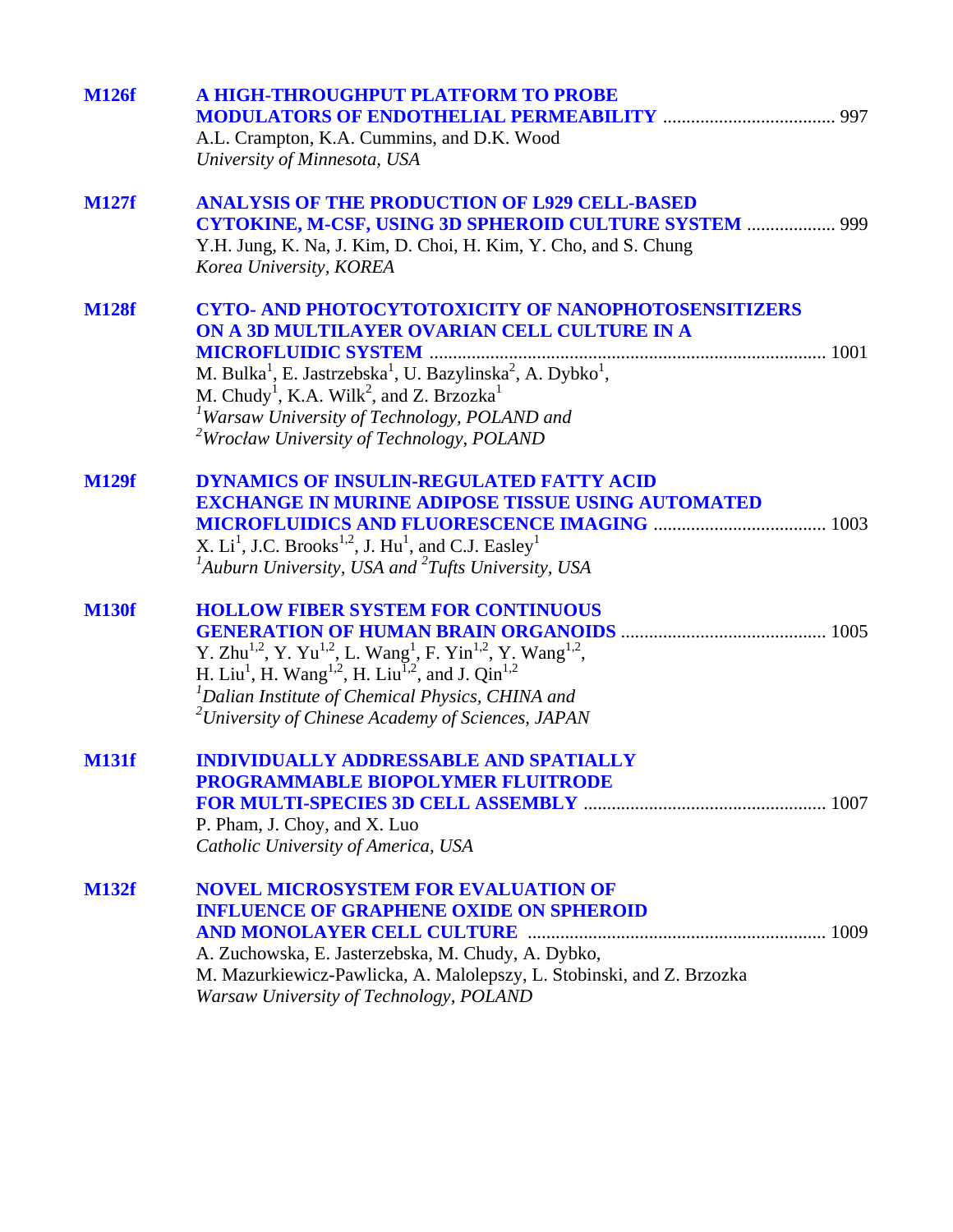| <b>M126f</b> | A HIGH-THROUGHPUT PLATFORM TO PROBE<br>A.L. Crampton, K.A. Cummins, and D.K. Wood<br>University of Minnesota, USA                                                                                                                                                                                                                                                                                                             |
|--------------|-------------------------------------------------------------------------------------------------------------------------------------------------------------------------------------------------------------------------------------------------------------------------------------------------------------------------------------------------------------------------------------------------------------------------------|
| <b>M127f</b> | <b>ANALYSIS OF THE PRODUCTION OF L929 CELL-BASED</b><br>CYTOKINE, M-CSF, USING 3D SPHEROID CULTURE SYSTEM  999<br>Y.H. Jung, K. Na, J. Kim, D. Choi, H. Kim, Y. Cho, and S. Chung<br>Korea University, KOREA                                                                                                                                                                                                                  |
| <b>M128f</b> | <b>CYTO- AND PHOTOCYTOTOXICITY OF NANOPHOTOSENSITIZERS</b><br>ON A 3D MULTILAYER OVARIAN CELL CULTURE IN A<br>M. Bulka <sup>1</sup> , E. Jastrzebska <sup>1</sup> , U. Bazylinska <sup>2</sup> , A. Dybko <sup>1</sup> ,<br>M. Chudy <sup>1</sup> , K.A. Wilk <sup>2</sup> , and Z. Brzozka <sup>1</sup><br><sup>1</sup> Warsaw University of Technology, POLAND and<br><sup>2</sup> Wrocław University of Technology, POLAND |
| <b>M129f</b> | <b>DYNAMICS OF INSULIN-REGULATED FATTY ACID</b><br><b>EXCHANGE IN MURINE ADIPOSE TISSUE USING AUTOMATED</b><br>X. Li <sup>1</sup> , J.C. Brooks <sup>1,2</sup> , J. Hu <sup>1</sup> , and C.J. Easley <sup>1</sup><br>$A$ uburn University, USA and $A$ Tufts University, USA                                                                                                                                                 |
| <b>M130f</b> | <b>HOLLOW FIBER SYSTEM FOR CONTINUOUS</b><br>Y. Zhu <sup>1,2</sup> , Y. Yu <sup>1,2</sup> , L. Wang <sup>1</sup> , F. Yin <sup>1,2</sup> , Y. Wang <sup>1,2</sup> , H. Liu <sup>1</sup> , H. Wang <sup>1,2</sup> , H. Liu <sup>1,2</sup> , and J. Qin <sup>1,2</sup><br><sup>1</sup> Dalian Institute of Chemical Physics, CHINA and<br>$12$ University of Chinese Academy of Sciences, JAPAN                                 |
| <b>M131f</b> | <b>INDIVIDUALLY ADDRESSABLE AND SPATIALLY</b><br><b>PROGRAMMABLE BIOPOLYMER FLUITRODE</b><br>P. Pham, J. Choy, and X. Luo<br>Catholic University of America, USA                                                                                                                                                                                                                                                              |
| <b>M132f</b> | <b>NOVEL MICROSYSTEM FOR EVALUATION OF</b><br><b>INFLUENCE OF GRAPHENE OXIDE ON SPHEROID</b><br>A. Zuchowska, E. Jasterzebska, M. Chudy, A. Dybko,<br>M. Mazurkiewicz-Pawlicka, A. Malolepszy, L. Stobinski, and Z. Brzozka<br>Warsaw University of Technology, POLAND                                                                                                                                                        |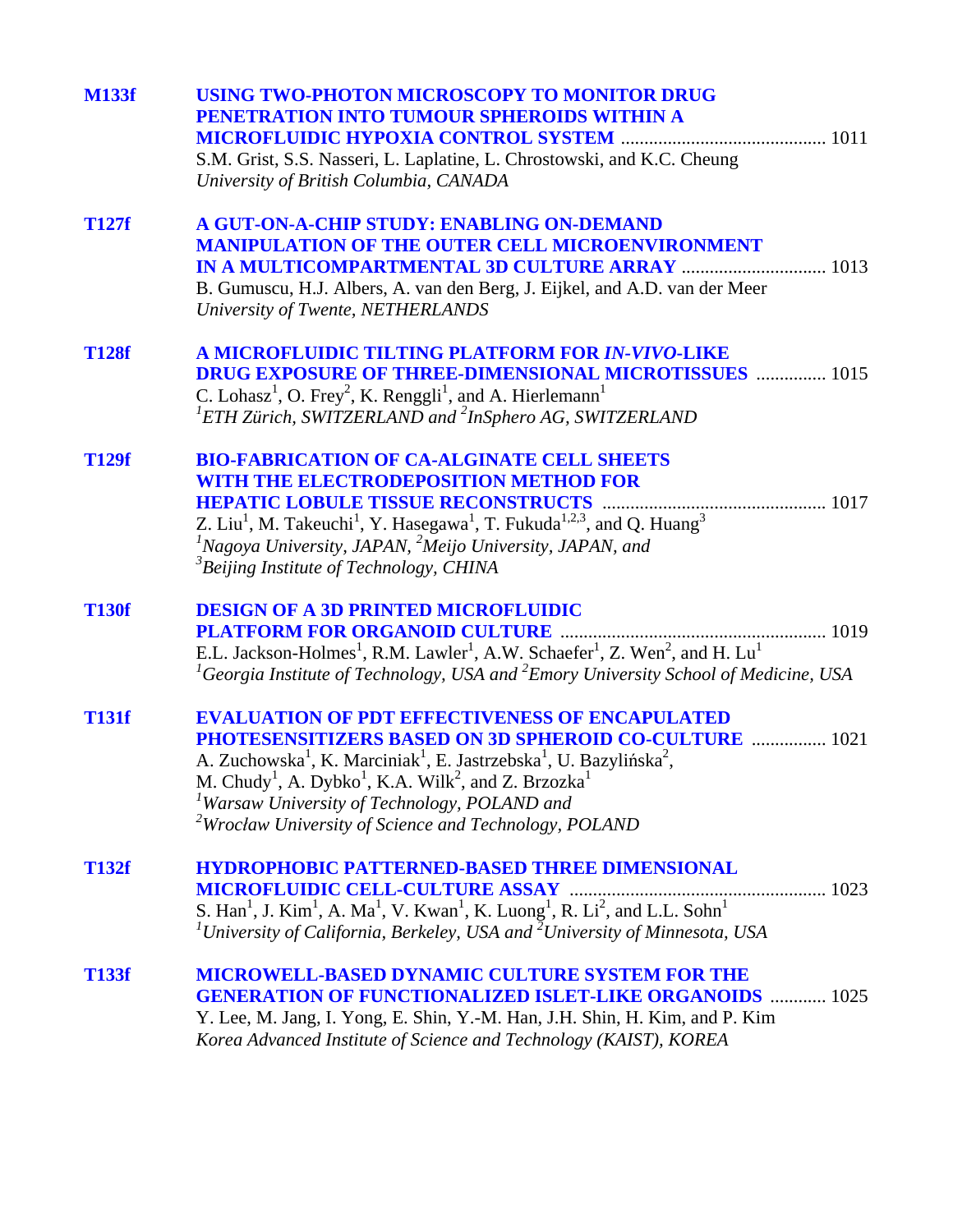| <b>M133f</b> | <b>USING TWO-PHOTON MICROSCOPY TO MONITOR DRUG</b><br>PENETRATION INTO TUMOUR SPHEROIDS WITHIN A<br>S.M. Grist, S.S. Nasseri, L. Laplatine, L. Chrostowski, and K.C. Cheung<br>University of British Columbia, CANADA                                                                                                                                                                                                                                                        |
|--------------|------------------------------------------------------------------------------------------------------------------------------------------------------------------------------------------------------------------------------------------------------------------------------------------------------------------------------------------------------------------------------------------------------------------------------------------------------------------------------|
| <b>T127f</b> | A GUT-ON-A-CHIP STUDY: ENABLING ON-DEMAND<br><b>MANIPULATION OF THE OUTER CELL MICROENVIRONMENT</b><br>B. Gumuscu, H.J. Albers, A. van den Berg, J. Eijkel, and A.D. van der Meer<br>University of Twente, NETHERLANDS                                                                                                                                                                                                                                                       |
| <b>T128f</b> | A MICROFLUIDIC TILTING PLATFORM FOR IN-VIVO-LIKE<br><b>DRUG EXPOSURE OF THREE-DIMENSIONAL MICROTISSUES  1015</b><br>C. Lohasz <sup>1</sup> , O. Frey <sup>2</sup> , K. Renggli <sup>1</sup> , and A. Hierlemann <sup>1</sup><br>${}^{1}ETH$ Zürich, SWITZERLAND and ${}^{2}InSphero$ AG, SWITZERLAND                                                                                                                                                                         |
| <b>T129f</b> | <b>BIO-FABRICATION OF CA-ALGINATE CELL SHEETS</b><br><b>WITH THE ELECTRODEPOSITION METHOD FOR</b><br>Z. Liu <sup>1</sup> , M. Takeuchi <sup>1</sup> , Y. Hasegawa <sup>1</sup> , T. Fukuda <sup>1,2,3</sup> , and Q. Huang <sup>3</sup><br><sup>1</sup> Nagoya University, JAPAN, <sup>2</sup> Meijo University, JAPAN, and<br><sup>3</sup> Beijing Institute of Technology, CHINA                                                                                           |
| <b>T130f</b> | <b>DESIGN OF A 3D PRINTED MICROFLUIDIC</b><br>E.L. Jackson-Holmes <sup>1</sup> , R.M. Lawler <sup>1</sup> , A.W. Schaefer <sup>1</sup> , Z. Wen <sup>2</sup> , and H. Lu <sup>1</sup><br><sup>1</sup> Georgia Institute of Technology, USA and <sup>2</sup> Emory University School of Medicine, USA                                                                                                                                                                         |
| <b>T131f</b> | <b>EVALUATION OF PDT EFFECTIVENESS OF ENCAPULATED</b><br><b>PHOTESENSITIZERS BASED ON 3D SPHEROID CO-CULTURE  1021</b><br>A. Zuchowska <sup>1</sup> , K. Marciniak <sup>1</sup> , E. Jastrzebska <sup>1</sup> , U. Bazylińska <sup>2</sup> ,<br>M. Chudy <sup>1</sup> , A. Dybko <sup>1</sup> , K.A. Wilk <sup>2</sup> , and Z. Brzozka <sup>1</sup><br><sup>1</sup> Warsaw University of Technology, POLAND and<br>$2$ Wrocław University of Science and Technology, POLAND |
| <b>T132f</b> | <b>HYDROPHOBIC PATTERNED-BASED THREE DIMENSIONAL</b><br>1023<br>S. Han <sup>1</sup> , J. Kim <sup>1</sup> , A. Ma <sup>1</sup> , V. Kwan <sup>1</sup> , K. Luong <sup>1</sup> , R. Li <sup>2</sup> , and L.L. Sohn <sup>1</sup><br>${}^{1}$ University of California, Berkeley, USA and ${}^{2}$ University of Minnesota, USA                                                                                                                                                |
| <b>T133f</b> | <b>MICROWELL-BASED DYNAMIC CULTURE SYSTEM FOR THE</b><br><b>GENERATION OF FUNCTIONALIZED ISLET-LIKE ORGANOIDS  1025</b><br>Y. Lee, M. Jang, I. Yong, E. Shin, Y.-M. Han, J.H. Shin, H. Kim, and P. Kim<br>Korea Advanced Institute of Science and Technology (KAIST), KOREA                                                                                                                                                                                                  |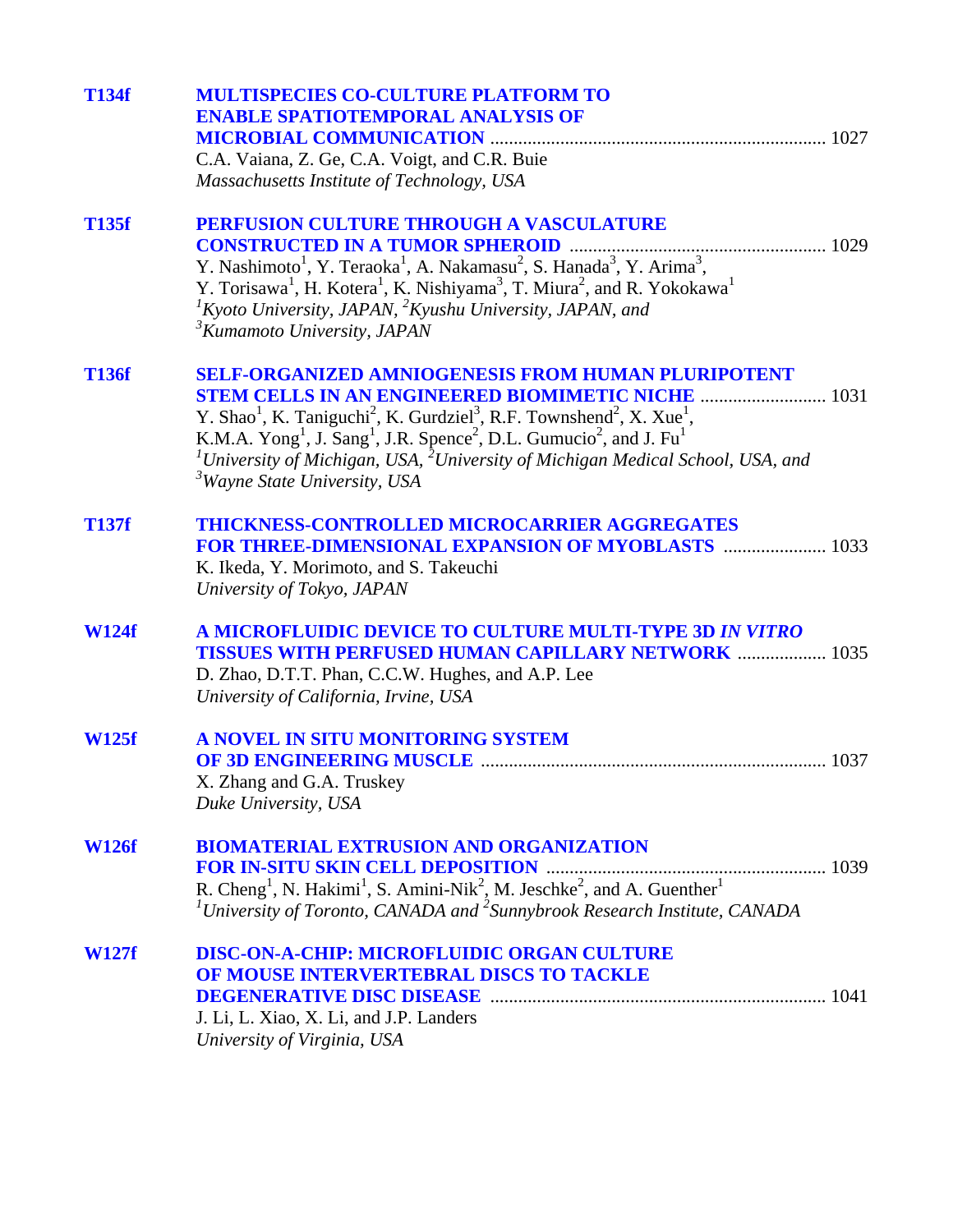| <b>T134f</b> | <b>MULTISPECIES CO-CULTURE PLATFORM TO</b><br><b>ENABLE SPATIOTEMPORAL ANALYSIS OF</b>                                                                                                                                                                                                                                                                                                                                                                                                                                                       |
|--------------|----------------------------------------------------------------------------------------------------------------------------------------------------------------------------------------------------------------------------------------------------------------------------------------------------------------------------------------------------------------------------------------------------------------------------------------------------------------------------------------------------------------------------------------------|
|              | C.A. Vaiana, Z. Ge, C.A. Voigt, and C.R. Buie<br>Massachusetts Institute of Technology, USA                                                                                                                                                                                                                                                                                                                                                                                                                                                  |
| <b>T135f</b> | PERFUSION CULTURE THROUGH A VASCULATURE<br>Y. Nashimoto <sup>1</sup> , Y. Teraoka <sup>1</sup> , A. Nakamasu <sup>2</sup> , S. Hanada <sup>3</sup> , Y. Arima <sup>3</sup> ,<br>Y. Torisawa <sup>1</sup> , H. Kotera <sup>1</sup> , K. Nishiyama <sup>3</sup> , T. Miura <sup>2</sup> , and R. Yokokawa <sup>1</sup><br>${}^{1}$ Kyoto University, JAPAN, ${}^{2}$ Kyushu University, JAPAN, and<br><sup>3</sup> Kumamoto University, JAPAN                                                                                                  |
| <b>T136f</b> | <b>SELF-ORGANIZED AMNIOGENESIS FROM HUMAN PLURIPOTENT</b><br><b>STEM CELLS IN AN ENGINEERED BIOMIMETIC NICHE  1031</b><br>Y. Shao <sup>1</sup> , K. Taniguchi <sup>2</sup> , K. Gurdziel <sup>3</sup> , R.F. Townshend <sup>2</sup> , X. Xue <sup>1</sup> ,<br>K.M.A. Yong <sup>1</sup> , J. Sang <sup>1</sup> , J.R. Spence <sup>2</sup> , D.L. Gumucio <sup>2</sup> , and J. Fu <sup>1</sup><br><sup>1</sup> University of Michigan, USA, $^2$ University of Michigan Medical School, USA, and<br><sup>3</sup> Wayne State University, USA |
| <b>T137f</b> | <b>THICKNESS-CONTROLLED MICROCARRIER AGGREGATES</b><br>FOR THREE-DIMENSIONAL EXPANSION OF MYOBLASTS  1033<br>K. Ikeda, Y. Morimoto, and S. Takeuchi<br>University of Tokyo, JAPAN                                                                                                                                                                                                                                                                                                                                                            |
| <b>W124f</b> | <b>A MICROFLUIDIC DEVICE TO CULTURE MULTI-TYPE 3D IN VITRO</b><br><b>TISSUES WITH PERFUSED HUMAN CAPILLARY NETWORK  1035</b><br>D. Zhao, D.T.T. Phan, C.C.W. Hughes, and A.P. Lee<br>University of California, Irvine, USA                                                                                                                                                                                                                                                                                                                   |
| <b>W125f</b> | A NOVEL IN SITU MONITORING SYSTEM<br>X. Zhang and G.A. Truskey<br>Duke University, USA                                                                                                                                                                                                                                                                                                                                                                                                                                                       |
| <b>W126f</b> | <b>BIOMATERIAL EXTRUSION AND ORGANIZATION</b><br>R. Cheng <sup>1</sup> , N. Hakimi <sup>1</sup> , S. Amini-Nik <sup>2</sup> , M. Jeschke <sup>2</sup> , and A. Guenther <sup>1</sup><br><sup>1</sup> University of Toronto, CANADA and <sup>2</sup> Sunnybrook Research Institute, CANADA                                                                                                                                                                                                                                                    |
| <b>W127f</b> | <b>DISC-ON-A-CHIP: MICROFLUIDIC ORGAN CULTURE</b><br>OF MOUSE INTERVERTEBRAL DISCS TO TACKLE<br>J. Li, L. Xiao, X. Li, and J.P. Landers<br>University of Virginia, USA                                                                                                                                                                                                                                                                                                                                                                       |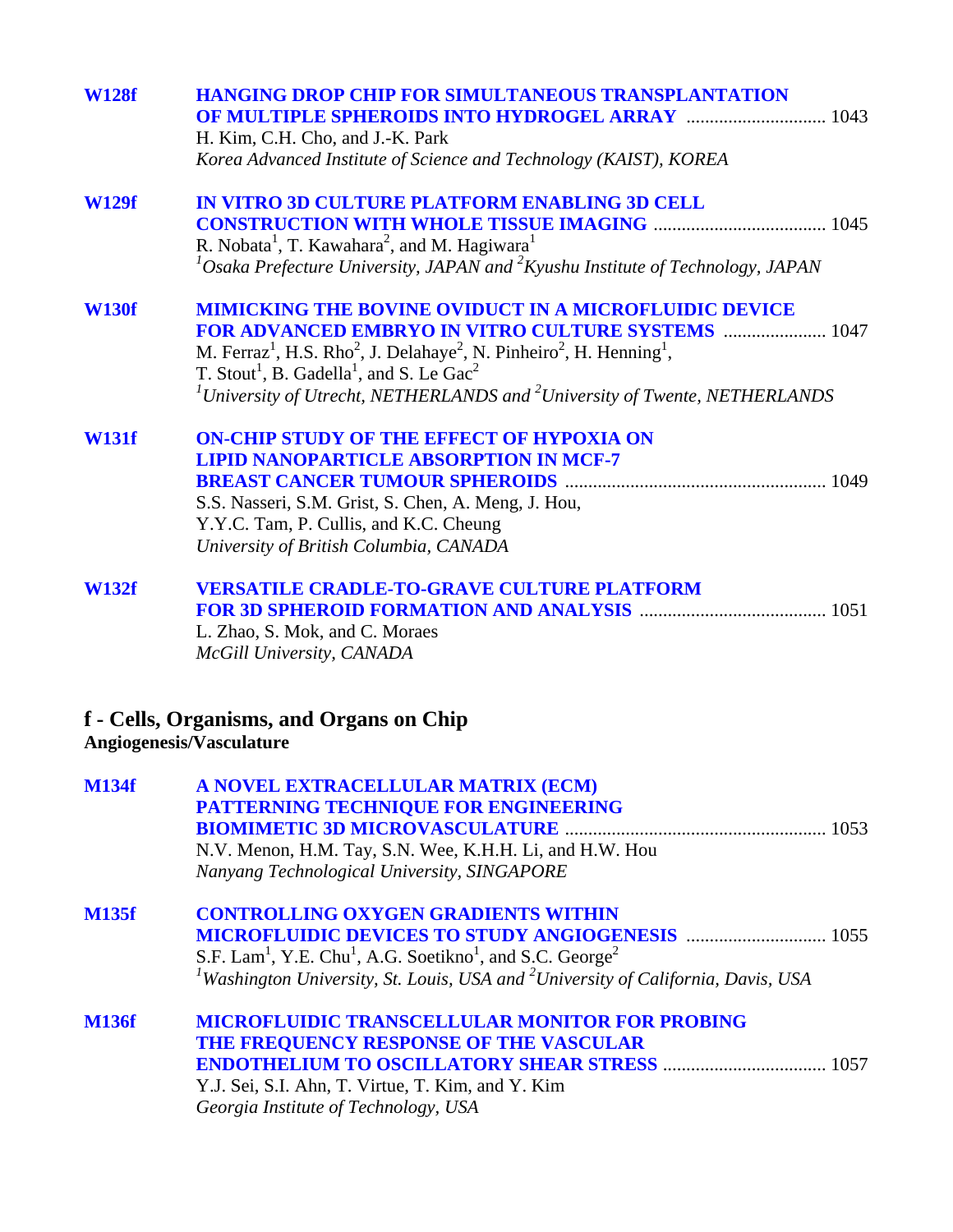| <b>W128f</b> | <b>HANGING DROP CHIP FOR SIMULTANEOUS TRANSPLANTATION</b><br>H. Kim, C.H. Cho, and J.-K. Park                                    |
|--------------|----------------------------------------------------------------------------------------------------------------------------------|
|              | Korea Advanced Institute of Science and Technology (KAIST), KOREA                                                                |
| <b>W129f</b> | IN VITRO 3D CULTURE PLATFORM ENABLING 3D CELL                                                                                    |
|              |                                                                                                                                  |
|              | R. Nobata <sup>1</sup> , T. Kawahara <sup>2</sup> , and M. Hagiwara <sup>1</sup>                                                 |
|              | $^{1}$ Osaka Prefecture University, JAPAN and $^{2}$ Kyushu Institute of Technology, JAPAN                                       |
| <b>W130f</b> | <b>MIMICKING THE BOVINE OVIDUCT IN A MICROFLUIDIC DEVICE</b>                                                                     |
|              | <b>FOR ADVANCED EMBRYO IN VITRO CULTURE SYSTEMS  1047</b>                                                                        |
|              | M. Ferraz <sup>1</sup> , H.S. Rho <sup>2</sup> , J. Delahaye <sup>2</sup> , N. Pinheiro <sup>2</sup> , H. Henning <sup>1</sup> , |
|              | T. Stout <sup>1</sup> , B. Gadella <sup>1</sup> , and S. Le Gac <sup>2</sup>                                                     |
|              | $^{1}$ University of Utrecht, NETHERLANDS and $^{2}$ University of Twente, NETHERLANDS                                           |
| <b>W131f</b> | <b>ON-CHIP STUDY OF THE EFFECT OF HYPOXIA ON</b>                                                                                 |
|              | <b>LIPID NANOPARTICLE ABSORPTION IN MCF-7</b>                                                                                    |
|              |                                                                                                                                  |
|              | S.S. Nasseri, S.M. Grist, S. Chen, A. Meng, J. Hou,                                                                              |
|              | Y.Y.C. Tam, P. Cullis, and K.C. Cheung                                                                                           |
|              | University of British Columbia, CANADA                                                                                           |
| <b>W132f</b> | <b>VERSATILE CRADLE-TO-GRAVE CULTURE PLATFORM</b>                                                                                |
|              |                                                                                                                                  |
|              | L. Zhao, S. Mok, and C. Moraes                                                                                                   |
|              | McGill University, CANADA                                                                                                        |
|              | f - Cells, Organisms, and Organs on Chip<br><b>Angiogenesis/Vasculature</b>                                                      |
| <b>M134f</b> | A NOVEL EXTRACELLULAR MATRIX (ECM)                                                                                               |
|              | PATTERNING TECHNIQUE FOR ENGINEERING                                                                                             |
|              |                                                                                                                                  |
|              | N.V. Menon, H.M. Tay, S.N. Wee, K.H.H. Li, and H.W. Hou                                                                          |
|              | Nanyang Technological University, SINGAPORE                                                                                      |
| <b>M135f</b> | <b>CONTROLLING OXYGEN GRADIENTS WITHIN</b>                                                                                       |
|              |                                                                                                                                  |
|              | S.F. Lam <sup>1</sup> , Y.E. Chu <sup>1</sup> , A.G. Soetikno <sup>1</sup> , and S.C. George <sup>2</sup>                        |
|              | <sup>1</sup> Washington University, St. Louis, USA and <sup>2</sup> University of California, Davis, USA                         |
| <b>M136f</b> | <b>MICROFLUIDIC TRANSCELLULAR MONITOR FOR PROBING</b>                                                                            |
|              | THE FREQUENCY RESPONSE OF THE VASCULAR                                                                                           |
|              |                                                                                                                                  |

Y.J. Sei, S.I. Ahn, T. Virtue, T. Kim, and Y. Kim *Georgia Institute of Technology, USA*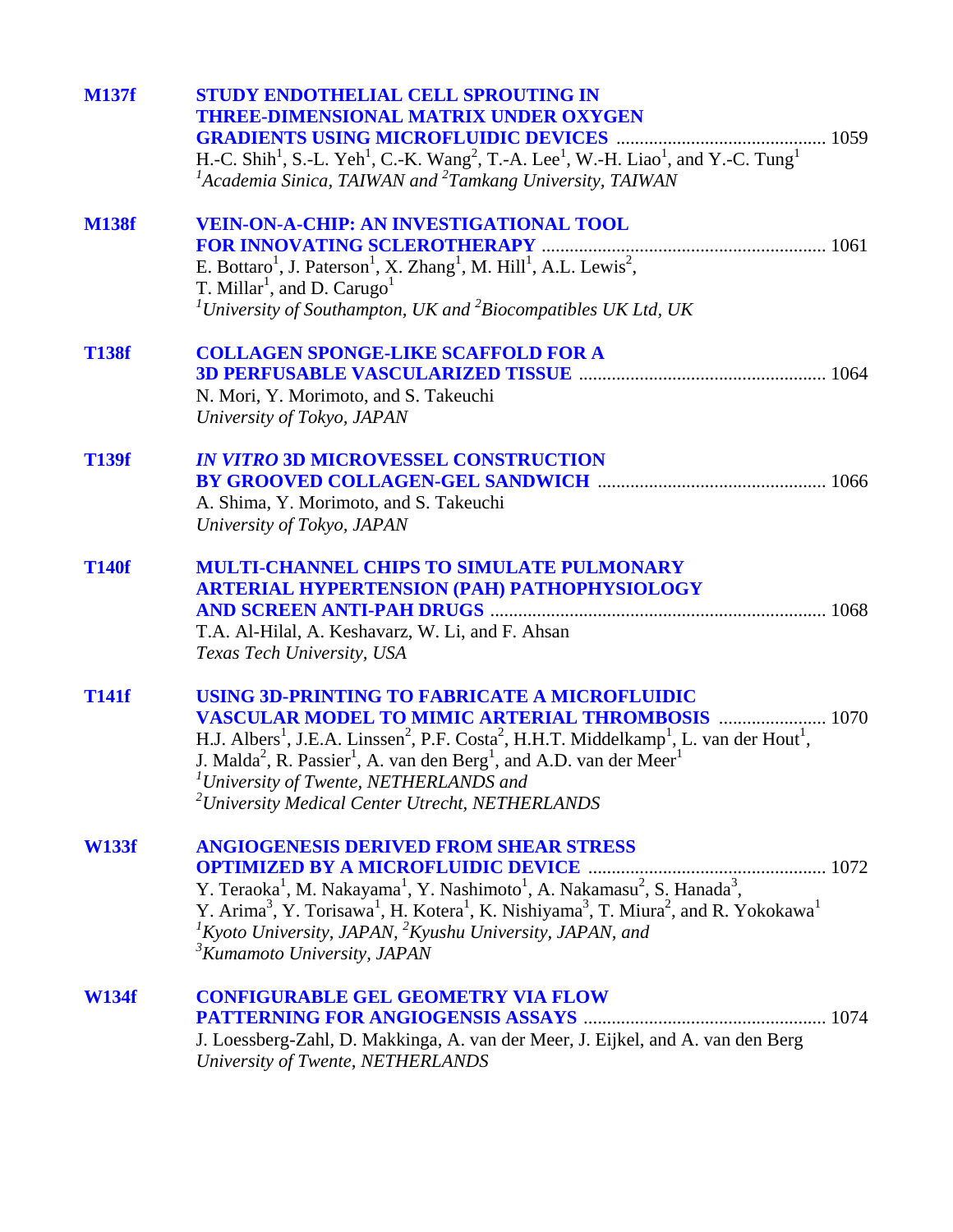| <b>M137f</b> | <b>STUDY ENDOTHELIAL CELL SPROUTING IN</b><br><b>THREE-DIMENSIONAL MATRIX UNDER OXYGEN</b><br>H.-C. Shih <sup>1</sup> , S.-L. Yeh <sup>1</sup> , C.-K. Wang <sup>2</sup> , T.-A. Lee <sup>1</sup> , W.-H. Liao <sup>1</sup> , and Y.-C. Tung <sup>1</sup><br>${}^{1}$ Academia Sinica, TAIWAN and ${}^{2}$ Tamkang University, TAIWAN                                                                                                                                                                                     |  |
|--------------|---------------------------------------------------------------------------------------------------------------------------------------------------------------------------------------------------------------------------------------------------------------------------------------------------------------------------------------------------------------------------------------------------------------------------------------------------------------------------------------------------------------------------|--|
| <b>M138f</b> | <b>VEIN-ON-A-CHIP: AN INVESTIGATIONAL TOOL</b><br>E. Bottaro <sup>1</sup> , J. Paterson <sup>1</sup> , X. Zhang <sup>1</sup> , M. Hill <sup>1</sup> , A.L. Lewis <sup>2</sup> ,<br>T. Millar <sup>1</sup> , and D. Carugo <sup>1</sup><br><sup>1</sup> University of Southampton, UK and $^{2}$ Biocompatibles UK Ltd, UK                                                                                                                                                                                                 |  |
| <b>T138f</b> | <b>COLLAGEN SPONGE-LIKE SCAFFOLD FOR A</b><br>N. Mori, Y. Morimoto, and S. Takeuchi<br>University of Tokyo, JAPAN                                                                                                                                                                                                                                                                                                                                                                                                         |  |
| <b>T139f</b> | <b>IN VITRO 3D MICROVESSEL CONSTRUCTION</b><br>A. Shima, Y. Morimoto, and S. Takeuchi<br>University of Tokyo, JAPAN                                                                                                                                                                                                                                                                                                                                                                                                       |  |
| <b>T140f</b> | <b>MULTI-CHANNEL CHIPS TO SIMULATE PULMONARY</b><br><b>ARTERIAL HYPERTENSION (PAH) PATHOPHYSIOLOGY</b><br>T.A. Al-Hilal, A. Keshavarz, W. Li, and F. Ahsan<br>Texas Tech University, USA                                                                                                                                                                                                                                                                                                                                  |  |
| <b>T141f</b> | USING 3D-PRINTING TO FABRICATE A MICROFLUIDIC<br><b>VASCULAR MODEL TO MIMIC ARTERIAL THROMBOSIS  1070</b><br>H.J. Albers <sup>1</sup> , J.E.A. Linssen <sup>2</sup> , P.F. Costa <sup>2</sup> , H.H.T. Middelkamp <sup>1</sup> , L. van der Hout <sup>1</sup> ,<br>J. Malda <sup>2</sup> , R. Passier <sup>1</sup> , A. van den Berg <sup>1</sup> , and A.D. van der Meer <sup>1</sup><br><sup>1</sup> University of Twente, NETHERLANDS and<br><sup>2</sup> University Medical Center Utrecht, NETHERLANDS               |  |
| <b>W133f</b> | <b>ANGIOGENESIS DERIVED FROM SHEAR STRESS</b><br><b>OPTIMIZED BY A MICROFLUIDIC DEVICE</b><br>Y. Teraoka <sup>1</sup> , M. Nakayama <sup>1</sup> , Y. Nashimoto <sup>1</sup> , A. Nakamasu <sup>2</sup> , S. Hanada <sup>3</sup> ,<br>Y. Arima <sup>3</sup> , Y. Torisawa <sup>1</sup> , H. Kotera <sup>1</sup> , K. Nishiyama <sup>3</sup> , T. Miura <sup>2</sup> , and R. Yokokawa <sup>1</sup><br>${}^{1}$ Kyoto University, JAPAN, ${}^{2}$ Kyushu University, JAPAN, and<br><sup>3</sup> Kumamoto University, JAPAN |  |
| <b>W134f</b> | <b>CONFIGURABLE GEL GEOMETRY VIA FLOW</b><br>J. Loessberg-Zahl, D. Makkinga, A. van der Meer, J. Eijkel, and A. van den Berg<br>University of Twente, NETHERLANDS                                                                                                                                                                                                                                                                                                                                                         |  |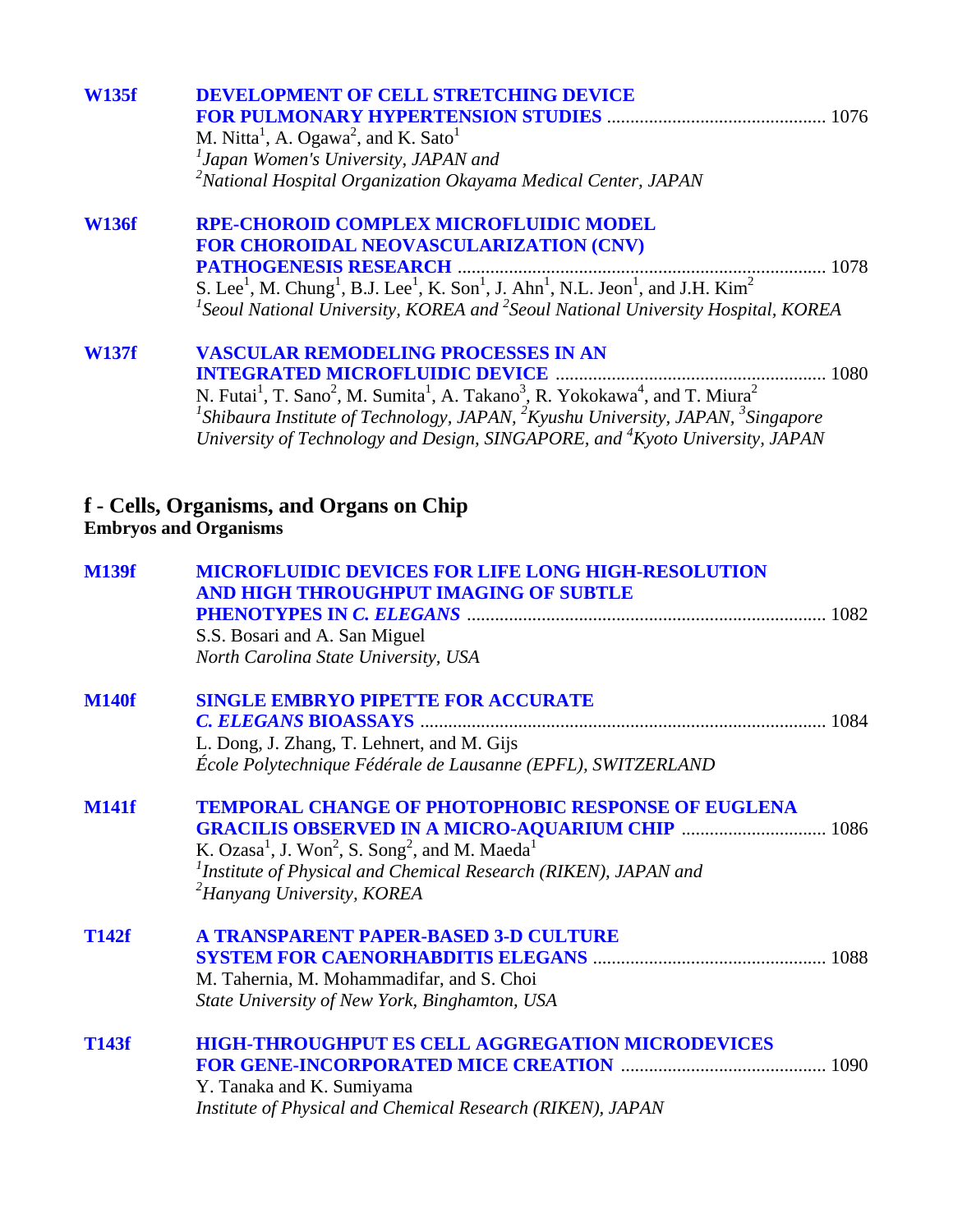| <b>W135f</b> | <b>DEVELOPMENT OF CELL STRETCHING DEVICE</b><br>M. Nitta <sup>1</sup> , A. Ogawa <sup>2</sup> , and K. Sato <sup>1</sup><br><sup>1</sup> Japan Women's University, JAPAN and<br>${}^{2}$ National Hospital Organization Okayama Medical Center, JAPAN                                                                                                                                                          |
|--------------|----------------------------------------------------------------------------------------------------------------------------------------------------------------------------------------------------------------------------------------------------------------------------------------------------------------------------------------------------------------------------------------------------------------|
| <b>W136f</b> | <b>RPE-CHOROID COMPLEX MICROFLUIDIC MODEL</b><br>FOR CHOROIDAL NEOVASCULARIZATION (CNV)<br>${}^{1}$ Seoul National University, KOREA and ${}^{2}$ Seoul National University Hospital, KOREA                                                                                                                                                                                                                    |
| <b>W137f</b> | <b>VASCULAR REMODELING PROCESSES IN AN</b><br>N. Futai <sup>1</sup> , T. Sano <sup>2</sup> , M. Sumita <sup>1</sup> , A. Takano <sup>3</sup> , R. Yokokawa <sup>4</sup> , and T. Miura <sup>2</sup><br><sup>1</sup> Shibaura Institute of Technology, JAPAN, ${}^{2}K$ yushu University, JAPAN, ${}^{3}S$ ingapore<br>University of Technology and Design, SINGAPORE, and <sup>4</sup> Kyoto University, JAPAN |
|              | f - Cells, Organisms, and Organs on Chip<br><b>Embryos and Organisms</b>                                                                                                                                                                                                                                                                                                                                       |
| <b>M139f</b> | <b>MICROFLUIDIC DEVICES FOR LIFE LONG HIGH-RESOLUTION</b><br>AND HIGH THROUGHPUT IMAGING OF SUBTLE<br>S.S. Bosari and A. San Miguel<br>North Carolina State University, USA                                                                                                                                                                                                                                    |
| <b>M140f</b> | <b>SINGLE EMBRYO PIPETTE FOR ACCURATE</b><br>L. Dong, J. Zhang, T. Lehnert, and M. Gijs<br>École Polytechnique Fédérale de Lausanne (EPFL), SWITZERLAND                                                                                                                                                                                                                                                        |
| <b>M141f</b> | <b>TEMPORAL CHANGE OF PHOTOPHOBIC RESPONSE OF EUGLENA</b><br><b>GRACILIS OBSERVED IN A MICRO-AQUARIUM CHIP  1086</b><br>K. Ozasa <sup>1</sup> , J. Won <sup>2</sup> , S. Song <sup>2</sup> , and M. Maeda <sup>1</sup><br><sup>1</sup> Institute of Physical and Chemical Research (RIKEN), JAPAN and<br><sup>2</sup> Hanyang University, KOREA                                                                |
| <b>T142f</b> | A TRANSPARENT PAPER-BASED 3-D CULTURE<br>M. Tahernia, M. Mohammadifar, and S. Choi<br>State University of New York, Binghamton, USA                                                                                                                                                                                                                                                                            |
| <b>T143f</b> | <b>HIGH-THROUGHPUT ES CELL AGGREGATION MICRODEVICES</b><br>Y. Tanaka and K. Sumiyama<br>Institute of Physical and Chemical Research (RIKEN), JAPAN                                                                                                                                                                                                                                                             |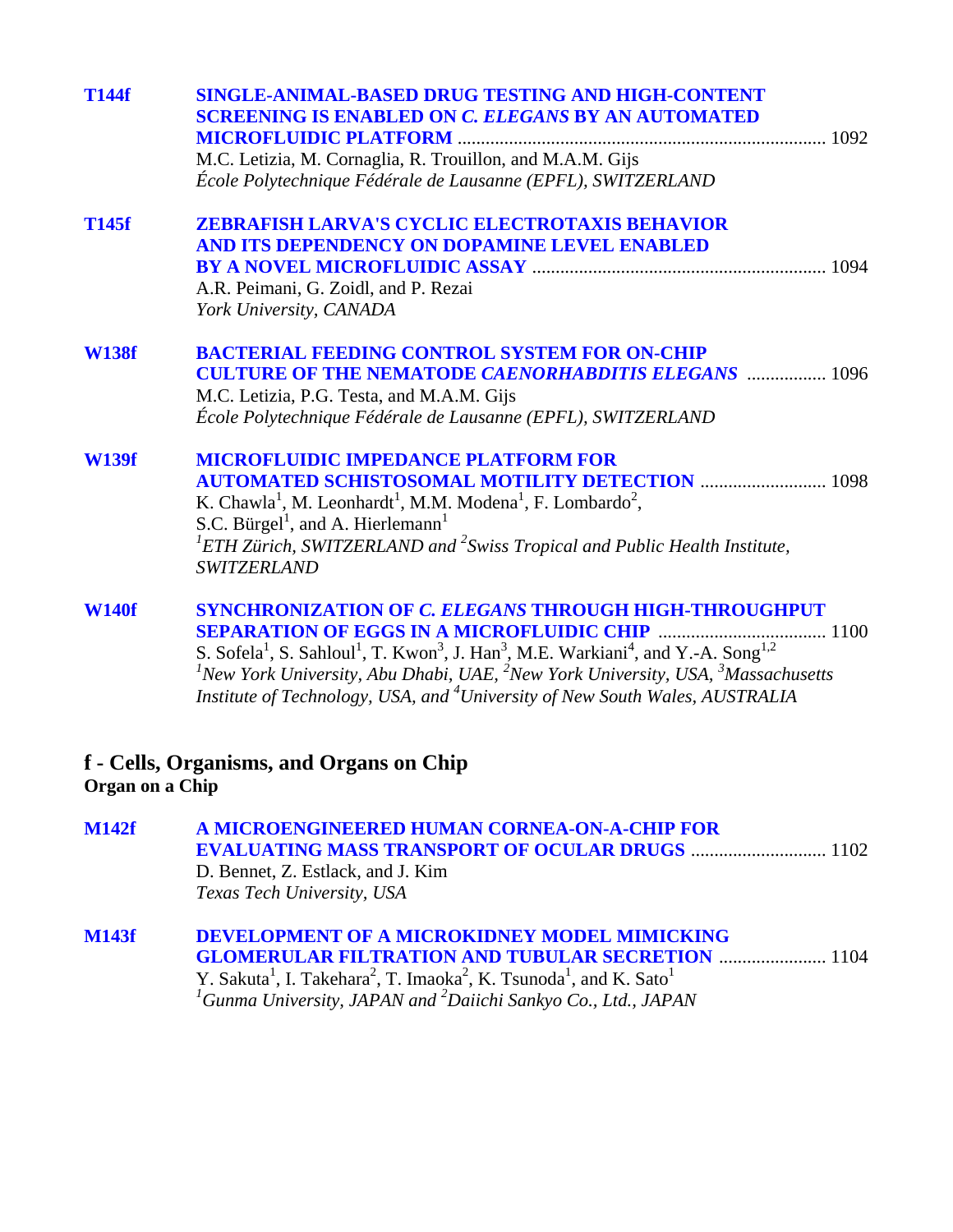| T144f           | <b>SINGLE-ANIMAL-BASED DRUG TESTING AND HIGH-CONTENT</b><br><b>SCREENING IS ENABLED ON C. ELEGANS BY AN AUTOMATED</b><br>M.C. Letizia, M. Cornaglia, R. Trouillon, and M.A.M. Gijs<br>École Polytechnique Fédérale de Lausanne (EPFL), SWITZERLAND                                                                                                                                                                                                                                            |
|-----------------|-----------------------------------------------------------------------------------------------------------------------------------------------------------------------------------------------------------------------------------------------------------------------------------------------------------------------------------------------------------------------------------------------------------------------------------------------------------------------------------------------|
| <b>T145f</b>    | <b>ZEBRAFISH LARVA'S CYCLIC ELECTROTAXIS BEHAVIOR</b><br>AND ITS DEPENDENCY ON DOPAMINE LEVEL ENABLED<br>A.R. Peimani, G. Zoidl, and P. Rezai<br>York University, CANADA                                                                                                                                                                                                                                                                                                                      |
| <b>W138f</b>    | <b>BACTERIAL FEEDING CONTROL SYSTEM FOR ON-CHIP</b><br><b>CULTURE OF THE NEMATODE CAENORHABDITIS ELEGANS  1096</b><br>M.C. Letizia, P.G. Testa, and M.A.M. Gijs<br>École Polytechnique Fédérale de Lausanne (EPFL), SWITZERLAND                                                                                                                                                                                                                                                               |
| <b>W139f</b>    | <b>MICROFLUIDIC IMPEDANCE PLATFORM FOR</b><br><b>AUTOMATED SCHISTOSOMAL MOTILITY DETECTION  1098</b><br>K. Chawla <sup>1</sup> , M. Leonhardt <sup>1</sup> , M.M. Modena <sup>1</sup> , F. Lombardo <sup>2</sup> ,<br>S.C. Bürgel <sup>1</sup> , and A. Hierlemann <sup>1</sup><br>${}^{1}ETH$ Zürich, SWITZERLAND and ${}^{2}Sw$ iss Tropical and Public Health Institute,<br><b>SWITZERLAND</b>                                                                                             |
| <b>W140f</b>    | <b>SYNCHRONIZATION OF C. ELEGANS THROUGH HIGH-THROUGHPUT</b><br><b>SEPARATION OF EGGS IN A MICROFLUIDIC CHIP </b><br>1100<br>S. Sofela <sup>1</sup> , S. Sahloul <sup>1</sup> , T. Kwon <sup>3</sup> , J. Han <sup>3</sup> , M.E. Warkiani <sup>4</sup> , and Y.-A. Song <sup>1,2</sup><br>${}^{1}$ New York University, Abu Dhabi, UAE, ${}^{2}$ New York University, USA, ${}^{3}$ Massachusetts<br>Institute of Technology, USA, and <sup>4</sup> University of New South Wales, AUSTRALIA |
| Organ on a Chip | f - Cells, Organisms, and Organs on Chip                                                                                                                                                                                                                                                                                                                                                                                                                                                      |
| <b>M142f</b>    | A MICROENGINEERED HUMAN CORNEA-ON-A-CHIP FOR<br>D. Bennet, Z. Estlack, and J. Kim<br>Texas Tech University, USA                                                                                                                                                                                                                                                                                                                                                                               |
| <b>M143f</b>    | DEVELOPMENT OF A MICROKIDNEY MODEL MIMICKING<br><b>GLOMERULAR FILTRATION AND TUBULAR SECRETION  1104</b><br>Y. Sakuta <sup>1</sup> , I. Takehara <sup>2</sup> , T. Imaoka <sup>2</sup> , K. Tsunoda <sup>1</sup> , and K. Sato <sup>1</sup><br><sup>1</sup> Gunma University, JAPAN and <sup>2</sup> Daiichi Sankyo Co., Ltd., JAPAN                                                                                                                                                          |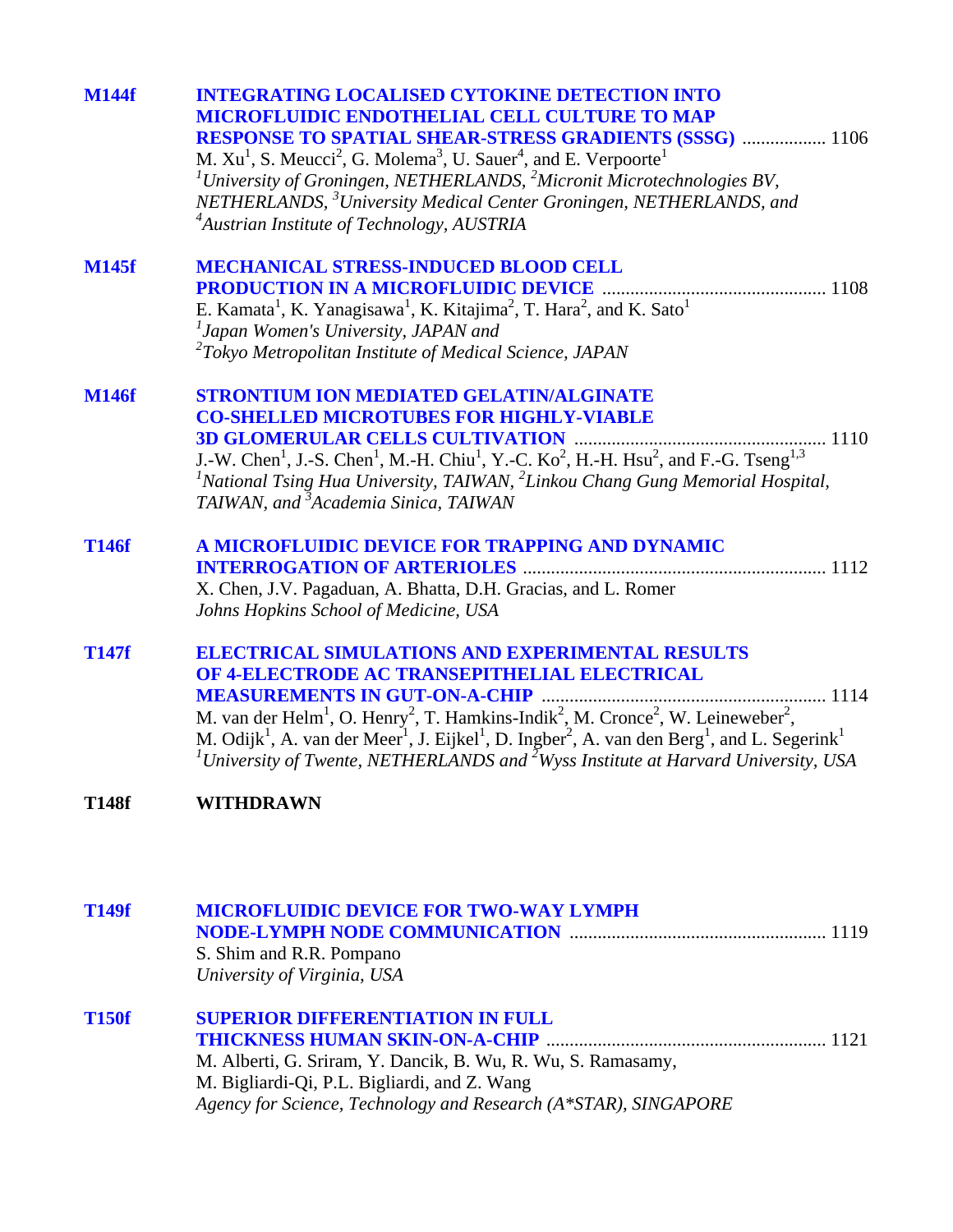| <b>M144f</b> | <b>INTEGRATING LOCALISED CYTOKINE DETECTION INTO</b><br><b>MICROFLUIDIC ENDOTHELIAL CELL CULTURE TO MAP</b><br><b>RESPONSE TO SPATIAL SHEAR-STRESS GRADIENTS (SSSG)  1106</b><br>M. $Xu1$ , S. Meucci <sup>2</sup> , G. Molema <sup>3</sup> , U. Sauer <sup>4</sup> , and E. Verpoorte <sup>1</sup><br><sup>1</sup> University of Groningen, NETHERLANDS, $^{2}$ Micronit Microtechnologies BV,<br>NETHERLANDS, <sup>3</sup> University Medical Center Groningen, NETHERLANDS, and<br><sup>4</sup> Austrian Institute of Technology, AUSTRIA |
|--------------|----------------------------------------------------------------------------------------------------------------------------------------------------------------------------------------------------------------------------------------------------------------------------------------------------------------------------------------------------------------------------------------------------------------------------------------------------------------------------------------------------------------------------------------------|
| <b>M145f</b> | <b>MECHANICAL STRESS-INDUCED BLOOD CELL</b><br><b>PRODUCTION IN A MICROFLUIDIC DEVICE</b><br>E. Kamata <sup>1</sup> , K. Yanagisawa <sup>1</sup> , K. Kitajima <sup>2</sup> , T. Hara <sup>2</sup> , and K. Sato <sup>1</sup><br><sup>1</sup> Japan Women's University, JAPAN and<br>$2$ Tokyo Metropolitan Institute of Medical Science, JAPAN                                                                                                                                                                                              |
| <b>M146f</b> | <b>STRONTIUM ION MEDIATED GELATIN/ALGINATE</b><br><b>CO-SHELLED MICROTUBES FOR HIGHLY-VIABLE</b><br>J.-W. Chen <sup>1</sup> , J.-S. Chen <sup>1</sup> , M.-H. Chiu <sup>1</sup> , Y.-C. Ko <sup>2</sup> , H.-H. Hsu <sup>2</sup> , and F.-G. Tseng <sup>1,3</sup><br>${}^{1}$ National Tsing Hua University, TAIWAN, ${}^{2}$ Linkou Chang Gung Memorial Hospital,<br>TAIWAN, and <sup>3</sup> Academia Sinica, TAIWAN                                                                                                                       |
| <b>T146f</b> | A MICROFLUIDIC DEVICE FOR TRAPPING AND DYNAMIC<br><b>INTERROGATION OF ARTERIOLES</b><br>X. Chen, J.V. Pagaduan, A. Bhatta, D.H. Gracias, and L. Romer<br>Johns Hopkins School of Medicine, USA                                                                                                                                                                                                                                                                                                                                               |
| <b>T147f</b> | <b>ELECTRICAL SIMULATIONS AND EXPERIMENTAL RESULTS</b><br>OF 4-ELECTRODE AC TRANSEPITHELIAL ELECTRICAL<br>M. van der Helm <sup>1</sup> , O. Henry <sup>2</sup> , T. Hamkins-Indik <sup>2</sup> , M. Cronce <sup>2</sup> , W. Leineweber <sup>2</sup> ,<br>M. Odijk <sup>1</sup> , A. van der Meer <sup>1</sup> , J. Eijkel <sup>1</sup> , D. Ingber <sup>2</sup> , A. van den Berg <sup>1</sup> , and L. Segerink <sup>1</sup><br><sup>1</sup> University of Twente, NETHERLANDS and <sup>2</sup> Wyss Institute at Harvard University, USA  |
| <b>T148f</b> | <b>WITHDRAWN</b>                                                                                                                                                                                                                                                                                                                                                                                                                                                                                                                             |
| <b>T149f</b> | <b>MICROFLUIDIC DEVICE FOR TWO-WAY LYMPH</b><br>S. Shim and R.R. Pompano<br>University of Virginia, USA                                                                                                                                                                                                                                                                                                                                                                                                                                      |
| <b>T150f</b> | <b>SUPERIOR DIFFERENTIATION IN FULL</b><br>M. Alberti, G. Sriram, Y. Dancik, B. Wu, R. Wu, S. Ramasamy,<br>M. Bigliardi-Qi, P.L. Bigliardi, and Z. Wang<br>Agency for Science, Technology and Research (A*STAR), SINGAPORE                                                                                                                                                                                                                                                                                                                   |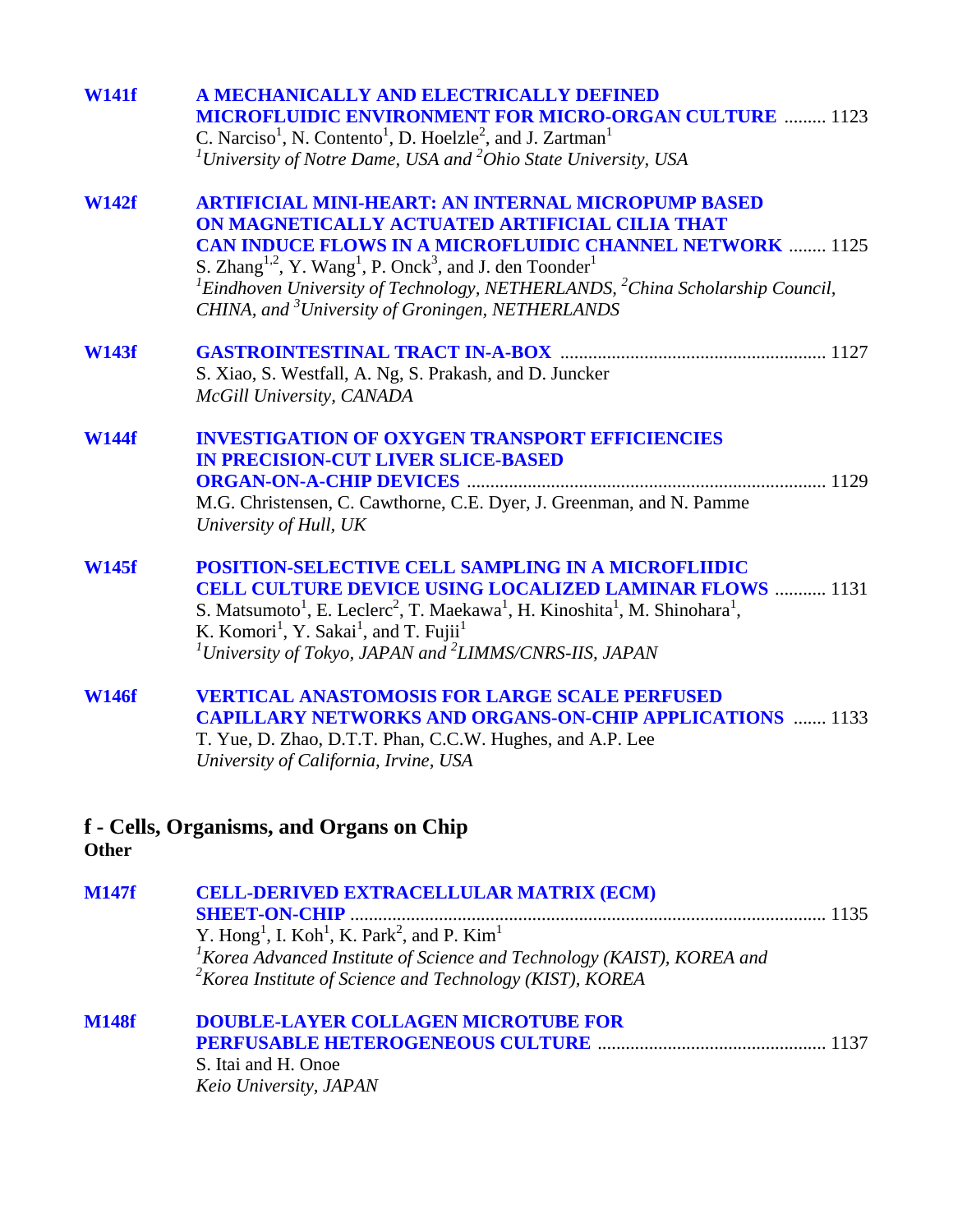| <b>W141f</b> | A MECHANICALLY AND ELECTRICALLY DEFINED<br><b>MICROFLUIDIC ENVIRONMENT FOR MICRO-ORGAN CULTURE  1123</b><br>C. Narciso <sup>1</sup> , N. Contento <sup>1</sup> , D. Hoelzle <sup>2</sup> , and J. Zartman <sup>1</sup><br><sup>1</sup> University of Notre Dame, USA and $2$ Ohio State University, USA                                                                                                                                                    |
|--------------|------------------------------------------------------------------------------------------------------------------------------------------------------------------------------------------------------------------------------------------------------------------------------------------------------------------------------------------------------------------------------------------------------------------------------------------------------------|
| <b>W142f</b> | <b>ARTIFICIAL MINI-HEART: AN INTERNAL MICROPUMP BASED</b><br>ON MAGNETICALLY ACTUATED ARTIFICIAL CILIA THAT<br><b>CAN INDUCE FLOWS IN A MICROFLUIDIC CHANNEL NETWORK  1125</b><br>S. Zhang <sup>1,2</sup> , Y. Wang <sup>1</sup> , P. Onck <sup>3</sup> , and J. den Toonder <sup>1</sup><br>${}^{1}$ Eindhoven University of Technology, NETHERLANDS, ${}^{2}$ China Scholarship Council,<br>CHINA, and <sup>3</sup> University of Groningen, NETHERLANDS |
| <b>W143f</b> | S. Xiao, S. Westfall, A. Ng, S. Prakash, and D. Juncker<br>McGill University, CANADA                                                                                                                                                                                                                                                                                                                                                                       |
| <b>W144f</b> | <b>INVESTIGATION OF OXYGEN TRANSPORT EFFICIENCIES</b><br><b>IN PRECISION-CUT LIVER SLICE-BASED</b><br>M.G. Christensen, C. Cawthorne, C.E. Dyer, J. Greenman, and N. Pamme<br>University of Hull, UK                                                                                                                                                                                                                                                       |
| <b>W145f</b> | <b>POSITION-SELECTIVE CELL SAMPLING IN A MICROFLIIDIC</b><br><b>CELL CULTURE DEVICE USING LOCALIZED LAMINAR FLOWS  1131</b><br>S. Matsumoto <sup>1</sup> , E. Leclerc <sup>2</sup> , T. Maekawa <sup>1</sup> , H. Kinoshita <sup>1</sup> , M. Shinohara <sup>1</sup> ,<br>K. Komori <sup>1</sup> , Y. Sakai <sup>1</sup> , and T. Fujii <sup>1</sup><br><sup>1</sup> University of Tokyo, JAPAN and <sup>2</sup> LIMMS/CNRS-IIS, JAPAN                     |
| <b>W146f</b> | <b>VERTICAL ANASTOMOSIS FOR LARGE SCALE PERFUSED</b><br><b>CAPILLARY NETWORKS AND ORGANS-ON-CHIP APPLICATIONS  1133</b><br>T. Yue, D. Zhao, D.T.T. Phan, C.C.W. Hughes, and A.P. Lee<br>University of California, Irvine, USA                                                                                                                                                                                                                              |
| <b>Other</b> | f - Cells, Organisms, and Organs on Chip                                                                                                                                                                                                                                                                                                                                                                                                                   |
| <b>M147f</b> | <b>CELL-DERIVED EXTRACELLULAR MATRIX (ECM)</b><br><b>SHEET-ON-CHIP</b><br>Y. Hong <sup>1</sup> , I. Koh <sup>1</sup> , K. Park <sup>2</sup> , and P. Kim <sup>1</sup><br>${}^{1}$ Korea Advanced Institute of Science and Technology (KAIST), KOREA and<br><sup>2</sup> Korea Institute of Science and Technology (KIST), KOREA                                                                                                                            |

|  |                                                         | . |
|--|---------------------------------------------------------|---|
|  | Korea Institute of Science and Technology (KIST), KOREA |   |

| M148f | <b>DOUBLE-LAYER COLLAGEN MICROTUBE FOR</b> |  |
|-------|--------------------------------------------|--|
|       |                                            |  |
|       | S. Itai and H. Onoe                        |  |
|       | Keio University, JAPAN                     |  |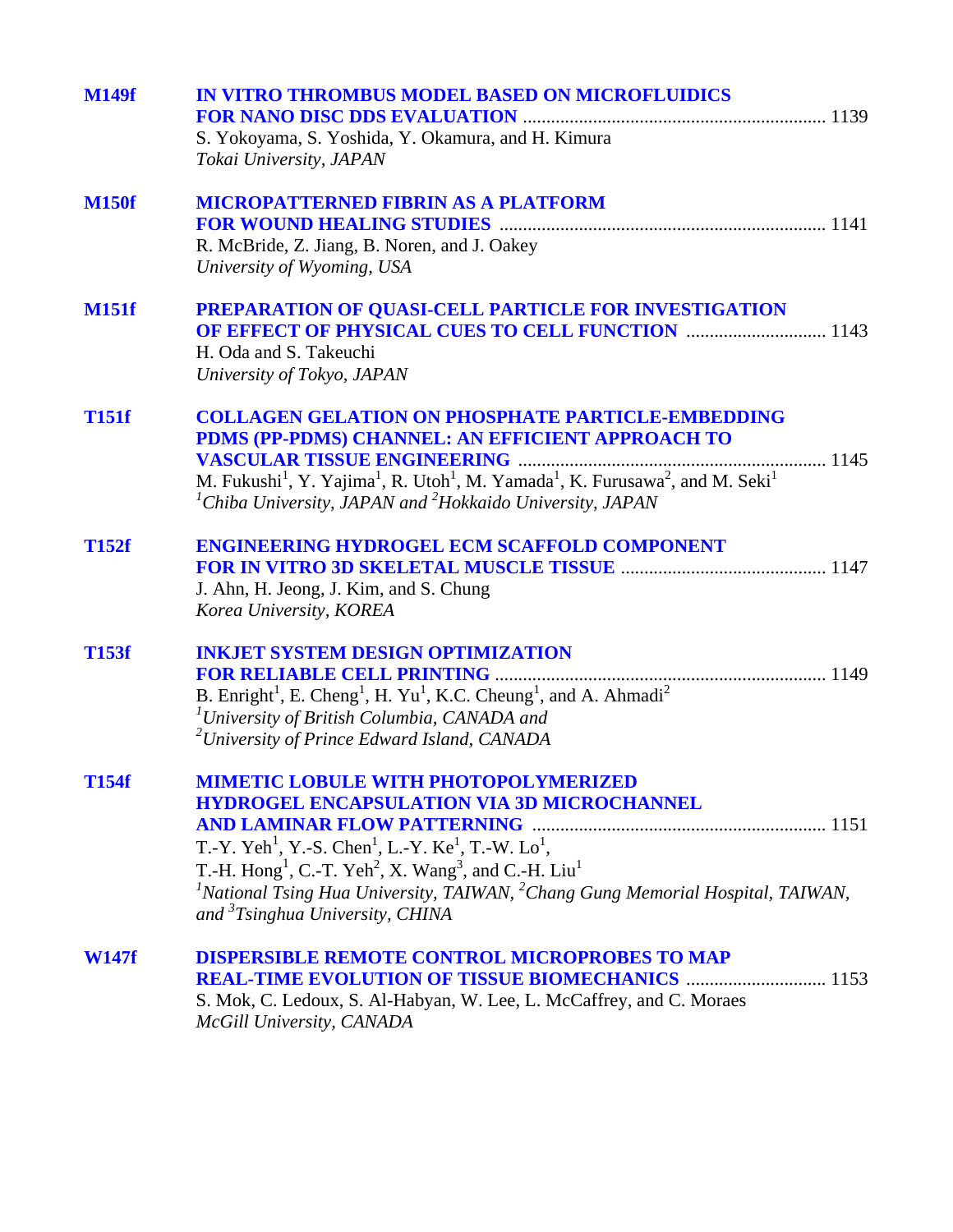| <b>M149f</b> | <b>IN VITRO THROMBUS MODEL BASED ON MICROFLUIDICS</b><br>S. Yokoyama, S. Yoshida, Y. Okamura, and H. Kimura<br>Tokai University, JAPAN                                                                                                                                                                                                                                                                                                                            |
|--------------|-------------------------------------------------------------------------------------------------------------------------------------------------------------------------------------------------------------------------------------------------------------------------------------------------------------------------------------------------------------------------------------------------------------------------------------------------------------------|
| <b>M150f</b> | <b>MICROPATTERNED FIBRIN AS A PLATFORM</b><br>R. McBride, Z. Jiang, B. Noren, and J. Oakey<br>University of Wyoming, USA                                                                                                                                                                                                                                                                                                                                          |
| <b>M151f</b> | PREPARATION OF QUASI-CELL PARTICLE FOR INVESTIGATION<br><b>OF EFFECT OF PHYSICAL CUES TO CELL FUNCTION  1143</b><br>H. Oda and S. Takeuchi<br>University of Tokyo, JAPAN                                                                                                                                                                                                                                                                                          |
| <b>T151f</b> | <b>COLLAGEN GELATION ON PHOSPHATE PARTICLE-EMBEDDING</b><br>PDMS (PP-PDMS) CHANNEL: AN EFFICIENT APPROACH TO<br>M. Fukushi <sup>1</sup> , Y. Yajima <sup>1</sup> , R. Utoh <sup>1</sup> , M. Yamada <sup>1</sup> , K. Furusawa <sup>2</sup> , and M. Seki <sup>1</sup><br>${}^{1}$ Chiba University, JAPAN and ${}^{2}$ Hokkaido University, JAPAN                                                                                                                |
| <b>T152f</b> | <b>ENGINEERING HYDROGEL ECM SCAFFOLD COMPONENT</b><br>J. Ahn, H. Jeong, J. Kim, and S. Chung<br>Korea University, KOREA                                                                                                                                                                                                                                                                                                                                           |
| <b>T153f</b> | <b>INKJET SYSTEM DESIGN OPTIMIZATION</b><br>B. Enright <sup>1</sup> , E. Cheng <sup>1</sup> , H. Yu <sup>1</sup> , K.C. Cheung <sup>1</sup> , and A. Ahmadi <sup>2</sup><br><sup>1</sup> University of British Columbia, CANADA and<br><sup>2</sup> University of Prince Edward Island, CANADA                                                                                                                                                                    |
| <b>T154f</b> | <b>MIMETIC LOBULE WITH PHOTOPOLYMERIZED</b><br><b>HYDROGEL ENCAPSULATION VIA 3D MICROCHANNEL</b><br>T.-Y. Yeh <sup>1</sup> , Y.-S. Chen <sup>1</sup> , L.-Y. Ke <sup>1</sup> , T.-W. Lo <sup>1</sup> ,<br>T.-H. Hong <sup>1</sup> , C.-T. Yeh <sup>2</sup> , X. Wang <sup>3</sup> , and C.-H. Liu <sup>1</sup><br><sup>1</sup> National Tsing Hua University, TAIWAN, $^{2}$ Chang Gung Memorial Hospital, TAIWAN,<br>and <sup>3</sup> Tsinghua University, CHINA |
| <b>W147f</b> | <b>DISPERSIBLE REMOTE CONTROL MICROPROBES TO MAP</b><br><b>REAL-TIME EVOLUTION OF TISSUE BIOMECHANICS  1153</b><br>S. Mok, C. Ledoux, S. Al-Habyan, W. Lee, L. McCaffrey, and C. Moraes<br>McGill University, CANADA                                                                                                                                                                                                                                              |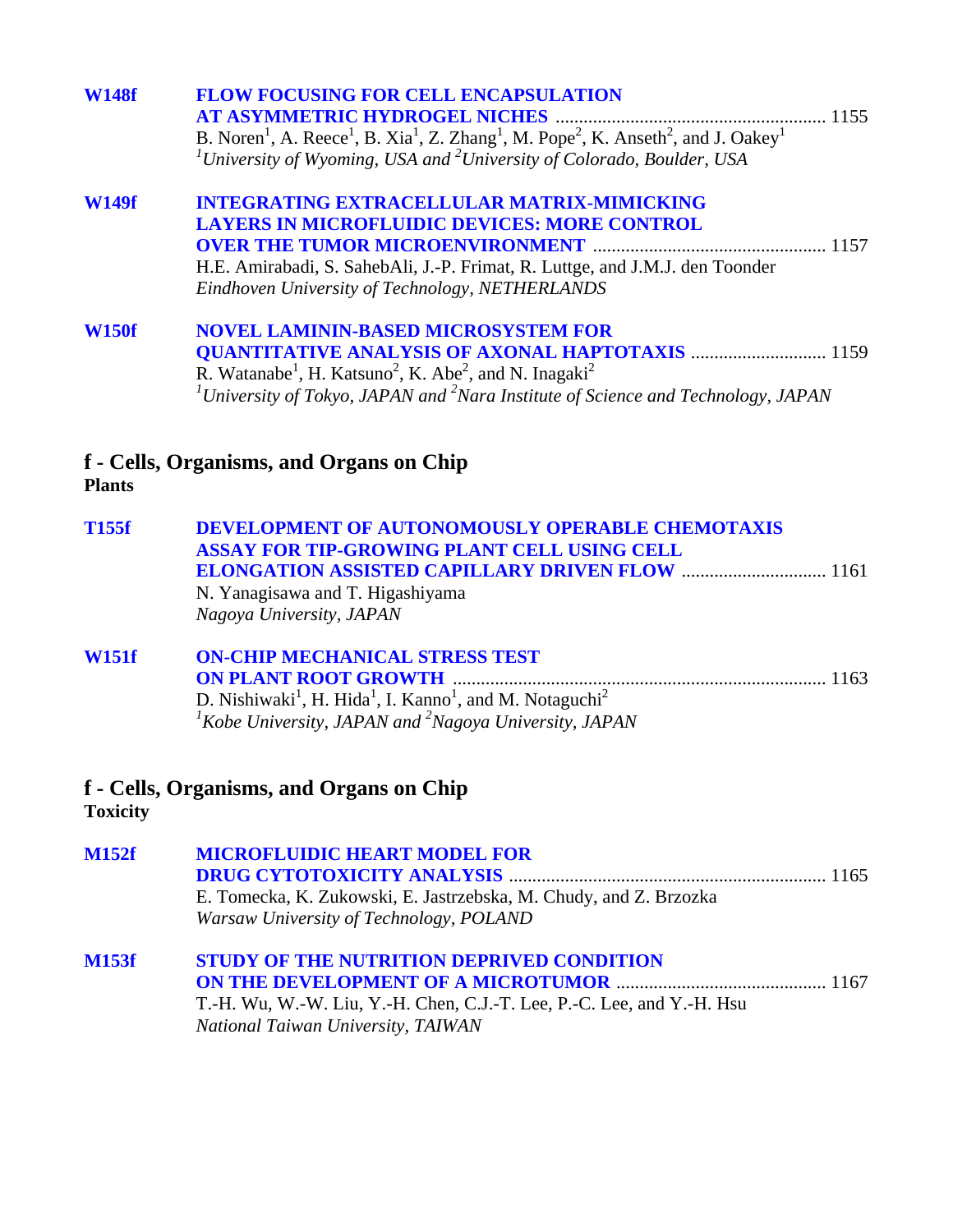| <b>W148f</b> | <b>FLOW FOCUSING FOR CELL ENCAPSULATION</b>                                                                                                                             |
|--------------|-------------------------------------------------------------------------------------------------------------------------------------------------------------------------|
|              | <b>AT ASYMMETRIC HYDROGEL NICHES</b>                                                                                                                                    |
|              | B. Noren <sup>1</sup> , A. Reece <sup>1</sup> , B. Xia <sup>1</sup> , Z. Zhang <sup>1</sup> , M. Pope <sup>2</sup> , K. Anseth <sup>2</sup> , and J. Oakey <sup>1</sup> |
|              | <sup>1</sup> University of Wyoming, USA and <sup>2</sup> University of Colorado, Boulder, USA                                                                           |
| <b>W149f</b> | <b>INTEGRATING EXTRACELLULAR MATRIX-MIMICKING</b>                                                                                                                       |
|              | <b>LAYERS IN MICROFLUIDIC DEVICES: MORE CONTROL</b>                                                                                                                     |
|              |                                                                                                                                                                         |
|              | H.E. Amirabadi, S. SahebAli, J.-P. Frimat, R. Luttge, and J.M.J. den Toonder                                                                                            |
|              | Eindhoven University of Technology, NETHERLANDS                                                                                                                         |
| <b>W150f</b> | <b>NOVEL LAMININ-BASED MICROSYSTEM FOR</b>                                                                                                                              |
|              | <b>QUANTITATIVE ANALYSIS OF AXONAL HAPTOTAXIS  1159</b>                                                                                                                 |
|              | R. Watanabe <sup>1</sup> , H. Katsuno <sup>2</sup> , K. Abe <sup>2</sup> , and N. Inagaki <sup>2</sup>                                                                  |
|              | <sup>1</sup> University of Tokyo, JAPAN and <sup>2</sup> Nara Institute of Science and Technology, JAPAN                                                                |
|              |                                                                                                                                                                         |

### **f - Cells, Organisms, and Organs on Chip Plants**

| T155f | DEVELOPMENT OF AUTONOMOUSLY OPERABLE CHEMOTAXIS |
|-------|-------------------------------------------------|
|       | ASSAY FOR TIP-GROWING PLANT CELL USING CELL     |
|       |                                                 |
|       | N. Yanagisawa and T. Higashiyama                |
|       | Nagoya University, JAPAN                        |
|       |                                                 |

| <b>W151f</b> | <b>ON-CHIP MECHANICAL STRESS TEST</b>                                                                    |  |
|--------------|----------------------------------------------------------------------------------------------------------|--|
|              |                                                                                                          |  |
|              | D. Nishiwaki <sup>1</sup> , H. Hida <sup>1</sup> , I. Kanno <sup>1</sup> , and M. Notaguchi <sup>2</sup> |  |
|              | $1$ Kobe University, JAPAN and $2$ Nagoya University, JAPAN                                              |  |

# **f - Cells, Organisms, and Organs on Chip**

**Toxicity**

| <b>M152f</b> | <b>MICROFLUIDIC HEART MODEL FOR</b>                                    |  |
|--------------|------------------------------------------------------------------------|--|
|              | E. Tomecka, K. Zukowski, E. Jastrzebska, M. Chudy, and Z. Brzozka      |  |
|              | Warsaw University of Technology, POLAND                                |  |
| <b>M153f</b> | STUDY OF THE NUTRITION DEPRIVED CONDITION                              |  |
|              |                                                                        |  |
|              | T.-H. Wu, W.-W. Liu, Y.-H. Chen, C.J.-T. Lee, P.-C. Lee, and Y.-H. Hsu |  |
|              | National Taiwan University, TAIWAN                                     |  |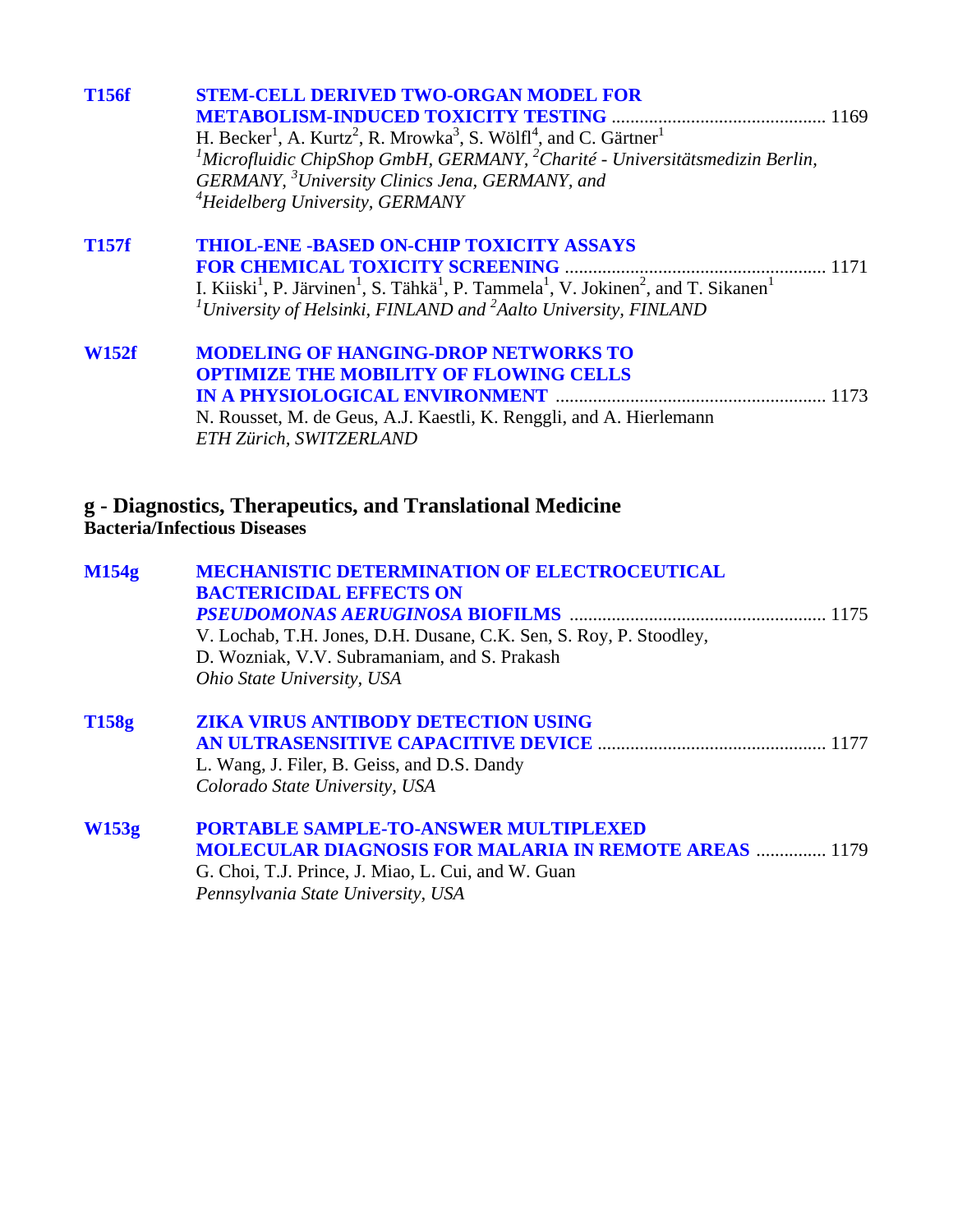| <b>T156f</b> | <b>STEM-CELL DERIVED TWO-ORGAN MODEL FOR</b><br>H. Becker <sup>1</sup> , A. Kurtz <sup>2</sup> , R. Mrowka <sup>3</sup> , S. Wölfl <sup>4</sup> , and C. Gärtner <sup>1</sup><br><i>International ChipShop GmbH, GERMANY, <sup>2</sup>Charité - Universitätsmedizin Berlin,</i>                                                               |  |
|--------------|-----------------------------------------------------------------------------------------------------------------------------------------------------------------------------------------------------------------------------------------------------------------------------------------------------------------------------------------------|--|
|              | GERMANY, <sup>3</sup> University Clinics Jena, GERMANY, and<br><sup>4</sup> Heidelberg University, GERMANY                                                                                                                                                                                                                                    |  |
| <b>T157f</b> | <b>THIOL-ENE -BASED ON-CHIP TOXICITY ASSAYS</b><br><b>FOR CHEMICAL TOXICITY SCREENING</b><br>I. Kiiski <sup>1</sup> , P. Järvinen <sup>1</sup> , S. Tähkä <sup>1</sup> , P. Tammela <sup>1</sup> , V. Jokinen <sup>2</sup> , and T. Sikanen <sup>1</sup><br><sup>1</sup> University of Helsinki, FINLAND and $^{2}$ Aalto University, FINLAND |  |

| <b>W152f</b> | <b>MODELING OF HANGING-DROP NETWORKS TO</b>                         |  |
|--------------|---------------------------------------------------------------------|--|
|              | <b>OPTIMIZE THE MOBILITY OF FLOWING CELLS</b>                       |  |
|              |                                                                     |  |
|              | N. Rousset, M. de Geus, A.J. Kaestli, K. Renggli, and A. Hierlemann |  |
|              | ETH Zürich, SWITZERLAND                                             |  |

#### **g - Diagnostics, Therapeutics, and Translational Medicine Bacteria/Infectious Diseases**

| M154g | <b>MECHANISTIC DETERMINATION OF ELECTROCEUTICAL</b>                |
|-------|--------------------------------------------------------------------|
|       | <b>BACTERICIDAL EFFECTS ON</b>                                     |
|       |                                                                    |
|       | V. Lochab, T.H. Jones, D.H. Dusane, C.K. Sen, S. Roy, P. Stoodley, |
|       | D. Wozniak, V.V. Subramaniam, and S. Prakash                       |
|       | <i>Ohio State University, USA</i>                                  |
| T158g | <b>ZIKA VIRUS ANTIBODY DETECTION USING</b>                         |
|       |                                                                    |
|       | L. Wang, J. Filer, B. Geiss, and D.S. Dandy                        |
|       | Colorado State University, USA                                     |
| W153g | <b>PORTABLE SAMPLE-TO-ANSWER MULTIPLEXED</b>                       |
|       | <b>MOLECULAR DIAGNOSIS FOR MALARIA IN REMOTE AREAS  1179</b>       |
|       | G. Choi, T.J. Prince, J. Miao, L. Cui, and W. Guan                 |
|       | Pennsylvania State University, USA                                 |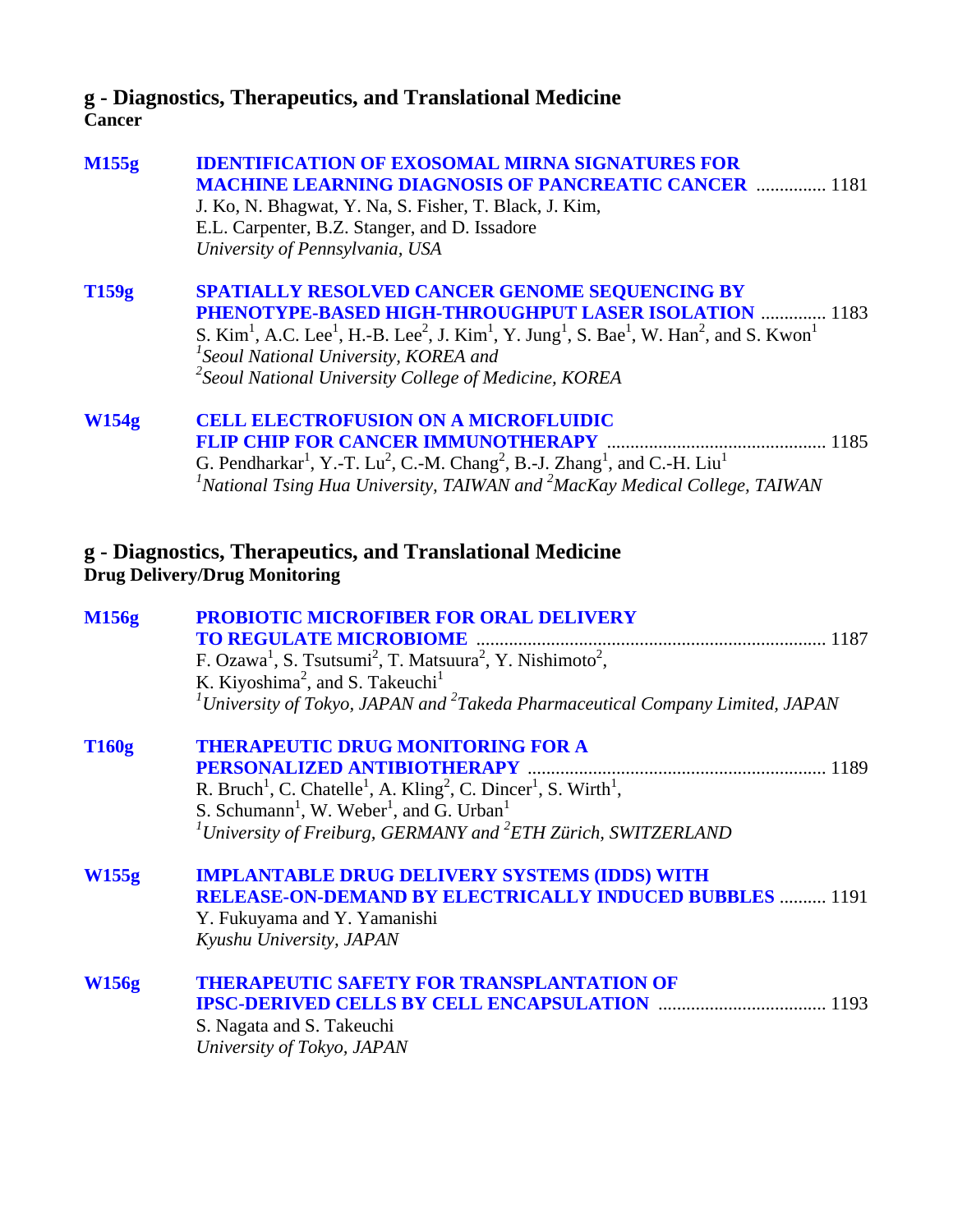## **g - Diagnostics, Therapeutics, and Translational Medicine Cancer**

| M155g | <b>IDENTIFICATION OF EXOSOMAL MIRNA SIGNATURES FOR</b><br><b>MACHINE LEARNING DIAGNOSIS OF PANCREATIC CANCER  1181</b><br>J. Ko, N. Bhagwat, Y. Na, S. Fisher, T. Black, J. Kim,<br>E.L. Carpenter, B.Z. Stanger, and D. Issadore<br>University of Pennsylvania, USA                                                                                                                                                                |      |
|-------|-------------------------------------------------------------------------------------------------------------------------------------------------------------------------------------------------------------------------------------------------------------------------------------------------------------------------------------------------------------------------------------------------------------------------------------|------|
| T159g | <b>SPATIALLY RESOLVED CANCER GENOME SEQUENCING BY</b><br>PHENOTYPE-BASED HIGH-THROUGHPUT LASER ISOLATION  1183<br>S. Kim <sup>1</sup> , A.C. Lee <sup>1</sup> , H.-B. Lee <sup>2</sup> , J. Kim <sup>1</sup> , Y. Jung <sup>1</sup> , S. Bae <sup>1</sup> , W. Han <sup>2</sup> , and S. Kwon <sup>1</sup><br><sup>1</sup> Seoul National University, KOREA and<br>$\lambda^2$ Seoul National University College of Medicine, KOREA |      |
| W154g | <b>CELL ELECTROFUSION ON A MICROFLUIDIC</b><br><b>FLIP CHIP FOR CANCER IMMUNOTHERAPY</b><br>G. Pendharkar <sup>1</sup> , Y.-T. Lu <sup>2</sup> , C.-M. Chang <sup>2</sup> , B.-J. Zhang <sup>1</sup> , and C.-H. Liu <sup>1</sup><br><sup>1</sup> National Tsing Hua University, TAIWAN and $^{2}$ MacKay Medical College, TAIWAN                                                                                                   | 1185 |

## **g - Diagnostics, Therapeutics, and Translational Medicine Drug Delivery/Drug Monitoring**

| <b>PROBIOTIC MICROFIBER FOR ORAL DELIVERY</b>                                                                               |
|-----------------------------------------------------------------------------------------------------------------------------|
| <b>TO REGULATE MICROBIOME</b>                                                                                               |
| F. Ozawa <sup>1</sup> , S. Tsutsumi <sup>2</sup> , T. Matsuura <sup>2</sup> , Y. Nishimoto <sup>2</sup> ,                   |
| K. Kiyoshima <sup>2</sup> , and S. Takeuchi <sup>1</sup>                                                                    |
| ${}^{1}$ University of Tokyo, JAPAN and ${}^{2}$ Takeda Pharmaceutical Company Limited, JAPAN                               |
| <b>THERAPEUTIC DRUG MONITORING FOR A</b>                                                                                    |
| PERSONALIZED ANTIBIOTHERAPY                                                                                                 |
| R. Bruch <sup>1</sup> , C. Chatelle <sup>1</sup> , A. Kling <sup>2</sup> , C. Dincer <sup>1</sup> , S. Wirth <sup>1</sup> , |
| S. Schumann <sup>1</sup> , W. Weber <sup>1</sup> , and G. Urban <sup>1</sup>                                                |
| <sup>1</sup> University of Freiburg, GERMANY and <sup>2</sup> ETH Zürich, SWITZERLAND                                       |
| <b>IMPLANTABLE DRUG DELIVERY SYSTEMS (IDDS) WITH</b>                                                                        |
| <b>RELEASE-ON-DEMAND BY ELECTRICALLY INDUCED BUBBLES  1191</b>                                                              |
| Y. Fukuyama and Y. Yamanishi                                                                                                |
| Kyushu University, JAPAN                                                                                                    |
| <b>THERAPEUTIC SAFETY FOR TRANSPLANTATION OF</b>                                                                            |
| <b>IPSC-DERIVED CELLS BY CELL ENCAPSULATION</b>                                                                             |
| S. Nagata and S. Takeuchi                                                                                                   |
| University of Tokyo, JAPAN                                                                                                  |
|                                                                                                                             |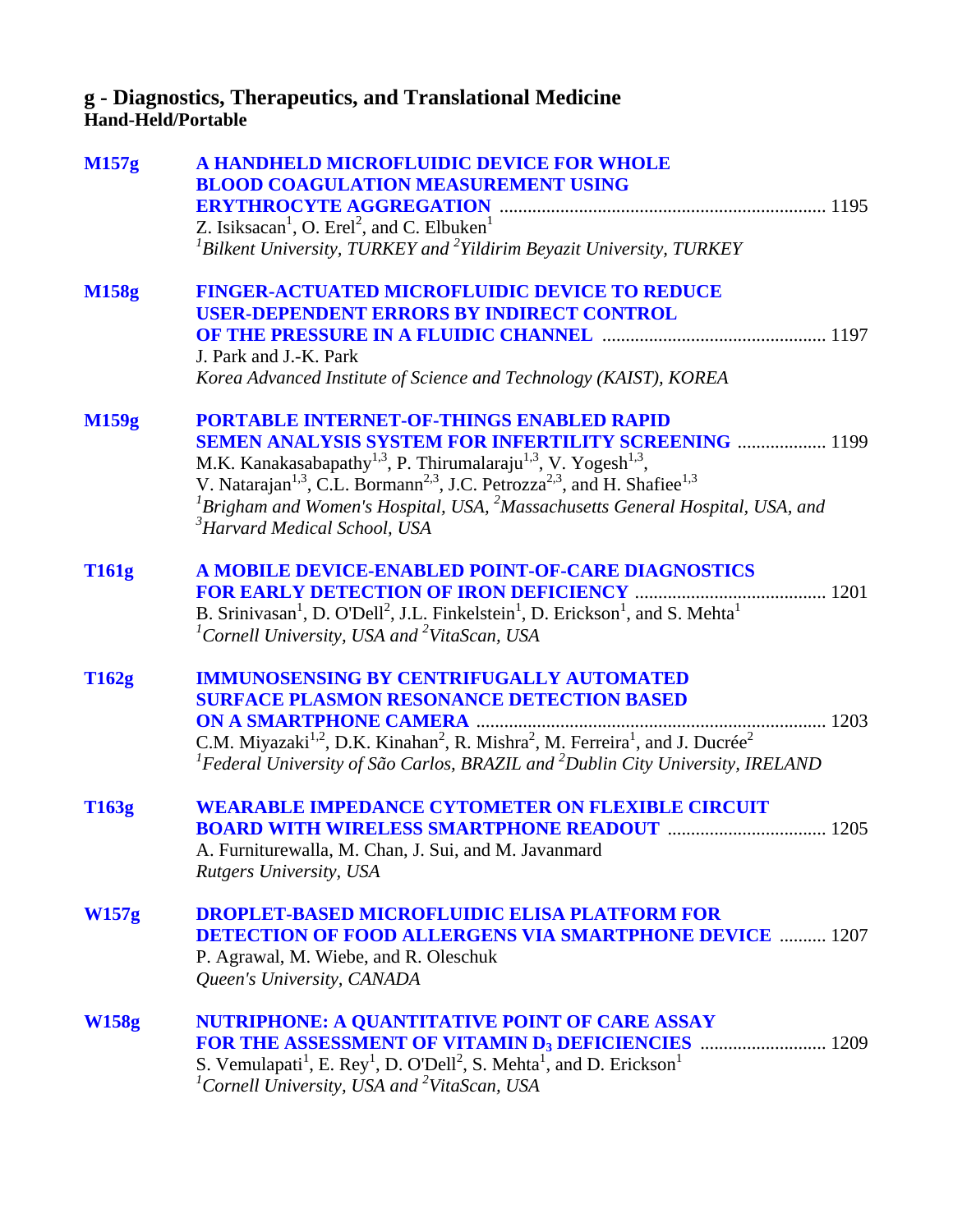## **g - Diagnostics, Therapeutics, and Translational Medicine Hand-Held/Portable**

| M157g        | A HANDHELD MICROFLUIDIC DEVICE FOR WHOLE<br><b>BLOOD COAGULATION MEASUREMENT USING</b><br>Z. Isiksacan <sup>1</sup> , O. Erel <sup>2</sup> , and C. Elbuken <sup>1</sup><br>${}^{1}$ Bilkent University, TURKEY and ${}^{2}$ Yildirim Beyazit University, TURKEY                                                                                                                                                                                                                                |
|--------------|-------------------------------------------------------------------------------------------------------------------------------------------------------------------------------------------------------------------------------------------------------------------------------------------------------------------------------------------------------------------------------------------------------------------------------------------------------------------------------------------------|
| <b>M158g</b> | <b>FINGER-ACTUATED MICROFLUIDIC DEVICE TO REDUCE</b><br><b>USER-DEPENDENT ERRORS BY INDIRECT CONTROL</b><br><b>OF THE PRESSURE IN A FLUIDIC CHANNEL manufacture and STATE PRESSURE IN A FLUIDIC CHANNEL manufacture of THE PRESSURE</b><br>J. Park and J.-K. Park<br>Korea Advanced Institute of Science and Technology (KAIST), KOREA                                                                                                                                                          |
| M159g        | <b>PORTABLE INTERNET-OF-THINGS ENABLED RAPID</b><br><b>SEMEN ANALYSIS SYSTEM FOR INFERTILITY SCREENING  1199</b><br>M.K. Kanakasabapathy <sup>1,3</sup> , P. Thirumalaraju <sup>1,3</sup> , V. Yogesh <sup>1,3</sup> ,<br>V. Natarajan <sup>1,3</sup> , C.L. Bormann <sup>2,3</sup> , J.C. Petrozza <sup>2,3</sup> , and H. Shafiee <sup>1,3</sup><br>${}^{1}$ Brigham and Women's Hospital, USA, ${}^{2}$ Massachusetts General Hospital, USA, and<br><sup>3</sup> Harvard Medical School, USA |
| <b>T161g</b> | A MOBILE DEVICE-ENABLED POINT-OF-CARE DIAGNOSTICS<br>B. Srinivasan <sup>1</sup> , D. O'Dell <sup>2</sup> , J.L. Finkelstein <sup>1</sup> , D. Erickson <sup>1</sup> , and S. Mehta <sup>1</sup><br><sup>1</sup> Cornell University, USA and <sup>2</sup> VitaScan, USA                                                                                                                                                                                                                          |
| T162g        | <b>IMMUNOSENSING BY CENTRIFUGALLY AUTOMATED</b><br><b>SURFACE PLASMON RESONANCE DETECTION BASED</b><br>C.M. Miyazaki <sup>1,2</sup> , D.K. Kinahan <sup>2</sup> , R. Mishra <sup>2</sup> , M. Ferreira <sup>1</sup> , and J. Ducrée <sup>2</sup><br><sup>1</sup> Federal University of São Carlos, BRAZIL and <sup>2</sup> Dublin City University, IRELAND                                                                                                                                      |
| T163g        | <b>WEARABLE IMPEDANCE CYTOMETER ON FLEXIBLE CIRCUIT</b><br><b>BOARD WITH WIRELESS SMARTPHONE READOUT  1205</b><br>A. Furniturewalla, M. Chan, J. Sui, and M. Javanmard<br><b>Rutgers University, USA</b>                                                                                                                                                                                                                                                                                        |
| W157g        | <b>DROPLET-BASED MICROFLUIDIC ELISA PLATFORM FOR</b><br><b>DETECTION OF FOOD ALLERGENS VIA SMARTPHONE DEVICE  1207</b><br>P. Agrawal, M. Wiebe, and R. Oleschuk<br>Queen's University, CANADA                                                                                                                                                                                                                                                                                                   |
| <b>W158g</b> | NUTRIPHONE: A QUANTITATIVE POINT OF CARE ASSAY<br>S. Vemulapati <sup>1</sup> , E. Rey <sup>1</sup> , D. O'Dell <sup>2</sup> , S. Mehta <sup>1</sup> , and D. Erickson <sup>1</sup><br><sup>1</sup> Cornell University, USA and <sup>2</sup> VitaScan, USA                                                                                                                                                                                                                                       |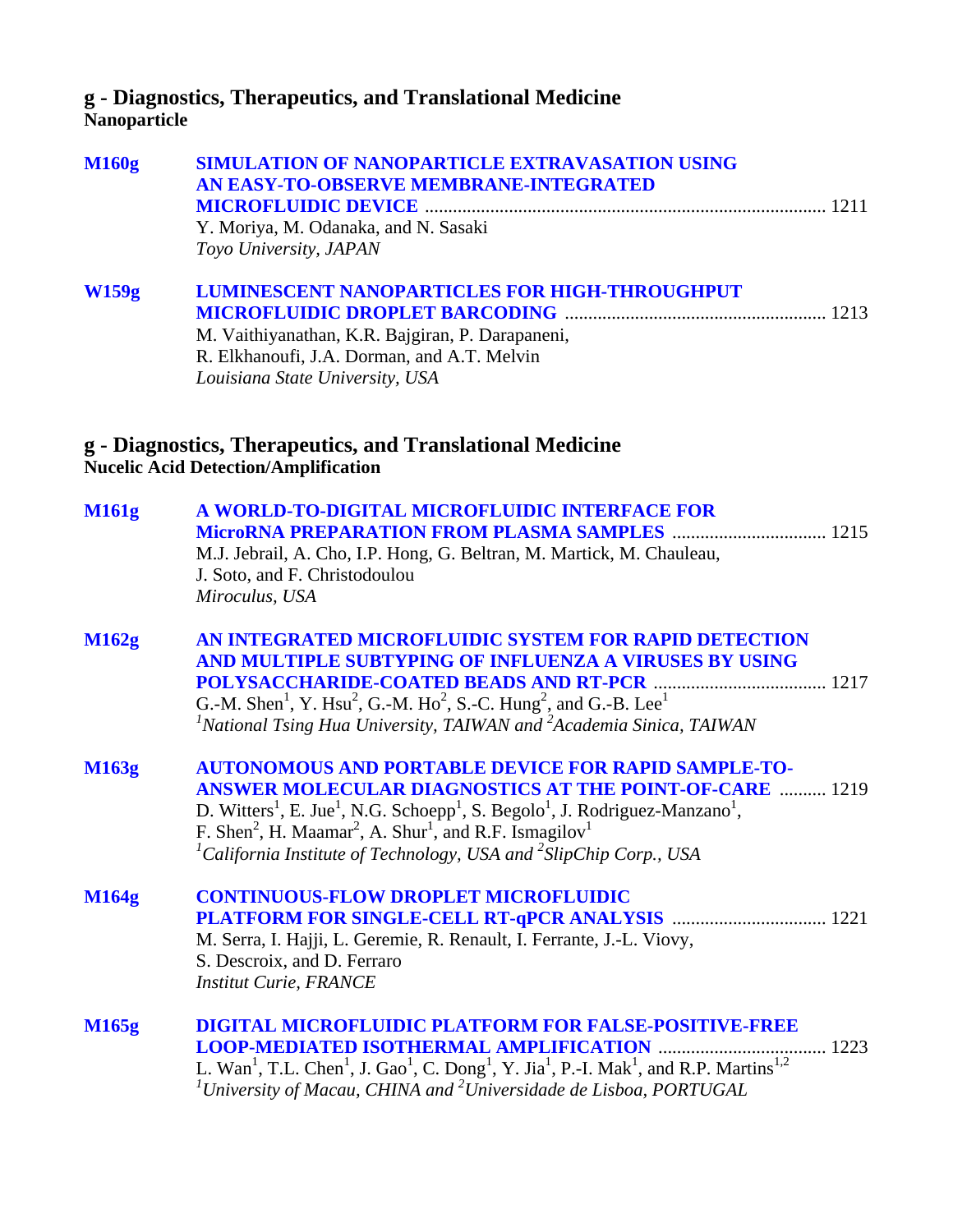## **g - Diagnostics, Therapeutics, and Translational Medicine Nanoparticle**

| <b>M160g</b> | SIMULATION OF NANOPARTICLE EXTRAVASATION USING<br>AN EASY-TO-OBSERVE MEMBRANE-INTEGRATED<br>Y. Moriya, M. Odanaka, and N. Sasaki<br>Toyo University, JAPAN                                                                                                                                                                                                                                                                                                                      |
|--------------|---------------------------------------------------------------------------------------------------------------------------------------------------------------------------------------------------------------------------------------------------------------------------------------------------------------------------------------------------------------------------------------------------------------------------------------------------------------------------------|
| <b>W159g</b> | <b>LUMINESCENT NANOPARTICLES FOR HIGH-THROUGHPUT</b><br>M. Vaithiyanathan, K.R. Bajgiran, P. Darapaneni,<br>R. Elkhanoufi, J.A. Dorman, and A.T. Melvin<br>Louisiana State University, USA                                                                                                                                                                                                                                                                                      |
|              | g - Diagnostics, Therapeutics, and Translational Medicine<br><b>Nucelic Acid Detection/Amplification</b>                                                                                                                                                                                                                                                                                                                                                                        |
| M161g        | A WORLD-TO-DIGITAL MICROFLUIDIC INTERFACE FOR<br>M.J. Jebrail, A. Cho, I.P. Hong, G. Beltran, M. Martick, M. Chauleau,<br>J. Soto, and F. Christodoulou<br>Miroculus, USA                                                                                                                                                                                                                                                                                                       |
| M162g        | AN INTEGRATED MICROFLUIDIC SYSTEM FOR RAPID DETECTION<br>AND MULTIPLE SUBTYPING OF INFLUENZA A VIRUSES BY USING<br>G.-M. Shen <sup>1</sup> , Y. Hsu <sup>2</sup> , G.-M. Ho <sup>2</sup> , S.-C. Hung <sup>2</sup> , and G.-B. Lee <sup>1</sup><br>$I$ National Tsing Hua University, TAIWAN and $2$ Academia Sinica, TAIWAN                                                                                                                                                    |
| <b>M163g</b> | <b>AUTONOMOUS AND PORTABLE DEVICE FOR RAPID SAMPLE-TO-</b><br><b>ANSWER MOLECULAR DIAGNOSTICS AT THE POINT-OF-CARE  1219</b><br>D. Witters <sup>1</sup> , E. Jue <sup>1</sup> , N.G. Schoepp <sup>1</sup> , S. Begolo <sup>1</sup> , J. Rodriguez-Manzano <sup>1</sup> ,<br>F. Shen <sup>2</sup> , H. Maamar <sup>2</sup> , A. Shur <sup>1</sup> , and R.F. Ismagilov <sup>1</sup><br><sup>1</sup> California Institute of Technology, USA and <sup>2</sup> SlipChip Corp., USA |
| M164g        | <b>CONTINUOUS-FLOW DROPLET MICROFLUIDIC</b><br>M. Serra, I. Hajji, L. Geremie, R. Renault, I. Ferrante, J.-L. Viovy,<br>S. Descroix, and D. Ferraro<br><b>Institut Curie, FRANCE</b>                                                                                                                                                                                                                                                                                            |
| M165g        | <b>DIGITAL MICROFLUIDIC PLATFORM FOR FALSE-POSITIVE-FREE</b><br>L. Wan <sup>1</sup> , T.L. Chen <sup>1</sup> , J. Gao <sup>1</sup> , C. Dong <sup>1</sup> , Y. Jia <sup>1</sup> , P.-I. Mak <sup>1</sup> , and R.P. Martins <sup>1,2</sup><br>$\mu$ <sup>1</sup> University of Macau, CHINA and <sup>2</sup> Universidade de Lisboa, PORTUGAL                                                                                                                                   |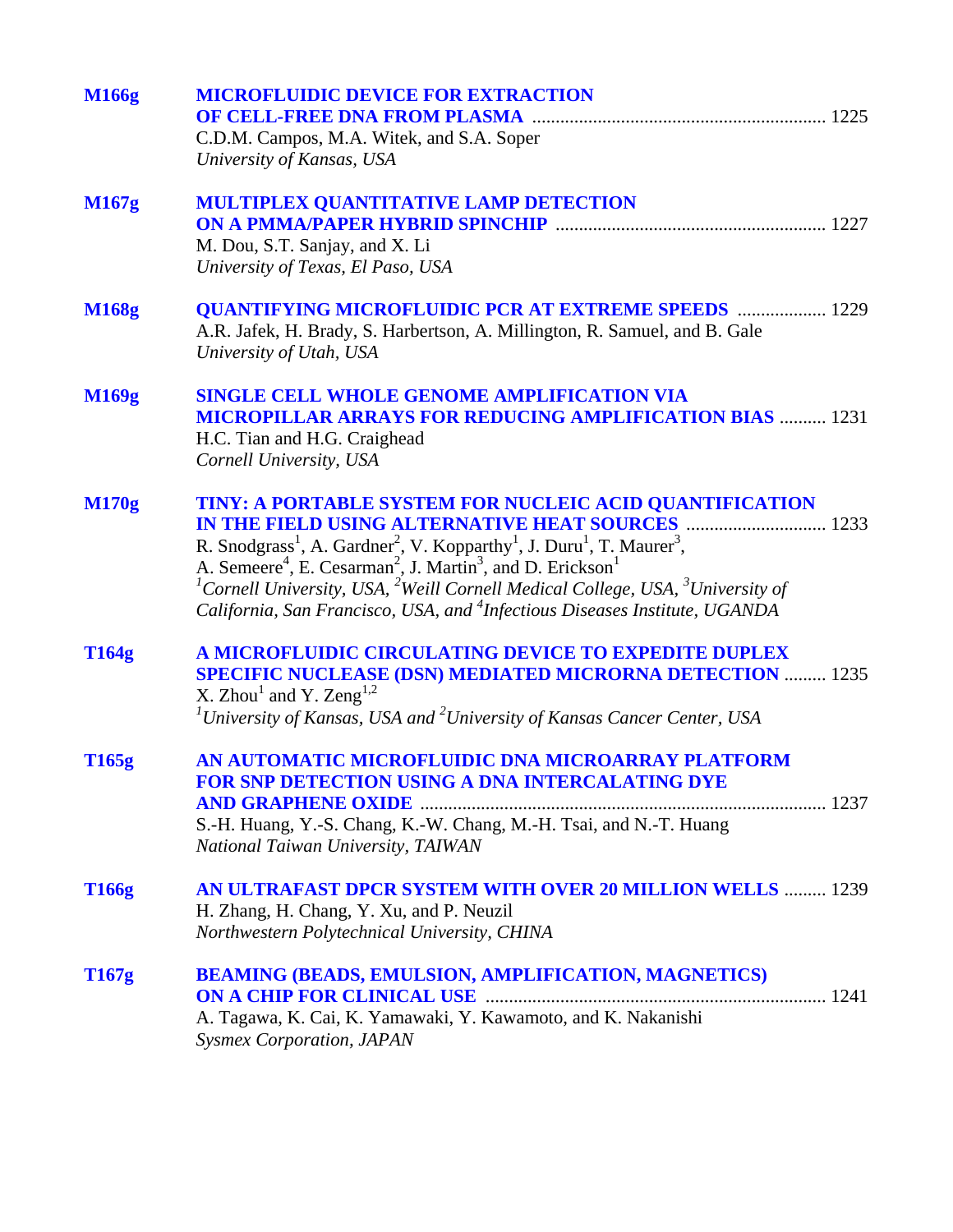| <b>M166g</b> | <b>MICROFLUIDIC DEVICE FOR EXTRACTION</b><br>C.D.M. Campos, M.A. Witek, and S.A. Soper<br>University of Kansas, USA                                                                                                                                                                                                                                                                                                                                                                                                       |
|--------------|---------------------------------------------------------------------------------------------------------------------------------------------------------------------------------------------------------------------------------------------------------------------------------------------------------------------------------------------------------------------------------------------------------------------------------------------------------------------------------------------------------------------------|
| <b>M167g</b> | <b>MULTIPLEX QUANTITATIVE LAMP DETECTION</b><br>M. Dou, S.T. Sanjay, and X. Li<br>University of Texas, El Paso, USA                                                                                                                                                                                                                                                                                                                                                                                                       |
| <b>M168g</b> | <b>QUANTIFYING MICROFLUIDIC PCR AT EXTREME SPEEDS  1229</b><br>A.R. Jafek, H. Brady, S. Harbertson, A. Millington, R. Samuel, and B. Gale<br>University of Utah, USA                                                                                                                                                                                                                                                                                                                                                      |
| M169g        | <b>SINGLE CELL WHOLE GENOME AMPLIFICATION VIA</b><br><b>MICROPILLAR ARRAYS FOR REDUCING AMPLIFICATION BIAS  1231</b><br>H.C. Tian and H.G. Craighead<br>Cornell University, USA                                                                                                                                                                                                                                                                                                                                           |
| <b>M170g</b> | TINY: A PORTABLE SYSTEM FOR NUCLEIC ACID QUANTIFICATION<br>R. Snodgrass <sup>1</sup> , A. Gardner <sup>2</sup> , V. Kopparthy <sup>1</sup> , J. Duru <sup>1</sup> , T. Maurer <sup>3</sup> ,<br>A. Semeere <sup>4</sup> , E. Cesarman <sup>2</sup> , J. Martin <sup>3</sup> , and D. Erickson <sup>1</sup><br><sup>1</sup> Cornell University, USA, <sup>2</sup> Weill Cornell Medical College, USA, <sup>3</sup> University of<br>California, San Francisco, USA, and <sup>4</sup> Infectious Diseases Institute, UGANDA |
| <b>T164g</b> | A MICROFLUIDIC CIRCULATING DEVICE TO EXPEDITE DUPLEX<br><b>SPECIFIC NUCLEASE (DSN) MEDIATED MICRORNA DETECTION  1235</b><br>X. Zhou <sup>1</sup> and Y. Zeng <sup>1,2</sup><br>${}^{1}$ University of Kansas, USA and ${}^{2}$ University of Kansas Cancer Center, USA                                                                                                                                                                                                                                                    |
| T165g        | AN AUTOMATIC MICROFLUIDIC DNA MICROARRAY PLATFORM<br>FOR SNP DETECTION USING A DNA INTERCALATING DYE<br>S.-H. Huang, Y.-S. Chang, K.-W. Chang, M.-H. Tsai, and N.-T. Huang<br>National Taiwan University, TAIWAN                                                                                                                                                                                                                                                                                                          |
| T166g        | AN ULTRAFAST DPCR SYSTEM WITH OVER 20 MILLION WELLS  1239<br>H. Zhang, H. Chang, Y. Xu, and P. Neuzil<br>Northwestern Polytechnical University, CHINA                                                                                                                                                                                                                                                                                                                                                                     |
| T167g        | <b>BEAMING (BEADS, EMULSION, AMPLIFICATION, MAGNETICS)</b><br>A. Tagawa, K. Cai, K. Yamawaki, Y. Kawamoto, and K. Nakanishi<br><b>Sysmex Corporation, JAPAN</b>                                                                                                                                                                                                                                                                                                                                                           |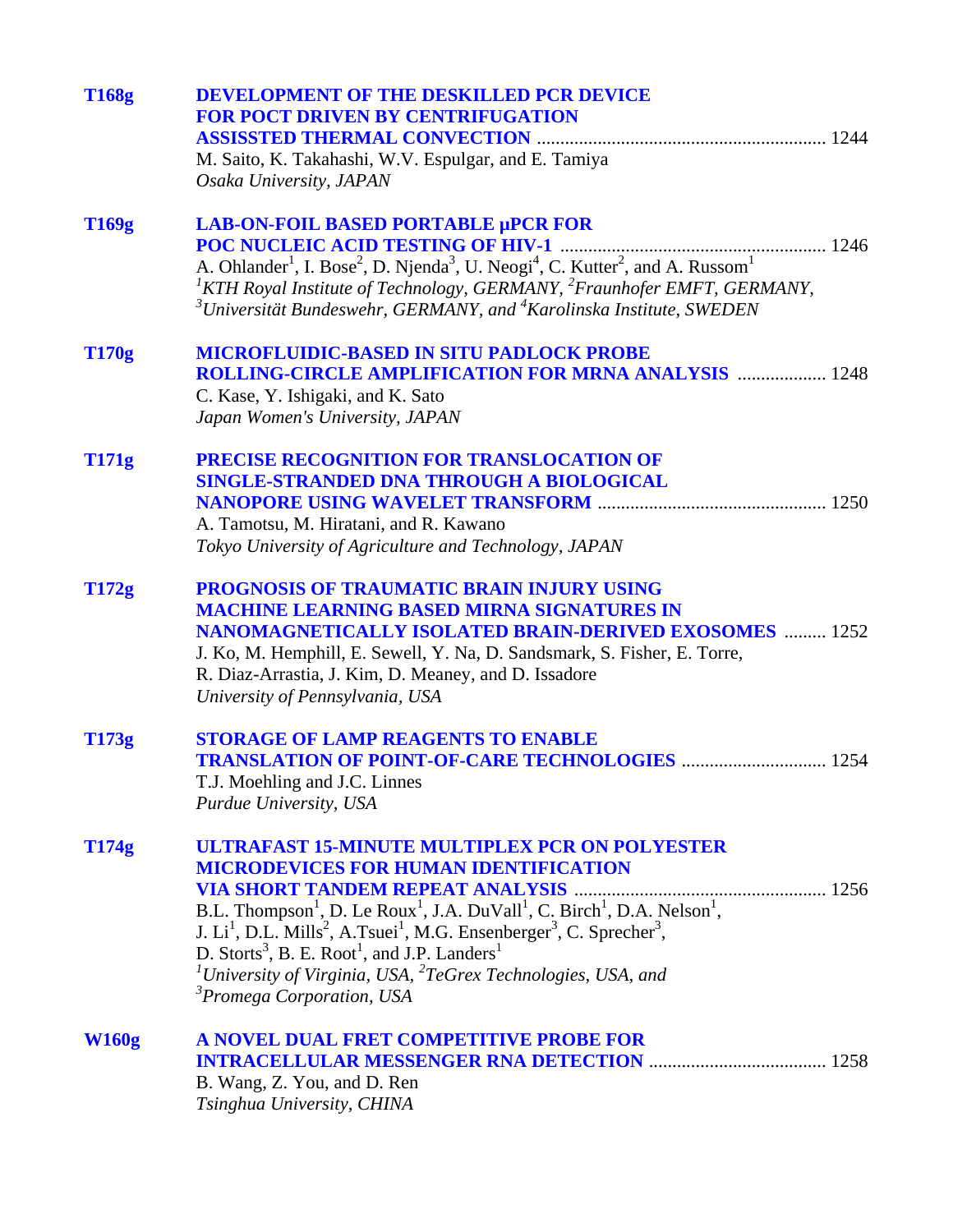| LAB-ON-FOIL BASED PORTABLE µPCR FOR<br>T169g<br>A. Ohlander <sup>1</sup> , I. Bose <sup>2</sup> , D. Njenda <sup>3</sup> , U. Neogi <sup>4</sup> , C. Kutter <sup>2</sup> , and A. Russom <sup>1</sup><br><sup>1</sup> KTH Royal Institute of Technology, GERMANY, <sup>2</sup> Fraunhofer EMFT, GERMANY,<br>$3$ Universität Bundeswehr, GERMANY, and $4$ Karolinska Institute, SWEDEN<br>T170g<br><b>MICROFLUIDIC-BASED IN SITU PADLOCK PROBE</b><br><b>ROLLING-CIRCLE AMPLIFICATION FOR MRNA ANALYSIS  1248</b><br>C. Kase, Y. Ishigaki, and K. Sato<br>Japan Women's University, JAPAN<br><b>T171g</b><br>PRECISE RECOGNITION FOR TRANSLOCATION OF<br>SINGLE-STRANDED DNA THROUGH A BIOLOGICAL<br>A. Tamotsu, M. Hiratani, and R. Kawano<br>Tokyo University of Agriculture and Technology, JAPAN<br>T172g<br>PROGNOSIS OF TRAUMATIC BRAIN INJURY USING<br><b>MACHINE LEARNING BASED MIRNA SIGNATURES IN</b><br><b>NANOMAGNETICALLY ISOLATED BRAIN-DERIVED EXOSOMES  1252</b><br>J. Ko, M. Hemphill, E. Sewell, Y. Na, D. Sandsmark, S. Fisher, E. Torre,<br>R. Diaz-Arrastia, J. Kim, D. Meaney, and D. Issadore<br>University of Pennsylvania, USA<br><b>STORAGE OF LAMP REAGENTS TO ENABLE</b><br>T173g<br>T.J. Moehling and J.C. Linnes<br>Purdue University, USA<br>ULTRAFAST 15-MINUTE MULTIPLEX PCR ON POLYESTER<br>T174g<br><b>MICRODEVICES FOR HUMAN IDENTIFICATION</b><br>B.L. Thompson <sup>1</sup> , D. Le Roux <sup>1</sup> , J.A. DuVall <sup>1</sup> , C. Birch <sup>1</sup> , D.A. Nelson <sup>1</sup> ,<br>J. Li <sup>1</sup> , D.L. Mills <sup>2</sup> , A.Tsuei <sup>1</sup> , M.G. Ensenberger <sup>3</sup> , C. Sprecher <sup>3</sup> , |
|-----------------------------------------------------------------------------------------------------------------------------------------------------------------------------------------------------------------------------------------------------------------------------------------------------------------------------------------------------------------------------------------------------------------------------------------------------------------------------------------------------------------------------------------------------------------------------------------------------------------------------------------------------------------------------------------------------------------------------------------------------------------------------------------------------------------------------------------------------------------------------------------------------------------------------------------------------------------------------------------------------------------------------------------------------------------------------------------------------------------------------------------------------------------------------------------------------------------------------------------------------------------------------------------------------------------------------------------------------------------------------------------------------------------------------------------------------------------------------------------------------------------------------------------------------------------------------------------------------------------------------------------------------------------|
|                                                                                                                                                                                                                                                                                                                                                                                                                                                                                                                                                                                                                                                                                                                                                                                                                                                                                                                                                                                                                                                                                                                                                                                                                                                                                                                                                                                                                                                                                                                                                                                                                                                                 |
|                                                                                                                                                                                                                                                                                                                                                                                                                                                                                                                                                                                                                                                                                                                                                                                                                                                                                                                                                                                                                                                                                                                                                                                                                                                                                                                                                                                                                                                                                                                                                                                                                                                                 |
|                                                                                                                                                                                                                                                                                                                                                                                                                                                                                                                                                                                                                                                                                                                                                                                                                                                                                                                                                                                                                                                                                                                                                                                                                                                                                                                                                                                                                                                                                                                                                                                                                                                                 |
|                                                                                                                                                                                                                                                                                                                                                                                                                                                                                                                                                                                                                                                                                                                                                                                                                                                                                                                                                                                                                                                                                                                                                                                                                                                                                                                                                                                                                                                                                                                                                                                                                                                                 |
|                                                                                                                                                                                                                                                                                                                                                                                                                                                                                                                                                                                                                                                                                                                                                                                                                                                                                                                                                                                                                                                                                                                                                                                                                                                                                                                                                                                                                                                                                                                                                                                                                                                                 |
| D. Storts <sup>3</sup> , B. E. Root <sup>1</sup> , and J.P. Landers <sup>1</sup><br><sup>1</sup> University of Virginia, USA, ${}^{2}TeG$ rex Technologies, USA, and<br><sup>3</sup> Promega Corporation, USA                                                                                                                                                                                                                                                                                                                                                                                                                                                                                                                                                                                                                                                                                                                                                                                                                                                                                                                                                                                                                                                                                                                                                                                                                                                                                                                                                                                                                                                   |
| <b>W160g</b><br>A NOVEL DUAL FRET COMPETITIVE PROBE FOR<br>B. Wang, Z. You, and D. Ren<br>Tsinghua University, CHINA                                                                                                                                                                                                                                                                                                                                                                                                                                                                                                                                                                                                                                                                                                                                                                                                                                                                                                                                                                                                                                                                                                                                                                                                                                                                                                                                                                                                                                                                                                                                            |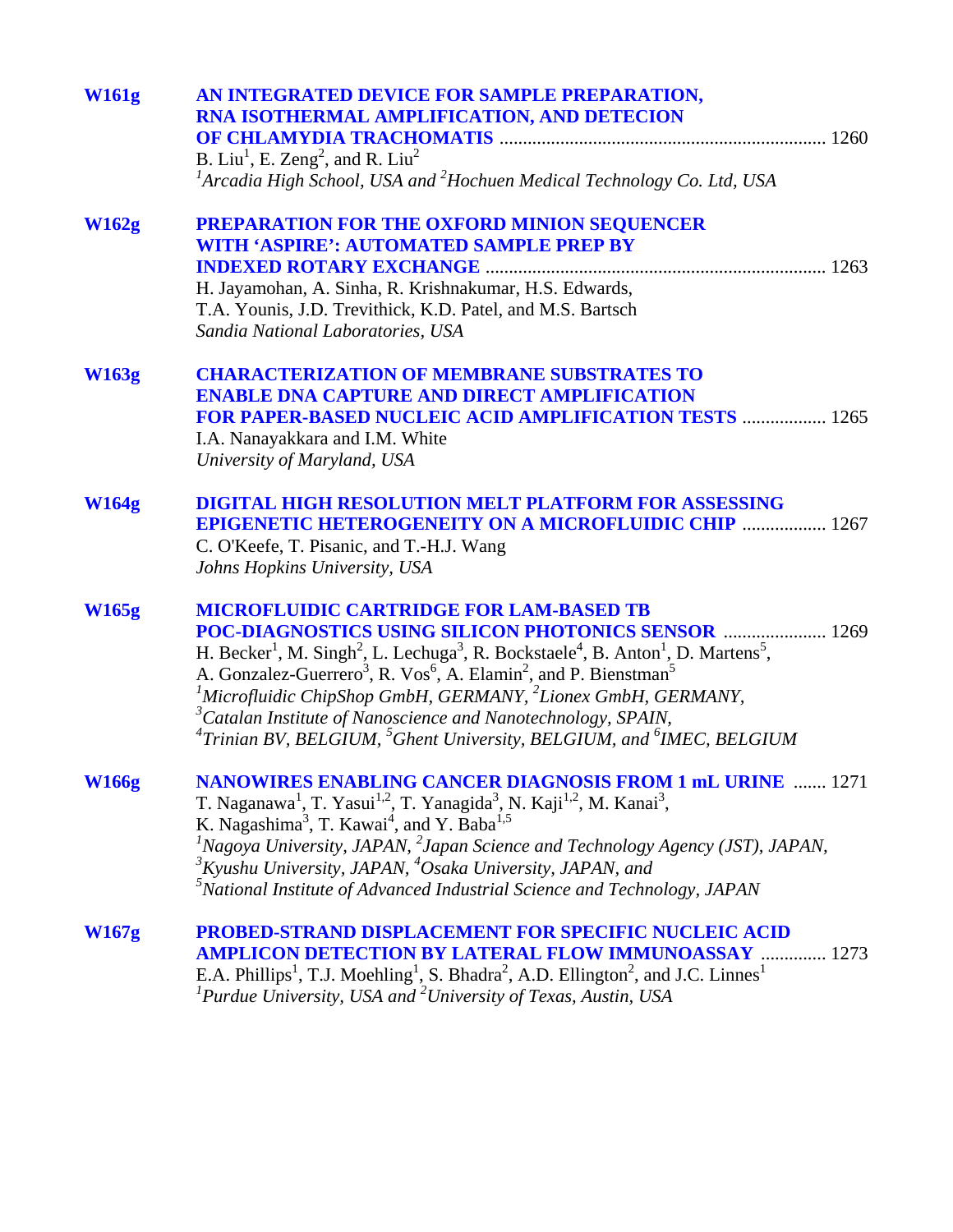| <b>W161g</b> | AN INTEGRATED DEVICE FOR SAMPLE PREPARATION,<br>RNA ISOTHERMAL AMPLIFICATION, AND DETECION<br>B. Liu <sup>1</sup> , E. Zeng <sup>2</sup> , and R. Liu <sup>2</sup><br>${}^{1}$ Arcadia High School, USA and ${}^{2}$ Hochuen Medical Technology Co. Ltd, USA                                                                                                                                                                                                                                                                                                                                                                                        |      |
|--------------|-----------------------------------------------------------------------------------------------------------------------------------------------------------------------------------------------------------------------------------------------------------------------------------------------------------------------------------------------------------------------------------------------------------------------------------------------------------------------------------------------------------------------------------------------------------------------------------------------------------------------------------------------------|------|
| W162g        | <b>PREPARATION FOR THE OXFORD MINION SEQUENCER</b><br><b>WITH 'ASPIRE': AUTOMATED SAMPLE PREP BY</b><br>H. Jayamohan, A. Sinha, R. Krishnakumar, H.S. Edwards,<br>T.A. Younis, J.D. Trevithick, K.D. Patel, and M.S. Bartsch<br>Sandia National Laboratories, USA                                                                                                                                                                                                                                                                                                                                                                                   |      |
| <b>W163g</b> | <b>CHARACTERIZATION OF MEMBRANE SUBSTRATES TO</b><br><b>ENABLE DNA CAPTURE AND DIRECT AMPLIFICATION</b><br><b>FOR PAPER-BASED NUCLEIC ACID AMPLIFICATION TESTS  1265</b><br>I.A. Nanayakkara and I.M. White<br>University of Maryland, USA                                                                                                                                                                                                                                                                                                                                                                                                          |      |
| <b>W164g</b> | <b>DIGITAL HIGH RESOLUTION MELT PLATFORM FOR ASSESSING</b><br><b>EPIGENETIC HETEROGENEITY ON A MICROFLUIDIC CHIP  1267</b><br>C. O'Keefe, T. Pisanic, and T.-H.J. Wang<br>Johns Hopkins University, USA                                                                                                                                                                                                                                                                                                                                                                                                                                             |      |
| <b>W165g</b> | <b>MICROFLUIDIC CARTRIDGE FOR LAM-BASED TB</b><br>POC-DIAGNOSTICS USING SILICON PHOTONICS SENSOR  1269<br>H. Becker <sup>1</sup> , M. Singh <sup>2</sup> , L. Lechuga <sup>3</sup> , R. Bockstaele <sup>4</sup> , B. Anton <sup>1</sup> , D. Martens <sup>5</sup> ,<br>A. Gonzalez-Guerrero <sup>3</sup> , R. Vos <sup>6</sup> , A. Elamin <sup>2</sup> , and P. Bienstman <sup>5</sup><br><sup>1</sup> Microfluidic ChipShop GmbH, GERMANY, ${}^{2}$ Lionex GmbH, GERMANY,<br>${}^{3}$ Catalan Institute of Nanoscience and Nanotechnology, SPAIN,<br>${}^{4}T$ rinian BV, BELGIUM, ${}^{5}$ Ghent University, BELGIUM, and ${}^{6}$ IMEC, BELGIUM |      |
| <b>W166g</b> | <b>NANOWIRES ENABLING CANCER DIAGNOSIS FROM 1 mL URINE</b><br>T. Naganawa <sup>1</sup> , T. Yasui <sup>1,2</sup> , T. Yanagida <sup>3</sup> , N. Kaji <sup>1,2</sup> , M. Kanai <sup>3</sup> ,<br>K. Nagashima <sup>3</sup> , T. Kawai <sup>4</sup> , and Y. Baba <sup>1,5</sup><br>${}^{1}$ Nagoya University, JAPAN, ${}^{2}$ Japan Science and Technology Agency (JST), JAPAN,<br>${}^{3}$ Kyushu University, JAPAN, ${}^{4}$ Osaka University, JAPAN, and<br>$5$ National Institute of Advanced Industrial Science and Technology, JAPAN                                                                                                        | 1271 |
| <b>W167g</b> | <b>PROBED-STRAND DISPLACEMENT FOR SPECIFIC NUCLEIC ACID</b><br><b>AMPLICON DETECTION BY LATERAL FLOW IMMUNOASSAY</b><br>1273<br>E.A. Phillips <sup>1</sup> , T.J. Moehling <sup>1</sup> , S. Bhadra <sup>2</sup> , A.D. Ellington <sup>2</sup> , and J.C. Linnes <sup>1</sup><br>${}^{1}$ Purdue University, USA and ${}^{2}$ University of Texas, Austin, USA                                                                                                                                                                                                                                                                                      |      |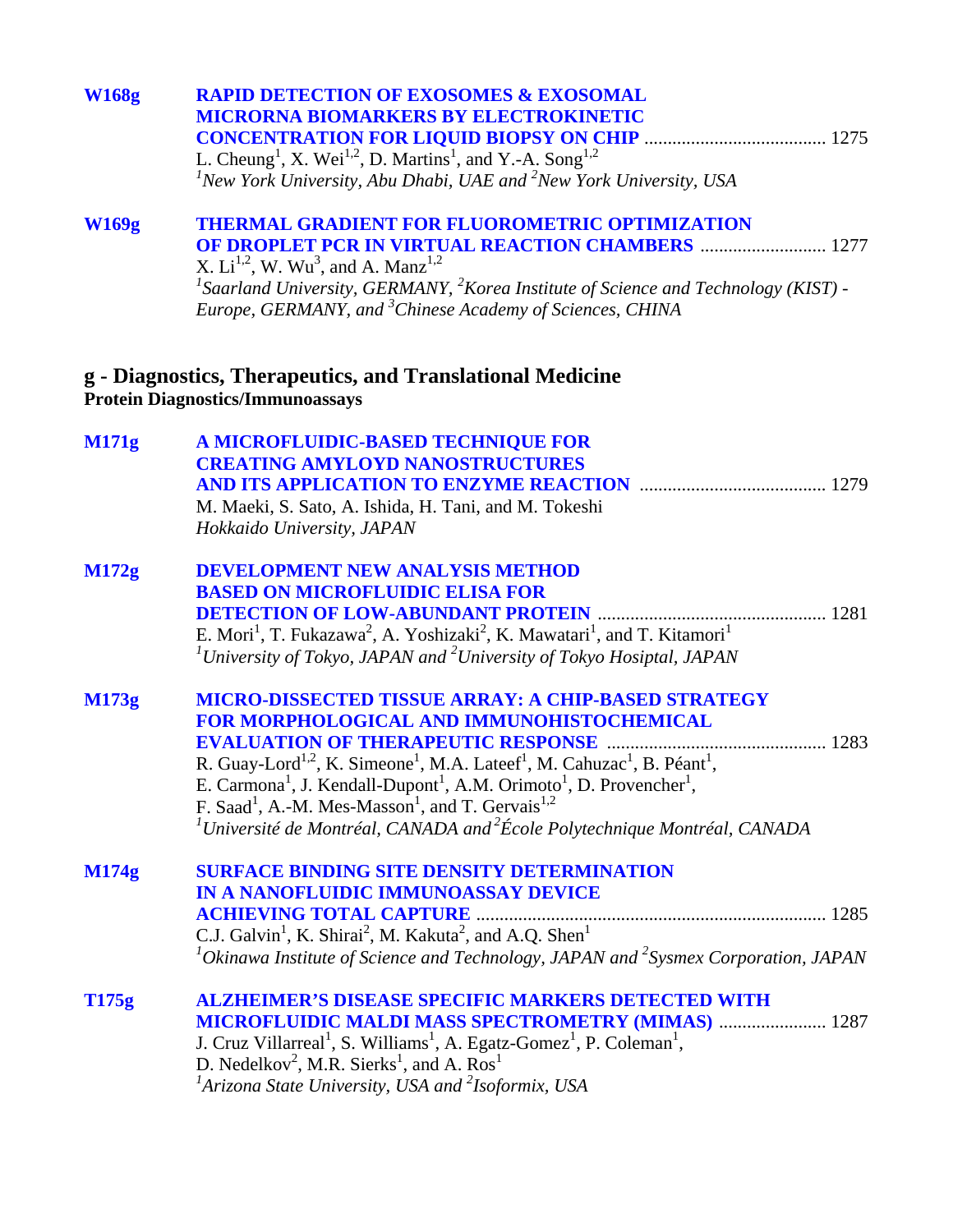| <b>W168g</b> | <b>RAPID DETECTION OF EXOSOMES &amp; EXOSOMAL</b><br><b>MICRORNA BIOMARKERS BY ELECTROKINETIC</b><br>L. Cheung <sup>1</sup> , X. Wei <sup>1,2</sup> , D. Martins <sup>1</sup> , and Y.-A. Song <sup>1,2</sup><br>${}^{1}$ New York University, Abu Dhabi, UAE and ${}^{2}$ New York University, USA                                                                                                                                                                                                                                                                                               |
|--------------|---------------------------------------------------------------------------------------------------------------------------------------------------------------------------------------------------------------------------------------------------------------------------------------------------------------------------------------------------------------------------------------------------------------------------------------------------------------------------------------------------------------------------------------------------------------------------------------------------|
| <b>W169g</b> | <b>THERMAL GRADIENT FOR FLUOROMETRIC OPTIMIZATION</b><br><b>OF DROPLET PCR IN VIRTUAL REACTION CHAMBERS  1277</b><br>X. $Li^{1,2}$ , W. Wu <sup>3</sup> , and A. Manz <sup>1,2</sup><br><sup>1</sup> Saarland University, GERMANY, <sup>2</sup> Korea Institute of Science and Technology (KIST) -<br>Europe, GERMANY, and <sup>3</sup> Chinese Academy of Sciences, CHINA                                                                                                                                                                                                                        |
|              | g - Diagnostics, Therapeutics, and Translational Medicine<br><b>Protein Diagnostics/Immunoassays</b>                                                                                                                                                                                                                                                                                                                                                                                                                                                                                              |
| <b>M171g</b> | A MICROFLUIDIC-BASED TECHNIQUE FOR<br><b>CREATING AMYLOYD NANOSTRUCTURES</b><br>M. Maeki, S. Sato, A. Ishida, H. Tani, and M. Tokeshi<br>Hokkaido University, JAPAN                                                                                                                                                                                                                                                                                                                                                                                                                               |
| M172g        | <b>DEVELOPMENT NEW ANALYSIS METHOD</b><br><b>BASED ON MICROFLUIDIC ELISA FOR</b><br>E. Mori <sup>1</sup> , T. Fukazawa <sup>2</sup> , A. Yoshizaki <sup>2</sup> , K. Mawatari <sup>1</sup> , and T. Kitamori <sup>1</sup><br><sup>1</sup> University of Tokyo, JAPAN and <sup>2</sup> University of Tokyo Hosiptal, JAPAN                                                                                                                                                                                                                                                                         |
| M173g        | MICRO-DISSECTED TISSUE ARRAY: A CHIP-BASED STRATEGY<br>FOR MORPHOLOGICAL AND IMMUNOHISTOCHEMICAL<br><b>EVALUATION OF THERAPEUTIC RESPONSE</b><br>R. Guay-Lord <sup>1,2</sup> , K. Simeone <sup>1</sup> , M.A. Lateef <sup>1</sup> , M. Cahuzac <sup>1</sup> , B. Péant <sup>1</sup> ,<br>E. Carmona <sup>1</sup> , J. Kendall-Dupont <sup>1</sup> , A.M. Orimoto <sup>1</sup> , D. Provencher <sup>1</sup> ,<br>F. Saad <sup>1</sup> , A.-M. Mes-Masson <sup>1</sup> , and T. Gervais <sup>1,2</sup><br>${}^{1}$ Université de Montréal, CANADA and ${}^{2}$ École Polytechnique Montréal, CANADA |
| M174g        | <b>SURFACE BINDING SITE DENSITY DETERMINATION</b><br><b>IN A NANOFLUIDIC IMMUNOASSAY DEVICE</b><br><b>ACHIEVING TOTAL CAPTURE</b><br>C.J. Galvin <sup>1</sup> , K. Shirai <sup>2</sup> , M. Kakuta <sup>2</sup> , and A.Q. Shen <sup>1</sup><br>$^{1}$ Okinawa Institute of Science and Technology, JAPAN and $^{2}$ Sysmex Corporation, JAPAN                                                                                                                                                                                                                                                    |
| T175g        | <b>ALZHEIMER'S DISEASE SPECIFIC MARKERS DETECTED WITH</b><br><b>MICROFLUIDIC MALDI MASS SPECTROMETRY (MIMAS)  1287</b><br>J. Cruz Villarreal <sup>1</sup> , S. Williams <sup>1</sup> , A. Egatz-Gomez <sup>1</sup> , P. Coleman <sup>1</sup> ,<br>D. Nedelkov <sup>2</sup> , M.R. Sierks <sup>1</sup> , and A. Ros <sup>1</sup><br><sup>1</sup> Arizona State University, USA and <sup>2</sup> Isoformix, USA                                                                                                                                                                                     |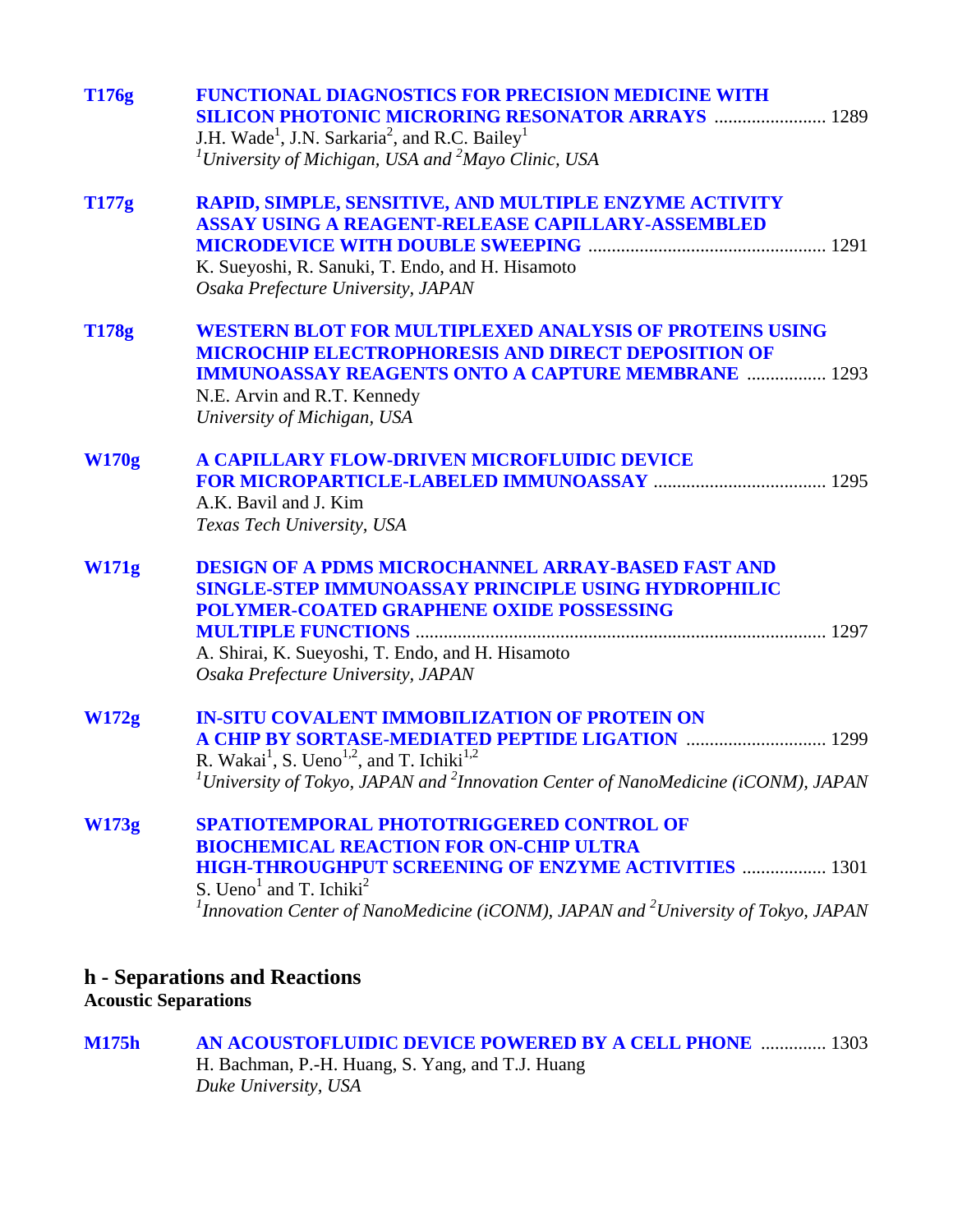| T176g        | <b>FUNCTIONAL DIAGNOSTICS FOR PRECISION MEDICINE WITH</b><br><b>SILICON PHOTONIC MICRORING RESONATOR ARRAYS  1289</b><br>J.H. Wade <sup>1</sup> , J.N. Sarkaria <sup>2</sup> , and R.C. Bailey <sup>1</sup><br><sup>1</sup> University of Michigan, USA and $^{2}$ Mayo Clinic, USA                                      |
|--------------|--------------------------------------------------------------------------------------------------------------------------------------------------------------------------------------------------------------------------------------------------------------------------------------------------------------------------|
| T177g        | RAPID, SIMPLE, SENSITIVE, AND MULTIPLE ENZYME ACTIVITY<br>ASSAY USING A REAGENT-RELEASE CAPILLARY-ASSEMBLED<br>K. Sueyoshi, R. Sanuki, T. Endo, and H. Hisamoto<br>Osaka Prefecture University, JAPAN                                                                                                                    |
| <b>T178g</b> | <b>WESTERN BLOT FOR MULTIPLEXED ANALYSIS OF PROTEINS USING</b><br><b>MICROCHIP ELECTROPHORESIS AND DIRECT DEPOSITION OF</b><br><b>IMMUNOASSAY REAGENTS ONTO A CAPTURE MEMBRANE  1293</b><br>N.E. Arvin and R.T. Kennedy<br>University of Michigan, USA                                                                   |
| <b>W170g</b> | A CAPILLARY FLOW-DRIVEN MICROFLUIDIC DEVICE<br>A.K. Bavil and J. Kim<br>Texas Tech University, USA                                                                                                                                                                                                                       |
| <b>W171g</b> | <b>DESIGN OF A PDMS MICROCHANNEL ARRAY-BASED FAST AND</b><br><b>SINGLE-STEP IMMUNOASSAY PRINCIPLE USING HYDROPHILIC</b><br><b>POLYMER-COATED GRAPHENE OXIDE POSSESSING</b><br>A. Shirai, K. Sueyoshi, T. Endo, and H. Hisamoto<br>Osaka Prefecture University, JAPAN                                                     |
| W172g        | <b>IN-SITU COVALENT IMMOBILIZATION OF PROTEIN ON</b><br>A CHIP BY SORTASE-MEDIATED PEPTIDE LIGATION  1299<br>R. Wakai <sup>1</sup> , S. Ueno <sup>1,2</sup> , and T. Ichiki <sup>1,2</sup><br><sup>1</sup> University of Tokyo, JAPAN and <sup>2</sup> Innovation Center of NanoMedicine (iCONM), JAPAN                  |
| <b>W173g</b> | SPATIOTEMPORAL PHOTOTRIGGERED CONTROL OF<br><b>BIOCHEMICAL REACTION FOR ON-CHIP ULTRA</b><br><b>HIGH-THROUGHPUT SCREENING OF ENZYME ACTIVITIES  1301</b><br>S. Ueno <sup>1</sup> and T. Ichiki <sup>2</sup><br><sup>1</sup> Innovation Center of NanoMedicine (iCONM), JAPAN and <sup>2</sup> University of Tokyo, JAPAN |
|              | h - Separations and Reactions                                                                                                                                                                                                                                                                                            |

**Acoustic Separations**

**[M175h AN ACOUSTOFLUIDIC DEVICE POWERED BY A CELL PHONE](#page-0-0)** .............. 1303 H. Bachman, P.-H. Huang, S. Yang, and T.J. Huang *Duke University, USA*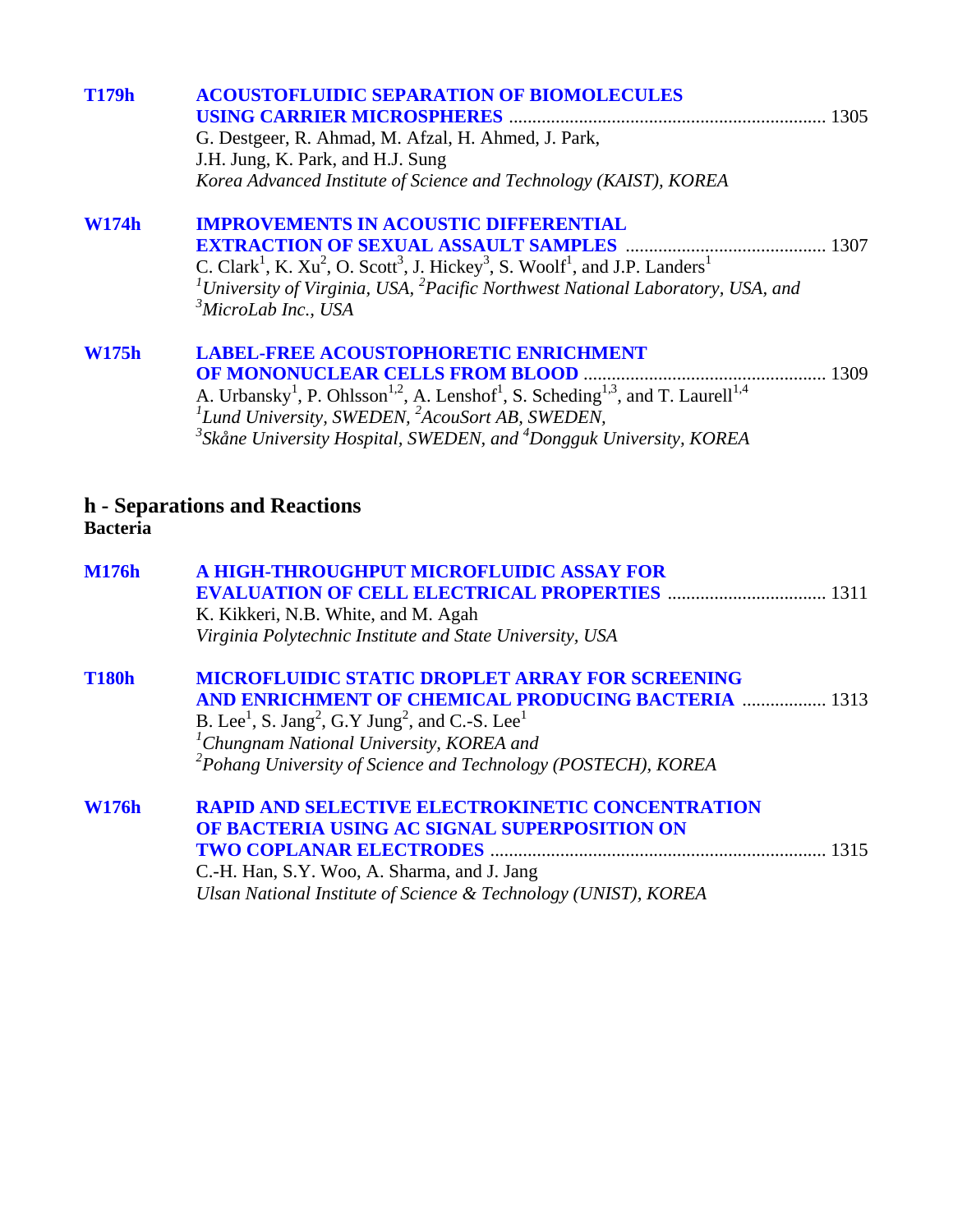| <b>T179h</b>    | <b>ACOUSTOFLUIDIC SEPARATION OF BIOMOLECULES</b>                                                                                                    |
|-----------------|-----------------------------------------------------------------------------------------------------------------------------------------------------|
|                 |                                                                                                                                                     |
|                 | G. Destgeer, R. Ahmad, M. Afzal, H. Ahmed, J. Park,                                                                                                 |
|                 | J.H. Jung, K. Park, and H.J. Sung                                                                                                                   |
|                 | Korea Advanced Institute of Science and Technology (KAIST), KOREA                                                                                   |
| <b>W174h</b>    | <b>IMPROVEMENTS IN ACOUSTIC DIFFERENTIAL</b>                                                                                                        |
|                 |                                                                                                                                                     |
|                 | C. Clark <sup>1</sup> , K. Xu <sup>2</sup> , O. Scott <sup>3</sup> , J. Hickey <sup>3</sup> , S. Woolf <sup>1</sup> , and J.P. Landers <sup>1</sup> |
|                 | ${}^{1}$ University of Virginia, USA, ${}^{2}$ Pacific Northwest National Laboratory, USA, and                                                      |
|                 | <sup>3</sup> MicroLab Inc., USA                                                                                                                     |
| <b>W175h</b>    | <b>LABEL-FREE ACOUSTOPHORETIC ENRICHMENT</b>                                                                                                        |
|                 |                                                                                                                                                     |
|                 | A. Urbansky <sup>1</sup> , P. Ohlsson <sup>1,2</sup> , A. Lenshof <sup>1</sup> , S. Scheding <sup>1,3</sup> , and T. Laurell <sup>1,4</sup>         |
|                 | ${}^{1}$ Lund University, SWEDEN, ${}^{2}$ AcouSort AB, SWEDEN,                                                                                     |
|                 | <sup>3</sup> Skåne University Hospital, SWEDEN, and <sup>4</sup> Dongguk University, KOREA                                                          |
|                 |                                                                                                                                                     |
|                 | h - Separations and Reactions                                                                                                                       |
| <b>Bacteria</b> |                                                                                                                                                     |
| <b>M176h</b>    | A HIGH-THROUGHPUT MICROFLUIDIC ASSAY FOR                                                                                                            |
|                 |                                                                                                                                                     |
|                 | K. Kikkeri, N.B. White, and M. Agah                                                                                                                 |
|                 | Virginia Polytechnic Institute and State University, USA                                                                                            |
| <b>T180h</b>    | <b>MICROFLUIDIC STATIC DROPLET ARRAY FOR SCREENING</b>                                                                                              |
|                 | AND ENRICHMENT OF CHEMICAL PRODUCING BACTERIA  1313                                                                                                 |
|                 | B. Lee <sup>1</sup> , S. Jang <sup>2</sup> , G.Y Jung <sup>2</sup> , and C.-S. Lee <sup>1</sup>                                                     |
|                 | <sup>1</sup> Chungnam National University, KOREA and                                                                                                |
|                 | $\alpha^2$ Pohang University of Science and Technology (POSTECH), KOREA                                                                             |
| <b>W176h</b>    | <b>RAPID AND SELECTIVE ELECTROKINETIC CONCENTRATION</b>                                                                                             |
|                 | OF BACTERIA USING AC SIGNAL SUPERPOSITION ON                                                                                                        |
|                 |                                                                                                                                                     |
|                 | C.-H. Han, S.Y. Woo, A. Sharma, and J. Jang                                                                                                         |

*Ulsan National Institute of Science & Technology (UNIST), KOREA*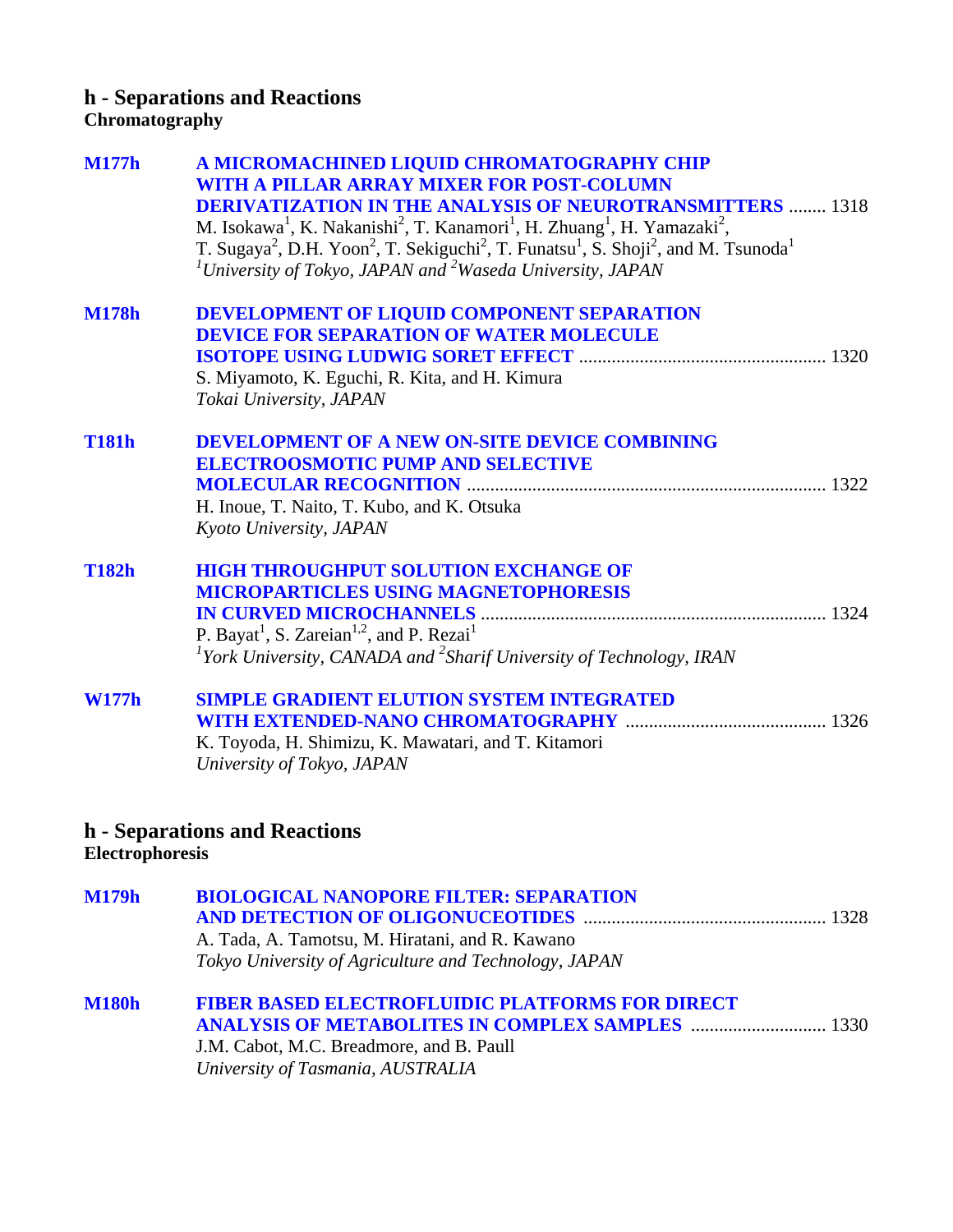## **h - Separations and Reactions Chromatography**

| <b>M177h</b> | A MICROMACHINED LIQUID CHROMATOGRAPHY CHIP                                                                                                                  |
|--------------|-------------------------------------------------------------------------------------------------------------------------------------------------------------|
|              | WITH A PILLAR ARRAY MIXER FOR POST-COLUMN                                                                                                                   |
|              | <b>DERIVATIZATION IN THE ANALYSIS OF NEUROTRANSMITTERS  1318</b>                                                                                            |
|              | M. Isokawa <sup>1</sup> , K. Nakanishi <sup>2</sup> , T. Kanamori <sup>1</sup> , H. Zhuang <sup>1</sup> , H. Yamazaki <sup>2</sup> ,                        |
|              | T. Sugaya <sup>2</sup> , D.H. Yoon <sup>2</sup> , T. Sekiguchi <sup>2</sup> , T. Funatsu <sup>1</sup> , S. Shoji <sup>2</sup> , and M. Tsunoda <sup>1</sup> |
|              | $1$ University of Tokyo, JAPAN and $2$ Waseda University, JAPAN                                                                                             |
|              |                                                                                                                                                             |
| <b>M178h</b> | DEVELOPMENT OF LIQUID COMPONENT SEPARATION                                                                                                                  |
|              | <b>DEVICE FOR SEPARATION OF WATER MOLECULE</b>                                                                                                              |
|              |                                                                                                                                                             |
|              | S. Miyamoto, K. Eguchi, R. Kita, and H. Kimura                                                                                                              |
|              | Tokai University, JAPAN                                                                                                                                     |
| <b>T181h</b> | <b>DEVELOPMENT OF A NEW ON-SITE DEVICE COMBINING</b>                                                                                                        |
|              | <b>ELECTROOSMOTIC PUMP AND SELECTIVE</b>                                                                                                                    |
|              |                                                                                                                                                             |
|              | H. Inoue, T. Naito, T. Kubo, and K. Otsuka                                                                                                                  |
|              | Kyoto University, JAPAN                                                                                                                                     |
|              |                                                                                                                                                             |
| <b>T182h</b> | <b>HIGH THROUGHPUT SOLUTION EXCHANGE OF</b>                                                                                                                 |
|              | <b>MICROPARTICLES USING MAGNETOPHORESIS</b>                                                                                                                 |
|              |                                                                                                                                                             |
|              | P. Bayat <sup>1</sup> , S. Zareian <sup>1,2</sup> , and P. Rezai <sup>1</sup>                                                                               |
|              | <sup>1</sup> York University, CANADA and <sup>2</sup> Sharif University of Technology, IRAN                                                                 |
| <b>W177h</b> | <b>SIMPLE GRADIENT ELUTION SYSTEM INTEGRATED</b>                                                                                                            |
|              |                                                                                                                                                             |
|              | K. Toyoda, H. Shimizu, K. Mawatari, and T. Kitamori                                                                                                         |
|              | University of Tokyo, JAPAN                                                                                                                                  |
|              |                                                                                                                                                             |
|              |                                                                                                                                                             |
|              |                                                                                                                                                             |

## **h - Separations and Reactions Electrophoresis**

| <b>Execut o parox c</b> oab |                                                       |  |
|-----------------------------|-------------------------------------------------------|--|
| M179h                       | <b>BIOLOGICAL NANOPORE FILTER: SEPARATION</b>         |  |
|                             |                                                       |  |
|                             | A. Tada, A. Tamotsu, M. Hiratani, and R. Kawano       |  |
|                             | Tokyo University of Agriculture and Technology, JAPAN |  |
|                             |                                                       |  |

| <b>M180h</b> | <b>FIBER BASED ELECTROFLUIDIC PLATFORMS FOR DIRECT</b>  |  |
|--------------|---------------------------------------------------------|--|
|              | <b>ANALYSIS OF METABOLITES IN COMPLEX SAMPLES  1330</b> |  |
|              | J.M. Cabot, M.C. Breadmore, and B. Paull                |  |
|              | University of Tasmania, AUSTRALIA                       |  |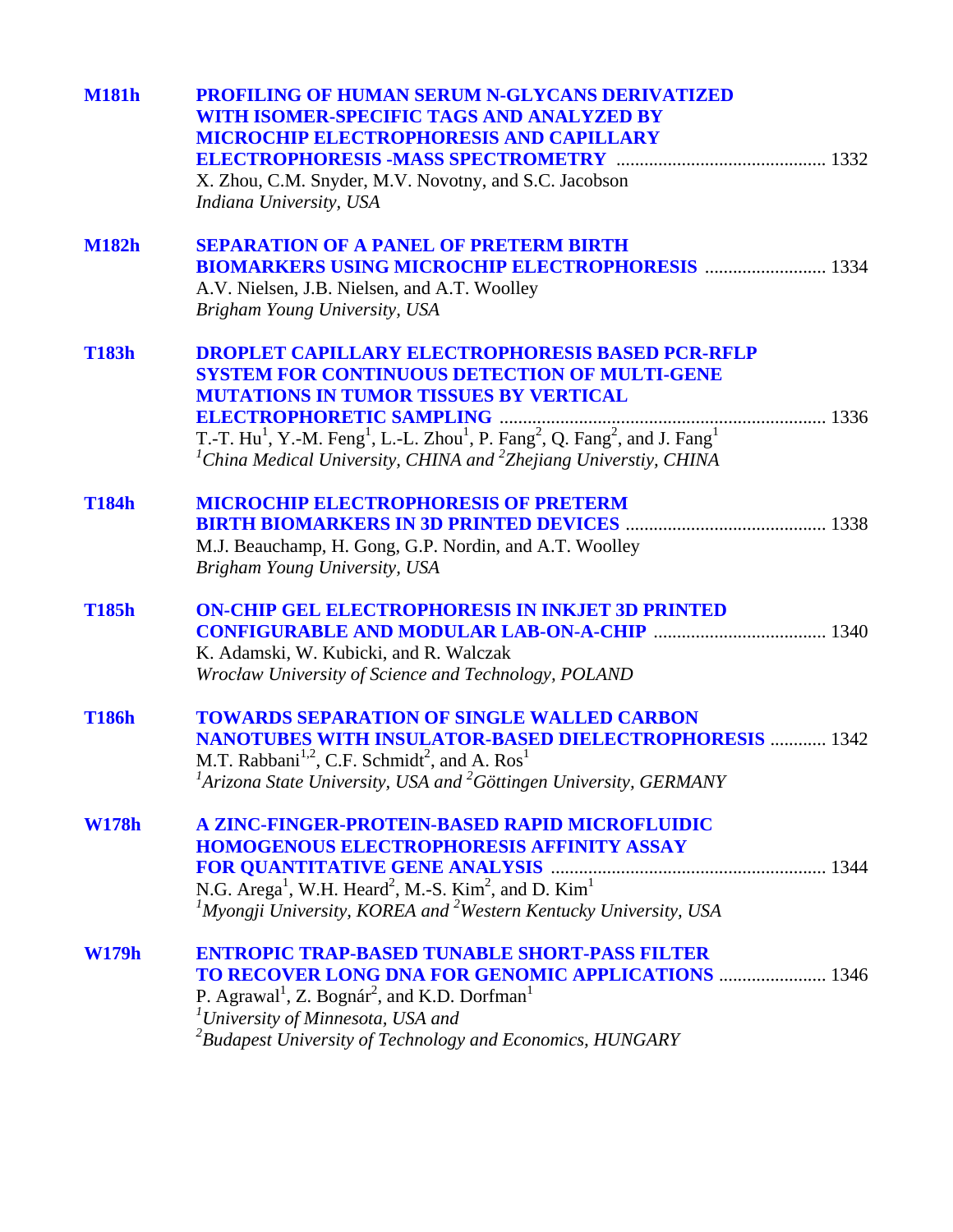| <b>M181h</b> | <b>PROFILING OF HUMAN SERUM N-GLYCANS DERIVATIZED</b><br>WITH ISOMER-SPECIFIC TAGS AND ANALYZED BY<br><b>MICROCHIP ELECTROPHORESIS AND CAPILLARY</b><br>X. Zhou, C.M. Snyder, M.V. Novotny, and S.C. Jacobson<br>Indiana University, USA                                                                                                                                                                           |
|--------------|--------------------------------------------------------------------------------------------------------------------------------------------------------------------------------------------------------------------------------------------------------------------------------------------------------------------------------------------------------------------------------------------------------------------|
| <b>M182h</b> | <b>SEPARATION OF A PANEL OF PRETERM BIRTH</b><br><b>BIOMARKERS USING MICROCHIP ELECTROPHORESIS  1334</b><br>A.V. Nielsen, J.B. Nielsen, and A.T. Woolley<br>Brigham Young University, USA                                                                                                                                                                                                                          |
| <b>T183h</b> | <b>DROPLET CAPILLARY ELECTROPHORESIS BASED PCR-RFLP</b><br><b>SYSTEM FOR CONTINUOUS DETECTION OF MULTI-GENE</b><br><b>MUTATIONS IN TUMOR TISSUES BY VERTICAL</b><br>T.-T. Hu <sup>1</sup> , Y.-M. Feng <sup>1</sup> , L.-L. Zhou <sup>1</sup> , P. Fang <sup>2</sup> , Q. Fang <sup>2</sup> , and J. Fang <sup>1</sup><br><sup>1</sup> China Medical University, CHINA and <sup>2</sup> Zhejiang Universtiy, CHINA |
| <b>T184h</b> | <b>MICROCHIP ELECTROPHORESIS OF PRETERM</b><br>M.J. Beauchamp, H. Gong, G.P. Nordin, and A.T. Woolley<br>Brigham Young University, USA                                                                                                                                                                                                                                                                             |
| <b>T185h</b> | <b>ON-CHIP GEL ELECTROPHORESIS IN INKJET 3D PRINTED</b><br>K. Adamski, W. Kubicki, and R. Walczak<br>Wrocław University of Science and Technology, POLAND                                                                                                                                                                                                                                                          |
| <b>T186h</b> | <b>TOWARDS SEPARATION OF SINGLE WALLED CARBON</b><br><b>NANOTUBES WITH INSULATOR-BASED DIELECTROPHORESIS  1342</b><br>M.T. Rabbani <sup>1,2</sup> , C.F. Schmidt <sup>2</sup> , and A. Ros <sup>1</sup><br>${}^{1}$ Arizona State University, USA and ${}^{2}$ Göttingen University, GERMANY                                                                                                                       |
| <b>W178h</b> | A ZINC-FINGER-PROTEIN-BASED RAPID MICROFLUIDIC<br><b>HOMOGENOUS ELECTROPHORESIS AFFINITY ASSAY</b><br>N.G. Arega <sup>1</sup> , W.H. Heard <sup>2</sup> , M.-S. Kim <sup>2</sup> , and D. Kim <sup>1</sup><br>${}^{1}$ Myongji University, KOREA and <sup>2</sup> Western Kentucky University, USA                                                                                                                 |
| <b>W179h</b> | <b>ENTROPIC TRAP-BASED TUNABLE SHORT-PASS FILTER</b><br><b>TO RECOVER LONG DNA FOR GENOMIC APPLICATIONS  1346</b><br>P. Agrawal <sup>1</sup> , Z. Bognár <sup>2</sup> , and K.D. Dorfman <sup>1</sup><br><sup>1</sup> University of Minnesota, USA and<br>${}^{2}$ Budapest University of Technology and Economics, HUNGARY                                                                                        |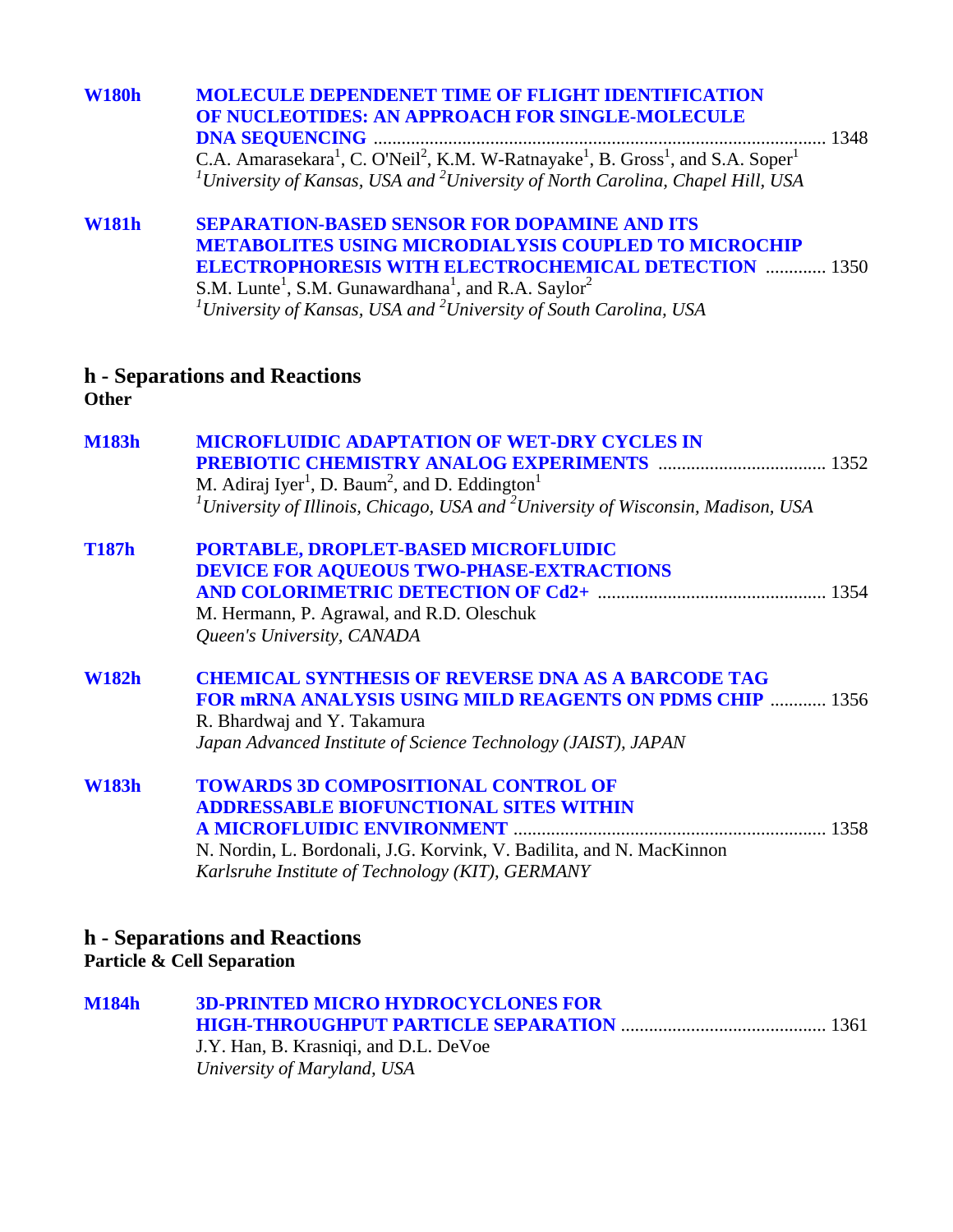| <b>W180h</b> | <b>MOLECULE DEPENDENET TIME OF FLIGHT IDENTIFICATION</b><br>OF NUCLEOTIDES: AN APPROACH FOR SINGLE-MOLECULE<br>C.A. Amarasekara <sup>1</sup> , C. O'Neil <sup>2</sup> , K.M. W-Ratnayake <sup>1</sup> , B. Gross <sup>1</sup> , and S.A. Soper <sup>1</sup><br><sup>1</sup> University of Kansas, USA and <sup>2</sup> University of North Carolina, Chapel Hill, USA     |
|--------------|---------------------------------------------------------------------------------------------------------------------------------------------------------------------------------------------------------------------------------------------------------------------------------------------------------------------------------------------------------------------------|
| <b>W181h</b> | <b>SEPARATION-BASED SENSOR FOR DOPAMINE AND ITS</b><br><b>METABOLITES USING MICRODIALYSIS COUPLED TO MICROCHIP</b><br><b>ELECTROPHORESIS WITH ELECTROCHEMICAL DETECTION  1350</b><br>S.M. Lunte <sup>1</sup> , S.M. Gunawardhana <sup>1</sup> , and R.A. Saylor <sup>2</sup><br><sup>1</sup> University of Kansas, USA and <sup>2</sup> University of South Carolina, USA |
| <b>Other</b> | h - Separations and Reactions                                                                                                                                                                                                                                                                                                                                             |
| <b>M183h</b> | <b>MICROFLUIDIC ADAPTATION OF WET-DRY CYCLES IN</b><br><b>PREBIOTIC CHEMISTRY ANALOG EXPERIMENTS  1352</b><br>M. Adiraj Iyer <sup>1</sup> , D. Baum <sup>2</sup> , and D. Eddington <sup>1</sup><br><sup>1</sup> University of Illinois, Chicago, USA and <sup>2</sup> University of Wisconsin, Madison, USA                                                              |
| <b>T187h</b> | PORTABLE, DROPLET-BASED MICROFLUIDIC<br><b>DEVICE FOR AQUEOUS TWO-PHASE-EXTRACTIONS</b><br>M. Hermann, P. Agrawal, and R.D. Oleschuk<br>Queen's University, CANADA                                                                                                                                                                                                        |
| <b>W182h</b> | <b>CHEMICAL SYNTHESIS OF REVERSE DNA AS A BARCODE TAG</b><br><b>FOR MRNA ANALYSIS USING MILD REAGENTS ON PDMS CHIP  1356</b><br>R. Bhardwaj and Y. Takamura<br>Japan Advanced Institute of Science Technology (JAIST), JAPAN                                                                                                                                              |
| <b>W183h</b> | <b>TOWARDS 3D COMPOSITIONAL CONTROL OF</b><br><b>ADDRESSABLE BIOFUNCTIONAL SITES WITHIN</b><br>N. Nordin, L. Bordonali, J.G. Korvink, V. Badilita, and N. MacKinnon<br>Karlsruhe Institute of Technology (KIT), GERMANY                                                                                                                                                   |
|              | h - Separations and Reactions<br><b>Particle &amp; Cell Separation</b>                                                                                                                                                                                                                                                                                                    |
| <b>M184h</b> | <b>3D-PRINTED MICRO HYDROCYCLONES FOR</b>                                                                                                                                                                                                                                                                                                                                 |

| VI 184h | <b>3D-PRINTED MICRO HYDROCYCLONES FOR</b> |  |
|---------|-------------------------------------------|--|
|         |                                           |  |
|         | J.Y. Han, B. Krasniqi, and D.L. DeVoe     |  |
|         | University of Maryland, USA               |  |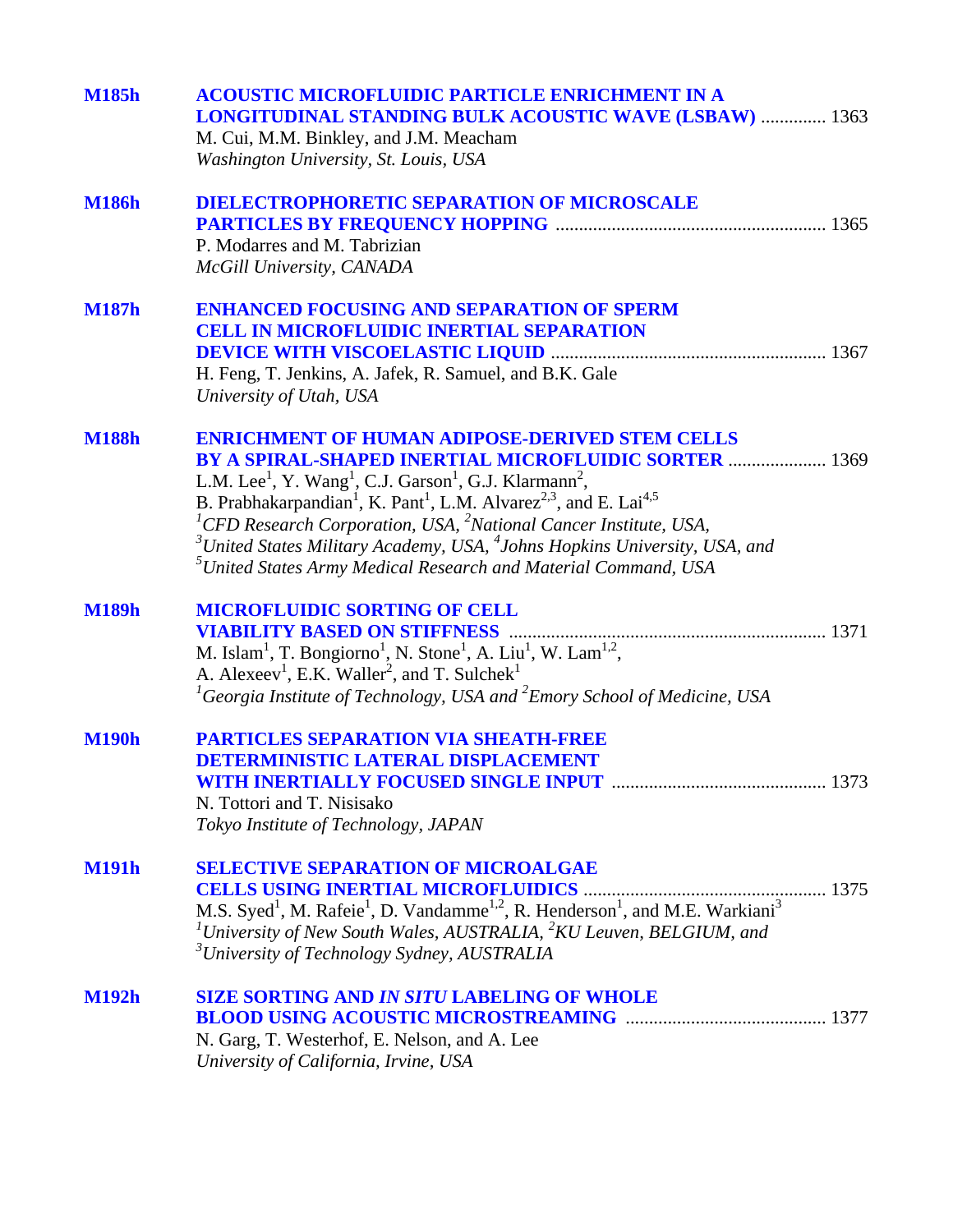| <b>M185h</b> | <b>ACOUSTIC MICROFLUIDIC PARTICLE ENRICHMENT IN A</b><br><b>LONGITUDINAL STANDING BULK ACOUSTIC WAVE (LSBAW)  1363</b><br>M. Cui, M.M. Binkley, and J.M. Meacham<br>Washington University, St. Louis, USA                                                                                                                                                                                                                                                                                                                                                                                          |
|--------------|----------------------------------------------------------------------------------------------------------------------------------------------------------------------------------------------------------------------------------------------------------------------------------------------------------------------------------------------------------------------------------------------------------------------------------------------------------------------------------------------------------------------------------------------------------------------------------------------------|
| <b>M186h</b> | <b>DIELECTROPHORETIC SEPARATION OF MICROSCALE</b><br>P. Modarres and M. Tabrizian<br>McGill University, CANADA                                                                                                                                                                                                                                                                                                                                                                                                                                                                                     |
| <b>M187h</b> | <b>ENHANCED FOCUSING AND SEPARATION OF SPERM</b><br><b>CELL IN MICROFLUIDIC INERTIAL SEPARATION</b><br>H. Feng, T. Jenkins, A. Jafek, R. Samuel, and B.K. Gale<br>University of Utah, USA                                                                                                                                                                                                                                                                                                                                                                                                          |
| <b>M188h</b> | <b>ENRICHMENT OF HUMAN ADIPOSE-DERIVED STEM CELLS</b><br>BY A SPIRAL-SHAPED INERTIAL MICROFLUIDIC SORTER  1369<br>L.M. Lee <sup>1</sup> , Y. Wang <sup>1</sup> , C.J. Garson <sup>1</sup> , G.J. Klarmann <sup>2</sup> ,<br>B. Prabhakarpandian <sup>1</sup> , K. Pant <sup>1</sup> , L.M. Alvarez <sup>2,3</sup> , and E. Lai <sup>4,5</sup><br><sup>1</sup> CFD Research Corporation, USA, ${}^{2}$ National Cancer Institute, USA,<br>$3$ United States Military Academy, USA, $4$ Johns Hopkins University, USA, and<br>${}^{5}$ United States Army Medical Research and Material Command, USA |
| <b>M189h</b> | <b>MICROFLUIDIC SORTING OF CELL</b><br><b>VIABILITY BASED ON STIFFNESS </b><br>M. Islam <sup>1</sup> , T. Bongiorno <sup>1</sup> , N. Stone <sup>1</sup> , A. Liu <sup>1</sup> , W. Lam <sup>1,2</sup> ,<br>A. Alexeev <sup>1</sup> , E.K. Waller <sup>2</sup> , and T. Sulchek <sup>1</sup><br><sup>1</sup> Georgia Institute of Technology, USA and <sup>2</sup> Emory School of Medicine, USA                                                                                                                                                                                                   |
| <b>M190h</b> | <b>PARTICLES SEPARATION VIA SHEATH-FREE</b><br><b>DETERMINISTIC LATERAL DISPLACEMENT</b><br>N. Tottori and T. Nisisako<br>Tokyo Institute of Technology, JAPAN                                                                                                                                                                                                                                                                                                                                                                                                                                     |
| <b>M191h</b> | <b>SELECTIVE SEPARATION OF MICROALGAE</b><br>M.S. Syed <sup>1</sup> , M. Rafeie <sup>1</sup> , D. Vandamme <sup>1,2</sup> , R. Henderson <sup>1</sup> , and M.E. Warkiani <sup>3</sup><br><sup>1</sup> University of New South Wales, AUSTRALIA, ${}^{2}KU$ Leuven, BELGIUM, and<br><sup>3</sup> University of Technology Sydney, AUSTRALIA                                                                                                                                                                                                                                                        |
| <b>M192h</b> | <b>SIZE SORTING AND IN SITU LABELING OF WHOLE</b><br><b>BLOOD USING ACOUSTIC MICROSTREAMING MACHINE AND SET AND ISSUE AT A 1377</b><br>N. Garg, T. Westerhof, E. Nelson, and A. Lee<br>University of California, Irvine, USA                                                                                                                                                                                                                                                                                                                                                                       |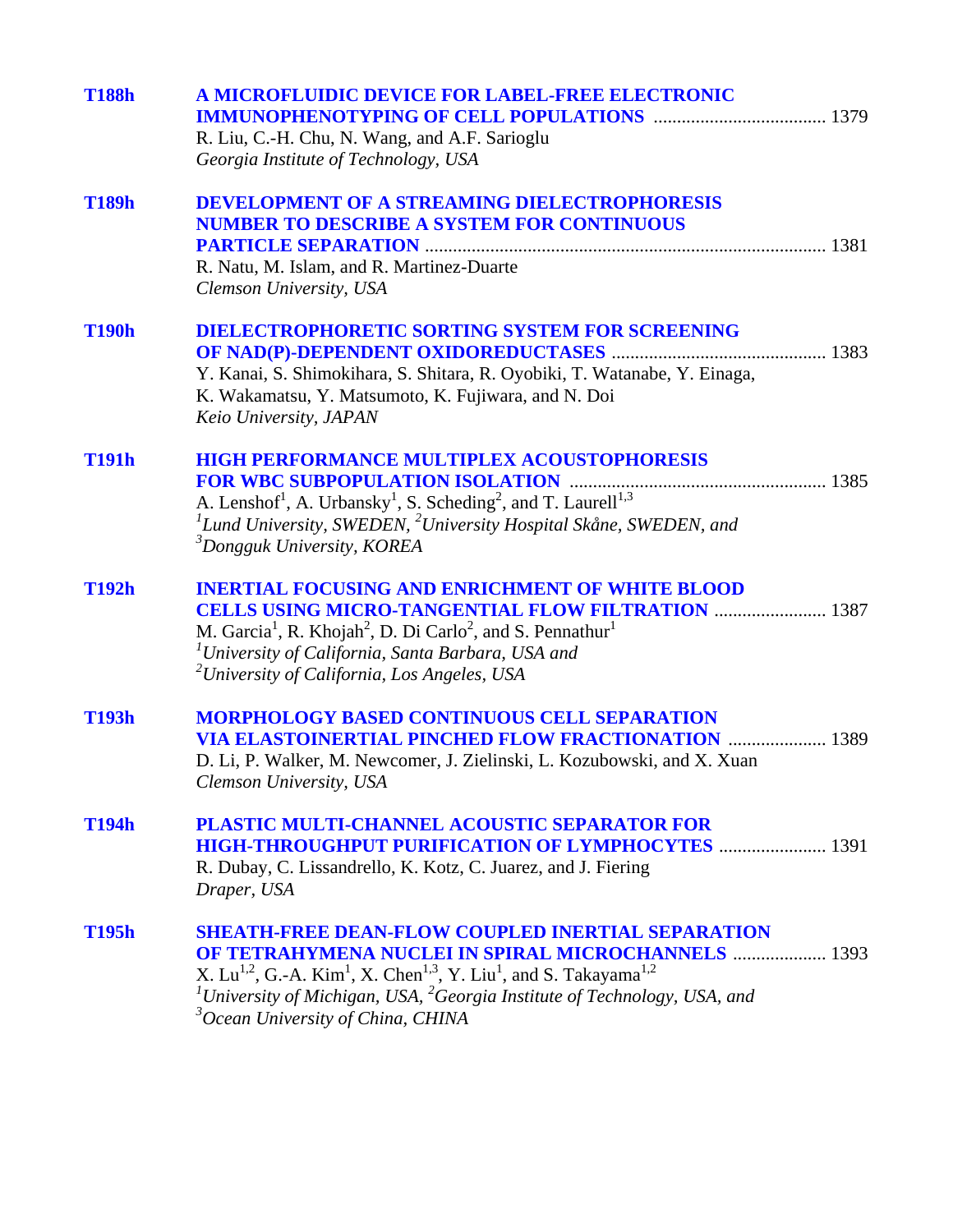| <b>T188h</b> | A MICROFLUIDIC DEVICE FOR LABEL-FREE ELECTRONIC<br>R. Liu, C.-H. Chu, N. Wang, and A.F. Sarioglu<br>Georgia Institute of Technology, USA                                                                                                                                                                                                                                                             |
|--------------|------------------------------------------------------------------------------------------------------------------------------------------------------------------------------------------------------------------------------------------------------------------------------------------------------------------------------------------------------------------------------------------------------|
| <b>T189h</b> | <b>DEVELOPMENT OF A STREAMING DIELECTROPHORESIS</b><br><b>NUMBER TO DESCRIBE A SYSTEM FOR CONTINUOUS</b><br>R. Natu, M. Islam, and R. Martinez-Duarte<br>Clemson University, USA                                                                                                                                                                                                                     |
| <b>T190h</b> | <b>DIELECTROPHORETIC SORTING SYSTEM FOR SCREENING</b><br>Y. Kanai, S. Shimokihara, S. Shitara, R. Oyobiki, T. Watanabe, Y. Einaga,<br>K. Wakamatsu, Y. Matsumoto, K. Fujiwara, and N. Doi<br>Keio University, JAPAN                                                                                                                                                                                  |
| <b>T191h</b> | <b>HIGH PERFORMANCE MULTIPLEX ACOUSTOPHORESIS</b><br>A. Lenshof <sup>1</sup> , A. Urbansky <sup>1</sup> , S. Scheding <sup>2</sup> , and T. Laurell <sup>1,3</sup><br>${}^{1}$ Lund University, SWEDEN, ${}^{2}$ University Hospital Skåne, SWEDEN, and<br><sup>3</sup> Dongguk University, KOREA                                                                                                    |
| <b>T192h</b> | <b>INERTIAL FOCUSING AND ENRICHMENT OF WHITE BLOOD</b><br><b>CELLS USING MICRO-TANGENTIAL FLOW FILTRATION  1387</b><br>M. Garcia <sup>1</sup> , R. Khojah <sup>2</sup> , D. Di Carlo <sup>2</sup> , and S. Pennathur <sup>1</sup><br><sup>1</sup> University of California, Santa Barbara, USA and<br><sup>2</sup> University of California, Los Angeles, USA                                        |
| <b>T193h</b> | <b>MORPHOLOGY BASED CONTINUOUS CELL SEPARATION</b><br><b>VIA ELASTOINERTIAL PINCHED FLOW FRACTIONATION  1389</b><br>D. Li, P. Walker, M. Newcomer, J. Zielinski, L. Kozubowski, and X. Xuan<br>Clemson University, USA                                                                                                                                                                               |
| <b>T194h</b> | PLASTIC MULTI-CHANNEL ACOUSTIC SEPARATOR FOR<br><b>HIGH-THROUGHPUT PURIFICATION OF LYMPHOCYTES  1391</b><br>R. Dubay, C. Lissandrello, K. Kotz, C. Juarez, and J. Fiering<br>Draper, USA                                                                                                                                                                                                             |
| <b>T195h</b> | <b>SHEATH-FREE DEAN-FLOW COUPLED INERTIAL SEPARATION</b><br><b>OF TETRAHYMENA NUCLEI IN SPIRAL MICROCHANNELS  1393</b><br>X. Lu <sup>1,2</sup> , G.-A. Kim <sup>1</sup> , X. Chen <sup>1,3</sup> , Y. Liu <sup>1</sup> , and S. Takayama <sup>1,2</sup><br>${}^{1}$ University of Michigan, USA, ${}^{2}$ Georgia Institute of Technology, USA, and<br><sup>3</sup> Ocean University of China, CHINA |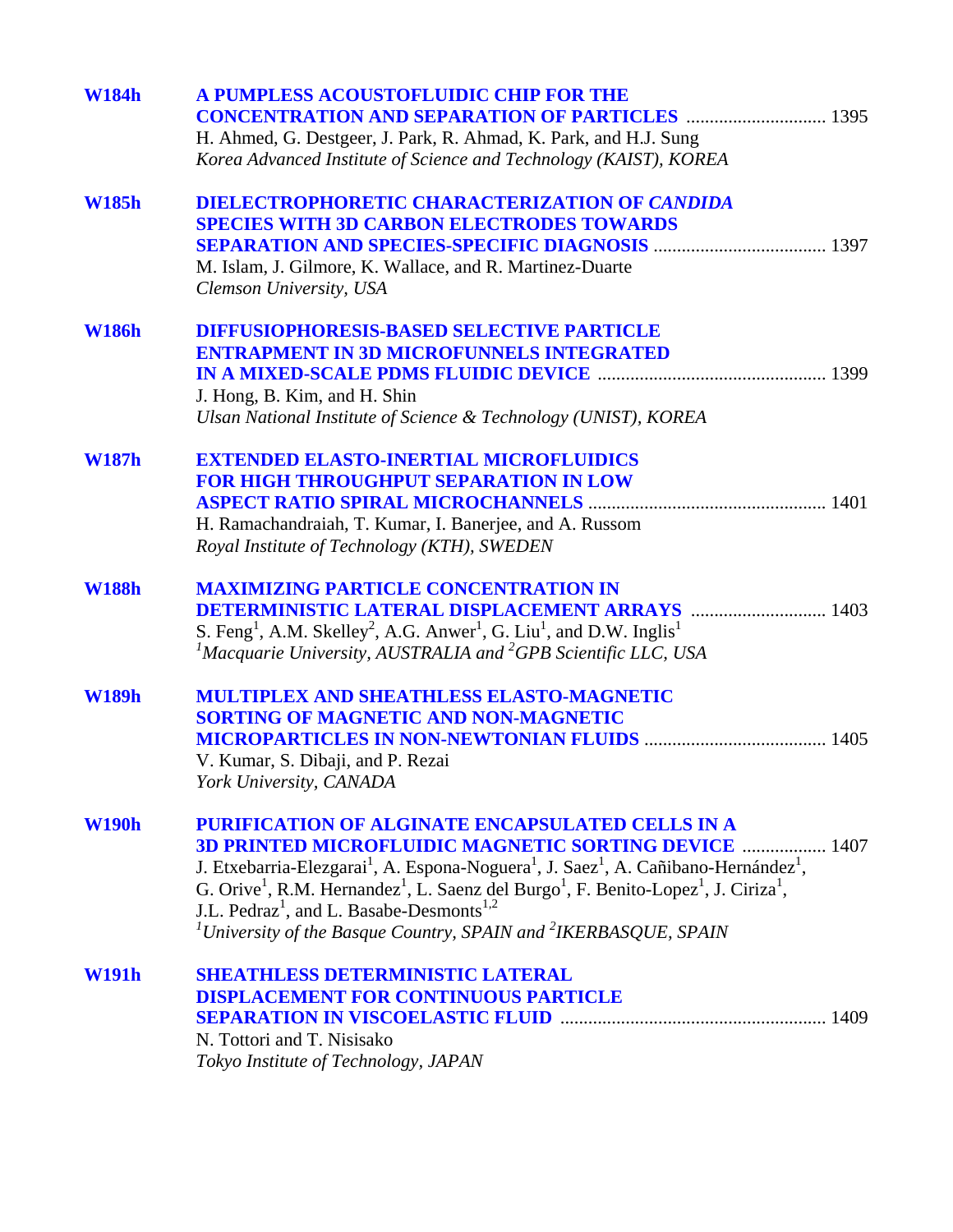| <b>W184h</b> | A PUMPLESS ACOUSTOFLUIDIC CHIP FOR THE<br><b>CONCENTRATION AND SEPARATION OF PARTICLES  1395</b><br>H. Ahmed, G. Destgeer, J. Park, R. Ahmad, K. Park, and H.J. Sung<br>Korea Advanced Institute of Science and Technology (KAIST), KOREA                                                                                                                                                                                                                                                                                                                                 |
|--------------|---------------------------------------------------------------------------------------------------------------------------------------------------------------------------------------------------------------------------------------------------------------------------------------------------------------------------------------------------------------------------------------------------------------------------------------------------------------------------------------------------------------------------------------------------------------------------|
| <b>W185h</b> | <b>DIELECTROPHORETIC CHARACTERIZATION OF CANDIDA</b><br><b>SPECIES WITH 3D CARBON ELECTRODES TOWARDS</b><br>M. Islam, J. Gilmore, K. Wallace, and R. Martinez-Duarte<br>Clemson University, USA                                                                                                                                                                                                                                                                                                                                                                           |
| <b>W186h</b> | <b>DIFFUSIOPHORESIS-BASED SELECTIVE PARTICLE</b><br><b>ENTRAPMENT IN 3D MICROFUNNELS INTEGRATED</b><br>J. Hong, B. Kim, and H. Shin<br>Ulsan National Institute of Science & Technology (UNIST), KOREA                                                                                                                                                                                                                                                                                                                                                                    |
| <b>W187h</b> | <b>EXTENDED ELASTO-INERTIAL MICROFLUIDICS</b><br><b>FOR HIGH THROUGHPUT SEPARATION IN LOW</b><br>H. Ramachandraiah, T. Kumar, I. Banerjee, and A. Russom<br>Royal Institute of Technology (KTH), SWEDEN                                                                                                                                                                                                                                                                                                                                                                   |
| <b>W188h</b> | <b>MAXIMIZING PARTICLE CONCENTRATION IN</b><br>S. Feng <sup>1</sup> , A.M. Skelley <sup>2</sup> , A.G. Anwer <sup>1</sup> , G. Liu <sup>1</sup> , and D.W. Inglis <sup>1</sup><br><sup>1</sup> Macquarie University, AUSTRALIA and <sup>2</sup> GPB Scientific LLC, USA                                                                                                                                                                                                                                                                                                   |
| <b>W189h</b> | <b>MULTIPLEX AND SHEATHLESS ELASTO-MAGNETIC</b><br><b>SORTING OF MAGNETIC AND NON-MAGNETIC</b><br>V. Kumar, S. Dibaji, and P. Rezai<br>York University, CANADA                                                                                                                                                                                                                                                                                                                                                                                                            |
| <b>W190h</b> | PURIFICATION OF ALGINATE ENCAPSULATED CELLS IN A<br><b>3D PRINTED MICROFLUIDIC MAGNETIC SORTING DEVICE  1407</b><br>J. Etxebarria-Elezgarai <sup>1</sup> , A. Espona-Noguera <sup>1</sup> , J. Saez <sup>1</sup> , A. Cañibano-Hernández <sup>1</sup> ,<br>G. Orive <sup>1</sup> , R.M. Hernandez <sup>1</sup> , L. Saenz del Burgo <sup>1</sup> , F. Benito-Lopez <sup>1</sup> , J. Ciriza <sup>1</sup> ,<br>J.L. Pedraz <sup>1</sup> , and L. Basabe-Desmonts <sup>1,2</sup><br><sup>1</sup> University of the Basque Country, SPAIN and <sup>2</sup> IKERBASQUE, SPAIN |
| <b>W191h</b> | <b>SHEATHLESS DETERMINISTIC LATERAL</b><br><b>DISPLACEMENT FOR CONTINUOUS PARTICLE</b><br>N. Tottori and T. Nisisako<br>Tokyo Institute of Technology, JAPAN                                                                                                                                                                                                                                                                                                                                                                                                              |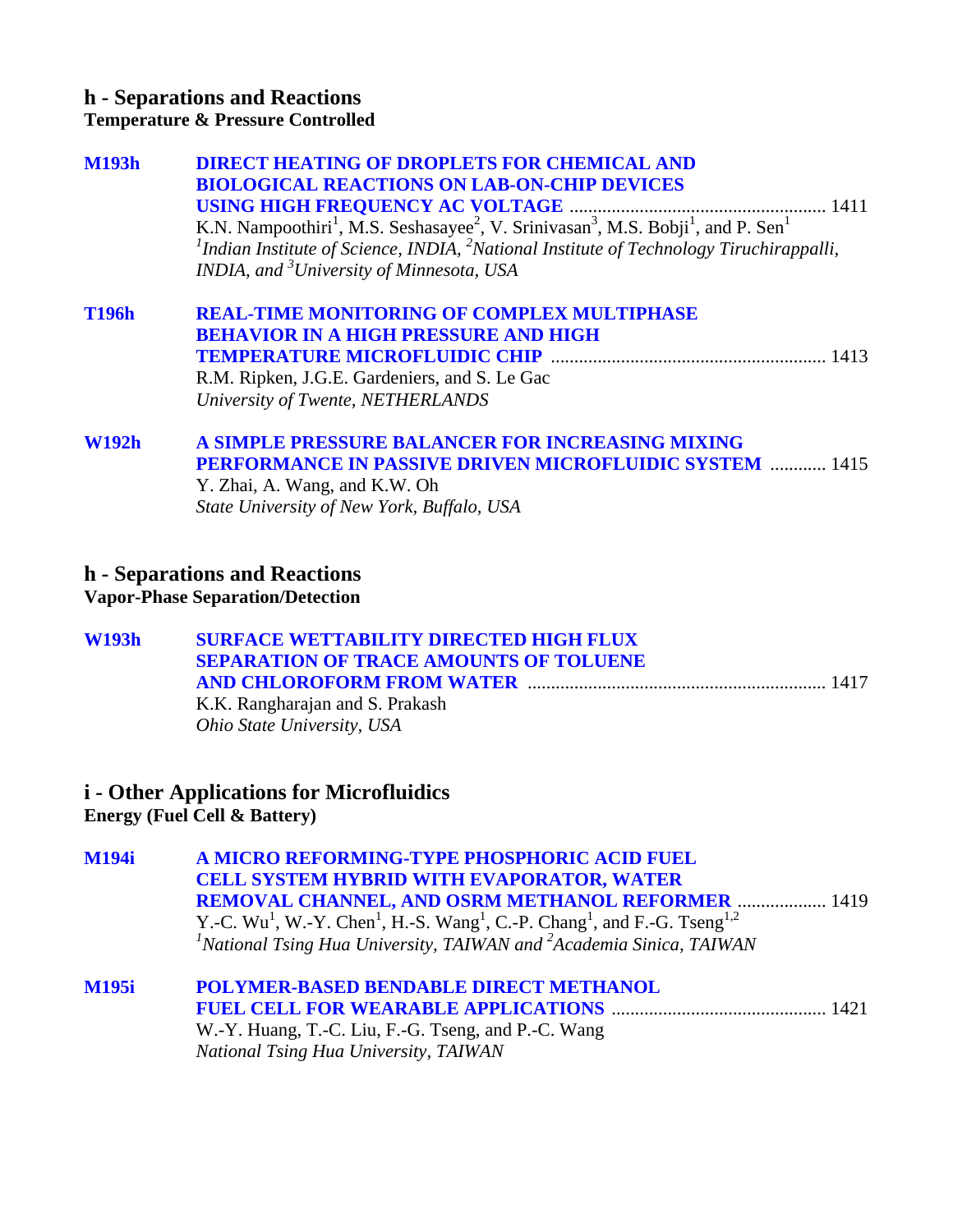#### **h - Separations and Reactions Temperature & Pressure Controlled**

| <b>M193h</b> | <b>DIRECT HEATING OF DROPLETS FOR CHEMICAL AND</b>                                                                                            |
|--------------|-----------------------------------------------------------------------------------------------------------------------------------------------|
|              | <b>BIOLOGICAL REACTIONS ON LAB-ON-CHIP DEVICES</b>                                                                                            |
|              |                                                                                                                                               |
|              | K.N. Nampoothiri <sup>1</sup> , M.S. Seshasayee <sup>2</sup> , V. Srinivasan <sup>3</sup> , M.S. Bobji <sup>1</sup> , and P. Sen <sup>1</sup> |
|              | <sup>1</sup> Indian Institute of Science, INDIA, <sup>2</sup> National Institute of Technology Tiruchirappalli,                               |
|              | INDIA, and <sup>3</sup> University of Minnesota, USA                                                                                          |
| <b>T196h</b> | <b>REAL-TIME MONITORING OF COMPLEX MULTIPHASE</b>                                                                                             |
|              | <b>BEHAVIOR IN A HIGH PRESSURE AND HIGH</b>                                                                                                   |
|              |                                                                                                                                               |
|              | R.M. Ripken, J.G.E. Gardeniers, and S. Le Gac                                                                                                 |

*University of Twente, NETHERLANDS* 

#### **[W192h A SIMPLE PRESSURE BALANCER FOR INCREASING MIXING](#page-0-0)  PERFORMANCE IN PASSIVE DRIVEN MICROFLUIDIC SYSTEM** ............ 1415 Y. Zhai, A. Wang, and K.W. Oh

*State University of New York, Buffalo, USA* 

## **h - Separations and Reactions**

**Vapor-Phase Separation/Detection**

| W193h | <b>SURFACE WETTABILITY DIRECTED HIGH FLUX</b> |  |
|-------|-----------------------------------------------|--|
|       | <b>SEPARATION OF TRACE AMOUNTS OF TOLUENE</b> |  |
|       |                                               |  |
|       | K K Rangharaian and S Prakash                 |  |

K.K. Rangharajan and S. Prakash *Ohio State University, USA* 

# **i - Other Applications for Microfluidics**

**Energy (Fuel Cell & Battery)**

| <b>M194i</b> | A MICRO REFORMING-TYPE PHOSPHORIC ACID FUEL<br><b>CELL SYSTEM HYBRID WITH EVAPORATOR, WATER</b>                                                                                                                                                                                            |                                                             |
|--------------|--------------------------------------------------------------------------------------------------------------------------------------------------------------------------------------------------------------------------------------------------------------------------------------------|-------------------------------------------------------------|
|              | <b>REMOVAL CHANNEL, AND OSRM METHANOL REFORMER  1419</b><br>Y.-C. Wu <sup>1</sup> , W.-Y. Chen <sup>1</sup> , H.-S. Wang <sup>1</sup> , C.-P. Chang <sup>1</sup> , and F.-G. Tseng <sup>1,2</sup><br><sup>1</sup> National Tsing Hua University, TAIWAN and $^{2}$ Academia Sinica, TAIWAN |                                                             |
| <b>M195i</b> | <b>POLYMER-BASED BENDABLE DIRECT METHANOL</b><br><b>BAR WELD LBER LBBEFALBEAVA</b>                                                                                                                                                                                                         | $\overline{A}$ $\overline{A}$ $\overline{A}$ $\overline{A}$ |

**FUEL CELL FOR WEARABLE APPLICATIONS** .............................................. 1421 W.-Y. Huang, T.-C. Liu, F.-G. Tseng, and P.-C. Wang *National Tsing Hua University, TAIWAN*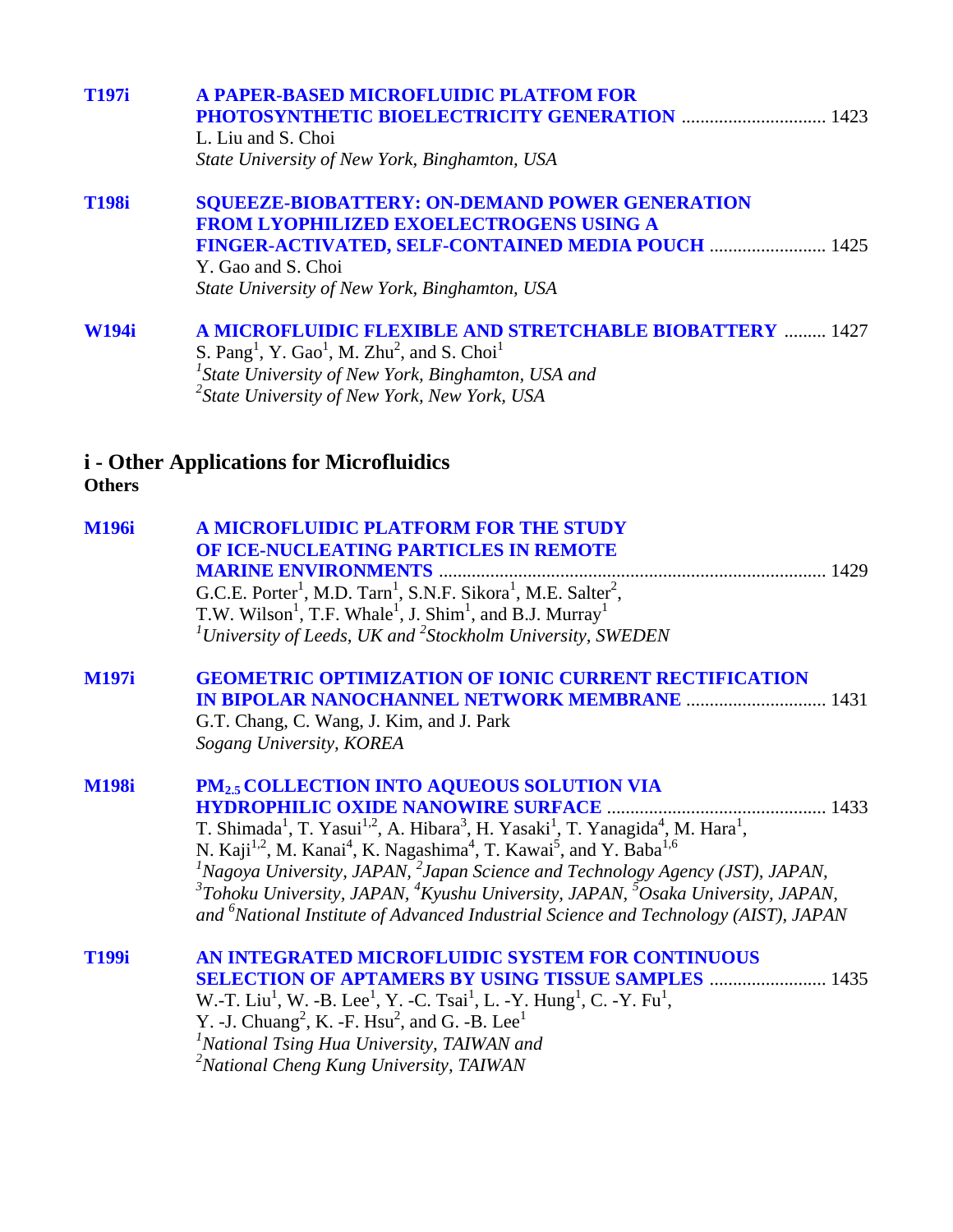| <b>T197i</b>  | <b>A PAPER-BASED MICROFLUIDIC PLATFOM FOR</b><br>L. Liu and S. Choi<br>State University of New York, Binghamton, USA                                                                                                                                                                                                                                                                                                                                                                                                                                                                                                                                                                                      |
|---------------|-----------------------------------------------------------------------------------------------------------------------------------------------------------------------------------------------------------------------------------------------------------------------------------------------------------------------------------------------------------------------------------------------------------------------------------------------------------------------------------------------------------------------------------------------------------------------------------------------------------------------------------------------------------------------------------------------------------|
| <b>T198i</b>  | <b>SQUEEZE-BIOBATTERY: ON-DEMAND POWER GENERATION</b><br><b>FROM LYOPHILIZED EXOELECTROGENS USING A</b><br>FINGER-ACTIVATED, SELF-CONTAINED MEDIA POUCH  1425<br>Y. Gao and S. Choi<br>State University of New York, Binghamton, USA                                                                                                                                                                                                                                                                                                                                                                                                                                                                      |
| <b>W194i</b>  | <b>A MICROFLUIDIC FLEXIBLE AND STRETCHABLE BIOBATTERY  1427</b><br>S. Pang <sup>1</sup> , Y. Gao <sup>1</sup> , M. Zhu <sup>2</sup> , and S. Choi <sup>1</sup><br><sup>1</sup> State University of New York, Binghamton, USA and<br><sup>2</sup> State University of New York, New York, USA                                                                                                                                                                                                                                                                                                                                                                                                              |
| <b>Others</b> | <i>i</i> - Other Applications for Microfluidics                                                                                                                                                                                                                                                                                                                                                                                                                                                                                                                                                                                                                                                           |
| <b>M196i</b>  | A MICROFLUIDIC PLATFORM FOR THE STUDY<br>OF ICE-NUCLEATING PARTICLES IN REMOTE<br>G.C.E. Porter <sup>1</sup> , M.D. Tarn <sup>1</sup> , S.N.F. Sikora <sup>1</sup> , M.E. Salter <sup>2</sup> ,<br>T.W. Wilson <sup>1</sup> , T.F. Whale <sup>1</sup> , J. Shim <sup>1</sup> , and B.J. Murray <sup>1</sup><br><sup>1</sup> University of Leeds, UK and <sup>2</sup> Stockholm University, SWEDEN                                                                                                                                                                                                                                                                                                         |
| <b>M197i</b>  | <b>GEOMETRIC OPTIMIZATION OF IONIC CURRENT RECTIFICATION</b><br><b>IN BIPOLAR NANOCHANNEL NETWORK MEMBRANE  1431</b><br>G.T. Chang, C. Wang, J. Kim, and J. Park<br>Sogang University, KOREA                                                                                                                                                                                                                                                                                                                                                                                                                                                                                                              |
| <b>M198i</b>  | PM <sub>2.5</sub> COLLECTION INTO AQUEOUS SOLUTION VIA<br><b>HYDROPHILIC OXIDE NANOWIRE SURFACE</b><br>1433<br>T. Shimada <sup>1</sup> , T. Yasui <sup>1,2</sup> , A. Hibara <sup>3</sup> , H. Yasaki <sup>1</sup> , T. Yanagida <sup>4</sup> , M. Hara <sup>1</sup> ,<br>N. Kaji <sup>1,2</sup> , M. Kanai <sup>4</sup> , K. Nagashima <sup>4</sup> , T. Kawai <sup>5</sup> , and Y. Baba <sup>1,6</sup><br>${}^{1}$ Nagoya University, JAPAN, ${}^{2}$ Japan Science and Technology Agency (JST), JAPAN,<br>$3$ Tohoku University, JAPAN, $4$ Kyushu University, JAPAN, $5$ Osaka University, JAPAN,<br>and <sup>6</sup> National Institute of Advanced Industrial Science and Technology (AIST), JAPAN |
| <b>T199i</b>  | AN INTEGRATED MICROFLUIDIC SYSTEM FOR CONTINUOUS<br><b>SELECTION OF APTAMERS BY USING TISSUE SAMPLES  1435</b><br>W.-T. Liu <sup>1</sup> , W. -B. Lee <sup>1</sup> , Y. -C. Tsai <sup>1</sup> , L. -Y. Hung <sup>1</sup> , C. -Y. Fu <sup>1</sup> , Y. -C. Tsai <sup>2</sup> , and G. P. J.                                                                                                                                                                                                                                                                                                                                                                                                               |

Y. -J. Chuang<sup>2</sup>, K. -F. Hsu<sup>2</sup>, and G. -B. Lee<sup>1</sup><br><sup>*1</sup>National Tsing Hua University, TAIWAN and*<br><sup>2</sup>National Cheng Kung University, TAIWAN</sup>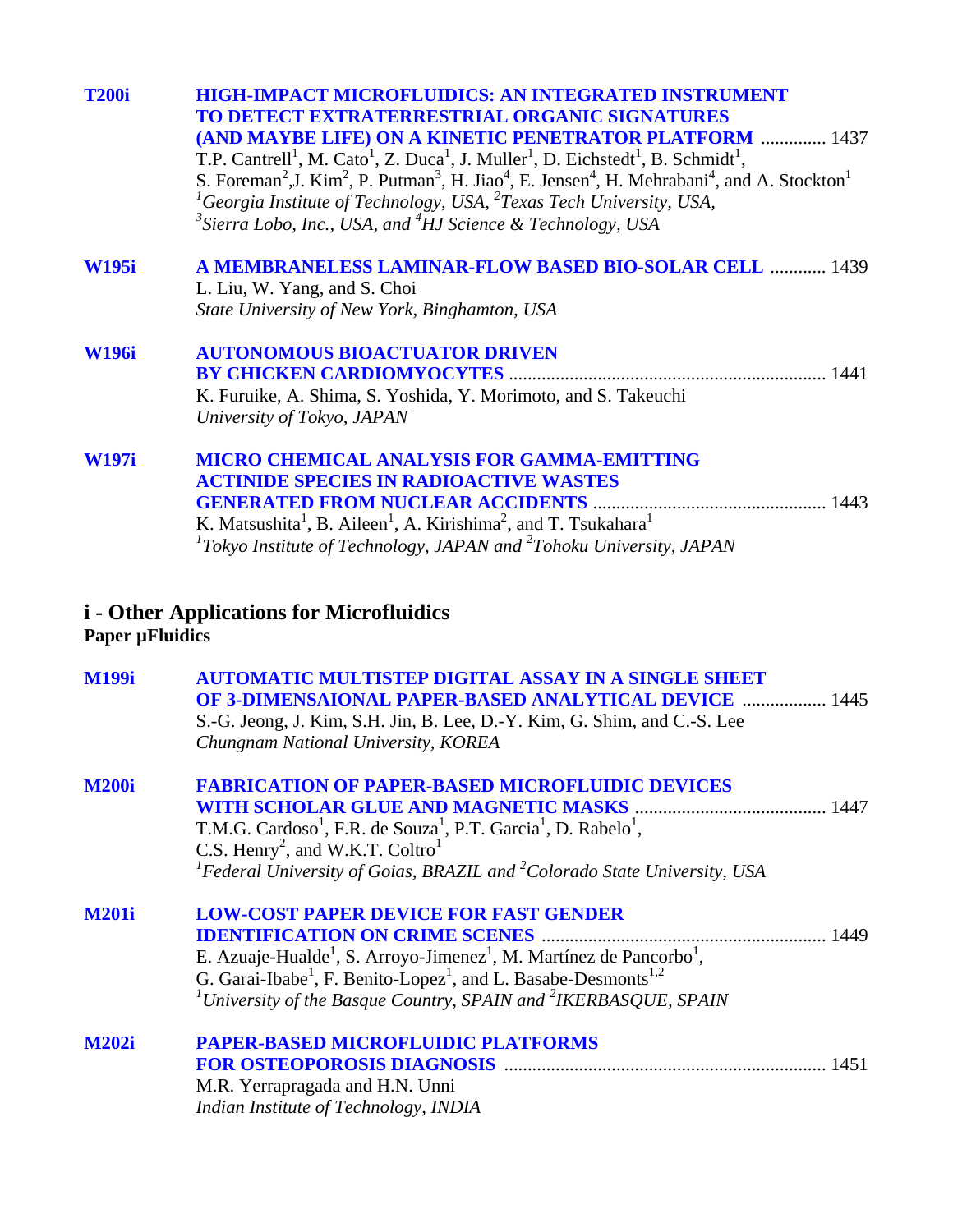| <b>T200i</b> | <b>HIGH-IMPACT MICROFLUIDICS: AN INTEGRATED INSTRUMENT</b>                                                                                                                        |
|--------------|-----------------------------------------------------------------------------------------------------------------------------------------------------------------------------------|
|              | <b>TO DETECT EXTRATERRESTRIAL ORGANIC SIGNATURES</b>                                                                                                                              |
|              | <b>(AND MAYBE LIFE) ON A KINETIC PENETRATOR PLATFORM  1437</b>                                                                                                                    |
|              | T.P. Cantrell <sup>1</sup> , M. Cato <sup>1</sup> , Z. Duca <sup>1</sup> , J. Muller <sup>1</sup> , D. Eichstedt <sup>1</sup> , B. Schmidt <sup>1</sup> ,                         |
|              | S. Foreman <sup>2</sup> , J. Kim <sup>2</sup> , P. Putman <sup>3</sup> , H. Jiao <sup>4</sup> , E. Jensen <sup>4</sup> , H. Mehrabani <sup>4</sup> , and A. Stockton <sup>1</sup> |
|              | <sup>1</sup> Georgia Institute of Technology, USA, $^{2}$ Texas Tech University, USA,                                                                                             |
|              | <sup>3</sup> Sierra Lobo, Inc., USA, and <sup>4</sup> HJ Science & Technology, USA                                                                                                |
| <b>W195i</b> | <b>A MEMBRANELESS LAMINAR-FLOW BASED BIO-SOLAR CELL  1439</b>                                                                                                                     |
|              | L. Liu, W. Yang, and S. Choi                                                                                                                                                      |
|              | State University of New York, Binghamton, USA                                                                                                                                     |
| <b>W196i</b> | <b>AUTONOMOUS BIOACTUATOR DRIVEN</b>                                                                                                                                              |
|              | <b>BY CHICKEN CARDIOMYOCYTES</b>                                                                                                                                                  |
|              | K. Furuike, A. Shima, S. Yoshida, Y. Morimoto, and S. Takeuchi                                                                                                                    |
|              | University of Tokyo, JAPAN                                                                                                                                                        |
| <b>W197i</b> | <b>MICRO CHEMICAL ANALYSIS FOR GAMMA-EMITTING</b>                                                                                                                                 |
|              | <b>ACTINIDE SPECIES IN RADIOACTIVE WASTES</b>                                                                                                                                     |
|              |                                                                                                                                                                                   |
|              | K. Matsushita <sup>1</sup> , B. Aileen <sup>1</sup> , A. Kirishima <sup>2</sup> , and T. Tsukahara <sup>1</sup>                                                                   |
|              | ${}^{1}$ Tokyo Institute of Technology, JAPAN and ${}^{2}$ Tohoku University, JAPAN                                                                                               |
|              |                                                                                                                                                                                   |

#### **i - Other Applications for Microfluidics Paper µFluidics**

| <b>M199i</b> | <b>AUTOMATIC MULTISTEP DIGITAL ASSAY IN A SINGLE SHEET</b><br><b>OF 3-DIMENSAIONAL PAPER-BASED ANALYTICAL DEVICE  1445</b> |  |
|--------------|----------------------------------------------------------------------------------------------------------------------------|--|
|              | S.-G. Jeong, J. Kim, S.H. Jin, B. Lee, D.-Y. Kim, G. Shim, and C.-S. Lee                                                   |  |
|              | Chungnam National University, KOREA                                                                                        |  |
| <b>M200i</b> | <b>FABRICATION OF PAPER-BASED MICROFLUIDIC DEVICES</b>                                                                     |  |
|              |                                                                                                                            |  |
|              | T.M.G. Cardoso <sup>1</sup> , F.R. de Souza <sup>1</sup> , P.T. Garcia <sup>1</sup> , D. Rabelo <sup>1</sup> ,             |  |
|              | C.S. Henry <sup>2</sup> , and W.K.T. Coltro <sup>1</sup>                                                                   |  |
|              | <sup>1</sup> Federal University of Goias, BRAZIL and $^{2}$ Colorado State University, USA                                 |  |
| <b>M201i</b> | <b>LOW-COST PAPER DEVICE FOR FAST GENDER</b>                                                                               |  |
|              |                                                                                                                            |  |
|              | E. Azuaje-Hualde <sup>1</sup> , S. Arroyo-Jimenez <sup>1</sup> , M. Martínez de Pancorbo <sup>1</sup> ,                    |  |
|              | G. Garai-Ibabe <sup>1</sup> , F. Benito-Lopez <sup>1</sup> , and L. Basabe-Desmonts <sup>1,2</sup>                         |  |
|              | <sup>1</sup> University of the Basque Country, SPAIN and <sup>2</sup> IKERBASQUE, SPAIN                                    |  |
| <b>M202i</b> | <b>PAPER-BASED MICROFLUIDIC PLATFORMS</b>                                                                                  |  |
|              |                                                                                                                            |  |
|              | M.R. Yerrapragada and H.N. Unni                                                                                            |  |
|              | Indian Institute of Technology, INDIA                                                                                      |  |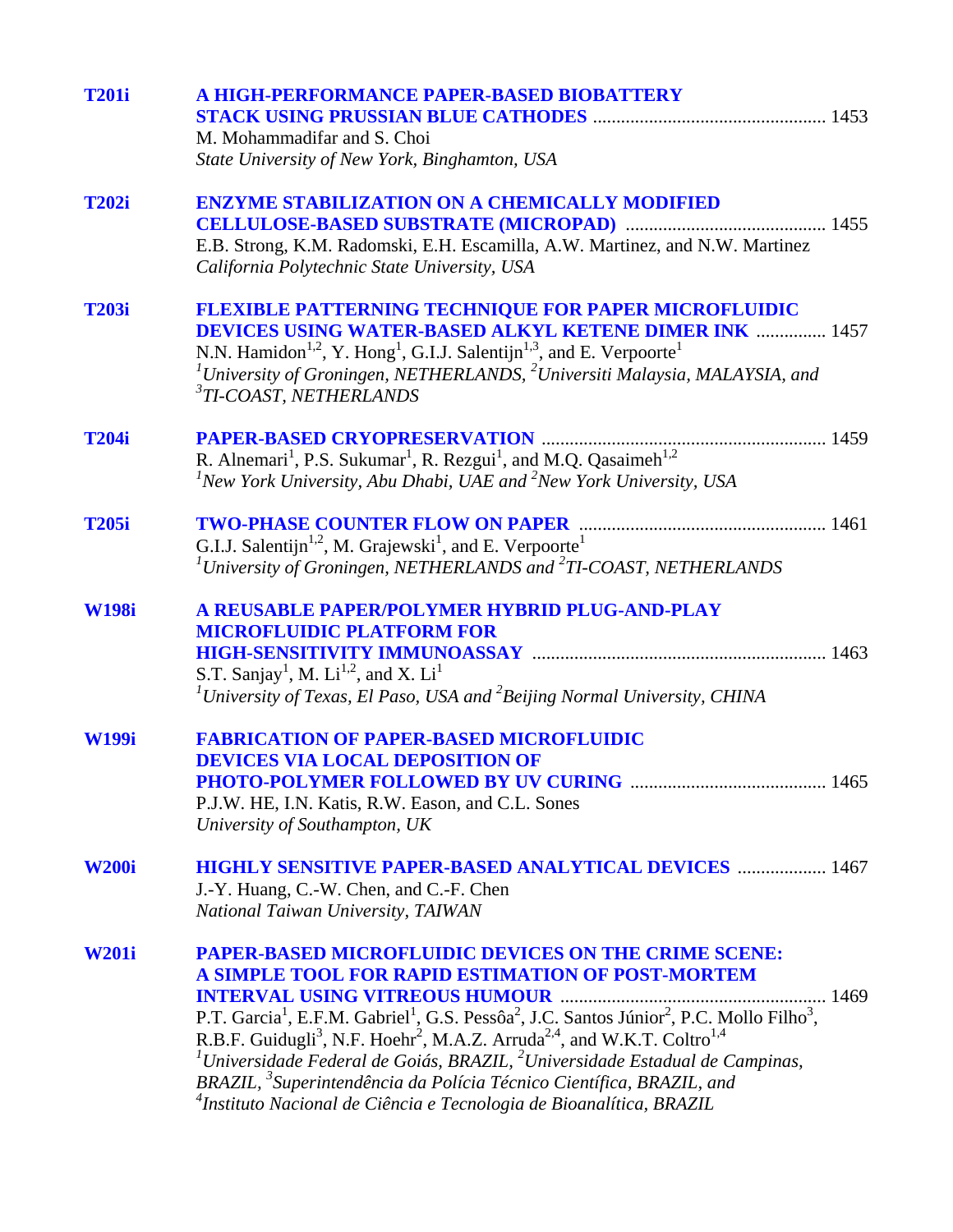| <b>T201i</b> | A HIGH-PERFORMANCE PAPER-BASED BIOBATTERY                                                                                                             |
|--------------|-------------------------------------------------------------------------------------------------------------------------------------------------------|
|              |                                                                                                                                                       |
|              | M. Mohammadifar and S. Choi                                                                                                                           |
|              | State University of New York, Binghamton, USA                                                                                                         |
|              |                                                                                                                                                       |
| <b>T202i</b> | <b>ENZYME STABILIZATION ON A CHEMICALLY MODIFIED</b>                                                                                                  |
|              |                                                                                                                                                       |
|              | E.B. Strong, K.M. Radomski, E.H. Escamilla, A.W. Martinez, and N.W. Martinez                                                                          |
|              | California Polytechnic State University, USA                                                                                                          |
|              |                                                                                                                                                       |
| <b>T203i</b> |                                                                                                                                                       |
|              | <b>FLEXIBLE PATTERNING TECHNIQUE FOR PAPER MICROFLUIDIC</b><br><b>DEVICES USING WATER-BASED ALKYL KETENE DIMER INK  1457</b>                          |
|              |                                                                                                                                                       |
|              | N.N. Hamidon <sup>1,2</sup> , Y. Hong <sup>1</sup> , G.I.J. Salentijn <sup>1,3</sup> , and E. Verpoorte <sup>1</sup>                                  |
|              | <sup>1</sup> University of Groningen, NETHERLANDS, $^{2}$ Universiti Malaysia, MALAYSIA, and                                                          |
|              | $3$ TI-COAST, NETHERLANDS                                                                                                                             |
|              |                                                                                                                                                       |
| <b>T204i</b> |                                                                                                                                                       |
|              |                                                                                                                                                       |
|              | ${}^{1}$ New York University, Abu Dhabi, UAE and ${}^{2}$ New York University, USA                                                                    |
|              |                                                                                                                                                       |
| <b>T205i</b> |                                                                                                                                                       |
|              | G.I.J. Salentijn <sup>1,2</sup> , M. Grajewski <sup>1</sup> , and E. Verpoorte <sup>1</sup>                                                           |
|              | <sup>1</sup> University of Groningen, NETHERLANDS and <sup>2</sup> TI-COAST, NETHERLANDS                                                              |
|              |                                                                                                                                                       |
| <b>W198i</b> | A REUSABLE PAPER/POLYMER HYBRID PLUG-AND-PLAY                                                                                                         |
|              | <b>MICROFLUIDIC PLATFORM FOR</b>                                                                                                                      |
|              |                                                                                                                                                       |
|              | S.T. Sanjay <sup>1</sup> , M. Li <sup>1,2</sup> , and X. Li <sup>1</sup>                                                                              |
|              | <sup>1</sup> University of Texas, El Paso, USA and <sup>2</sup> Beijing Normal University, CHINA                                                      |
|              |                                                                                                                                                       |
| <b>W199i</b> | <b>FABRICATION OF PAPER-BASED MICROFLUIDIC</b>                                                                                                        |
|              | <b>DEVICES VIA LOCAL DEPOSITION OF</b>                                                                                                                |
|              | 1465                                                                                                                                                  |
|              | PHOTO-POLYMER FOLLOWED BY UV CURING                                                                                                                   |
|              | P.J.W. HE, I.N. Katis, R.W. Eason, and C.L. Sones                                                                                                     |
|              | University of Southampton, UK                                                                                                                         |
|              |                                                                                                                                                       |
| <b>W200i</b> | <b>HIGHLY SENSITIVE PAPER-BASED ANALYTICAL DEVICES  1467</b>                                                                                          |
|              | J.-Y. Huang, C.-W. Chen, and C.-F. Chen                                                                                                               |
|              | National Taiwan University, TAIWAN                                                                                                                    |
|              |                                                                                                                                                       |
| <b>W201i</b> | <b>PAPER-BASED MICROFLUIDIC DEVICES ON THE CRIME SCENE:</b>                                                                                           |
|              | A SIMPLE TOOL FOR RAPID ESTIMATION OF POST-MORTEM                                                                                                     |
|              | <b>INTERVAL USING VITREOUS HUMOUR</b>                                                                                                                 |
|              | P.T. Garcia <sup>1</sup> , E.F.M. Gabriel <sup>1</sup> , G.S. Pessôa <sup>2</sup> , J.C. Santos Júnior <sup>2</sup> , P.C. Mollo Filho <sup>3</sup> , |
|              | R.B.F. Guidugli <sup>3</sup> , N.F. Hoehr <sup>2</sup> , M.A.Z. Arruda <sup>2,4</sup> , and W.K.T. Coltro <sup>1,4</sup>                              |
|              | <sup>1</sup> Universidade Federal de Goiás, BRAZIL, $^{2}$ Universidade Estadual de Campinas,                                                         |
|              | BRAZIL, <sup>3</sup> Superintendência da Polícia Técnico Científica, BRAZIL, and                                                                      |
|              | <sup>4</sup> Instituto Nacional de Ciência e Tecnologia de Bioanalítica, BRAZIL                                                                       |
|              |                                                                                                                                                       |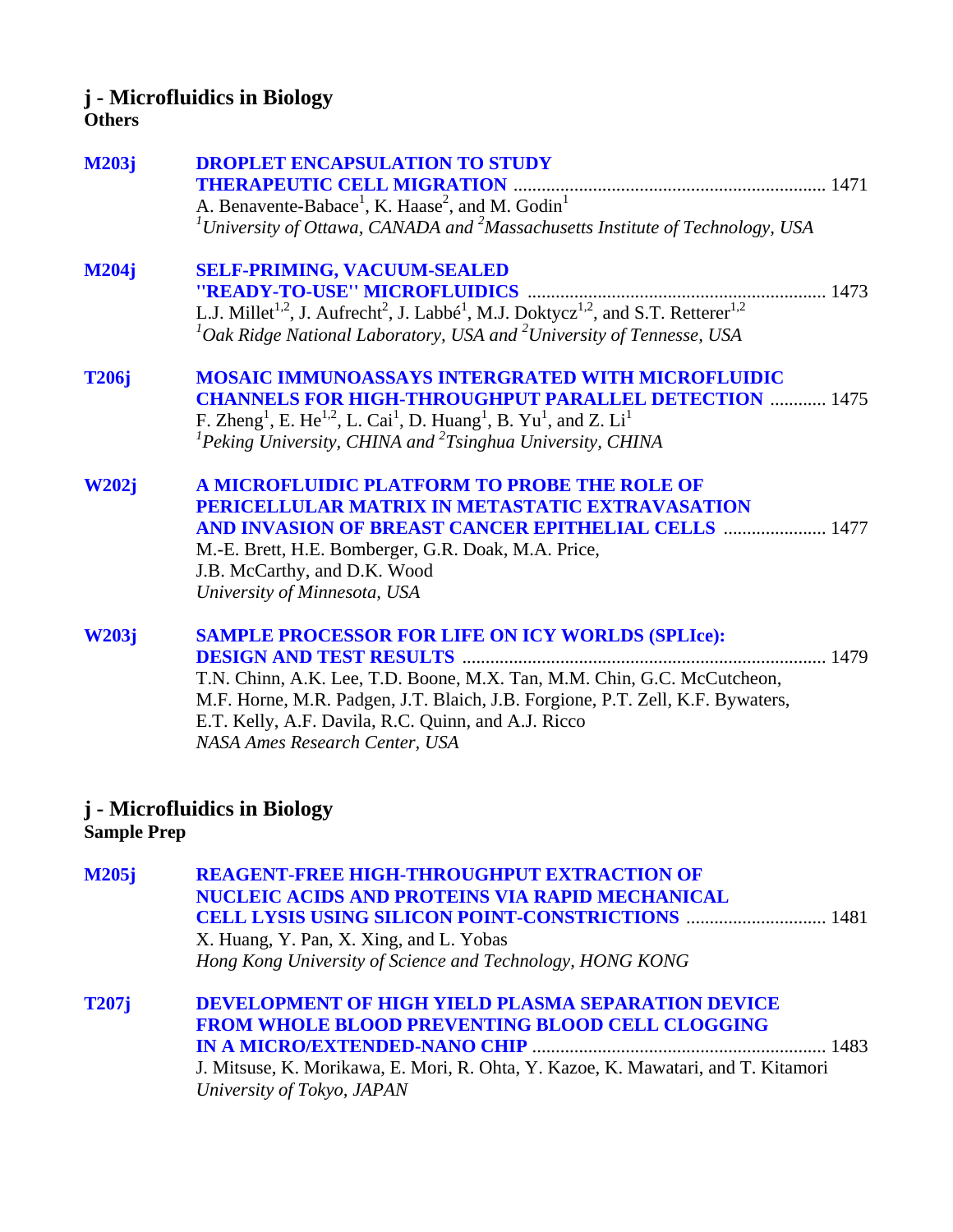# **j - Microfluidics in Biology**

#### **Others**

| <b>M203j</b> | <b>DROPLET ENCAPSULATION TO STUDY</b><br>A. Benavente-Babace <sup>1</sup> , K. Haase <sup>2</sup> , and M. Godin <sup>1</sup><br><sup>1</sup> University of Ottawa, CANADA and <sup>2</sup> Massachusetts Institute of Technology, USA                                                                                                            |
|--------------|---------------------------------------------------------------------------------------------------------------------------------------------------------------------------------------------------------------------------------------------------------------------------------------------------------------------------------------------------|
| <b>M204j</b> | <b>SELF-PRIMING, VACUUM-SEALED</b><br>${}^{1}$ Oak Ridge National Laboratory, USA and ${}^{2}$ University of Tennesse, USA                                                                                                                                                                                                                        |
| <b>T206j</b> | <b>MOSAIC IMMUNOASSAYS INTERGRATED WITH MICROFLUIDIC</b><br><b>CHANNELS FOR HIGH-THROUGHPUT PARALLEL DETECTION  1475</b><br>F. Zheng <sup>1</sup> , E. He <sup>1,2</sup> , L. Cai <sup>1</sup> , D. Huang <sup>1</sup> , B. Yu <sup>1</sup> , and Z. Li <sup>1</sup><br>${}^{1}$ Peking University, CHINA and ${}^{2}$ Tsinghua University, CHINA |
| <b>W202j</b> | A MICROFLUIDIC PLATFORM TO PROBE THE ROLE OF<br>PERICELLULAR MATRIX IN METASTATIC EXTRAVASATION<br><b>AND INVASION OF BREAST CANCER EPITHELIAL CELLS  1477</b><br>M.-E. Brett, H.E. Bomberger, G.R. Doak, M.A. Price,<br>J.B. McCarthy, and D.K. Wood<br>University of Minnesota, USA                                                             |
| <b>W203j</b> | <b>SAMPLE PROCESSOR FOR LIFE ON ICY WORLDS (SPLIce):</b><br>T.N. Chinn, A.K. Lee, T.D. Boone, M.X. Tan, M.M. Chin, G.C. McCutcheon,<br>M.F. Horne, M.R. Padgen, J.T. Blaich, J.B. Forgione, P.T. Zell, K.F. Bywaters,<br>E.T. Kelly, A.F. Davila, R.C. Quinn, and A.J. Ricco<br>NASA Ames Research Center, USA                                    |
|              | $M$ : angfluidige in Dielectr                                                                                                                                                                                                                                                                                                                     |

## **j - Microfluidics in Biology Sample Prep**

| M205j        | <b>REAGENT-FREE HIGH-THROUGHPUT EXTRACTION OF</b><br>NUCLEIC ACIDS AND PROTEINS VIA RAPID MECHANICAL |  |
|--------------|------------------------------------------------------------------------------------------------------|--|
|              | X. Huang, Y. Pan, X. Xing, and L. Yobas                                                              |  |
|              | Hong Kong University of Science and Technology, HONG KONG                                            |  |
| <b>T207j</b> | <b>DEVELOPMENT OF HIGH YIELD PLASMA SEPARATION DEVICE</b>                                            |  |
|              | FROM WHOLE BLOOD PREVENTING BLOOD CELL CLOGGING                                                      |  |
|              |                                                                                                      |  |
|              | J. Mitsuse, K. Morikawa, E. Mori, R. Ohta, Y. Kazoe, K. Mawatari, and T. Kitamori                    |  |
|              | University of Tokyo, JAPAN                                                                           |  |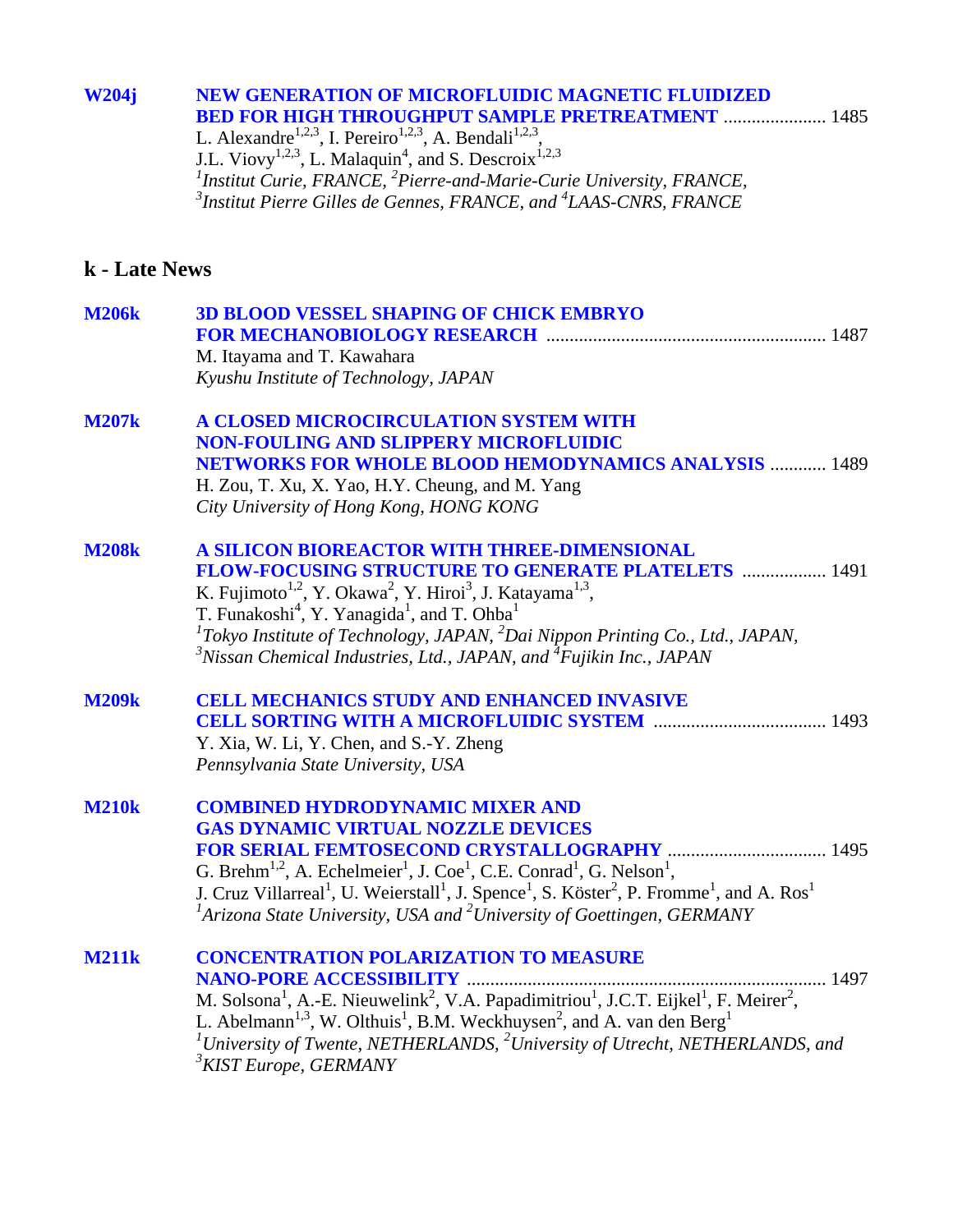#### **[W204j NEW GENERATION OF MICROFLUIDIC MAGNETIC FLUIDIZED](#page-0-0)  BED FOR HIGH THROUGHPUT SAMPLE PRETREATMENT** ...................... 1485

L. Alexandre<sup>1,2,3</sup>, I. Pereiro<sup>1,2,3</sup>, A. Bendali<sup>1,2,3</sup>, J.L. Viovy<sup>1,2,3</sup>, L. Malaquin<sup>4</sup>, and S. Descroix<sup>1,2,3</sup> <sup>1</sup> Institut Curie, FRANCE, <sup>2</sup> Pierre-and-Marie-Curie University, FRANCE, *3 Institut Pierre Gilles de Gennes, FRANCE, and <sup>4</sup> LAAS-CNRS, FRANCE* 

## **k - Late News**

| <b>M206k</b> | <b>3D BLOOD VESSEL SHAPING OF CHICK EMBRYO</b>                                                                                                                                            |
|--------------|-------------------------------------------------------------------------------------------------------------------------------------------------------------------------------------------|
|              |                                                                                                                                                                                           |
|              | M. Itayama and T. Kawahara<br>Kyushu Institute of Technology, JAPAN                                                                                                                       |
|              |                                                                                                                                                                                           |
| <b>M207k</b> | A CLOSED MICROCIRCULATION SYSTEM WITH                                                                                                                                                     |
|              | <b>NON-FOULING AND SLIPPERY MICROFLUIDIC</b>                                                                                                                                              |
|              | <b>NETWORKS FOR WHOLE BLOOD HEMODYNAMICS ANALYSIS  1489</b>                                                                                                                               |
|              | H. Zou, T. Xu, X. Yao, H.Y. Cheung, and M. Yang                                                                                                                                           |
|              | City University of Hong Kong, HONG KONG                                                                                                                                                   |
| <b>M208k</b> | A SILICON BIOREACTOR WITH THREE-DIMENSIONAL                                                                                                                                               |
|              | FLOW-FOCUSING STRUCTURE TO GENERATE PLATELETS  1491                                                                                                                                       |
|              |                                                                                                                                                                                           |
|              | K. Fujimoto <sup>1,2</sup> , Y. Okawa <sup>2</sup> , Y. Hiroi <sup>3</sup> , J. Katayama <sup>1,3</sup> , T. Funakoshi <sup>4</sup> , Y. Yanagida <sup>1</sup> , and T. Ohba <sup>1</sup> |
|              | ${}^{1}$ Tokyo Institute of Technology, JAPAN, ${}^{2}$ Dai Nippon Printing Co., Ltd., JAPAN,                                                                                             |
|              | $3^3$ Nissan Chemical Industries, Ltd., JAPAN, and $4^4$ Fujikin Inc., JAPAN                                                                                                              |
| <b>M209k</b> | <b>CELL MECHANICS STUDY AND ENHANCED INVASIVE</b>                                                                                                                                         |
|              |                                                                                                                                                                                           |
|              | Y. Xia, W. Li, Y. Chen, and S.-Y. Zheng                                                                                                                                                   |
|              | Pennsylvania State University, USA                                                                                                                                                        |
| <b>M210k</b> | <b>COMBINED HYDRODYNAMIC MIXER AND</b>                                                                                                                                                    |
|              | <b>GAS DYNAMIC VIRTUAL NOZZLE DEVICES</b>                                                                                                                                                 |
|              |                                                                                                                                                                                           |
|              | G. Brehm <sup>1,2</sup> , A. Echelmeier <sup>1</sup> , J. Coe <sup>1</sup> , C.E. Conrad <sup>1</sup> , G. Nelson <sup>1</sup> ,                                                          |
|              | J. Cruz Villarreal <sup>1</sup> , U. Weierstall <sup>1</sup> , J. Spence <sup>1</sup> , S. Köster <sup>2</sup> , P. Fromme <sup>1</sup> , and A. Ros <sup>1</sup>                         |
|              | ${}^{1}$ Arizona State University, USA and ${}^{2}$ University of Goettingen, GERMANY                                                                                                     |
| <b>M211k</b> | <b>CONCENTRATION POLARIZATION TO MEASURE</b>                                                                                                                                              |
|              | 1497                                                                                                                                                                                      |
|              | M. Solsona <sup>1</sup> , A.-E. Nieuwelink <sup>2</sup> , V.A. Papadimitriou <sup>1</sup> , J.C.T. Eijkel <sup>1</sup> , F. Meirer <sup>2</sup> ,                                         |
|              | L. Abelmann <sup>1,3</sup> , W. Olthuis <sup>1</sup> , B.M. Weckhuysen <sup>2</sup> , and A. van den Berg <sup>1</sup>                                                                    |
|              | $^{1}$ University of Twente, NETHERLANDS, $^{2}$ University of Utrecht, NETHERLANDS, and                                                                                                  |
|              | <sup>3</sup> KIST Europe, GERMANY                                                                                                                                                         |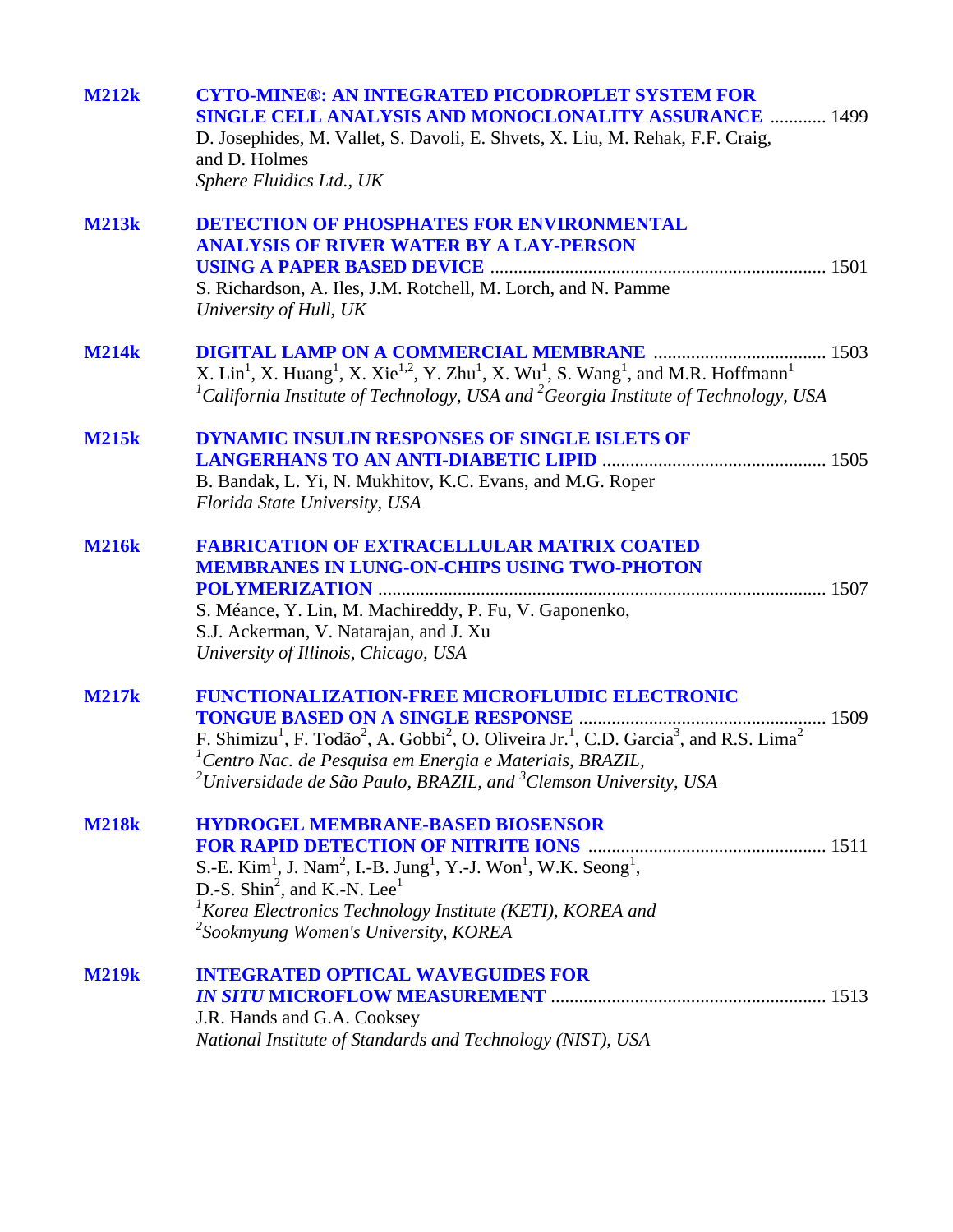| <b>M212k</b> | <b>CYTO-MINE®: AN INTEGRATED PICODROPLET SYSTEM FOR</b><br><b>SINGLE CELL ANALYSIS AND MONOCLONALITY ASSURANCE  1499</b><br>D. Josephides, M. Vallet, S. Davoli, E. Shvets, X. Liu, M. Rehak, F.F. Craig,<br>and D. Holmes<br>Sphere Fluidics Ltd., UK                                                                                                                   |
|--------------|--------------------------------------------------------------------------------------------------------------------------------------------------------------------------------------------------------------------------------------------------------------------------------------------------------------------------------------------------------------------------|
| <b>M213k</b> | <b>DETECTION OF PHOSPHATES FOR ENVIRONMENTAL</b><br><b>ANALYSIS OF RIVER WATER BY A LAY-PERSON</b><br>S. Richardson, A. Iles, J.M. Rotchell, M. Lorch, and N. Pamme<br>University of Hull, UK                                                                                                                                                                            |
| <b>M214k</b> | X. Lin <sup>1</sup> , X. Huang <sup>1</sup> , X. Xie <sup>1,2</sup> , Y. Zhu <sup>1</sup> , X. Wu <sup>1</sup> , S. Wang <sup>1</sup> , and M.R. Hoffmann <sup>1</sup><br><sup>1</sup> California Institute of Technology, USA and <sup>2</sup> Georgia Institute of Technology, USA                                                                                     |
| <b>M215k</b> | <b>DYNAMIC INSULIN RESPONSES OF SINGLE ISLETS OF</b><br>B. Bandak, L. Yi, N. Mukhitov, K.C. Evans, and M.G. Roper<br>Florida State University, USA                                                                                                                                                                                                                       |
| <b>M216k</b> | <b>FABRICATION OF EXTRACELLULAR MATRIX COATED</b><br><b>MEMBRANES IN LUNG-ON-CHIPS USING TWO-PHOTON</b><br>S. Méance, Y. Lin, M. Machireddy, P. Fu, V. Gaponenko,<br>S.J. Ackerman, V. Natarajan, and J. Xu<br>University of Illinois, Chicago, USA                                                                                                                      |
| <b>M217k</b> | FUNCTIONALIZATION-FREE MICROFLUIDIC ELECTRONIC<br>F. Shimizu <sup>1</sup> , F. Todão <sup>2</sup> , A. Gobbi <sup>2</sup> , O. Oliveira Jr. <sup>1</sup> , C.D. Garcia <sup>3</sup> , and R.S. Lima <sup>2</sup><br><sup>1</sup> Centro Nac. de Pesquisa em Energia e Materiais, BRAZIL,<br>$^{2}$ Universidade de São Paulo, BRAZIL, and $^{3}$ Clemson University, USA |
| <b>M218k</b> | <b>HYDROGEL MEMBRANE-BASED BIOSENSOR</b><br>S.-E. Kim <sup>1</sup> , J. Nam <sup>2</sup> , I.-B. Jung <sup>1</sup> , Y.-J. Won <sup>1</sup> , W.K. Seong <sup>1</sup> ,<br>D.-S. Shin <sup>2</sup> , and K.-N. Lee <sup>1</sup><br>${}^{1}$ Korea Electronics Technology Institute (KETI), KOREA and<br><sup>2</sup> Sookmyung Women's University, KOREA                 |
| <b>M219k</b> | <b>INTEGRATED OPTICAL WAVEGUIDES FOR</b><br>J.R. Hands and G.A. Cooksey<br>National Institute of Standards and Technology (NIST), USA                                                                                                                                                                                                                                    |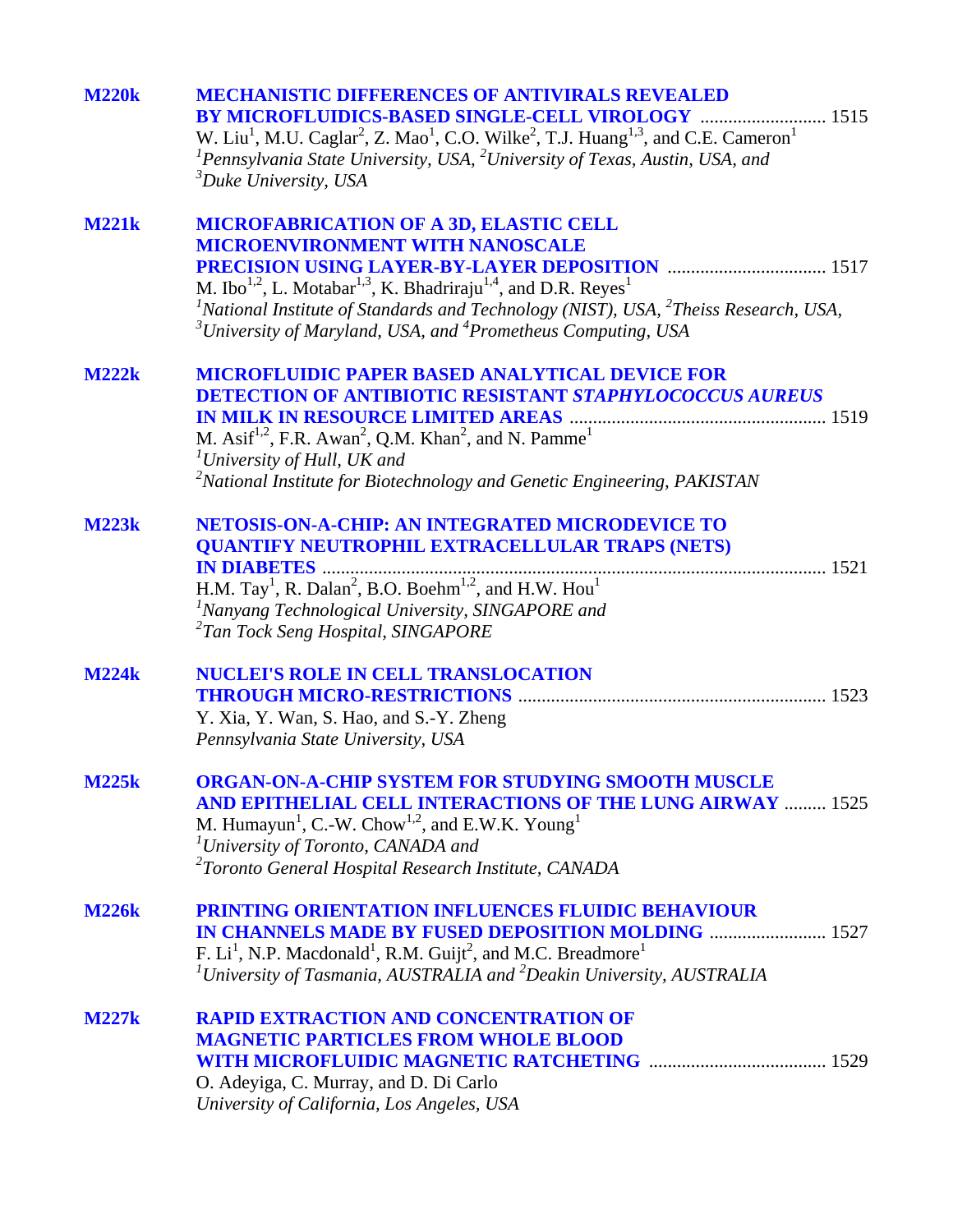| <b>M220k</b> | <b>MECHANISTIC DIFFERENCES OF ANTIVIRALS REVEALED</b><br>BY MICROFLUIDICS-BASED SINGLE-CELL VIROLOGY  1515<br>W. Liu <sup>1</sup> , M.U. Caglar <sup>2</sup> , Z. Mao <sup>1</sup> , C.O. Wilke <sup>2</sup> , T.J. Huang <sup>1,3</sup> , and C.E. Cameron <sup>1</sup><br>${}^{1}$ Pennsylvania State University, USA, ${}^{2}$ University of Texas, Austin, USA, and<br>${}^{3}Duke$ University, USA |
|--------------|---------------------------------------------------------------------------------------------------------------------------------------------------------------------------------------------------------------------------------------------------------------------------------------------------------------------------------------------------------------------------------------------------------|
| <b>M221k</b> | <b>MICROFABRICATION OF A 3D, ELASTIC CELL</b><br><b>MICROENVIRONMENT WITH NANOSCALE</b><br>M. Ibo <sup>1,2</sup> , L. Motabar <sup>1,3</sup> , K. Bhadriraju <sup>1,4</sup> , and D.R. Reyes <sup>1</sup><br><sup>1</sup> National Institute of Standards and Technology (NIST), USA, $^{2}$ Theiss Research, USA,<br>$3$ University of Maryland, USA, and $4$ Prometheus Computing, USA                |
| <b>M222k</b> | <b>MICROFLUIDIC PAPER BASED ANALYTICAL DEVICE FOR</b><br><b>DETECTION OF ANTIBIOTIC RESISTANT STAPHYLOCOCCUS AUREUS</b><br>M. Asif <sup>1,2</sup> , F.R. Awan <sup>2</sup> , Q.M. Khan <sup>2</sup> , and N. Pamme <sup>1</sup><br>$T University of Hull, UK and$<br><sup>2</sup> National Institute for Biotechnology and Genetic Engineering, PAKISTAN                                                |
| <b>M223k</b> | <b>NETOSIS-ON-A-CHIP: AN INTEGRATED MICRODEVICE TO</b><br><b>QUANTIFY NEUTROPHIL EXTRACELLULAR TRAPS (NETS)</b><br>H.M. Tay <sup>1</sup> , R. Dalan <sup>2</sup> , B.O. Boehm <sup>1,2</sup> , and H.W. Hou <sup>1</sup><br><sup>1</sup> Nanyang Technological University, SINGAPORE and<br><sup>2</sup> Tan Tock Seng Hospital, SINGAPORE                                                              |
| <b>M224k</b> | <b>NUCLEI'S ROLE IN CELL TRANSLOCATION</b><br>Y. Xia, Y. Wan, S. Hao, and S.-Y. Zheng<br>Pennsylvania State University, USA                                                                                                                                                                                                                                                                             |
| <b>M225k</b> | <b>ORGAN-ON-A-CHIP SYSTEM FOR STUDYING SMOOTH MUSCLE</b><br><b>AND EPITHELIAL CELL INTERACTIONS OF THE LUNG AIRWAY  1525</b><br>M. Humayun <sup>1</sup> , C.-W. Chow <sup>1,2</sup> , and E.W.K. Young <sup>1</sup><br><sup>1</sup> University of Toronto, CANADA and<br><sup>2</sup> Toronto General Hospital Research Institute, CANADA                                                               |
| <b>M226k</b> | PRINTING ORIENTATION INFLUENCES FLUIDIC BEHAVIOUR<br>F. $Li1$ , N.P. Macdonald <sup>1</sup> , R.M. Guijt <sup>2</sup> , and M.C. Breadmore <sup>1</sup><br>$1$ University of Tasmania, AUSTRALIA and $2$ Deakin University, AUSTRALIA                                                                                                                                                                   |
| <b>M227k</b> | <b>RAPID EXTRACTION AND CONCENTRATION OF</b><br><b>MAGNETIC PARTICLES FROM WHOLE BLOOD</b><br>O. Adeyiga, C. Murray, and D. Di Carlo<br>University of California, Los Angeles, USA                                                                                                                                                                                                                      |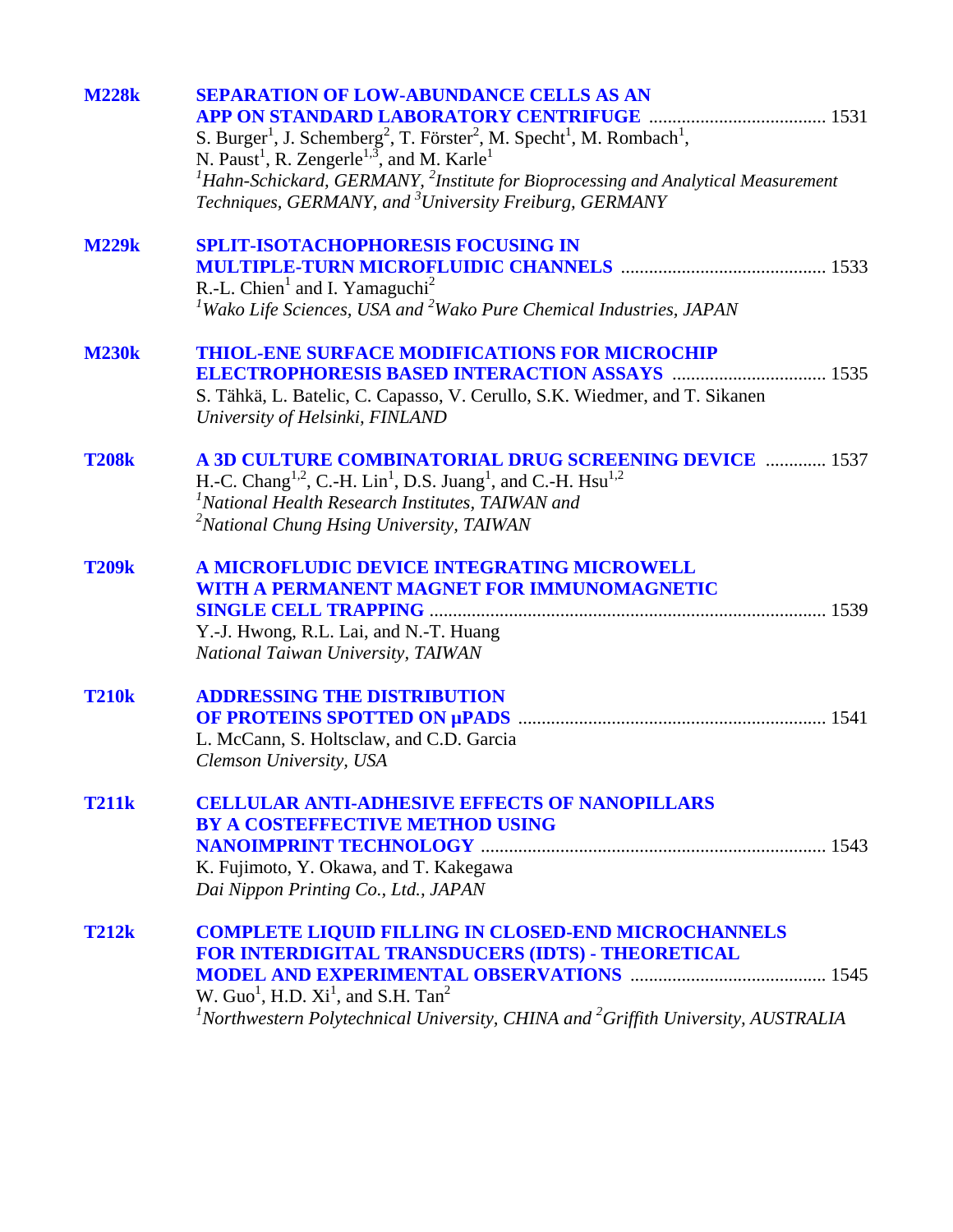| <b>M228k</b> | <b>SEPARATION OF LOW-ABUNDANCE CELLS AS AN</b><br>APP ON STANDARD LABORATORY CENTRIFUGE<br>S. Burger <sup>1</sup> , J. Schemberg <sup>2</sup> , T. Förster <sup>2</sup> , M. Specht <sup>1</sup> , M. Rombach <sup>1</sup> ,<br>N. Paust <sup>1</sup> , R. Zengerle <sup>1,3</sup> , and M. Karle <sup>1</sup><br>${}^{1}$ Hahn-Schickard, GERMANY, ${}^{2}$ Institute for Bioprocessing and Analytical Measurement<br>Techniques, GERMANY, and <sup>3</sup> University Freiburg, GERMANY |
|--------------|-------------------------------------------------------------------------------------------------------------------------------------------------------------------------------------------------------------------------------------------------------------------------------------------------------------------------------------------------------------------------------------------------------------------------------------------------------------------------------------------|
| <b>M229k</b> | <b>SPLIT-ISOTACHOPHORESIS FOCUSING IN</b><br>R.-L. Chien <sup>1</sup> and I. Yamaguchi <sup>2</sup><br><sup>1</sup> Wako Life Sciences, USA and <sup>2</sup> Wako Pure Chemical Industries, JAPAN                                                                                                                                                                                                                                                                                         |
| <b>M230k</b> | <b>THIOL-ENE SURFACE MODIFICATIONS FOR MICROCHIP</b><br><b>ELECTROPHORESIS BASED INTERACTION ASSAYS  1535</b><br>S. Tähkä, L. Batelic, C. Capasso, V. Cerullo, S.K. Wiedmer, and T. Sikanen<br>University of Helsinki, FINLAND                                                                                                                                                                                                                                                            |
| <b>T208k</b> | A 3D CULTURE COMBINATORIAL DRUG SCREENING DEVICE  1537<br>H.-C. Chang <sup>1,2</sup> , C.-H. Lin <sup>1</sup> , D.S. Juang <sup>1</sup> , and C.-H. Hsu <sup>1,2</sup><br><sup>1</sup> National Health Research Institutes, TAIWAN and<br><sup>2</sup> National Chung Hsing University, TAIWAN                                                                                                                                                                                            |
| <b>T209k</b> | A MICROFLUDIC DEVICE INTEGRATING MICROWELL<br>WITH A PERMANENT MAGNET FOR IMMUNOMAGNETIC<br>Y.-J. Hwong, R.L. Lai, and N.-T. Huang<br>National Taiwan University, TAIWAN                                                                                                                                                                                                                                                                                                                  |
| <b>T210k</b> | <b>ADDRESSING THE DISTRIBUTION</b><br>L. McCann, S. Holtsclaw, and C.D. Garcia<br>Clemson University, USA                                                                                                                                                                                                                                                                                                                                                                                 |
| <b>T211k</b> | <b>CELLULAR ANTI-ADHESIVE EFFECTS OF NANOPILLARS</b><br>BY A COSTEFFECTIVE METHOD USING<br>K. Fujimoto, Y. Okawa, and T. Kakegawa<br>Dai Nippon Printing Co., Ltd., JAPAN                                                                                                                                                                                                                                                                                                                 |
| <b>T212k</b> | <b>COMPLETE LIQUID FILLING IN CLOSED-END MICROCHANNELS</b><br>FOR INTERDIGITAL TRANSDUCERS (IDTS) - THEORETICAL<br>W. Guo <sup>1</sup> , H.D. $Xi1$ , and S.H. Tan <sup>2</sup><br>${}^{1}$ Northwestern Polytechnical University, CHINA and ${}^{2}$ Griffith University, AUSTRALIA                                                                                                                                                                                                      |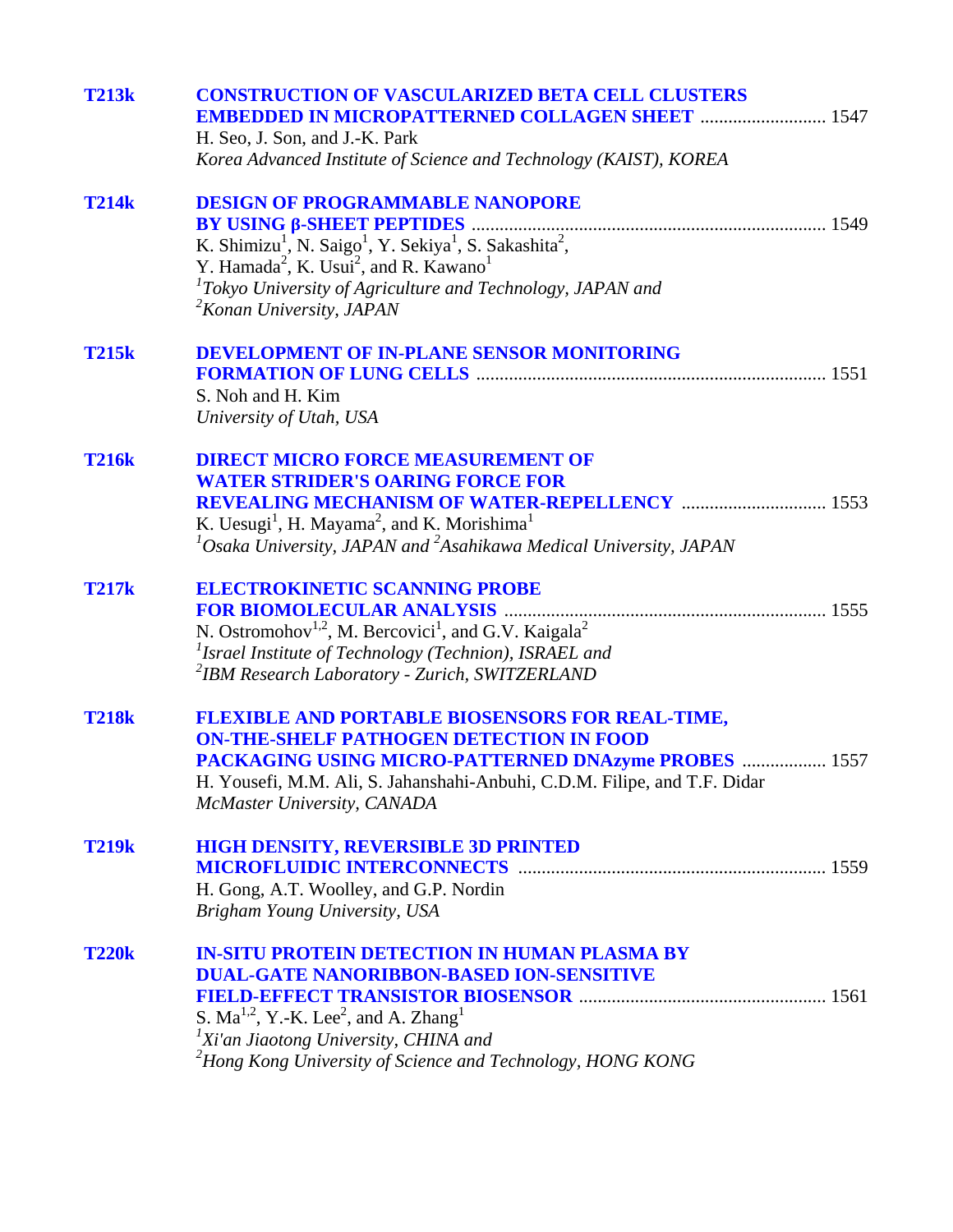| <b>T213k</b> | <b>CONSTRUCTION OF VASCULARIZED BETA CELL CLUSTERS</b><br><b>EMBEDDED IN MICROPATTERNED COLLAGEN SHEET  1547</b> |  |
|--------------|------------------------------------------------------------------------------------------------------------------|--|
|              | H. Seo, J. Son, and J.-K. Park                                                                                   |  |
|              | Korea Advanced Institute of Science and Technology (KAIST), KOREA                                                |  |
| <b>T214k</b> | <b>DESIGN OF PROGRAMMABLE NANOPORE</b>                                                                           |  |
|              |                                                                                                                  |  |
|              | K. Shimizu <sup>1</sup> , N. Saigo <sup>1</sup> , Y. Sekiya <sup>1</sup> , S. Sakashita <sup>2</sup> ,           |  |
|              | Y. Hamada <sup>2</sup> , K. Usui <sup>2</sup> , and R. Kawano <sup>1</sup>                                       |  |
|              | ${}^{1}$ Tokyo University of Agriculture and Technology, JAPAN and<br>$2$ Konan University, JAPAN                |  |
|              |                                                                                                                  |  |
| <b>T215k</b> | <b>DEVELOPMENT OF IN-PLANE SENSOR MONITORING</b>                                                                 |  |
|              |                                                                                                                  |  |
|              | S. Noh and H. Kim                                                                                                |  |
|              | University of Utah, USA                                                                                          |  |
| <b>T216k</b> | <b>DIRECT MICRO FORCE MEASUREMENT OF</b>                                                                         |  |
|              | <b>WATER STRIDER'S OARING FORCE FOR</b>                                                                          |  |
|              | <b>REVEALING MECHANISM OF WATER-REPELLENCY  1553</b>                                                             |  |
|              | K. Uesugi <sup>1</sup> , H. Mayama <sup>2</sup> , and K. Morishima <sup>1</sup>                                  |  |
|              | ${}^{1}$ Osaka University, JAPAN and ${}^{2}$ Asahikawa Medical University, JAPAN                                |  |
| <b>T217k</b> | <b>ELECTROKINETIC SCANNING PROBE</b>                                                                             |  |
|              |                                                                                                                  |  |
|              | N. Ostromohov <sup>1,2</sup> , M. Bercovici <sup>1</sup> , and G.V. Kaigala <sup>2</sup>                         |  |
|              | <sup>1</sup> Israel Institute of Technology (Technion), ISRAEL and                                               |  |
|              | <sup>2</sup> IBM Research Laboratory - Zurich, SWITZERLAND                                                       |  |
| <b>T218k</b> | <b>FLEXIBLE AND PORTABLE BIOSENSORS FOR REAL-TIME,</b>                                                           |  |
|              | <b>ON-THE-SHELF PATHOGEN DETECTION IN FOOD</b>                                                                   |  |
|              | PACKAGING USING MICRO-PATTERNED DNAzyme PROBES  1557                                                             |  |
|              | H. Yousefi, M.M. Ali, S. Jahanshahi-Anbuhi, C.D.M. Filipe, and T.F. Didar                                        |  |
|              | McMaster University, CANADA                                                                                      |  |
| <b>T219k</b> | <b>HIGH DENSITY, REVERSIBLE 3D PRINTED</b>                                                                       |  |
|              |                                                                                                                  |  |
|              | H. Gong, A.T. Woolley, and G.P. Nordin                                                                           |  |
|              | Brigham Young University, USA                                                                                    |  |
| <b>T220k</b> | <b>IN-SITU PROTEIN DETECTION IN HUMAN PLASMA BY</b>                                                              |  |
|              | <b>DUAL-GATE NANORIBBON-BASED ION-SENSITIVE</b>                                                                  |  |
|              |                                                                                                                  |  |
|              | S. $Ma^{1,2}$ , Y.-K. Lee <sup>2</sup> , and A. Zhang <sup>1</sup>                                               |  |
|              | <sup>1</sup> Xi'an Jiaotong University, CHINA and                                                                |  |
|              | <sup>2</sup> Hong Kong University of Science and Technology, HONG KONG                                           |  |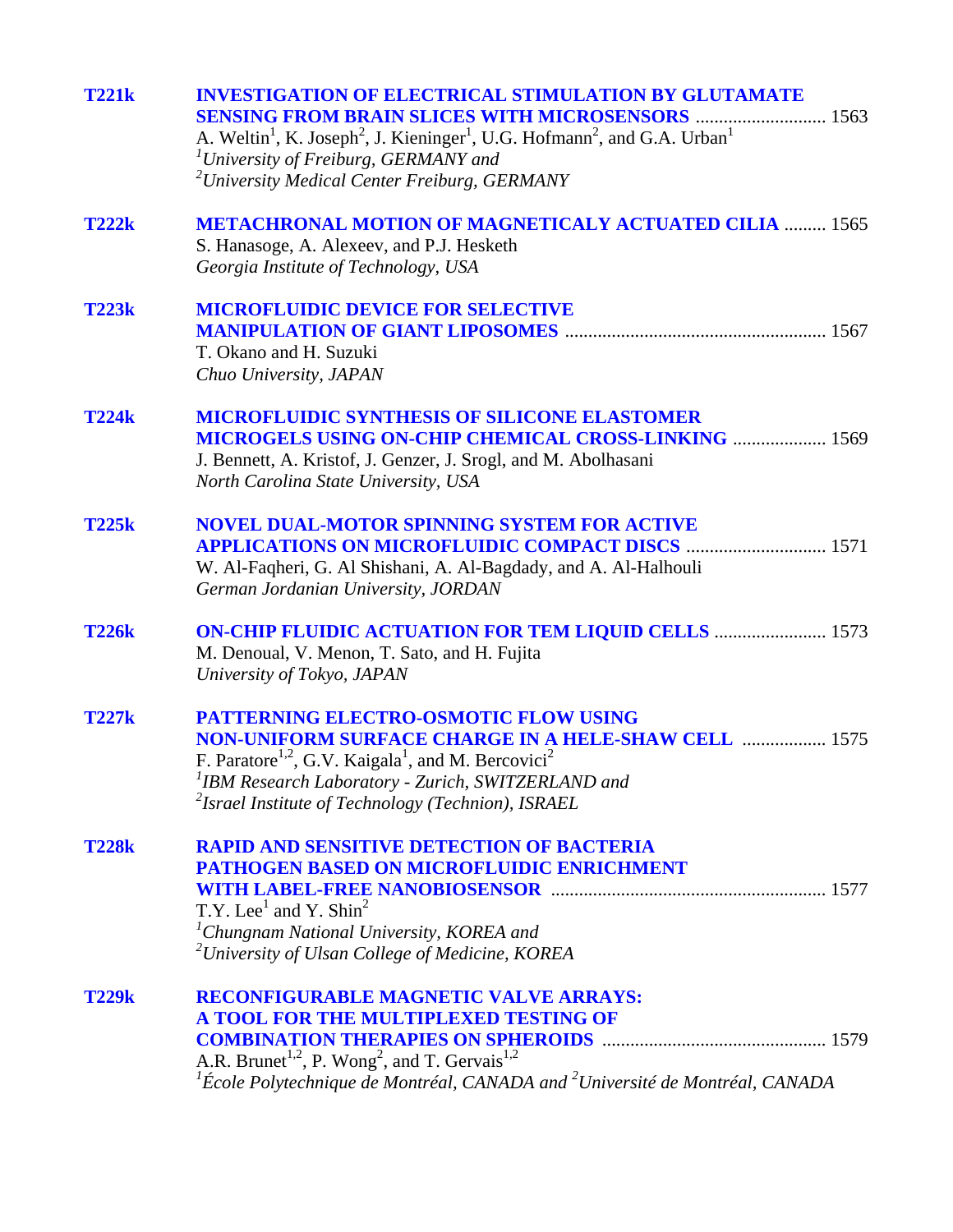| <b>T221k</b> | <b>INVESTIGATION OF ELECTRICAL STIMULATION BY GLUTAMATE</b><br><b>SENSING FROM BRAIN SLICES WITH MICROSENSORS  1563</b><br>A. Weltin <sup>1</sup> , K. Joseph <sup>2</sup> , J. Kieninger <sup>1</sup> , U.G. Hofmann <sup>2</sup> , and G.A. Urban <sup>1</sup><br>$\mu$ <sup>1</sup> University of Freiburg, GERMANY and<br><sup>2</sup> University Medical Center Freiburg, GERMANY |
|--------------|----------------------------------------------------------------------------------------------------------------------------------------------------------------------------------------------------------------------------------------------------------------------------------------------------------------------------------------------------------------------------------------|
| <b>T222k</b> | <b>METACHRONAL MOTION OF MAGNETICALY ACTUATED CILIA  1565</b><br>S. Hanasoge, A. Alexeev, and P.J. Hesketh<br>Georgia Institute of Technology, USA                                                                                                                                                                                                                                     |
| <b>T223k</b> | <b>MICROFLUIDIC DEVICE FOR SELECTIVE</b><br>T. Okano and H. Suzuki<br>Chuo University, JAPAN                                                                                                                                                                                                                                                                                           |
| <b>T224k</b> | <b>MICROFLUIDIC SYNTHESIS OF SILICONE ELASTOMER</b><br><b>MICROGELS USING ON-CHIP CHEMICAL CROSS-LINKING  1569</b><br>J. Bennett, A. Kristof, J. Genzer, J. Srogl, and M. Abolhasani<br>North Carolina State University, USA                                                                                                                                                           |
| <b>T225k</b> | <b>NOVEL DUAL-MOTOR SPINNING SYSTEM FOR ACTIVE</b><br><b>APPLICATIONS ON MICROFLUIDIC COMPACT DISCS  1571</b><br>W. Al-Faqheri, G. Al Shishani, A. Al-Bagdady, and A. Al-Halhouli<br>German Jordanian University, JORDAN                                                                                                                                                               |
| <b>T226k</b> | <b>ON-CHIP FLUIDIC ACTUATION FOR TEM LIQUID CELLS  1573</b><br>M. Denoual, V. Menon, T. Sato, and H. Fujita<br>University of Tokyo, JAPAN                                                                                                                                                                                                                                              |
| <b>T227k</b> | <b>PATTERNING ELECTRO-OSMOTIC FLOW USING</b><br><b>NON-UNIFORM SURFACE CHARGE IN A HELE-SHAW CELL manufacture 1575</b><br>F. Paratore <sup>1,2</sup> , G.V. Kaigala <sup>1</sup> , and M. Bercovici <sup>2</sup><br><sup>1</sup> IBM Research Laboratory - Zurich, SWITZERLAND and<br><sup>2</sup> Israel Institute of Technology (Technion), ISRAEL                                   |
| <b>T228k</b> | <b>RAPID AND SENSITIVE DETECTION OF BACTERIA</b><br><b>PATHOGEN BASED ON MICROFLUIDIC ENRICHMENT</b><br>T.Y. Lee <sup>1</sup> and Y. Shin <sup>2</sup><br><sup>1</sup> Chungnam National University, KOREA and<br><sup>2</sup> University of Ulsan College of Medicine, KOREA                                                                                                          |
| <b>T229k</b> | <b>RECONFIGURABLE MAGNETIC VALVE ARRAYS:</b><br>A TOOL FOR THE MULTIPLEXED TESTING OF<br>A.R. Brunet <sup>1,2</sup> , P. Wong <sup>2</sup> , and T. Gervais <sup>1,2</sup><br>${}^{1}\acute{E}$ cole Polytechnique de Montréal, CANADA and ${}^{2}$ Université de Montréal, CANADA                                                                                                     |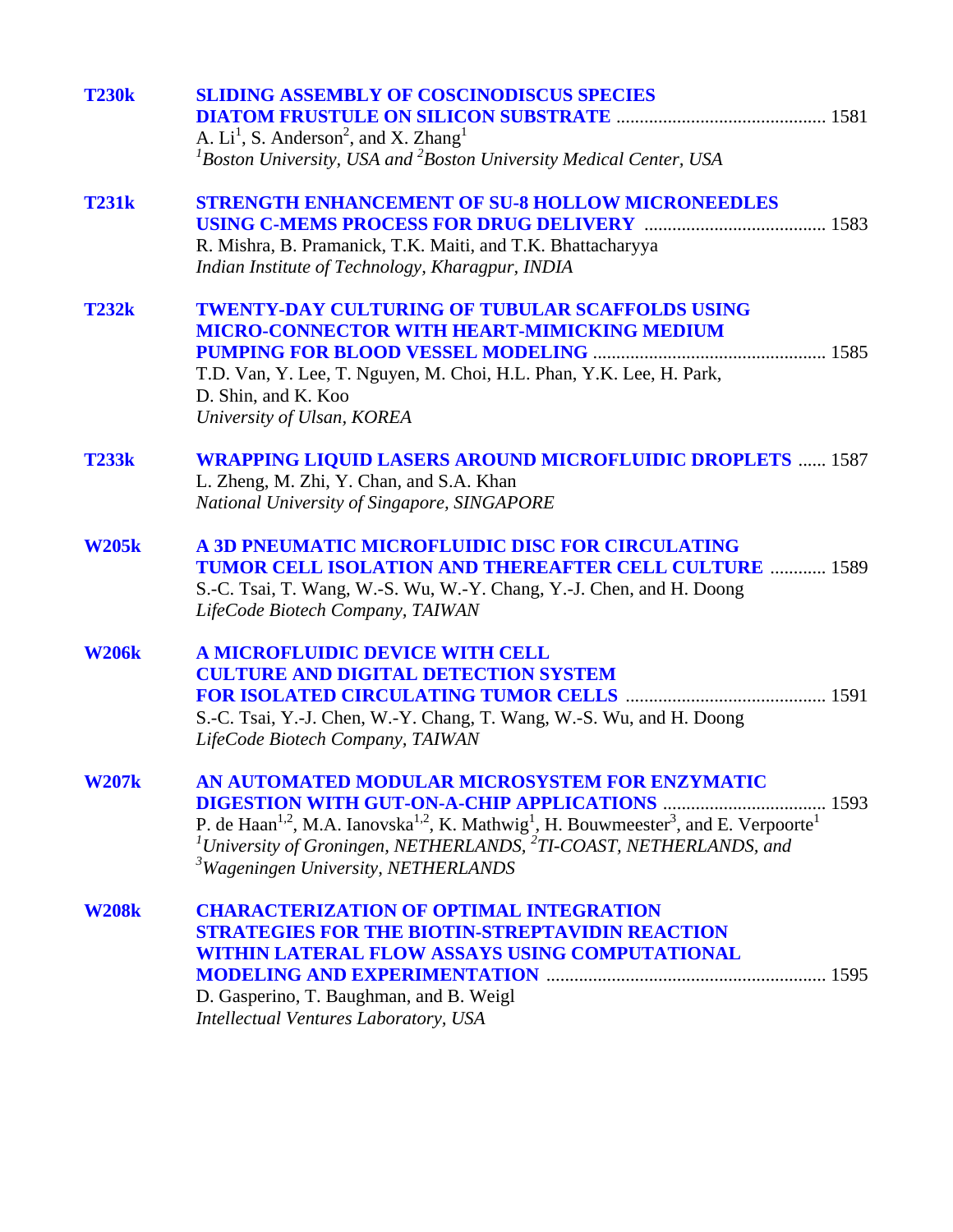| <b>T230k</b> | <b>SLIDING ASSEMBLY OF COSCINODISCUS SPECIES</b><br>A. $Li1$ , S. Anderson <sup>2</sup> , and X. Zhang <sup>1</sup><br>${}^{1}$ Boston University, USA and ${}^{2}$ Boston University Medical Center, USA                                                                                                                                           |  |
|--------------|-----------------------------------------------------------------------------------------------------------------------------------------------------------------------------------------------------------------------------------------------------------------------------------------------------------------------------------------------------|--|
| <b>T231k</b> | <b>STRENGTH ENHANCEMENT OF SU-8 HOLLOW MICRONEEDLES</b><br>R. Mishra, B. Pramanick, T.K. Maiti, and T.K. Bhattacharyya<br>Indian Institute of Technology, Kharagpur, INDIA                                                                                                                                                                          |  |
| <b>T232k</b> | <b>TWENTY-DAY CULTURING OF TUBULAR SCAFFOLDS USING</b><br><b>MICRO-CONNECTOR WITH HEART-MIMICKING MEDIUM</b><br>T.D. Van, Y. Lee, T. Nguyen, M. Choi, H.L. Phan, Y.K. Lee, H. Park,<br>D. Shin, and K. Koo<br>University of Ulsan, KOREA                                                                                                            |  |
| <b>T233k</b> | <b>WRAPPING LIQUID LASERS AROUND MICROFLUIDIC DROPLETS  1587</b><br>L. Zheng, M. Zhi, Y. Chan, and S.A. Khan<br>National University of Singapore, SINGAPORE                                                                                                                                                                                         |  |
| <b>W205k</b> | <b>A 3D PNEUMATIC MICROFLUIDIC DISC FOR CIRCULATING</b><br><b>TUMOR CELL ISOLATION AND THEREAFTER CELL CULTURE  1589</b><br>S.-C. Tsai, T. Wang, W.-S. Wu, W.-Y. Chang, Y.-J. Chen, and H. Doong<br>LifeCode Biotech Company, TAIWAN                                                                                                                |  |
| <b>W206k</b> | A MICROFLUIDIC DEVICE WITH CELL<br><b>CULTURE AND DIGITAL DETECTION SYSTEM</b><br>S.-C. Tsai, Y.-J. Chen, W.-Y. Chang, T. Wang, W.-S. Wu, and H. Doong<br>LifeCode Biotech Company, TAIWAN                                                                                                                                                          |  |
| <b>W207k</b> | AN AUTOMATED MODULAR MICROSYSTEM FOR ENZYMATIC<br>P. de Haan <sup>1,2</sup> , M.A. Ianovska <sup>1,2</sup> , K. Mathwig <sup>1</sup> , H. Bouwmeester <sup>3</sup> , and E. Verpoorte <sup>1</sup><br><sup>1</sup> University of Groningen, NETHERLANDS, <sup>2</sup> TI-COAST, NETHERLANDS, and<br><sup>3</sup> Wageningen University, NETHERLANDS |  |
| <b>W208k</b> | <b>CHARACTERIZATION OF OPTIMAL INTEGRATION</b><br><b>STRATEGIES FOR THE BIOTIN-STREPTAVIDIN REACTION</b><br>WITHIN LATERAL FLOW ASSAYS USING COMPUTATIONAL<br>D. Gasperino, T. Baughman, and B. Weigl<br>Intellectual Ventures Laboratory, USA                                                                                                      |  |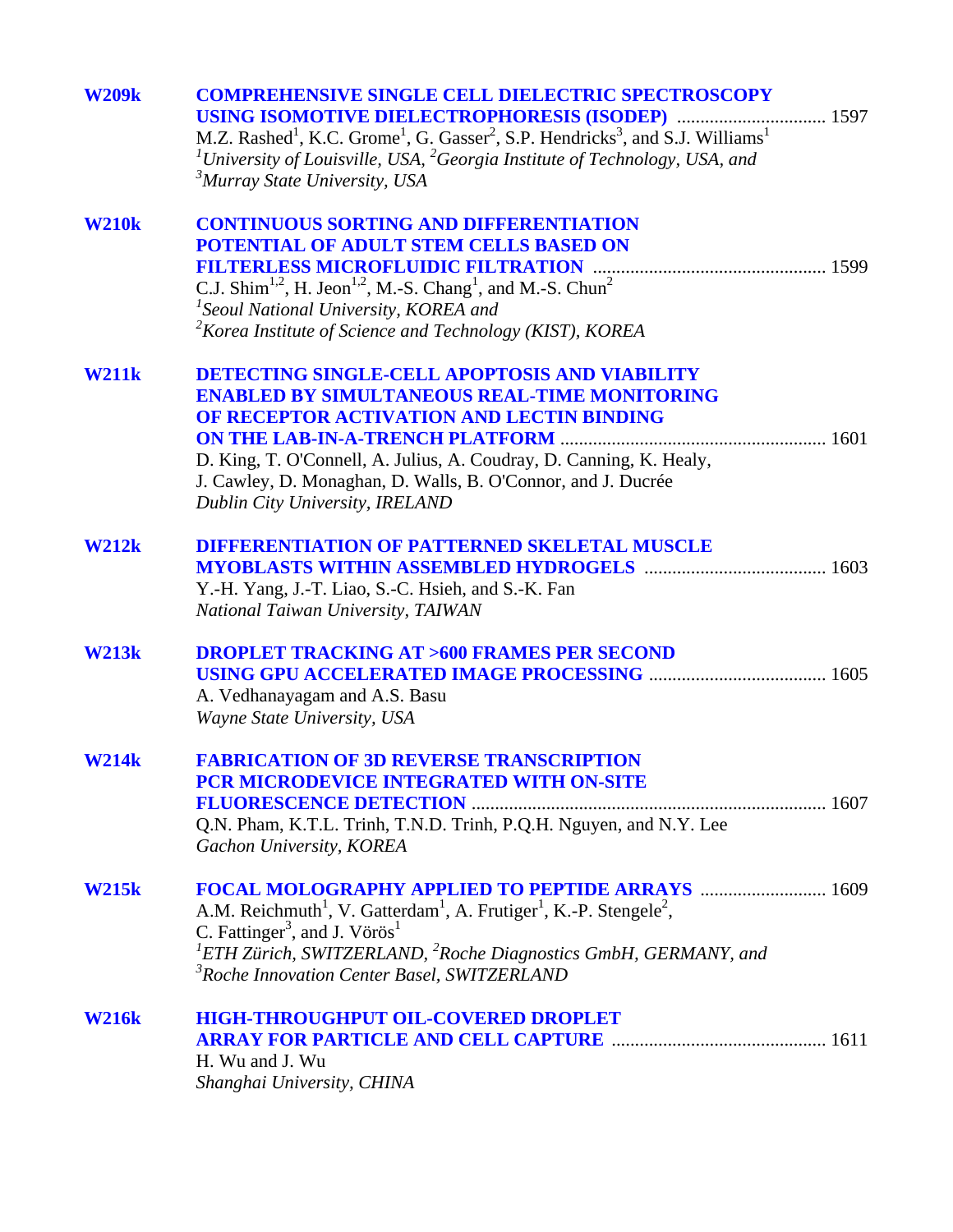| <b>W209k</b> | <b>COMPREHENSIVE SINGLE CELL DIELECTRIC SPECTROSCOPY</b><br>USING ISOMOTIVE DIELECTROPHORESIS (ISODEP)  1597<br>M.Z. Rashed <sup>1</sup> , K.C. Grome <sup>1</sup> , G. Gasser <sup>2</sup> , S.P. Hendricks <sup>3</sup> , and S.J. Williams <sup>1</sup><br><sup>1</sup> University of Louisville, USA, <sup>2</sup> Georgia Institute of Technology, USA, and<br><sup>3</sup> Murray State University, USA |  |
|--------------|---------------------------------------------------------------------------------------------------------------------------------------------------------------------------------------------------------------------------------------------------------------------------------------------------------------------------------------------------------------------------------------------------------------|--|
| <b>W210k</b> | <b>CONTINUOUS SORTING AND DIFFERENTIATION</b><br>POTENTIAL OF ADULT STEM CELLS BASED ON<br>C.J. Shim <sup>1,2</sup> , H. Jeon <sup>1,2</sup> , M.-S. Chang <sup>1</sup> , and M.-S. Chun <sup>2</sup><br><sup>1</sup> Seoul National University, KOREA and<br><sup>2</sup> Korea Institute of Science and Technology (KIST), KOREA                                                                            |  |
| <b>W211k</b> | <b>DETECTING SINGLE-CELL APOPTOSIS AND VIABILITY</b><br><b>ENABLED BY SIMULTANEOUS REAL-TIME MONITORING</b><br>OF RECEPTOR ACTIVATION AND LECTIN BINDING<br>D. King, T. O'Connell, A. Julius, A. Coudray, D. Canning, K. Healy,<br>J. Cawley, D. Monaghan, D. Walls, B. O'Connor, and J. Ducrée<br>Dublin City University, IRELAND                                                                            |  |
| <b>W212k</b> | <b>DIFFERENTIATION OF PATTERNED SKELETAL MUSCLE</b><br>Y.-H. Yang, J.-T. Liao, S.-C. Hsieh, and S.-K. Fan<br>National Taiwan University, TAIWAN                                                                                                                                                                                                                                                               |  |
| <b>W213k</b> | <b>DROPLET TRACKING AT &gt;600 FRAMES PER SECOND</b><br>A. Vedhanayagam and A.S. Basu<br>Wayne State University, USA                                                                                                                                                                                                                                                                                          |  |
| <b>W214k</b> | <b>FABRICATION OF 3D REVERSE TRANSCRIPTION</b><br>PCR MICRODEVICE INTEGRATED WITH ON-SITE<br>Q.N. Pham, K.T.L. Trinh, T.N.D. Trinh, P.Q.H. Nguyen, and N.Y. Lee<br>Gachon University, KOREA                                                                                                                                                                                                                   |  |
| <b>W215k</b> | A.M. Reichmuth <sup>1</sup> , V. Gatterdam <sup>1</sup> , A. Frutiger <sup>1</sup> , K.-P. Stengele <sup>2</sup> ,<br>C. Fattinger <sup>3</sup> , and J. Vörös <sup>1</sup><br><sup>1</sup> ETH Zürich, SWITZERLAND, <sup>2</sup> Roche Diagnostics GmbH, GERMANY, and<br><sup>3</sup> Roche Innovation Center Basel, SWITZERLAND                                                                             |  |
| <b>W216k</b> | <b>HIGH-THROUGHPUT OIL-COVERED DROPLET</b><br>H. Wu and J. Wu<br>Shanghai University, CHINA                                                                                                                                                                                                                                                                                                                   |  |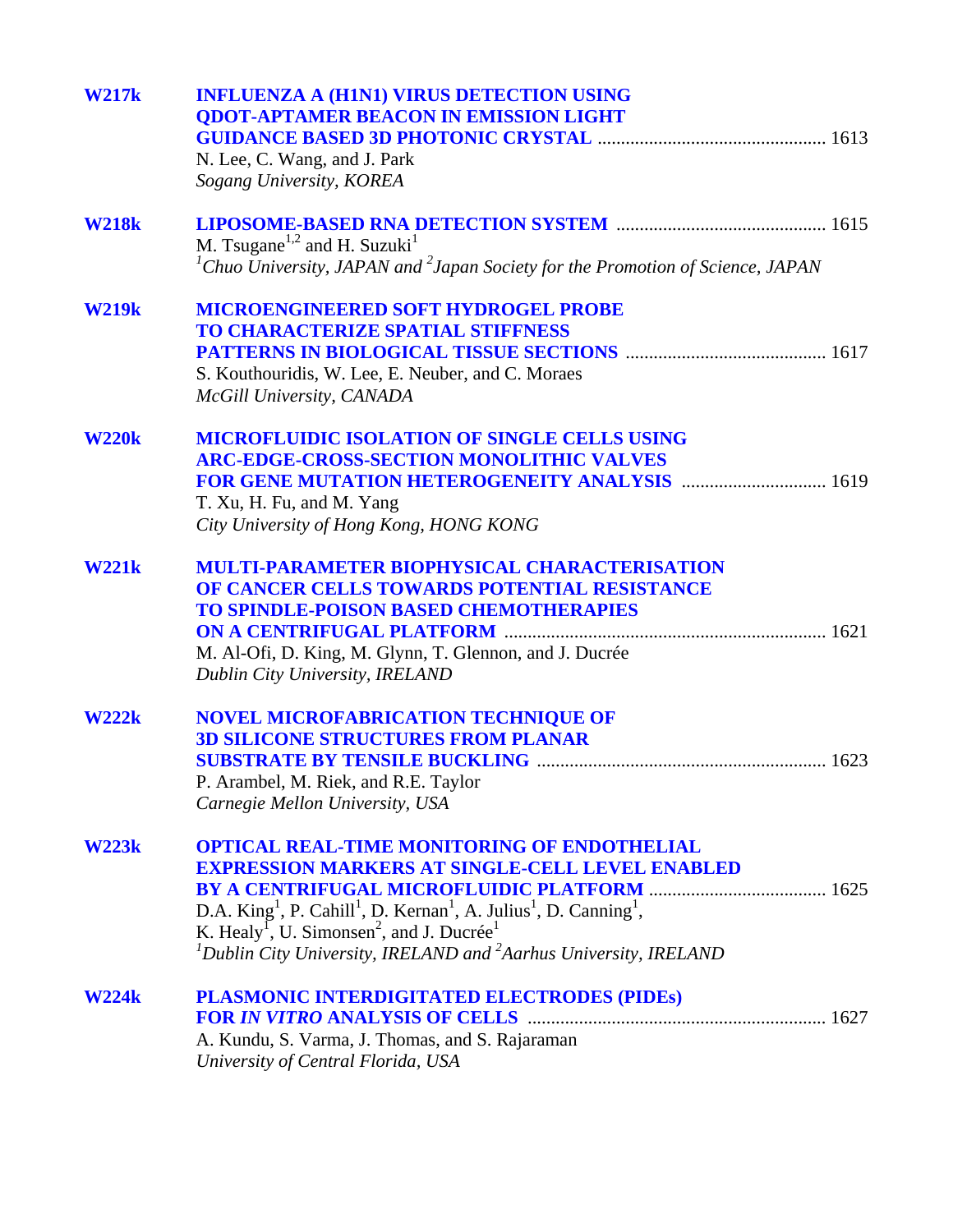| <b>W217k</b> | <b>INFLUENZA A (H1N1) VIRUS DETECTION USING</b><br><b>QDOT-APTAMER BEACON IN EMISSION LIGHT</b><br>N. Lee, C. Wang, and J. Park<br>Sogang University, KOREA                                                                                                                                                                                                                                                        |
|--------------|--------------------------------------------------------------------------------------------------------------------------------------------------------------------------------------------------------------------------------------------------------------------------------------------------------------------------------------------------------------------------------------------------------------------|
| <b>W218k</b> | M. Tsugane <sup>1,2</sup> and H. Suzuki <sup>1</sup><br>${}^{1}$ Chuo University, JAPAN and ${}^{2}$ Japan Society for the Promotion of Science, JAPAN                                                                                                                                                                                                                                                             |
| <b>W219k</b> | <b>MICROENGINEERED SOFT HYDROGEL PROBE</b><br><b>TO CHARACTERIZE SPATIAL STIFFNESS</b><br>S. Kouthouridis, W. Lee, E. Neuber, and C. Moraes<br>McGill University, CANADA                                                                                                                                                                                                                                           |
| <b>W220k</b> | <b>MICROFLUIDIC ISOLATION OF SINGLE CELLS USING</b><br><b>ARC-EDGE-CROSS-SECTION MONOLITHIC VALVES</b><br>FOR GENE MUTATION HETEROGENEITY ANALYSIS  1619<br>T. Xu, H. Fu, and M. Yang<br>City University of Hong Kong, HONG KONG                                                                                                                                                                                   |
| <b>W221k</b> | <b>MULTI-PARAMETER BIOPHYSICAL CHARACTERISATION</b><br>OF CANCER CELLS TOWARDS POTENTIAL RESISTANCE<br><b>TO SPINDLE-POISON BASED CHEMOTHERAPIES</b><br>M. Al-Ofi, D. King, M. Glynn, T. Glennon, and J. Ducrée<br>Dublin City University, IRELAND                                                                                                                                                                 |
| W222k        | <b>NOVEL MICROFABRICATION TECHNIQUE OF</b><br><b>3D SILICONE STRUCTURES FROM PLANAR</b><br>P. Arambel, M. Riek, and R.E. Taylor<br>Carnegie Mellon University, USA                                                                                                                                                                                                                                                 |
| <b>W223k</b> | <b>OPTICAL REAL-TIME MONITORING OF ENDOTHELIAL</b><br><b>EXPRESSION MARKERS AT SINGLE-CELL LEVEL ENABLED</b><br>D.A. King <sup>1</sup> , P. Cahill <sup>1</sup> , D. Kernan <sup>1</sup> , A. Julius <sup>1</sup> , D. Canning <sup>1</sup> ,<br>K. Healy <sup>1</sup> , U. Simonsen <sup>2</sup> , and J. Ducrée <sup>1</sup><br>${}^{1}$ Dublin City University, IRELAND and ${}^{2}$ Aarhus University, IRELAND |
| <b>W224k</b> | PLASMONIC INTERDIGITATED ELECTRODES (PIDEs)<br>A. Kundu, S. Varma, J. Thomas, and S. Rajaraman<br>University of Central Florida, USA                                                                                                                                                                                                                                                                               |